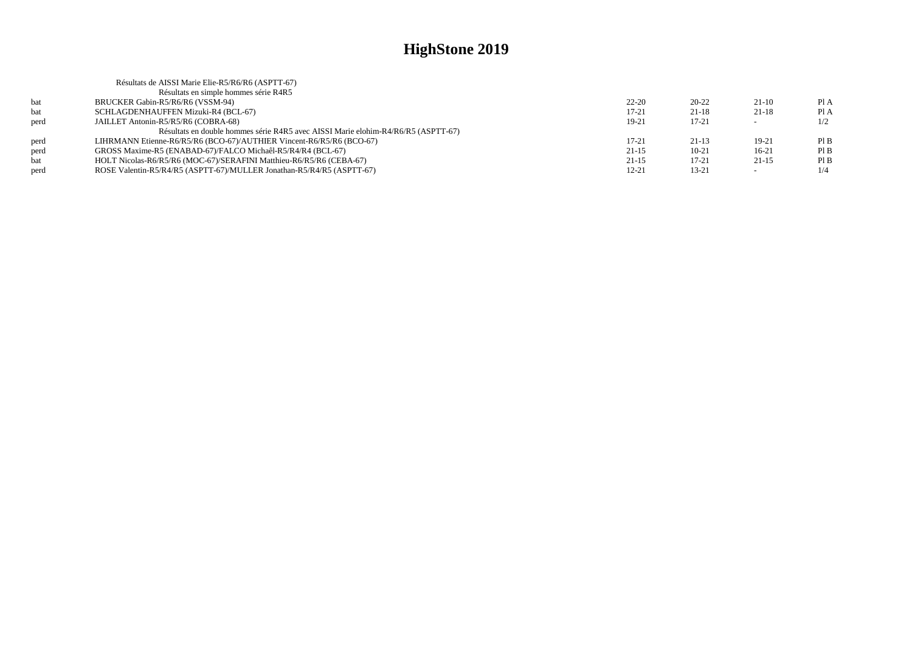|             | Résultats de AISSI Marie Elie-R5/R6/R6 (ASPTT-67)                                 |           |           |         |      |
|-------------|-----------------------------------------------------------------------------------|-----------|-----------|---------|------|
|             | Résultats en simple hommes série R4R5                                             |           |           |         |      |
| <b>b</b> at | BRUCKER Gabin-R5/R6/R6 (VSSM-94)                                                  | $22 - 20$ | $20 - 22$ | $21-10$ | Pl A |
| bat         | SCHLAGDENHAUFFEN Mizuki-R4 (BCL-67)                                               | $17 - 21$ | $21-18$   | $21-18$ | Pl A |
| perd        | JAILLET Antonin-R5/R5/R6 (COBRA-68)                                               | 19-21     | $17 - 21$ | $\sim$  | 1/2  |
|             | Résultats en double hommes série R4R5 avec AISSI Marie elohim-R4/R6/R5 (ASPTT-67) |           |           |         |      |
| perd        | LIHRMANN Etienne-R6/R5/R6 (BCO-67)/AUTHIER Vincent-R6/R5/R6 (BCO-67)              | 17-21     | $21-13$   | $19-21$ | PIB  |
| perd        | GROSS Maxime-R5 (ENABAD-67)/FALCO Michaêl-R5/R4/R4 (BCL-67)                       | $21-15$   | $10 - 21$ | $16-21$ | Pl B |
| hat         | HOLT Nicolas-R6/R5/R6 (MOC-67)/SERAFINI Matthieu-R6/R5/R6 (CEBA-67)               | $21 - 15$ | $17 - 21$ | $21-15$ | PIB  |
| perd        | ROSE Valentin-R5/R4/R5 (ASPTT-67)/MULLER Jonathan-R5/R4/R5 (ASPTT-67)             | $12 - 21$ | 13-21     | $\sim$  | 1/4  |
|             |                                                                                   |           |           |         |      |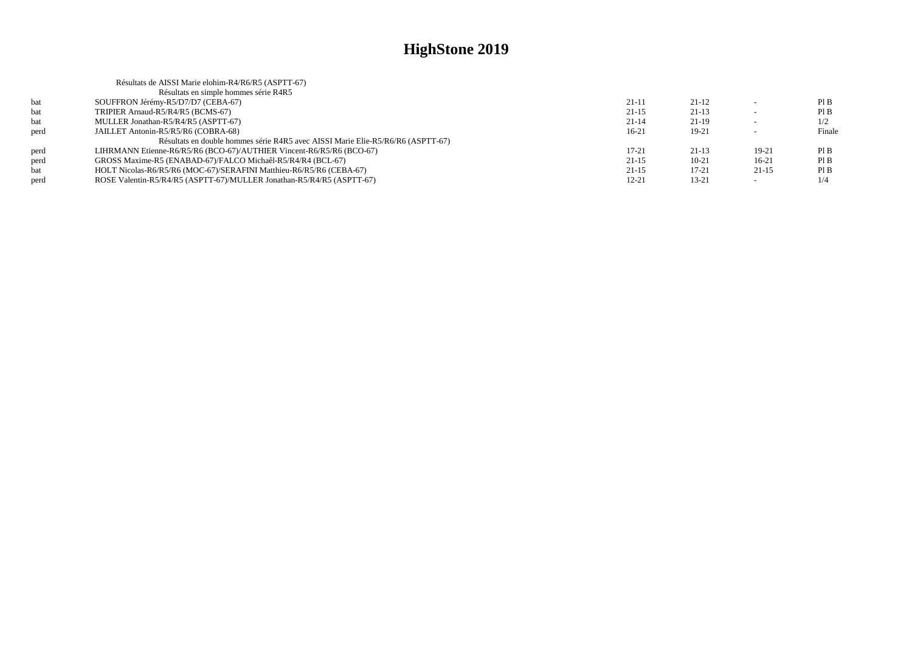|      | Résultats de AISSI Marie elohim-R4/R6/R5 (ASPTT-67)                             |           |           |           |        |
|------|---------------------------------------------------------------------------------|-----------|-----------|-----------|--------|
|      | Résultats en simple hommes série R4R5                                           |           |           |           |        |
| bat  | SOUFFRON Jérémy-R5/D7/D7 (CEBA-67)                                              | $21-11$   | $21-12$   |           | PIB    |
| bat  | TRIPIER Arnaud-R5/R4/R5 (BCMS-67)                                               | $21 - 15$ | $21-13$   |           | PIB    |
| bat  | MULLER Jonathan-R5/R4/R5 (ASPTT-67)                                             | $21 - 14$ | $21-19$   |           | 1/2    |
| perd | JAILLET Antonin-R5/R5/R6 (COBRA-68)                                             | $16-21$   | $19-21$   |           | Finale |
|      | Résultats en double hommes série R4R5 avec AISSI Marie Elie-R5/R6/R6 (ASPTT-67) |           |           |           |        |
| perd | LIHRMANN Etienne-R6/R5/R6 (BCO-67)/AUTHIER Vincent-R6/R5/R6 (BCO-67)            | $17 - 21$ | $21-13$   | $19-21$   | PIB    |
| perd | GROSS Maxime-R5 (ENABAD-67)/FALCO Michaêl-R5/R4/R4 (BCL-67)                     | $21-15$   | $10-21$   | $16-21$   | PIB    |
| bat  | HOLT Nicolas-R6/R5/R6 (MOC-67)/SERAFINI Matthieu-R6/R5/R6 (CEBA-67)             | $21-15$   | $17 - 21$ | $21 - 15$ | PIB    |
| perd | ROSE Valentin-R5/R4/R5 (ASPTT-67)/MULLER Jonathan-R5/R4/R5 (ASPTT-67)           | $12 - 21$ | $13 - 21$ |           | 1/4    |
|      |                                                                                 |           |           |           |        |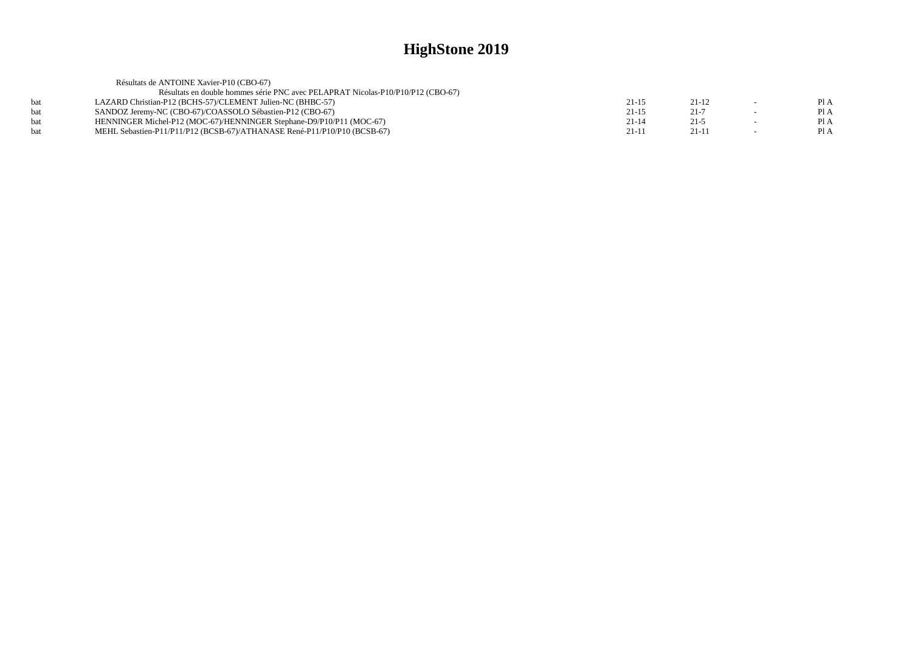|     | Résultats de ANTOINE Xavier-P10 (CBO-67)                                        |           |           |        |      |
|-----|---------------------------------------------------------------------------------|-----------|-----------|--------|------|
|     | Résultats en double hommes série PNC avec PELAPRAT Nicolas-P10/P10/P12 (CBO-67) |           |           |        |      |
| bat | LAZARD Christian-P12 (BCHS-57)/CLEMENT Julien-NC (BHBC-57)                      | $21 - 15$ | 21-12     |        | Pl A |
| hat | SANDOZ Jeremy-NC (CBO-67)/COASSOLO Sébastien-P12 (CBO-67)                       | $21 - 15$ | $21 - 7$  | $\sim$ | PI A |
| hat | HENNINGER Michel-P12 (MOC-67)/HENNINGER Stephane-D9/P10/P11 (MOC-67)            | $21 - 14$ | $21-5$    |        | Pl A |
| hat | MEHL Sebastien-P11/P11/P12 (BCSB-67)/ATHANASE René-P11/P10/P10 (BCSB-67)        | $21 - 11$ | $21 - 11$ |        | Pl A |
|     |                                                                                 |           |           |        |      |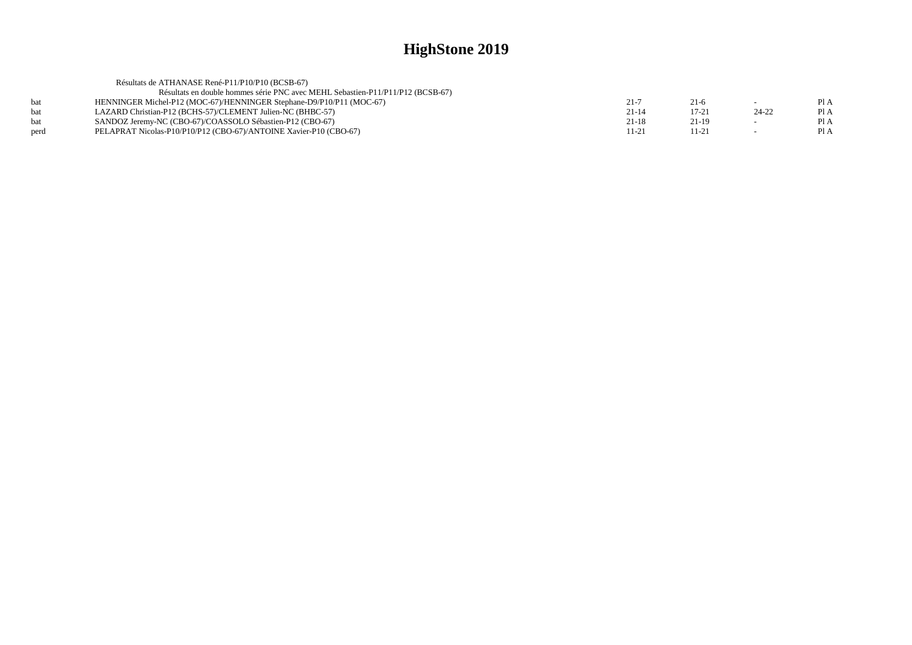|      | Résultats de ATHANASE René-P11/P10/P10 (BCSB-67)                               |           |           |                          |      |
|------|--------------------------------------------------------------------------------|-----------|-----------|--------------------------|------|
|      | Résultats en double hommes série PNC avec MEHL Sebastien-P11/P11/P12 (BCSB-67) |           |           |                          |      |
| hat  | HENNINGER Michel-P12 (MOC-67)/HENNINGER Stephane-D9/P10/P11 (MOC-67)           | $21 - 7$  | $21-6$    | $\sim$                   | Pl A |
| hat  | LAZARD Christian-P12 (BCHS-57)/CLEMENT Julien-NC (BHBC-57)                     | $21 - 14$ | $17 - 21$ | $24 - 22$                | Pl A |
| bat  | SANDOZ Jeremy-NC (CBO-67)/COASSOLO Sébastien-P12 (CBO-67)                      | $21 - 18$ | $21-19$   |                          | Pl A |
| perd | PELAPRAT Nicolas-P10/P10/P12 (CBO-67)/ANTOINE Xavier-P10 (CBO-67)              | 11-21     | $11 - 21$ | $\overline{\phantom{a}}$ | Pl A |
|      |                                                                                |           |           |                          |      |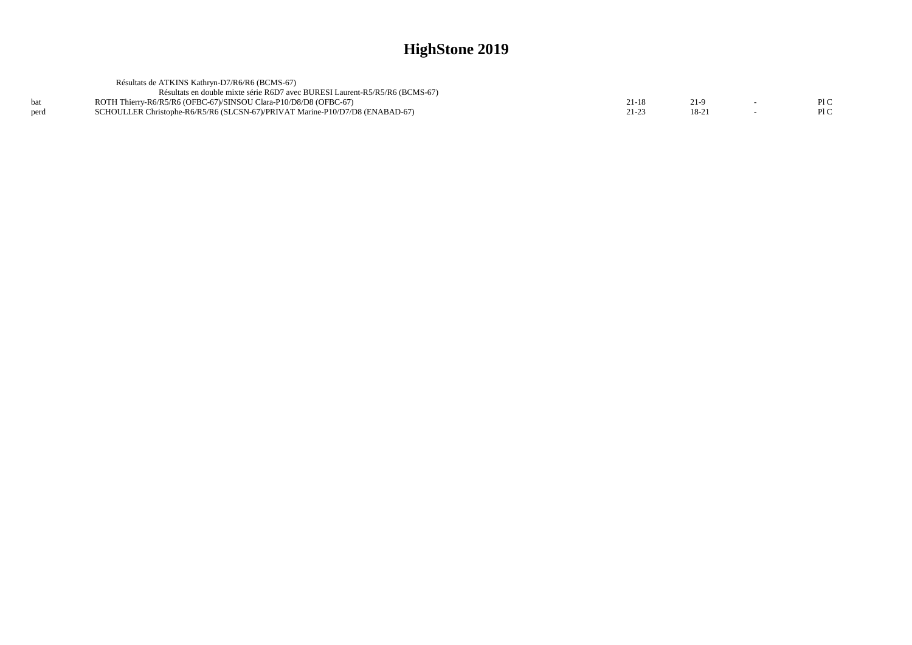|      | Résultats de ATKINS Kathryn-D7/R6/R6 (BCMS-67)                               |       |        |      |
|------|------------------------------------------------------------------------------|-------|--------|------|
|      | Résultats en double mixte série R6D7 avec BURESI Laurent-R5/R5/R6 (BCMS-67)  |       |        |      |
|      | ROTH Thierry-R6/R5/R6 (OFBC-67)/SINSOU Clara-P10/D8/D8 (OFBC-67)             | 21-18 | 21-9   | P1C  |
| perd | SCHOULLER Christophe-R6/R5/R6 (SLCSN-67)/PRIVAT Marine-P10/D7/D8 (ENABAD-67) |       | $18-2$ | Pl C |
|      |                                                                              |       |        |      |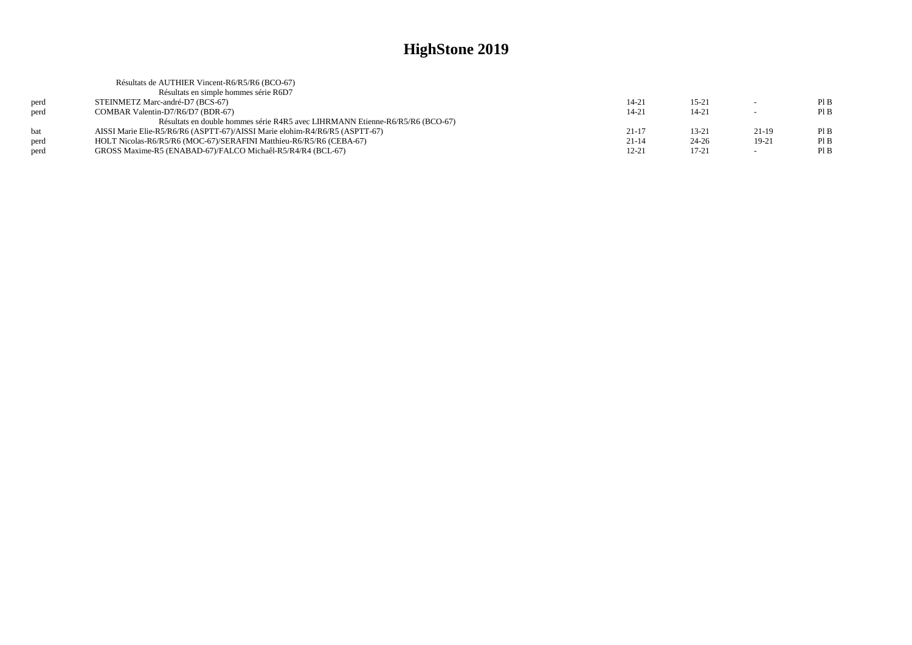|      | Résultats de AUTHIER Vincent-R6/R5/R6 (BCO-67)                                |           |           |                          |     |
|------|-------------------------------------------------------------------------------|-----------|-----------|--------------------------|-----|
|      | Résultats en simple hommes série R6D7                                         |           |           |                          |     |
| perd | STEINMETZ Marc-andré-D7 (BCS-67)                                              | $14 - 21$ | $15 - 21$ | $\overline{\phantom{0}}$ | PIB |
| perd | COMBAR Valentin-D7/R6/D7 (BDR-67)                                             | $14 - 21$ | $14 - 21$ | $\overline{\phantom{0}}$ | PIB |
|      | Résultats en double hommes série R4R5 avec LIHRMANN Etienne-R6/R5/R6 (BCO-67) |           |           |                          |     |
| hat  | AISSI Marie Elie-R5/R6/R6 (ASPTT-67)/AISSI Marie elohim-R4/R6/R5 (ASPTT-67)   | $21 - 17$ | $13 - 21$ | $21-19$                  | PIB |
| perd | HOLT Nicolas-R6/R5/R6 (MOC-67)/SERAFINI Matthieu-R6/R5/R6 (CEBA-67)           | $21 - 14$ | $24 - 26$ | 19-21                    | PIB |
| perd | GROSS Maxime-R5 (ENABAD-67)/FALCO Michaêl-R5/R4/R4 (BCL-67)                   | 12-21     | $17 - 21$ | $\overline{\phantom{0}}$ | PIB |
|      |                                                                               |           |           |                          |     |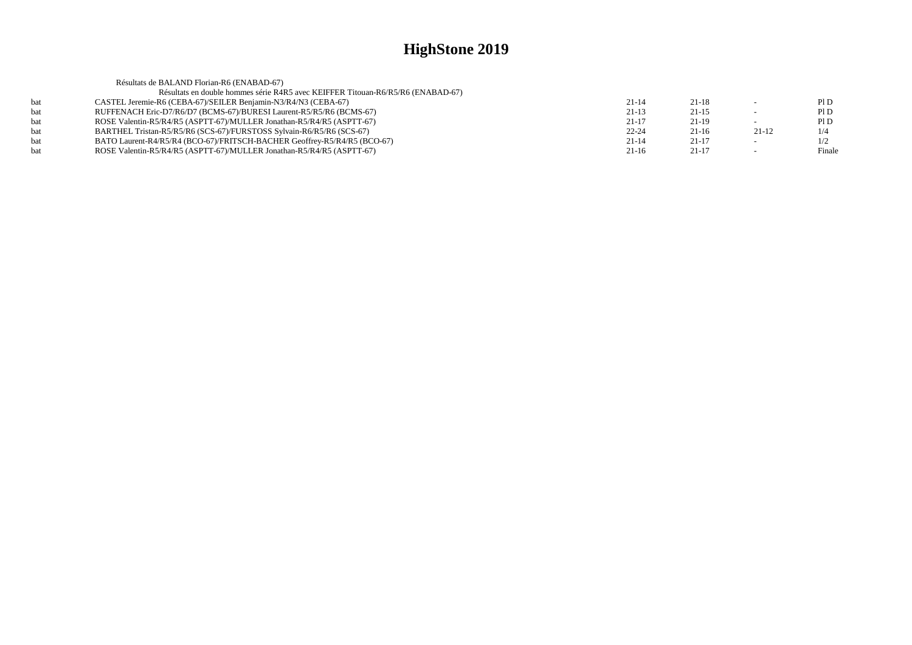|     | Résultats de BALAND Florian-R6 (ENABAD-67)                                      |           |           |         |        |
|-----|---------------------------------------------------------------------------------|-----------|-----------|---------|--------|
|     | Résultats en double hommes série R4R5 avec KEIFFER Titouan-R6/R5/R6 (ENABAD-67) |           |           |         |        |
| bat | CASTEL Jeremie-R6 (CEBA-67)/SEILER Benjamin-N3/R4/N3 (CEBA-67)                  | $21 - 14$ | $21-18$   |         | P1D    |
| hat | RUFFENACH Eric-D7/R6/D7 (BCMS-67)/BURESI Laurent-R5/R5/R6 (BCMS-67)             | $21-13$   | $21-15$   |         | P1D    |
| hat | ROSE Valentin-R5/R4/R5 (ASPTT-67)/MULLER Jonathan-R5/R4/R5 (ASPTT-67)           | $21 - 17$ | 21-19     |         | P1D    |
| bat | BARTHEL Tristan-R5/R5/R6 (SCS-67)/FURSTOSS Sylvain-R6/R5/R6 (SCS-67)            | $22 - 24$ | $21-16$   | $21-12$ | 1/4    |
| bat | BATO Laurent-R4/R5/R4 (BCO-67)/FRITSCH-BACHER Geoffrey-R5/R4/R5 (BCO-67)        | $21 - 14$ | $21-17$   |         | 1/2    |
| hat | ROSE Valentin-R5/R4/R5 (ASPTT-67)/MULLER Jonathan-R5/R4/R5 (ASPTT-67)           | $21-16$   | $21 - 17$ |         | Finale |
|     |                                                                                 |           |           |         |        |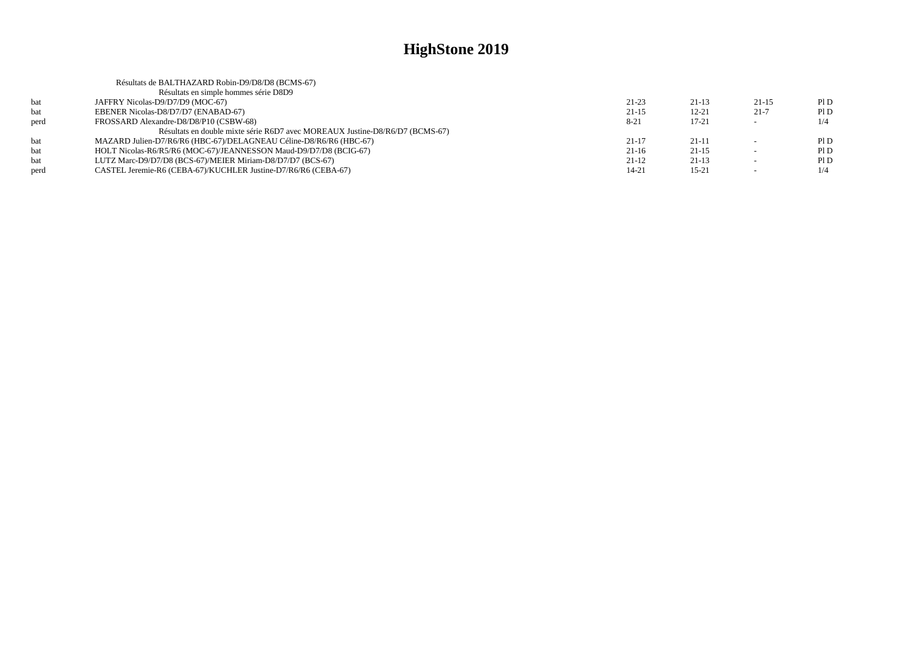|      | Résultats de BALTHAZARD Robin-D9/D8/D8 (BCMS-67)                             |           |           |           |     |
|------|------------------------------------------------------------------------------|-----------|-----------|-----------|-----|
|      | Résultats en simple hommes série D8D9                                        |           |           |           |     |
| bat  | JAFFRY Nicolas-D9/D7/D9 (MOC-67)                                             | $21 - 23$ | $21 - 13$ | $21 - 15$ | P1D |
| bat  | EBENER Nicolas-D8/D7/D7 (ENABAD-67)                                          | $21 - 15$ | $12 - 21$ | $21 - 7$  | PID |
| perd | FROSSARD Alexandre-D8/D8/P10 (CSBW-68)                                       | $8 - 21$  | $17 - 21$ |           | 1/4 |
|      | Résultats en double mixte série R6D7 avec MOREAUX Justine-D8/R6/D7 (BCMS-67) |           |           |           |     |
| bat  | MAZARD Julien-D7/R6/R6 (HBC-67)/DELAGNEAU Céline-D8/R6/R6 (HBC-67)           | $21-17$   | $21-11$   |           | PID |
| bat  | HOLT Nicolas-R6/R5/R6 (MOC-67)/JEANNESSON Maud-D9/D7/D8 (BCIG-67)            | $21-16$   | $21-15$   |           | PID |
| bat  | LUTZ Marc-D9/D7/D8 (BCS-67)/MEIER Miriam-D8/D7/D7 (BCS-67)                   | $21-12$   | $21-13$   | $\sim$    | PID |
| perd | CASTEL Jeremie-R6 (CEBA-67)/KUCHLER Justine-D7/R6/R6 (CEBA-67)               | 14-21     | $15 - 21$ |           | 1/4 |
|      |                                                                              |           |           |           |     |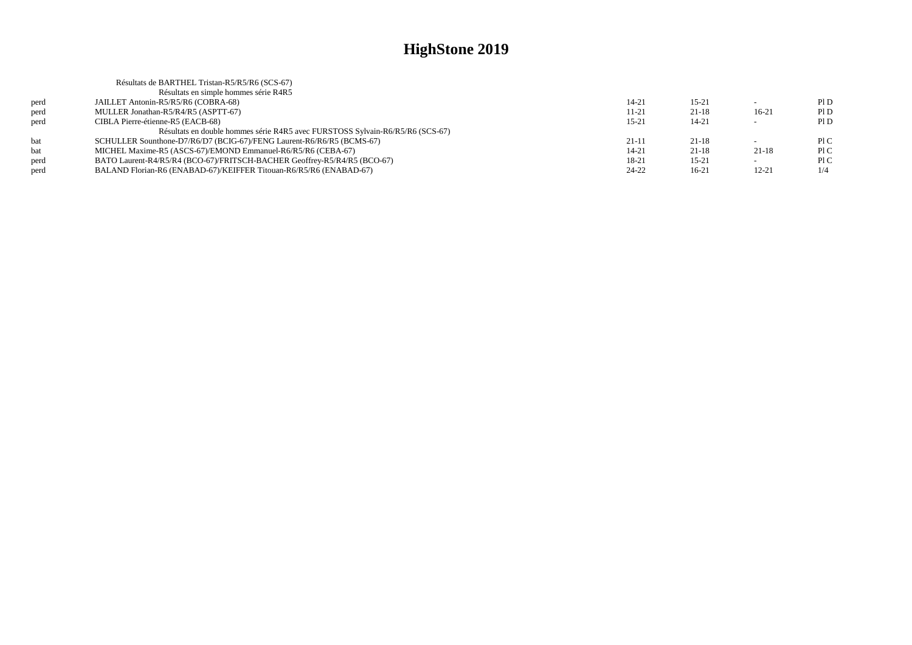|      | Résultats de BARTHEL Tristan-R5/R5/R6 (SCS-67)                                |           |           |           |     |
|------|-------------------------------------------------------------------------------|-----------|-----------|-----------|-----|
|      | Résultats en simple hommes série R4R5                                         |           |           |           |     |
| perd | JAILLET Antonin-R5/R5/R6 (COBRA-68)                                           | $14 - 21$ | $15 - 21$ |           | P1D |
| perd | MULLER Jonathan-R5/R4/R5 (ASPTT-67)                                           | 11-21     | $21 - 18$ | $16-21$   | P1D |
| perd | CIBLA Pierre-étienne-R5 (EACB-68)                                             | $15 - 21$ | 14-21     |           | P1D |
|      | Résultats en double hommes série R4R5 avec FURSTOSS Sylvain-R6/R5/R6 (SCS-67) |           |           |           |     |
| bat  | SCHULLER Sounthone-D7/R6/D7 (BCIG-67)/FENG Laurent-R6/R6/R5 (BCMS-67)         | $21-11$   | $21 - 18$ |           | P1C |
| bat  | MICHEL Maxime-R5 (ASCS-67)/EMOND Emmanuel-R6/R5/R6 (CEBA-67)                  | 14-21     | $21 - 18$ | $21-18$   | P1C |
| perd | BATO Laurent-R4/R5/R4 (BCO-67)/FRITSCH-BACHER Geoffrey-R5/R4/R5 (BCO-67)      | 18-21     | $15 - 21$ |           | P1C |
| perd | BALAND Florian-R6 (ENABAD-67)/KEIFFER Titouan-R6/R5/R6 (ENABAD-67)            | 24-22     | $16-21$   | $12 - 21$ |     |
|      |                                                                               |           |           |           |     |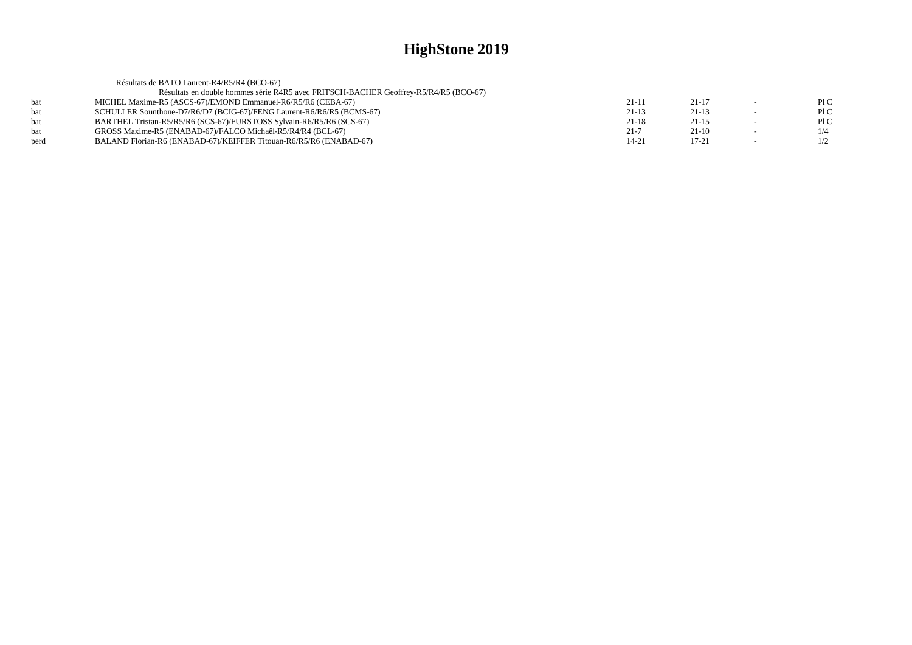|      | Résultats de BATO Laurent-R4/R5/R4 (BCO-67)                                          |           |           |                          |     |
|------|--------------------------------------------------------------------------------------|-----------|-----------|--------------------------|-----|
|      | Résultats en double hommes série R4R5 avec FRITSCH-BACHER Geoffrey-R5/R4/R5 (BCO-67) |           |           |                          |     |
|      | MICHEL Maxime-R5 (ASCS-67)/EMOND Emmanuel-R6/R5/R6 (CEBA-67)                         | $21 - 11$ | $21-17$   |                          | P1C |
|      | SCHULLER Sounthone-D7/R6/D7 (BCIG-67)/FENG Laurent-R6/R6/R5 (BCMS-67)                | $21-13$   | $21-13$   | $\sim$                   | P1C |
| bat  | BARTHEL Tristan-R5/R5/R6 (SCS-67)/FURSTOSS Sylvain-R6/R5/R6 (SCS-67)                 | $21 - 18$ | $21 - 15$ | $\overline{\phantom{0}}$ | P1C |
| hat  | GROSS Maxime-R5 (ENABAD-67)/FALCO Michaêl-R5/R4/R4 (BCL-67)                          | $21 - 7$  | $21-10$   | $\overline{\phantom{a}}$ | 1/4 |
| perd | BALAND Florian-R6 (ENABAD-67)/KEIFFER Titouan-R6/R5/R6 (ENABAD-67)                   | $14 - 21$ | $17 - 21$ |                          | 1/2 |
|      |                                                                                      |           |           |                          |     |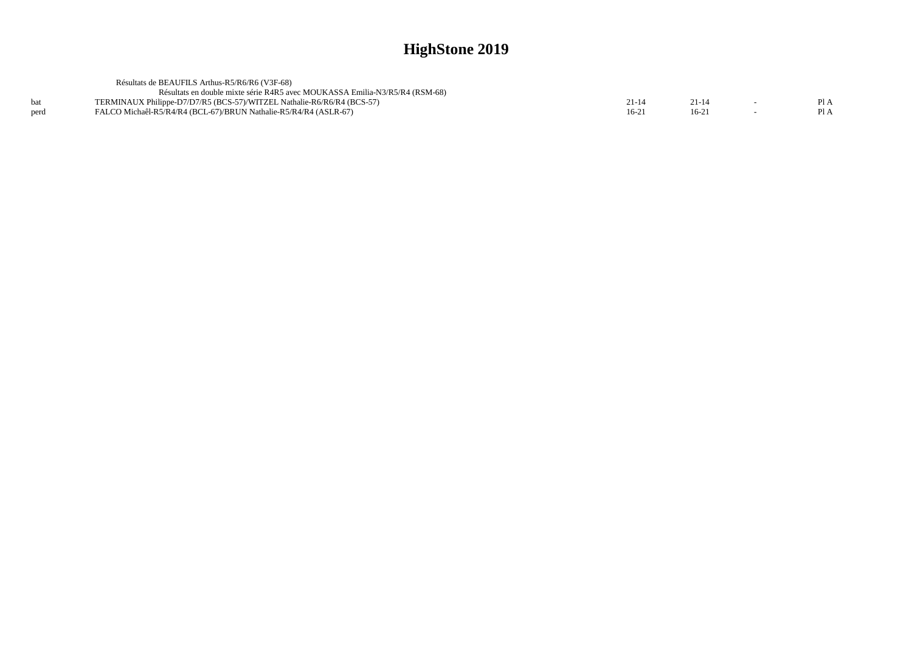|      | Résultats de BEAUFILS Arthus-R5/R6/R6 (V3F-68)                              |                |  |  |
|------|-----------------------------------------------------------------------------|----------------|--|--|
|      | Résultats en double mixte série R4R5 avec MOUKASSA Emilia-N3/R5/R4 (RSM-68) |                |  |  |
|      | TERMINAUX Philippe-D7/D7/R5 (BCS-57)/WITZEL Nathalie-R6/R6/R4 (BCS-57)      |                |  |  |
| perd | FALCO Michaêl-R5/R4/R4 (BCL-67)/BRUN Nathalie-R5/R4/R4 (ASLR-67)            | $16-2^{\circ}$ |  |  |
|      |                                                                             |                |  |  |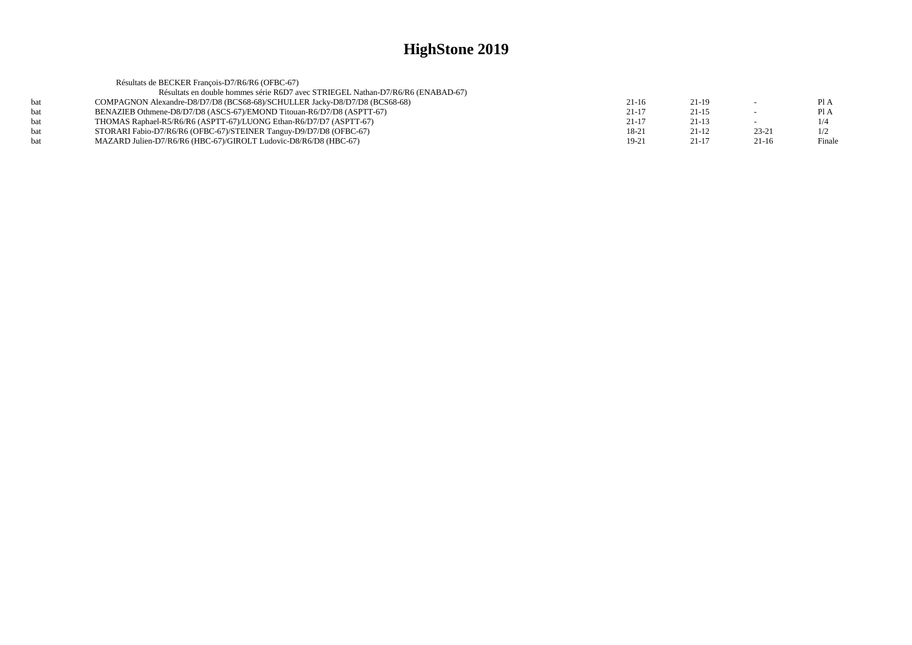|     | Résultats de BECKER François-D7/R6/R6 (OFBC-67)                                 |           |         |           |        |
|-----|---------------------------------------------------------------------------------|-----------|---------|-----------|--------|
|     | Résultats en double hommes série R6D7 avec STRIEGEL Nathan-D7/R6/R6 (ENABAD-67) |           |         |           |        |
| hat | COMPAGNON Alexandre-D8/D7/D8 (BCS68-68)/SCHULLER Jacky-D8/D7/D8 (BCS68-68)      | $21-16$   | $21-19$ |           | Pl A   |
|     | BENAZIEB Othmene-D8/D7/D8 (ASCS-67)/EMOND Titouan-R6/D7/D8 (ASPTT-67)           | $21 - 17$ | $21-15$ |           | Pl A   |
| hat | THOMAS Raphael-R5/R6/R6 (ASPTT-67)/LUONG Ethan-R6/D7/D7 (ASPTT-67)              | $21 - 17$ | $21-13$ |           | 1/4    |
|     | STORARI Fabio-D7/R6/R6 (OFBC-67)/STEINER Tanguy-D9/D7/D8 (OFBC-67)              | $18 - 21$ | $21-12$ | $23 - 21$ | 1/2    |
|     | MAZARD Julien-D7/R6/R6 (HBC-67)/GIROLT Ludovic-D8/R6/D8 (HBC-67)                | 19-21     | $21-17$ | $21-16$   | Finale |
|     |                                                                                 |           |         |           |        |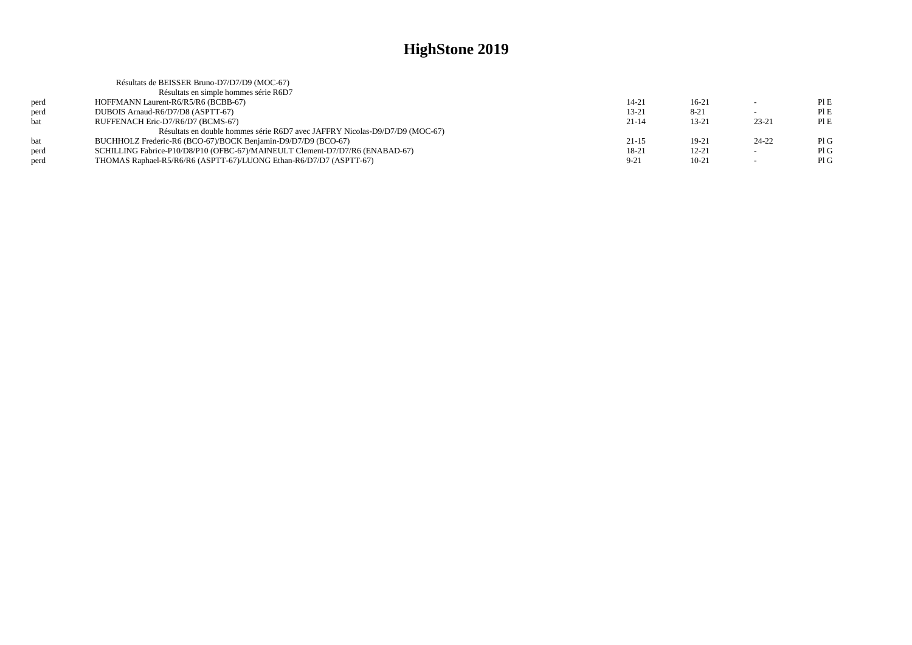|      | Résultats de BEISSER Bruno-D7/D7/D9 (MOC-67)                                 |           |           |           |      |
|------|------------------------------------------------------------------------------|-----------|-----------|-----------|------|
|      | Résultats en simple hommes série R6D7                                        |           |           |           |      |
| perd | HOFFMANN Laurent-R6/R5/R6 (BCBB-67)                                          | 14-21     | $16-21$   |           | PIE  |
| perd | DUBOIS Arnaud-R6/D7/D8 (ASPTT-67)                                            | $13 - 21$ | $8 - 21$  |           | PIE  |
| bat  | RUFFENACH Eric-D7/R6/D7 (BCMS-67)                                            | $21 - 14$ | $13 - 21$ | $23 - 21$ | PI E |
|      | Résultats en double hommes série R6D7 avec JAFFRY Nicolas-D9/D7/D9 (MOC-67)  |           |           |           |      |
| bat  | BUCHHOLZ Frederic-R6 (BCO-67)/BOCK Benjamin-D9/D7/D9 (BCO-67)                | $21 - 15$ | $19-21$   | $24 - 22$ | PIG  |
| perd | SCHILLING Fabrice-P10/D8/P10 (OFBC-67)/MAINEULT Clement-D7/D7/R6 (ENABAD-67) | 18-21     | $12 - 21$ |           | PIG  |
| perd | THOMAS Raphael-R5/R6/R6 (ASPTT-67)/LUONG Ethan-R6/D7/D7 (ASPTT-67)           | $9 - 21$  | $10 - 21$ |           | PIG  |
|      |                                                                              |           |           |           |      |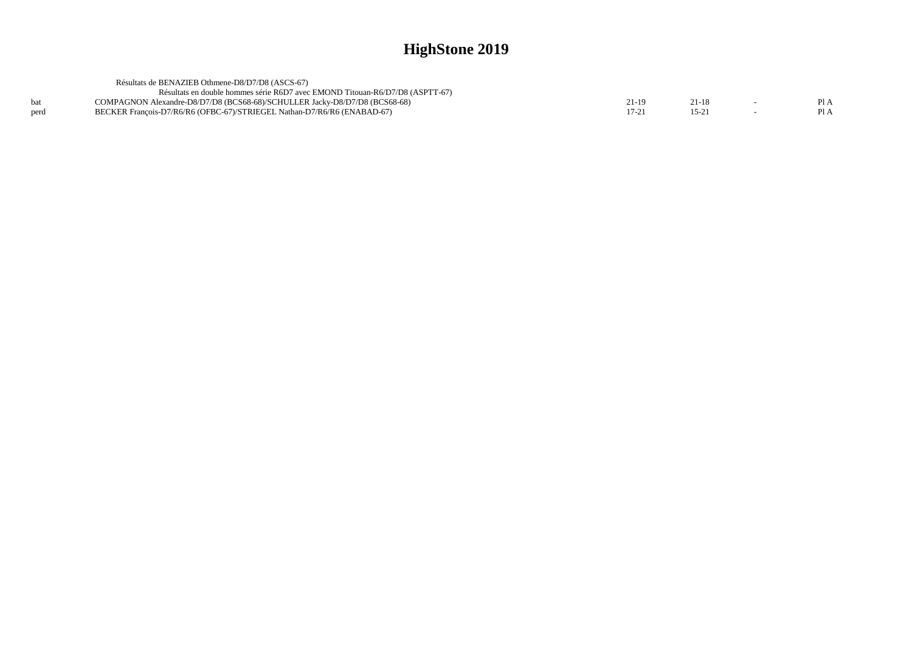| Résultats de BENAZIEB Othmene-D8/D7/D8 (ASCS-67)                             |       |       |      |
|------------------------------------------------------------------------------|-------|-------|------|
| Résultats en double hommes série R6D7 avec EMOND Titouan-R6/D7/D8 (ASPTT-67) |       |       |      |
| COMPAGNON Alexandre-D8/D7/D8 (BCS68-68)/SCHULLER Jacky-D8/D7/D8 (BCS68-68)   | 21-19 | 21-18 | Pl A |
| BECKER Francois-D7/R6/R6 (OFBC-67)/STRIEGEL Nathan-D7/R6/R6 (ENABAD-67)      |       |       | Pl A |
|                                                                              |       |       |      |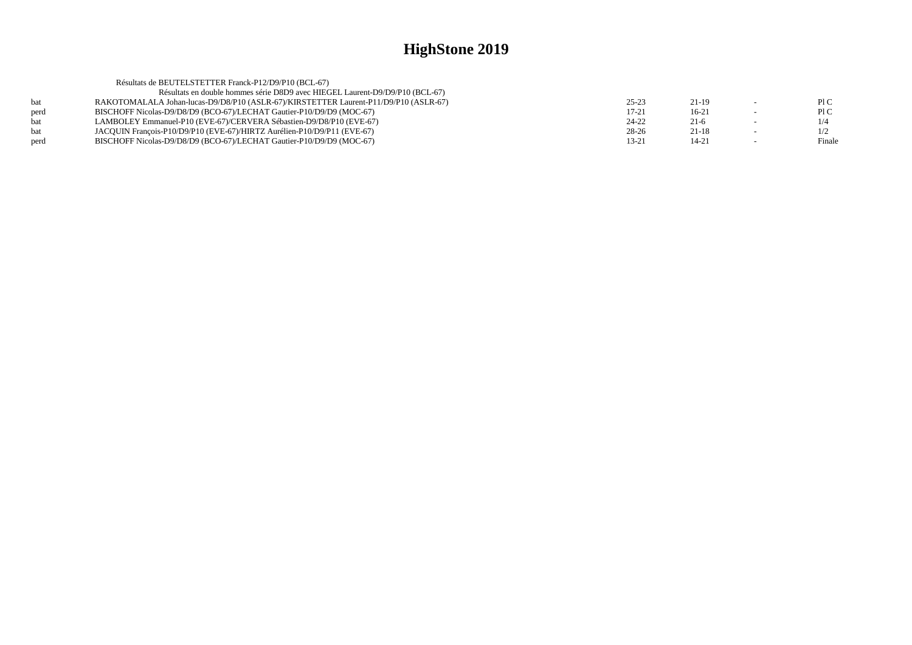|            | Résultats de BEUTELSTETTER Franck-P12/D9/P10 (BCL-67)                                |           |           |                          |        |
|------------|--------------------------------------------------------------------------------------|-----------|-----------|--------------------------|--------|
|            | Résultats en double hommes série D8D9 avec HIEGEL Laurent-D9/D9/P10 (BCL-67)         |           |           |                          |        |
| <b>bat</b> | RAKOTOMALALA Johan-lucas-D9/D8/P10 (ASLR-67)/KIRSTETTER Laurent-P11/D9/P10 (ASLR-67) | $25 - 23$ | $21-19$   | $\sim$                   | P1C    |
| perd       | BISCHOFF Nicolas-D9/D8/D9 (BCO-67)/LECHAT Gautier-P10/D9/D9 (MOC-67)                 | 17-21     | $16-21$   |                          | P1C    |
| <b>bat</b> | LAMBOLEY Emmanuel-P10 (EVE-67)/CERVERA Sébastien-D9/D8/P10 (EVE-67)                  | 24-22     | $21-6$    | $\overline{\phantom{0}}$ | 1/4    |
| <b>bat</b> | JACOUIN François-P10/D9/P10 (EVE-67)/HIRTZ Aurélien-P10/D9/P11 (EVE-67)              | 28-26     | $21-18$   |                          | 1/2    |
| perd       | BISCHOFF Nicolas-D9/D8/D9 (BCO-67)/LECHAT Gautier-P10/D9/D9 (MOC-67)                 | $13 - 21$ | $14 - 21$ | $\sim$                   | Finale |
|            |                                                                                      |           |           |                          |        |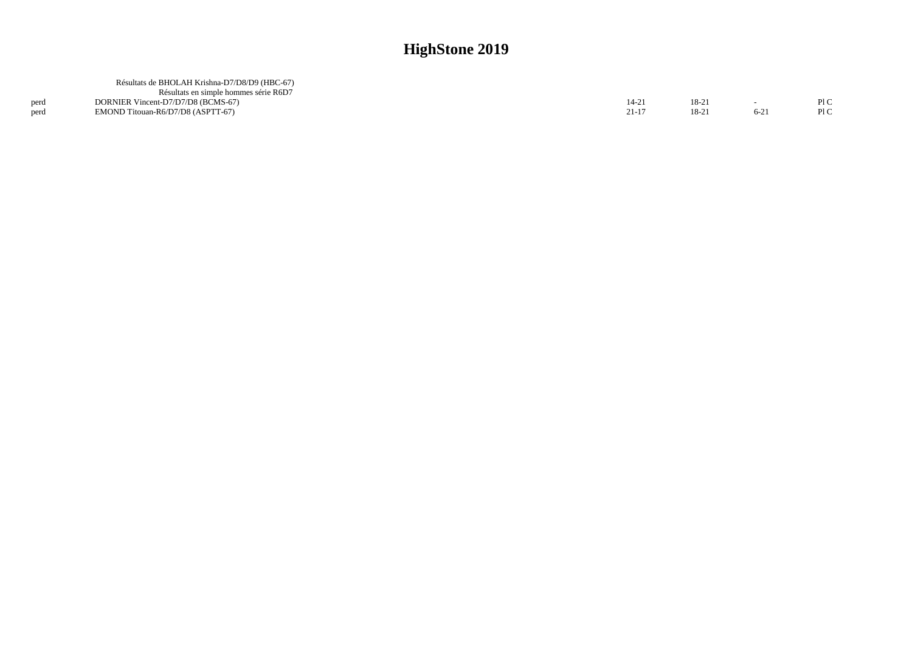|      | Résultats de BHOLAH Krishna-D7/D8/D9 (HBC-67) |       |        |        |     |
|------|-----------------------------------------------|-------|--------|--------|-----|
|      | Résultats en simple hommes série R6D7         |       |        |        |     |
| perd | DORNIER Vincent-D7/D7/D8 (BCMS-67)            | 14-21 | $18-2$ | $\sim$ | P1C |
| perd | EMOND Titouan-R6/D7/D8 (ASPTT-67)             | 21-17 | $18-2$ | $6-21$ | PIC |
|      |                                               |       |        |        |     |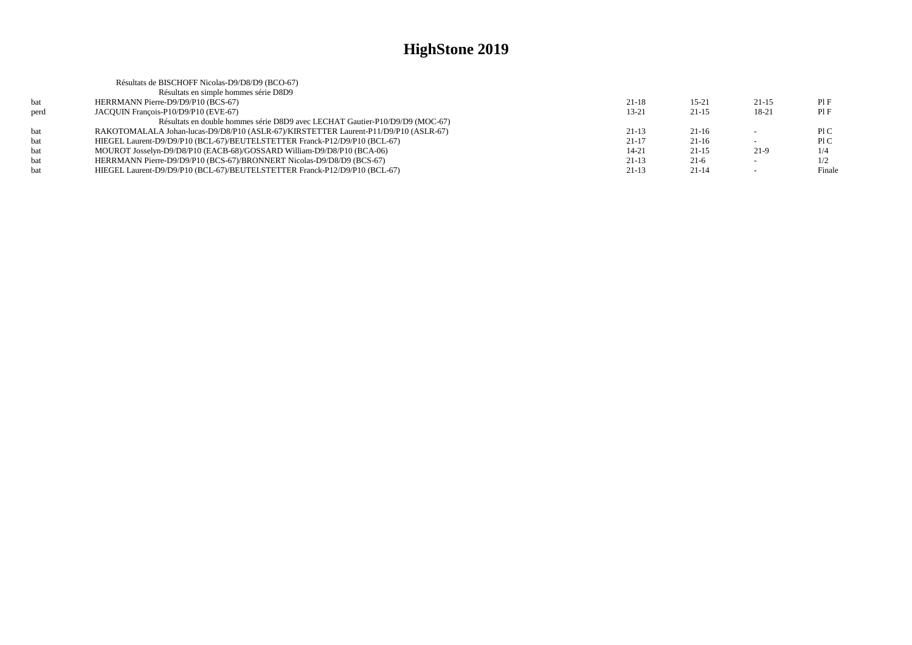|      | Résultats de BISCHOFF Nicolas-D9/D8/D9 (BCO-67)                                      |           |           |                          |        |
|------|--------------------------------------------------------------------------------------|-----------|-----------|--------------------------|--------|
|      | Résultats en simple hommes série D8D9                                                |           |           |                          |        |
| bat  | HERRMANN Pierre-D9/D9/P10 (BCS-67)                                                   | $21-18$   | $15 - 21$ | $21 - 15$                | PIF    |
| perd | JACOUIN François-P10/D9/P10 (EVE-67)                                                 | $13 - 21$ | $21-15$   | 18-21                    | PIF    |
|      | Résultats en double hommes série D8D9 avec LECHAT Gautier-P10/D9/D9 (MOC-67)         |           |           |                          |        |
| bat  | RAKOTOMALALA Johan-lucas-D9/D8/P10 (ASLR-67)/KIRSTETTER Laurent-P11/D9/P10 (ASLR-67) | $21-13$   | $21-16$   |                          | P1C    |
| bat  | HIEGEL Laurent-D9/D9/P10 (BCL-67)/BEUTELSTETTER Franck-P12/D9/P10 (BCL-67)           | $21 - 17$ | $21-16$   |                          | P1C    |
| bat  | MOUROT Josselyn-D9/D8/P10 (EACB-68)/GOSSARD William-D9/D8/P10 (BCA-06)               | $14 - 21$ | $21-15$   | 21-9                     | 1/4    |
| bat  | HERRMANN Pierre-D9/D9/P10 (BCS-67)/BRONNERT Nicolas-D9/D8/D9 (BCS-67)                | $21-13$   | $21-6$    | $\overline{\phantom{a}}$ | 1/2    |
| bat  | HIEGEL Laurent-D9/D9/P10 (BCL-67)/BEUTELSTETTER Franck-P12/D9/P10 (BCL-67)           | $21-13$   | $21 - 14$ |                          | Finale |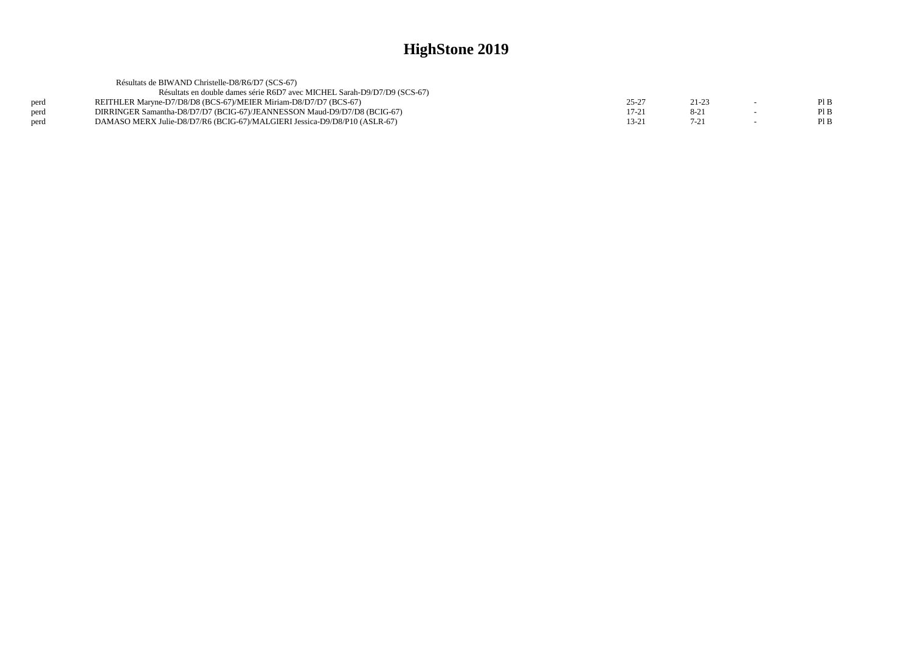|      | Résultats de BIWAND Christelle-D8/R6/D7 (SCS-67)                          |           |           |        |     |
|------|---------------------------------------------------------------------------|-----------|-----------|--------|-----|
|      | Résultats en double dames série R6D7 avec MICHEL Sarah-D9/D7/D9 (SCS-67)  |           |           |        |     |
| perd | REITHLER Maryne-D7/D8/D8 (BCS-67)/MEIER Miriam-D8/D7/D7 (BCS-67)          | $25 - 27$ | $21 - 23$ | $\sim$ | PIB |
| perd | DIRRINGER Samantha-D8/D7/D7 (BCIG-67)/JEANNESSON Maud-D9/D7/D8 (BCIG-67)  | 17-21     | $8-21$    |        | PIB |
| perd | DAMASO MERX Julie-D8/D7/R6 (BCIG-67)/MALGIERI Jessica-D9/D8/P10 (ASLR-67) | 13-21     | $7-21$    |        | PIB |
|      |                                                                           |           |           |        |     |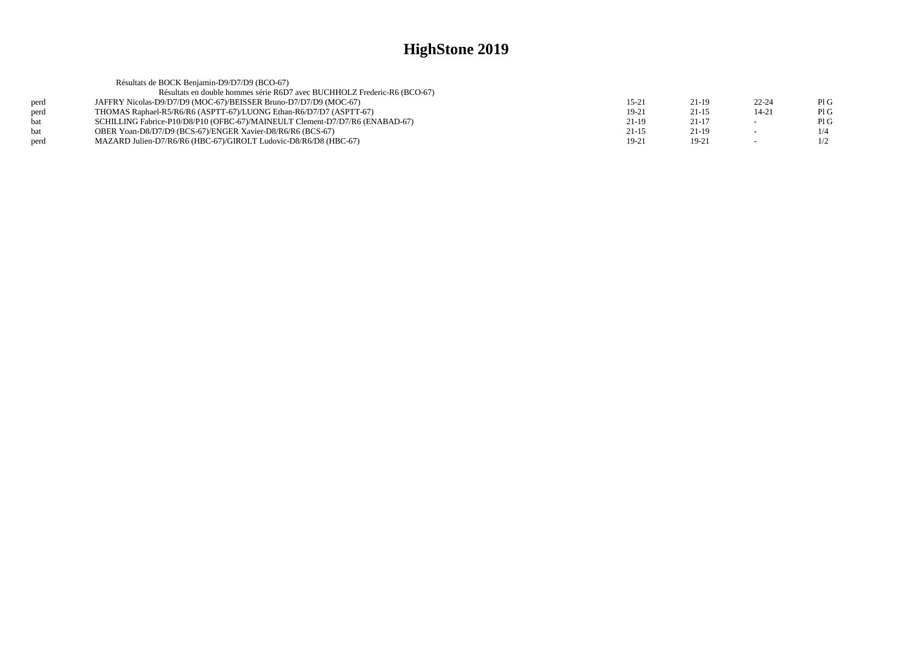|             | Résultats de BOCK Benjamin-D9/D7/D9 (BCO-67)                                 |           |           |                          |     |
|-------------|------------------------------------------------------------------------------|-----------|-----------|--------------------------|-----|
|             | Résultats en double hommes série R6D7 avec BUCHHOLZ Frederic-R6 (BCO-67)     |           |           |                          |     |
| perd        | JAFFRY Nicolas-D9/D7/D9 (MOC-67)/BEISSER Bruno-D7/D7/D9 (MOC-67)             | 15-21     | $21-19$   | $22 - 24$                | PIG |
| perd        | THOMAS Raphael-R5/R6/R6 (ASPTT-67)/LUONG Ethan-R6/D7/D7 (ASPTT-67)           | $19-21$   | $21 - 15$ | 14-21                    | PIG |
| hat         | SCHILLING Fabrice-P10/D8/P10 (OFBC-67)/MAINEULT Clement-D7/D7/R6 (ENABAD-67) | 21-19     | $21-17$   |                          | PIG |
| <b>b</b> at | OBER Yoan-D8/D7/D9 (BCS-67)/ENGER Xavier-D8/R6/R6 (BCS-67)                   | $21 - 15$ | 21-19     |                          | 1/4 |
| perd        | MAZARD Julien-D7/R6/R6 (HBC-67)/GIROLT Ludovic-D8/R6/D8 (HBC-67)             | 19-21     | $19-21$   | $\overline{\phantom{a}}$ | 1/2 |
|             |                                                                              |           |           |                          |     |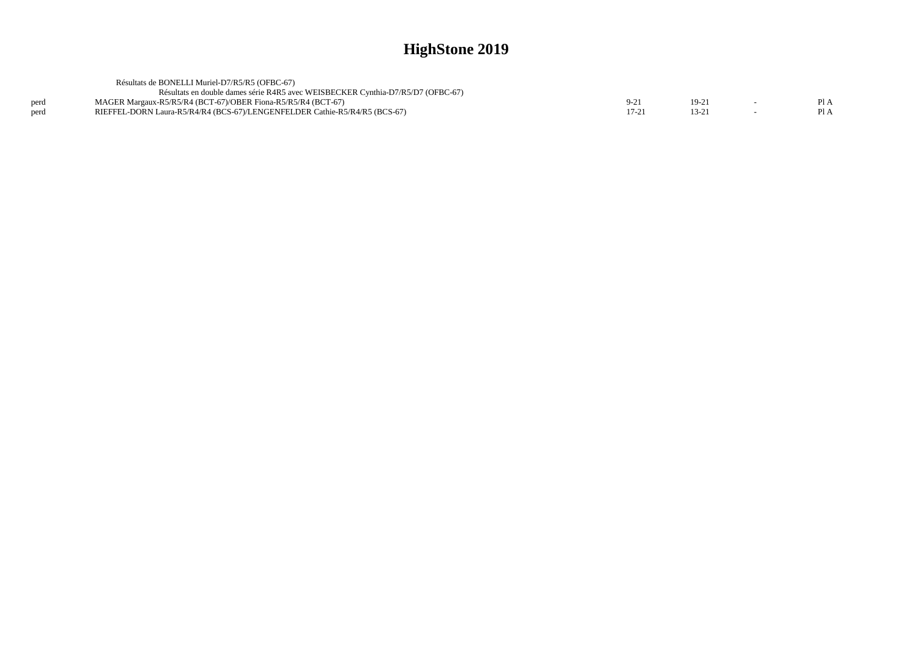|      | Résultats de BONELLI Muriel-D7/R5/R5 (OFBC-67)                                  |      |        |     |
|------|---------------------------------------------------------------------------------|------|--------|-----|
|      | Résultats en double dames série R4R5 avec WEISBECKER Cynthia-D7/R5/D7 (OFBC-67) |      |        |     |
| perd | MAGER Margaux-R5/R5/R4 (BCT-67)/OBER Fiona-R5/R5/R4 (BCT-67)                    |      | $19-2$ | P1A |
| perd | RIEFFEL-DORN Laura-R5/R4/R4 (BCS-67)/LENGENFELDER Cathie-R5/R4/R5 (BCS-67)      | 17-2 |        | P1A |
|      |                                                                                 |      |        |     |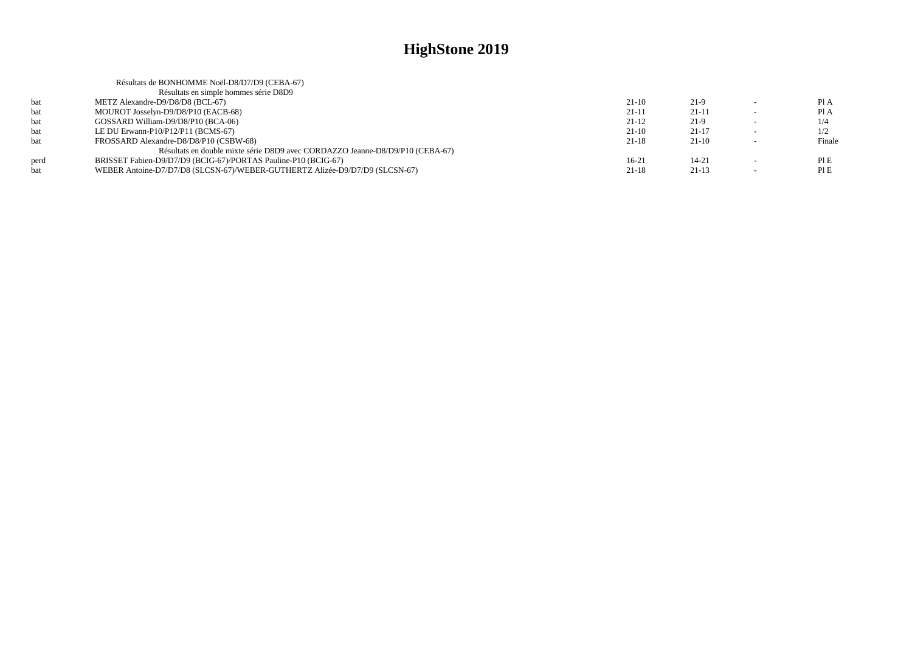|            | Résultats de BONHOMME Noël-D8/D7/D9 (CEBA-67)                                 |         |           |                          |        |
|------------|-------------------------------------------------------------------------------|---------|-----------|--------------------------|--------|
|            | Résultats en simple hommes série D8D9                                         |         |           |                          |        |
| bat        | METZ Alexandre-D9/D8/D8 (BCL-67)                                              | 21-10   | 21-9      |                          | Pl A   |
| bat        | MOUROT Josselyn-D9/D8/P10 (EACB-68)                                           | 21-11   | $21-11$   |                          | Pl A   |
| bat        | GOSSARD William-D9/D8/P10 (BCA-06)                                            | $21-12$ | $21-9$    | $\overline{\phantom{a}}$ | 1/4    |
| bat        | LE DU Erwann-P10/P12/P11 (BCMS-67)                                            | $21-10$ | $21 - 17$ |                          | 1/2    |
| <b>bat</b> | FROSSARD Alexandre-D8/D8/P10 (CSBW-68)                                        | $21-18$ | $21-10$   | $\overline{\phantom{0}}$ | Finale |
|            | Résultats en double mixte série D8D9 avec CORDAZZO Jeanne-D8/D9/P10 (CEBA-67) |         |           |                          |        |
| perd       | BRISSET Fabien-D9/D7/D9 (BCIG-67)/PORTAS Pauline-P10 (BCIG-67)                | $16-21$ | $14 - 21$ |                          | PIE    |
| bat        | WEBER Antoine-D7/D7/D8 (SLCSN-67)/WEBER-GUTHERTZ Alizée-D9/D7/D9 (SLCSN-67)   | 21-18   | $21-13$   |                          | PIE    |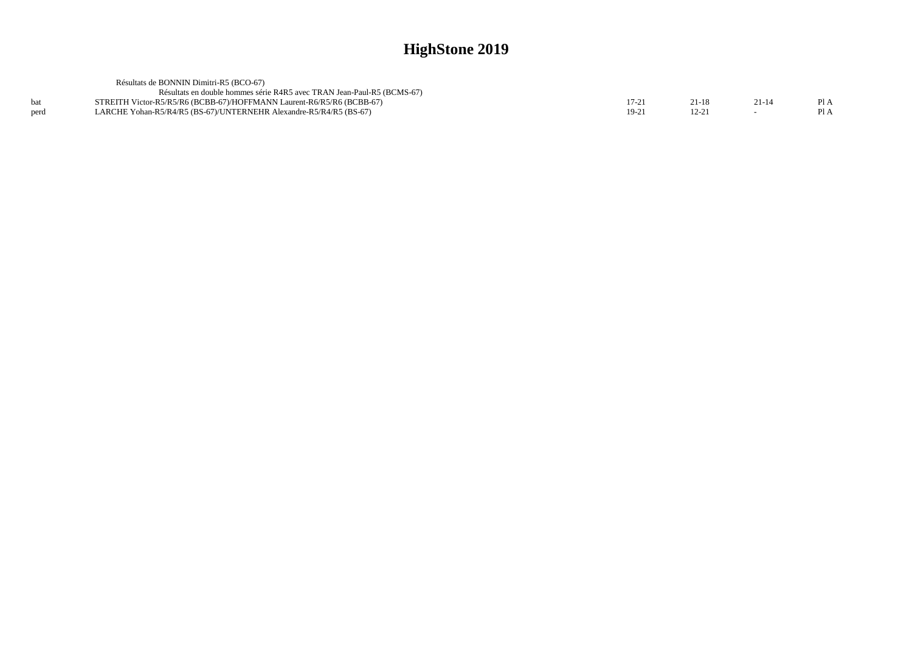|      | Résultats de BONNIN Dimitri-R5 (BCO-67)                                |         |       |         |      |
|------|------------------------------------------------------------------------|---------|-------|---------|------|
|      | Résultats en double hommes série R4R5 avec TRAN Jean-Paul-R5 (BCMS-67) |         |       |         |      |
|      | STREITH Victor-R5/R5/R6 (BCBB-67)/HOFFMANN Laurent-R6/R5/R6 (BCBB-67)  | 17-21   | 21-18 | $21-14$ | P1A  |
| nerd | LARCHE Yohan-R5/R4/R5 (BS-67)/UNTERNEHR Alexandre-R5/R4/R5 (BS-67)     | $19-21$ | 12-21 |         | PI A |
|      |                                                                        |         |       |         |      |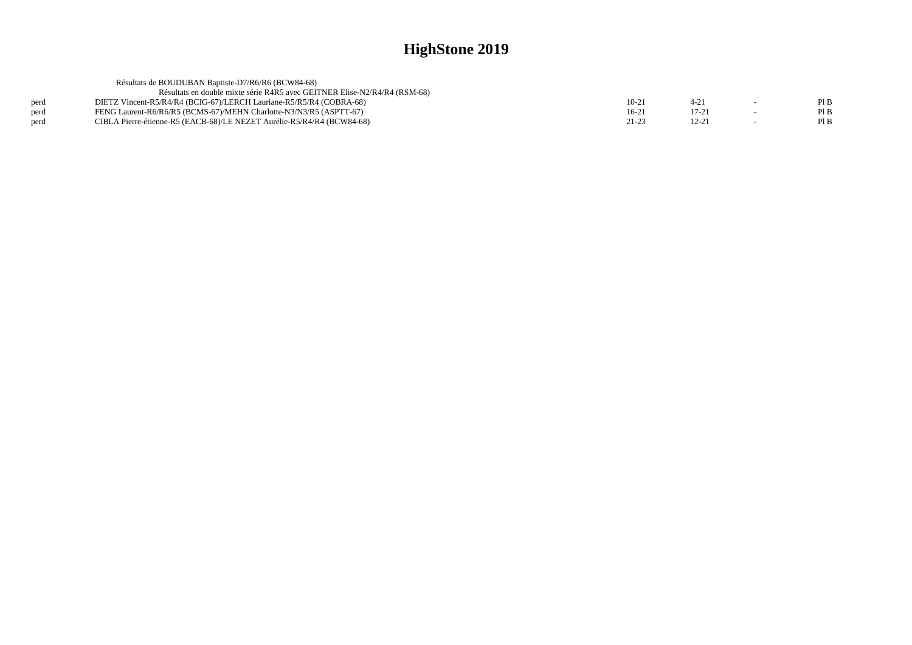|      | Résultats de BOUDUBAN Baptiste-D7/R6/R6 (BCW84-68)                        |            |           |                          |      |
|------|---------------------------------------------------------------------------|------------|-----------|--------------------------|------|
|      | Résultats en double mixte série R4R5 avec GEITNER Elise-N2/R4/R4 (RSM-68) |            |           |                          |      |
| perd | DIETZ Vincent-R5/R4/R4 (BCIG-67)/LERCH Lauriane-R5/R5/R4 (COBRA-68)       | $10-2^{-}$ |           | $\overline{\phantom{0}}$ | Pl B |
| perd | FENG Laurent-R6/R6/R5 (BCMS-67)/MEHN Charlotte-N3/N3/R5 (ASPTT-67)        | $16-21$    | $17 - 21$ | $\sim$                   | Pl B |
| perd | CIBLA Pierre-étienne-R5 (EACB-68)/LE NEZET Aurélie-R5/R4/R4 (BCW84-68)    | $21 - 23$  | 12-21     |                          | Pl B |
|      |                                                                           |            |           |                          |      |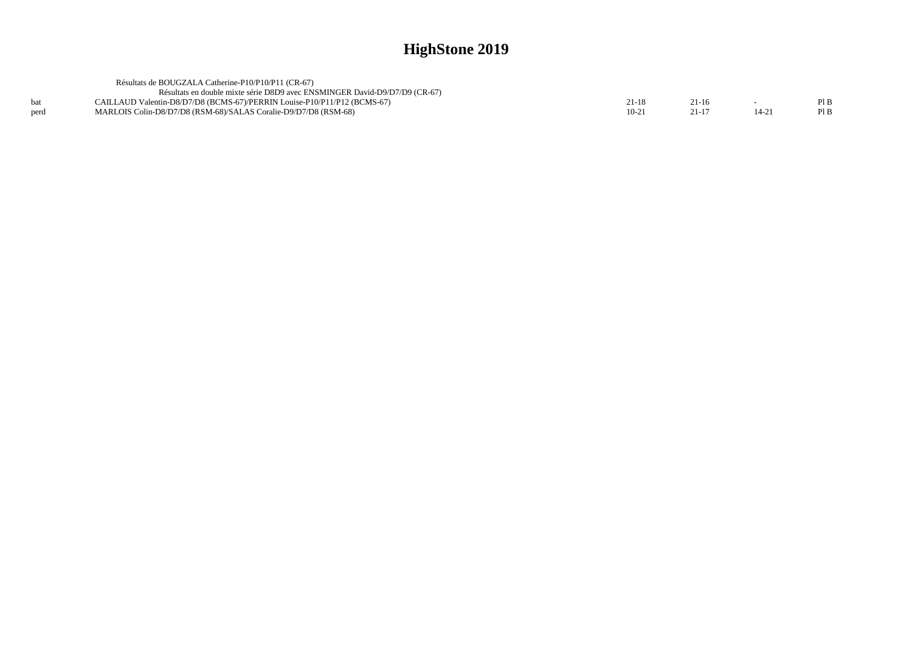|      | Résultats de BOUGZALA Catherine-P10/P10/P11 (CR-67)                        |         |         |      |
|------|----------------------------------------------------------------------------|---------|---------|------|
|      | Résultats en double mixte série D8D9 avec ENSMINGER David-D9/D7/D9 (CR-67) |         |         |      |
|      | CAILLAUD Valentin-D8/D7/D8 (BCMS-67)/PERRIN Louise-P10/P11/P12 (BCMS-67)   | 21-18   | $21-16$ | PIB  |
| perd | MARLOIS Colin-D8/D7/D8 (RSM-68)/SALAS Coralie-D9/D7/D8 (RSM-68)            | $10-21$ |         | Pl B |
|      |                                                                            |         |         |      |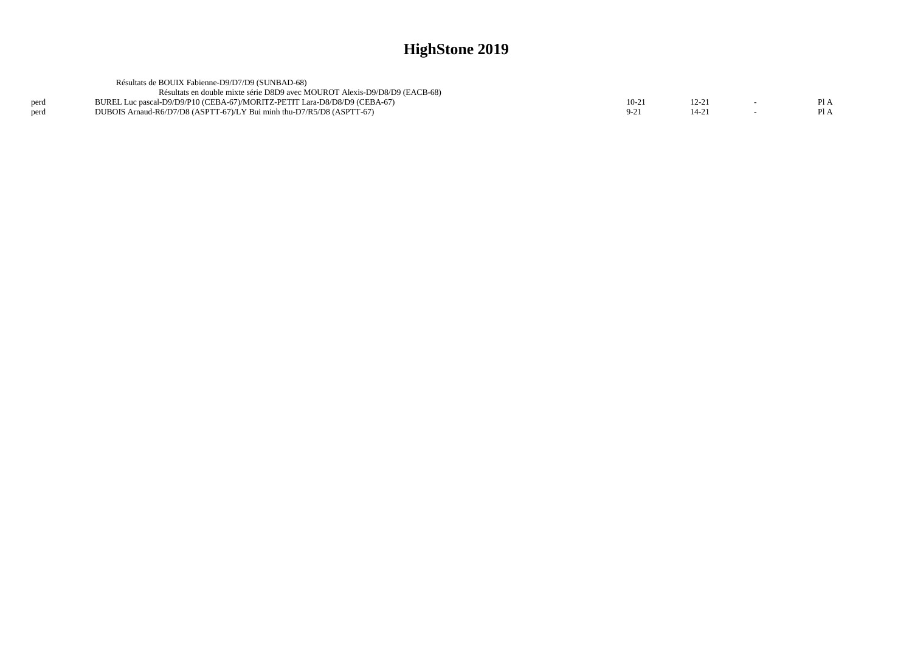|      | Résultats de BOUIX Fabienne-D9/D7/D9 (SUNBAD-68)                           |        |  |  |
|------|----------------------------------------------------------------------------|--------|--|--|
|      | Résultats en double mixte série D8D9 avec MOUROT Alexis-D9/D8/D9 (EACB-68) |        |  |  |
| perd | BUREL Luc pascal-D9/D9/P10 (CEBA-67)/MORITZ-PETIT Lara-D8/D8/D9 (CEBA-67)  | $10-2$ |  |  |
| nerd | DUBOIS Arnaud-R6/D7/D8 (ASPTT-67)/LY Bui minh thu-D7/R5/D8 (ASPTT-67)      |        |  |  |
|      |                                                                            |        |  |  |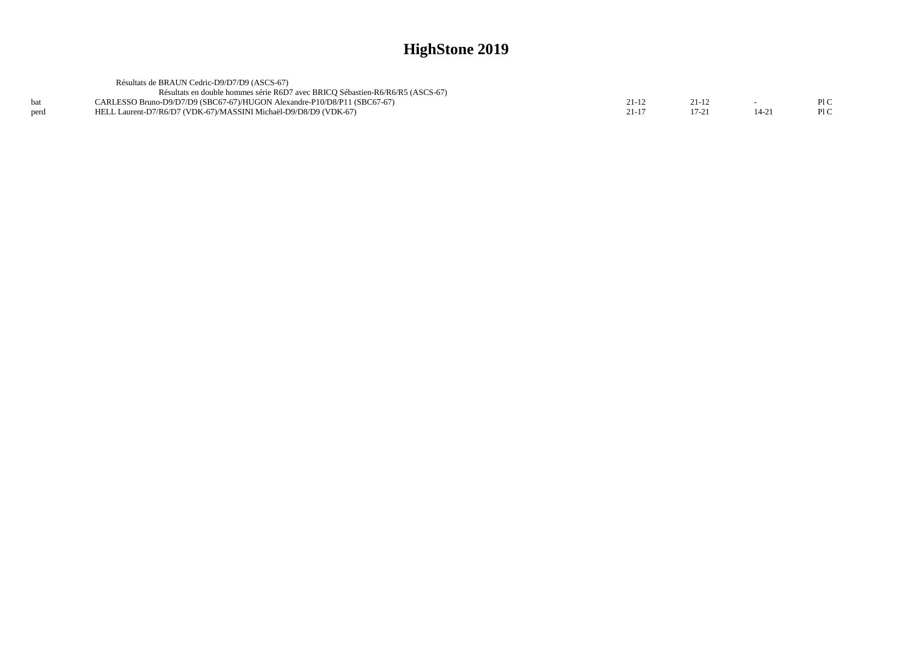|      | Résultats de BRAUN Cedric-D9/D7/D9 (ASCS-67)                                  |  |     |
|------|-------------------------------------------------------------------------------|--|-----|
|      | Résultats en double hommes série R6D7 avec BRICO Sébastien-R6/R6/R5 (ASCS-67) |  |     |
|      | CARLESSO Bruno-D9/D7/D9 (SBC67-67)/HUGON Alexandre-P10/D8/P11 (SBC67-67)      |  | PLC |
| perd | HELL Laurent-D7/R6/D7 (VDK-67)/MASSINI Michaël-D9/D8/D9 (VDK-67)              |  | P1C |
|      |                                                                               |  |     |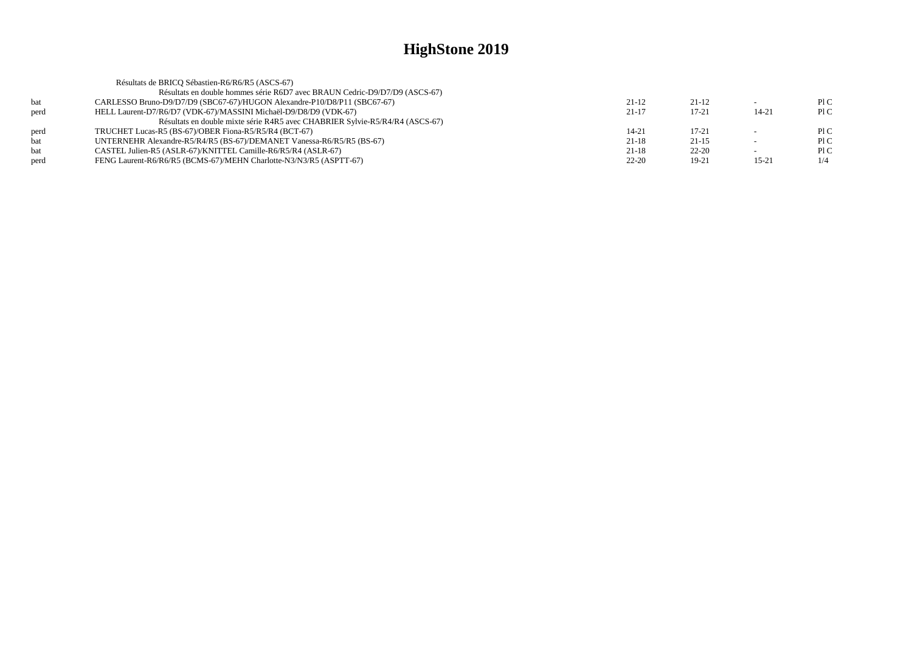|      | Résultats de BRICO Sébastien-R6/R6/R5 (ASCS-67)                              |           |           |           |     |
|------|------------------------------------------------------------------------------|-----------|-----------|-----------|-----|
|      | Résultats en double hommes série R6D7 avec BRAUN Cedric-D9/D7/D9 (ASCS-67)   |           |           |           |     |
| bat  | CARLESSO Bruno-D9/D7/D9 (SBC67-67)/HUGON Alexandre-P10/D8/P11 (SBC67-67)     | $21-12$   | $21-12$   |           | P1C |
| perd | HELL Laurent-D7/R6/D7 (VDK-67)/MASSINI Michaël-D9/D8/D9 (VDK-67)             | $21-17$   | $17 - 21$ | 14-21     | P1C |
|      | Résultats en double mixte série R4R5 avec CHABRIER Sylvie-R5/R4/R4 (ASCS-67) |           |           |           |     |
| perd | TRUCHET Lucas-R5 (BS-67)/OBER Fiona-R5/R5/R4 (BCT-67)                        | 14-21     | $17 - 21$ |           | P1C |
| bat  | UNTERNEHR Alexandre-R5/R4/R5 (BS-67)/DEMANET Vanessa-R6/R5/R5 (BS-67)        | $21-18$   | $21-15$   |           | P1C |
| bat  | CASTEL Julien-R5 (ASLR-67)/KNITTEL Camille-R6/R5/R4 (ASLR-67)                | $21-18$   | $22 - 20$ |           | P1C |
| perd | FENG Laurent-R6/R6/R5 (BCMS-67)/MEHN Charlotte-N3/N3/R5 (ASPTT-67)           | $22 - 20$ | 19-21     | $15 - 21$ |     |
|      |                                                                              |           |           |           |     |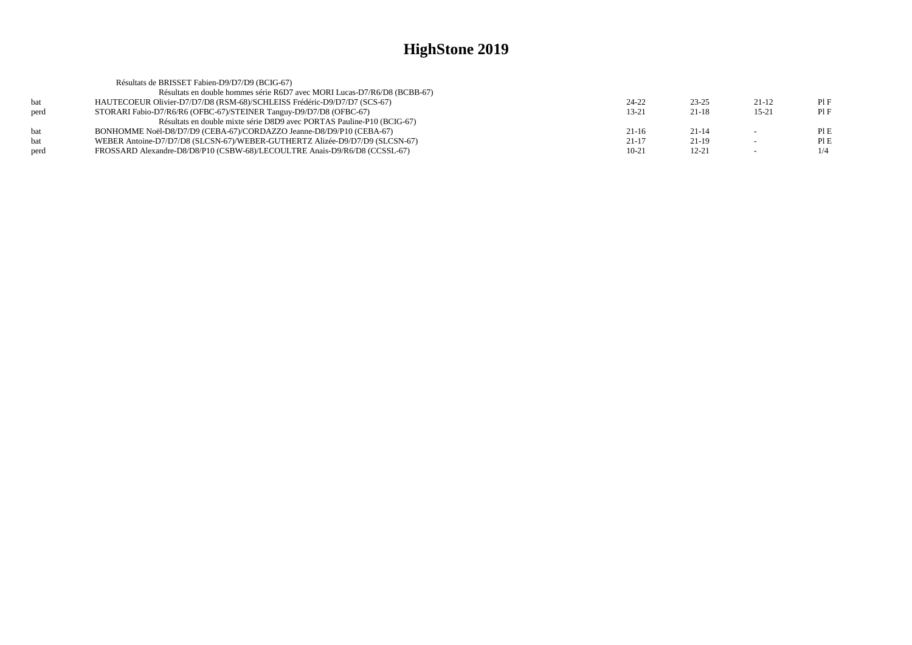|            | Résultats de BRISSET Fabien-D9/D7/D9 (BCIG-67)                              |           |           |           |     |
|------------|-----------------------------------------------------------------------------|-----------|-----------|-----------|-----|
|            | Résultats en double hommes série R6D7 avec MORI Lucas-D7/R6/D8 (BCBB-67)    |           |           |           |     |
| <b>bat</b> | HAUTECOEUR Olivier-D7/D7/D8 (RSM-68)/SCHLEISS Frédéric-D9/D7/D7 (SCS-67)    | 24-22     | $23 - 25$ | $21-12$   | PIF |
| perd       | STORARI Fabio-D7/R6/R6 (OFBC-67)/STEINER Tanguy-D9/D7/D8 (OFBC-67)          | $13 - 21$ | $21-18$   | $15 - 21$ | PIF |
|            | Résultats en double mixte série D8D9 avec PORTAS Pauline-P10 (BCIG-67)      |           |           |           |     |
| <b>bat</b> | BONHOMME Noël-D8/D7/D9 (CEBA-67)/CORDAZZO Jeanne-D8/D9/P10 (CEBA-67)        | $21-16$   | $21 - 14$ | $\sim$    | PLE |
| <b>bat</b> | WEBER Antoine-D7/D7/D8 (SLCSN-67)/WEBER-GUTHERTZ Alizée-D9/D7/D9 (SLCSN-67) | $21 - 17$ | 21-19     |           | PIE |
| perd       | FROSSARD Alexandre-D8/D8/P10 (CSBW-68)/LECOULTRE Anais-D9/R6/D8 (CCSSL-67)  | $10 - 21$ | $12 - 21$ | $\sim$    | 1/4 |
|            |                                                                             |           |           |           |     |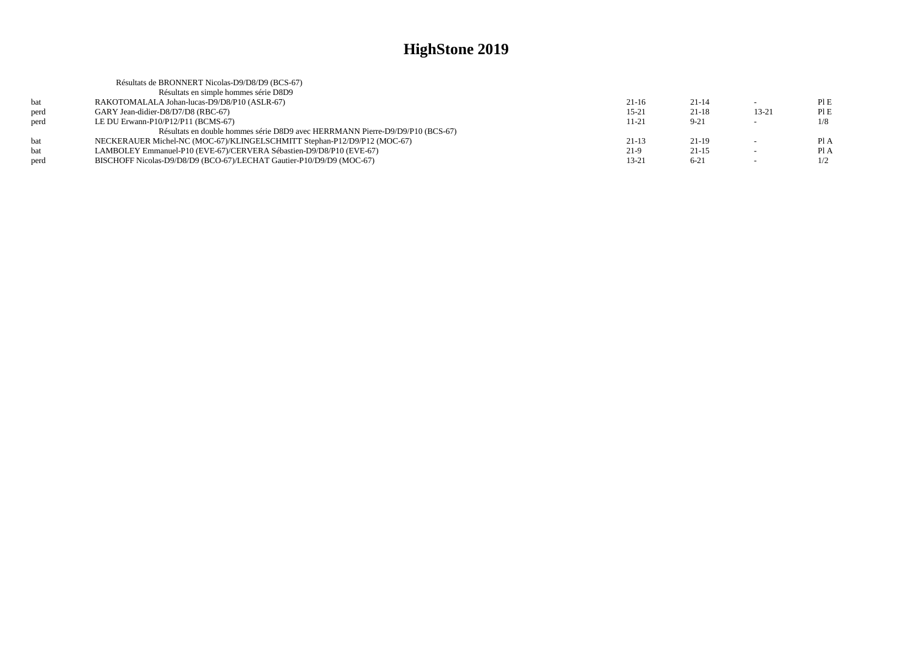|      | Résultats de BRONNERT Nicolas-D9/D8/D9 (BCS-67)                               |         |           |           |      |
|------|-------------------------------------------------------------------------------|---------|-----------|-----------|------|
|      | Résultats en simple hommes série D8D9                                         |         |           |           |      |
| bat  | RAKOTOMALALA Johan-lucas-D9/D8/P10 (ASLR-67)                                  | $21-16$ | $21 - 14$ |           | PIE  |
| perd | GARY Jean-didier-D8/D7/D8 (RBC-67)                                            | $15-21$ | $21 - 18$ | $13 - 21$ | PIE  |
| perd | LE DU Erwann-P10/P12/P11 (BCMS-67)                                            | 11-21   | $9 - 21$  |           | 1/8  |
|      | Résultats en double hommes série D8D9 avec HERRMANN Pierre-D9/D9/P10 (BCS-67) |         |           |           |      |
| bat  | NECKERAUER Michel-NC (MOC-67)/KLINGELSCHMITT Stephan-P12/D9/P12 (MOC-67)      | $21-13$ | $21-19$   |           | Pl A |
| bat  | LAMBOLEY Emmanuel-P10 (EVE-67)/CERVERA Sébastien-D9/D8/P10 (EVE-67)           | $21-9$  | $21 - 15$ | $\sim$    | Pl A |
| perd | BISCHOFF Nicolas-D9/D8/D9 (BCO-67)/LECHAT Gautier-P10/D9/D9 (MOC-67)          | 13-21   | $6 - 21$  |           | 1/2  |
|      |                                                                               |         |           |           |      |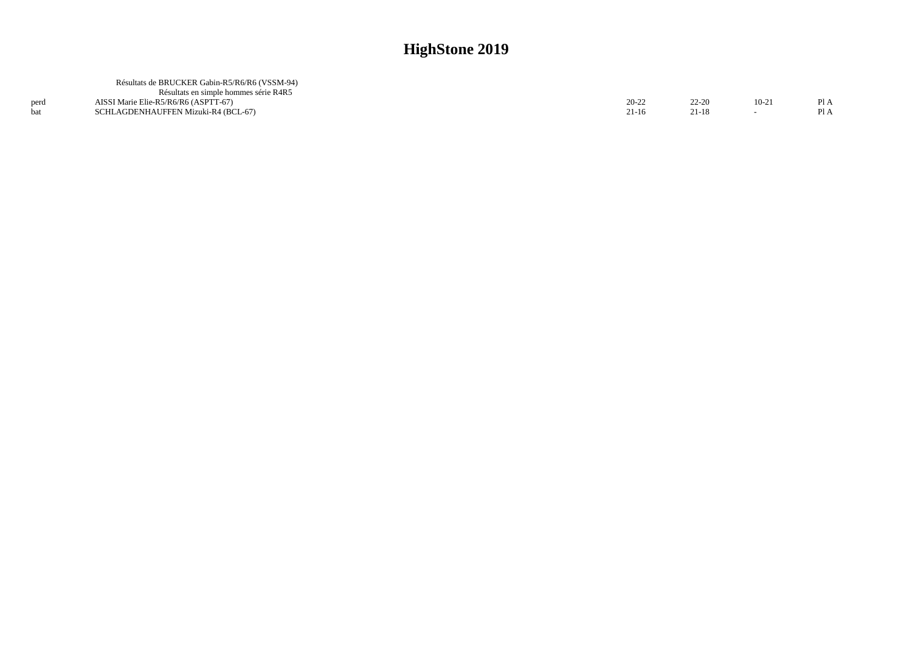| Résultats de BRUCKER Gabin-R5/R6/R6 (VSSM-94) |                                       |       |         |  |
|-----------------------------------------------|---------------------------------------|-------|---------|--|
|                                               |                                       |       |         |  |
| AISSI Marie Elie-R5/R6/R6 (ASPTT-67)          | 20-22                                 | 22-20 | $10-2.$ |  |
| SCHLAGDENHAUFFEN Mizuki-R4 (BCL-67)           | $21-16$                               |       |         |  |
|                                               | Résultats en simple hommes série R4R5 |       |         |  |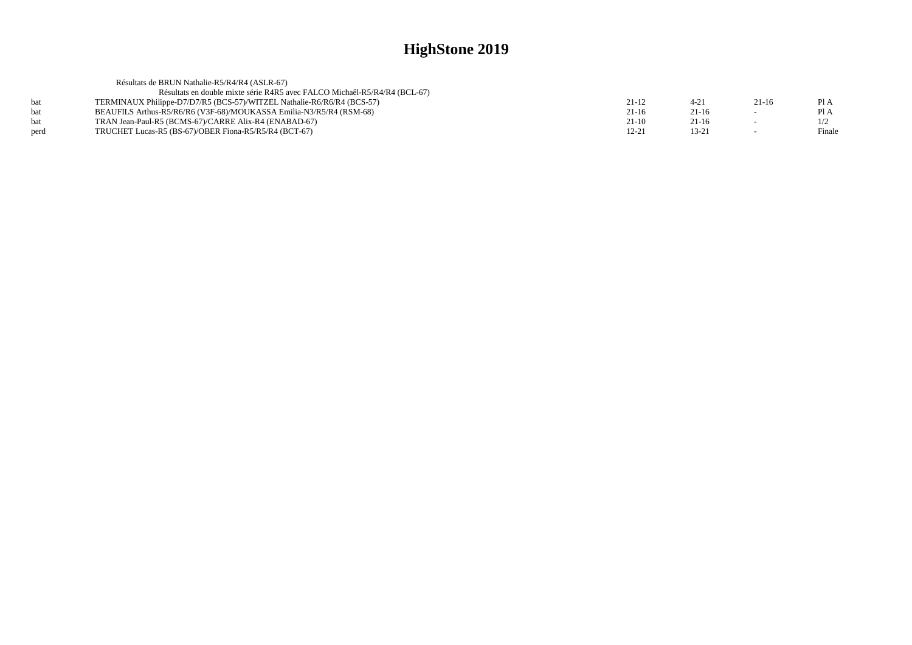|            | Résultats de BRUN Nathalie-R5/R4/R4 (ASLR-67)                             |           |           |         |        |
|------------|---------------------------------------------------------------------------|-----------|-----------|---------|--------|
|            | Résultats en double mixte série R4R5 avec FALCO Michaêl-R5/R4/R4 (BCL-67) |           |           |         |        |
| <b>bat</b> | TERMINAUX Philippe-D7/D7/R5 (BCS-57)/WITZEL Nathalie-R6/R6/R4 (BCS-57)    | $21 - 12$ | $4 - 21$  | $21-16$ | Pl A   |
| <b>bat</b> | BEAUFILS Arthus-R5/R6/R6 (V3F-68)/MOUKASSA Emilia-N3/R5/R4 (RSM-68)       | $21-16$   | $21-16$   |         | Pl A   |
| <b>bat</b> | TRAN Jean-Paul-R5 (BCMS-67)/CARRE Alix-R4 (ENABAD-67)                     | $21-10$   | $21-16$   |         | 1/2    |
| perd       | TRUCHET Lucas-R5 (BS-67)/OBER Fiona-R5/R5/R4 (BCT-67)                     | 12-21     | $13 - 21$ |         | Finale |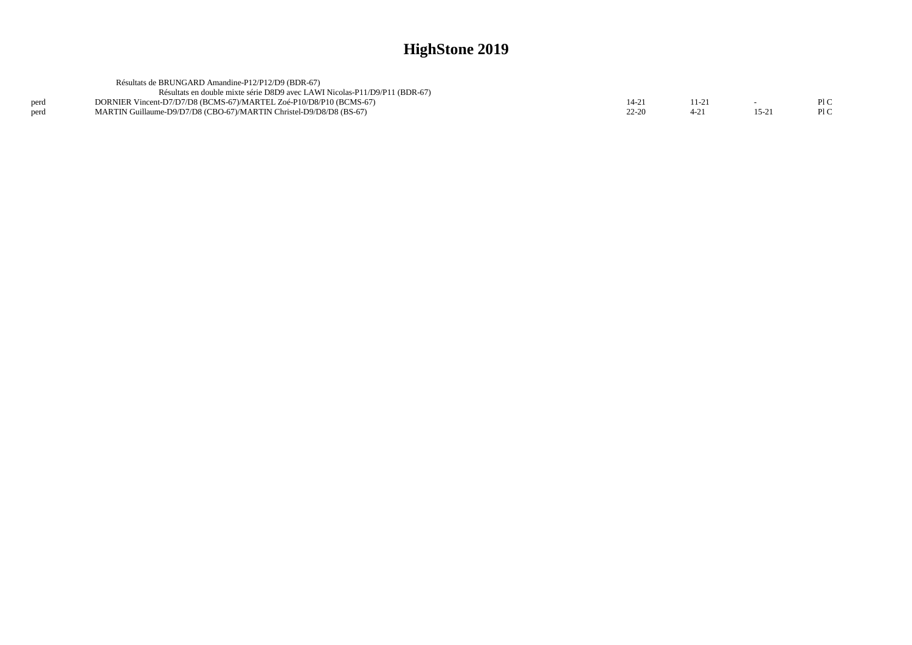|      | Résultats de BRUNGARD Amandine-P12/P12/D9 (BDR-67)                         |         |  |     |
|------|----------------------------------------------------------------------------|---------|--|-----|
|      | Résultats en double mixte série D8D9 avec LAWI Nicolas-P11/D9/P11 (BDR-67) |         |  |     |
|      | DORNIER Vincent-D7/D7/D8 (BCMS-67)/MARTEL Zoé-P10/D8/P10 (BCMS-67)         |         |  | PLC |
| perd | MARTIN Guillaume-D9/D7/D8 (CBO-67)/MARTIN Christel-D9/D8/D8 (BS-67)        | $22-20$ |  | P1C |
|      |                                                                            |         |  |     |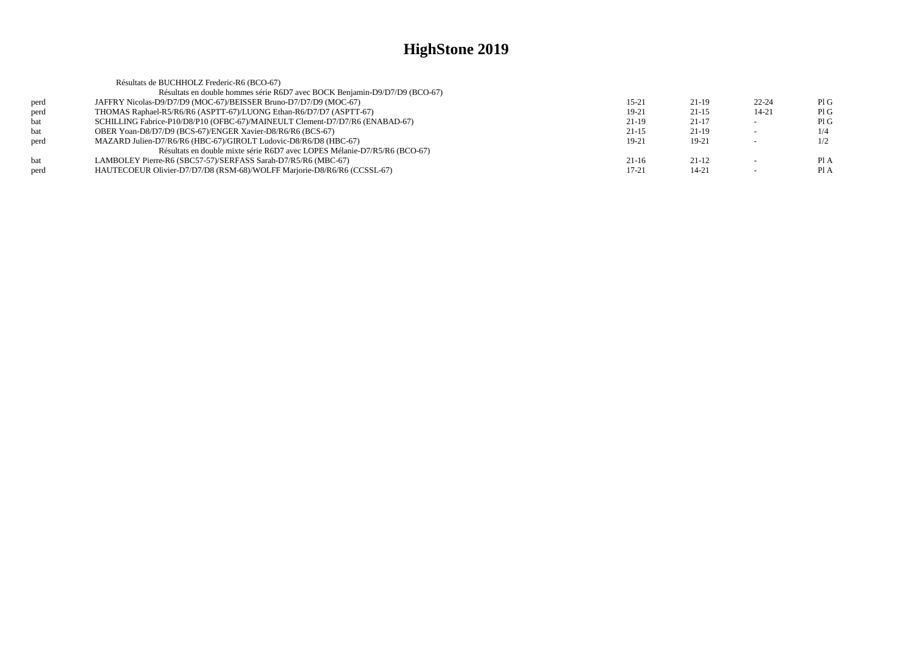|      | Résultats de BUCHHOLZ Frederic-R6 (BCO-67)                                   |           |         |                          |      |
|------|------------------------------------------------------------------------------|-----------|---------|--------------------------|------|
|      | Résultats en double hommes série R6D7 avec BOCK Benjamin-D9/D7/D9 (BCO-67)   |           |         |                          |      |
| perd | JAFFRY Nicolas-D9/D7/D9 (MOC-67)/BEISSER Bruno-D7/D7/D9 (MOC-67)             | $15 - 21$ | $21-19$ | $22 - 24$                | PIG  |
| perd | THOMAS Raphael-R5/R6/R6 (ASPTT-67)/LUONG Ethan-R6/D7/D7 (ASPTT-67)           | 19-21     | $21-15$ | $14 - 21$                | PIG  |
| bat  | SCHILLING Fabrice-P10/D8/P10 (OFBC-67)/MAINEULT Clement-D7/D7/R6 (ENABAD-67) | $21-19$   | $21-17$ | $\sim$                   | PIG  |
| bat  | OBER Yoan-D8/D7/D9 (BCS-67)/ENGER Xavier-D8/R6/R6 (BCS-67)                   | $21 - 15$ | $21-19$ | $\sim$                   | 1/4  |
| perd | MAZARD Julien-D7/R6/R6 (HBC-67)/GIROLT Ludovic-D8/R6/D8 (HBC-67)             | 19-21     | $19-21$ |                          | 1/2  |
|      | Résultats en double mixte série R6D7 avec LOPES Mélanie-D7/R5/R6 (BCO-67)    |           |         |                          |      |
| bat  | LAMBOLEY Pierre-R6 (SBC57-57)/SERFASS Sarah-D7/R5/R6 (MBC-67)                | $21-16$   | $21-12$ | $\overline{\phantom{0}}$ | P1A  |
| perd | HAUTECOEUR Olivier-D7/D7/D8 (RSM-68)/WOLFF Marjorie-D8/R6/R6 (CCSSL-67)      | 17-21     | 14-21   |                          | Pl A |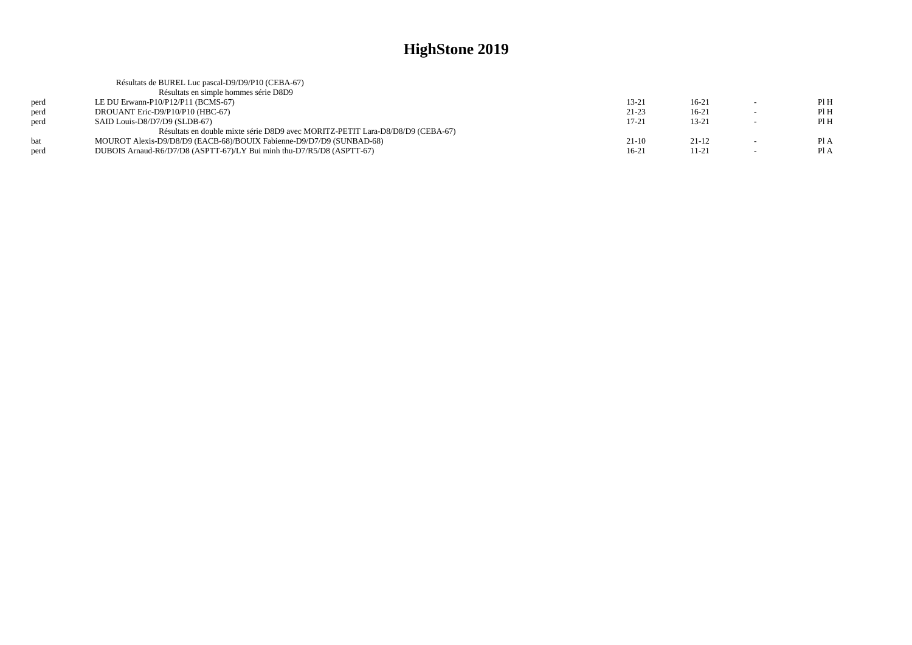|      | Résultats de BUREL Luc pascal-D9/D9/P10 (CEBA-67)                              |           |           |      |
|------|--------------------------------------------------------------------------------|-----------|-----------|------|
|      | Résultats en simple hommes série D8D9                                          |           |           |      |
| perd | LE DU Erwann-P10/P12/P11 (BCMS-67)                                             | $13 - 21$ | $16 - 21$ | Pl H |
| perd | DROUANT Eric-D9/P10/P10 (HBC-67)                                               | $21 - 23$ | $16-21$   | PIH  |
| perd | SAID Louis-D8/D7/D9 (SLDB-67)                                                  | $17 - 21$ | $13 - 21$ | Pl H |
|      | Résultats en double mixte série D8D9 avec MORITZ-PETIT Lara-D8/D8/D9 (CEBA-67) |           |           |      |
|      | MOUROT Alexis-D9/D8/D9 (EACB-68)/BOUIX Fabienne-D9/D7/D9 (SUNBAD-68)           | $21-10$   | $21-12$   | Pl A |
| nerd | DUBOIS Arnaud-R6/D7/D8 (ASPTT-67)/LY Bui minh thu-D7/R5/D8 (ASPTT-67)          | $16-21$   | 11-21     | Pl A |
|      |                                                                                |           |           |      |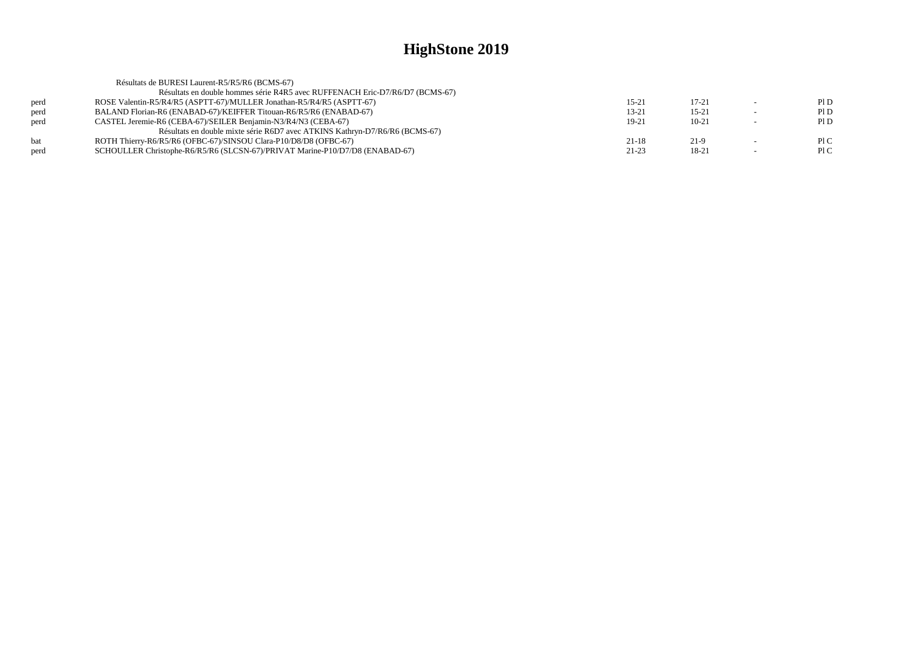|      | Résultats de BURESI Laurent-R5/R5/R6 (BCMS-67)                               |           |           |        |     |
|------|------------------------------------------------------------------------------|-----------|-----------|--------|-----|
|      | Résultats en double hommes série R4R5 avec RUFFENACH Eric-D7/R6/D7 (BCMS-67) |           |           |        |     |
| perd | ROSE Valentin-R5/R4/R5 (ASPTT-67)/MULLER Jonathan-R5/R4/R5 (ASPTT-67)        | $15-21$   | $17 - 21$ | $\sim$ | PID |
| perd | BALAND Florian-R6 (ENABAD-67)/KEIFFER Titouan-R6/R5/R6 (ENABAD-67)           | 13-21     | $15 - 21$ |        | P1D |
| perd | CASTEL Jeremie-R6 (CEBA-67)/SEILER Benjamin-N3/R4/N3 (CEBA-67)               | 19-21     | $10 - 21$ |        | PID |
|      | Résultats en double mixte série R6D7 avec ATKINS Kathryn-D7/R6/R6 (BCMS-67)  |           |           |        |     |
| hat  | ROTH Thierry-R6/R5/R6 (OFBC-67)/SINSOU Clara-P10/D8/D8 (OFBC-67)             | $21 - 18$ | $21-9$    |        | P1C |
| perd | SCHOULLER Christophe-R6/R5/R6 (SLCSN-67)/PRIVAT Marine-P10/D7/D8 (ENABAD-67) | $21 - 23$ | 18-21     |        | P1C |
|      |                                                                              |           |           |        |     |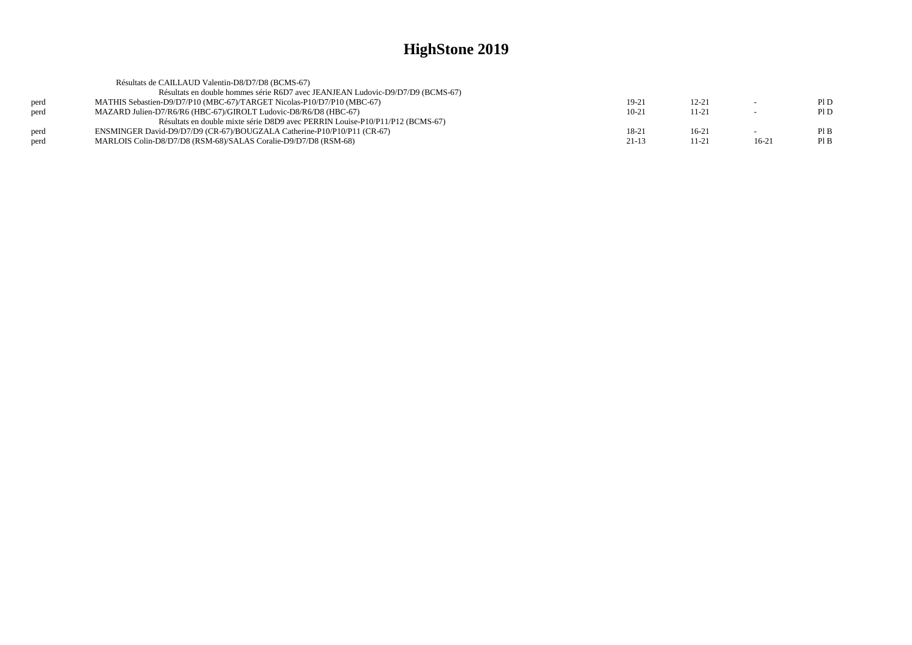|      | Résultats de CAILLAUD Valentin-D8/D7/D8 (BCMS-67)                              |           |           |         |      |
|------|--------------------------------------------------------------------------------|-----------|-----------|---------|------|
|      | Résultats en double hommes série R6D7 avec JEANJEAN Ludovic-D9/D7/D9 (BCMS-67) |           |           |         |      |
| perd | MATHIS Sebastien-D9/D7/P10 (MBC-67)/TARGET Nicolas-P10/D7/P10 (MBC-67)         | 19-21     | $12 - 21$ |         | P1D  |
| perd | MAZARD Julien-D7/R6/R6 (HBC-67)/GIROLT Ludovic-D8/R6/D8 (HBC-67)               | $10 - 21$ | $11 - 21$ | $\sim$  | PID  |
|      | Résultats en double mixte série D8D9 avec PERRIN Louise-P10/P11/P12 (BCMS-67)  |           |           |         |      |
| perd | ENSMINGER David-D9/D7/D9 (CR-67)/BOUGZALA Catherine-P10/P10/P11 (CR-67)        | 18-21     | $16-21$   | $\sim$  | PIB  |
| perd | MARLOIS Colin-D8/D7/D8 (RSM-68)/SALAS Coralie-D9/D7/D8 (RSM-68)                | $21-13$   | 11-21     | $16-21$ | PI B |
|      |                                                                                |           |           |         |      |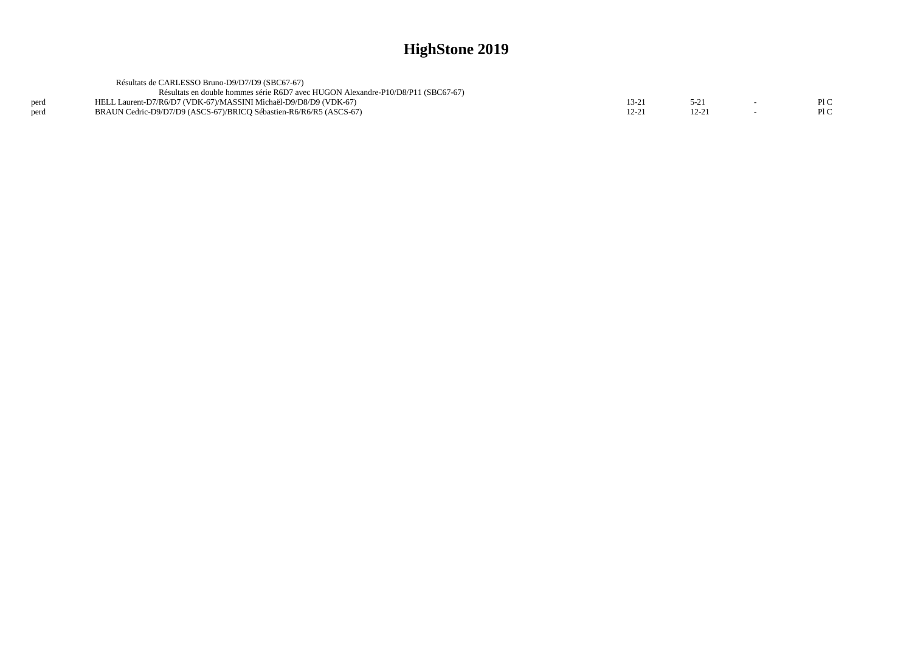|      | Résultats de CARLESSO Bruno-D9/D7/D9 (SBC67-67)                                  |       |  |  |
|------|----------------------------------------------------------------------------------|-------|--|--|
|      | Résultats en double hommes série R6D7 avec HUGON Alexandre-P10/D8/P11 (SBC67-67) |       |  |  |
|      | HELL Laurent-D7/R6/D7 (VDK-67)/MASSINI Michaël-D9/D8/D9 (VDK-67)                 | 13-21 |  |  |
| perd | BRAUN Cedric-D9/D7/D9 (ASCS-67)/BRICO Sébastien-R6/R6/R5 (ASCS-67)               | 12-21 |  |  |
|      |                                                                                  |       |  |  |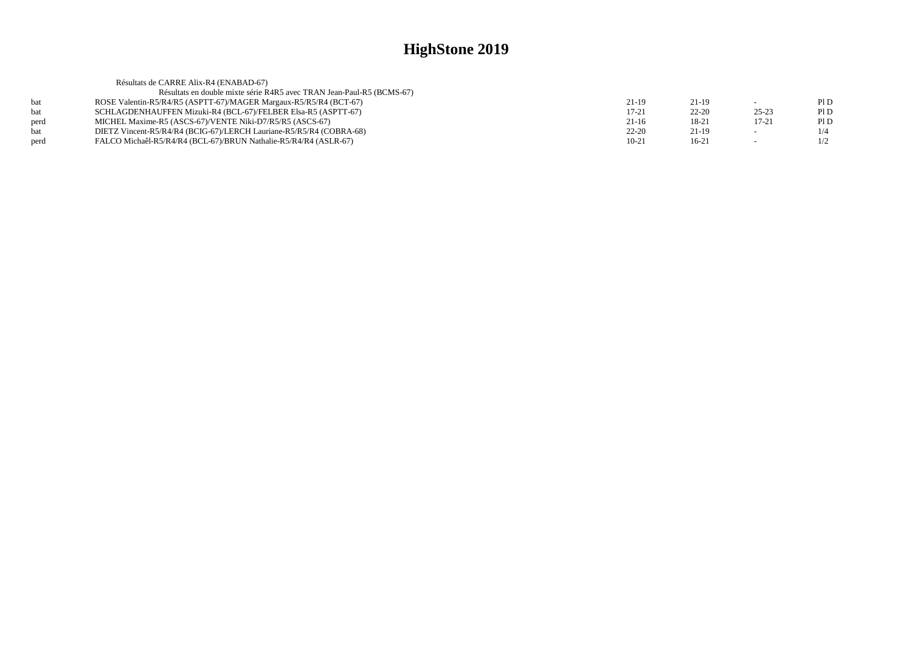|      | Résultats de CARRE Alix-R4 (ENABAD-67)                                |           |           |           |      |
|------|-----------------------------------------------------------------------|-----------|-----------|-----------|------|
|      | Résultats en double mixte série R4R5 avec TRAN Jean-Paul-R5 (BCMS-67) |           |           |           |      |
|      | ROSE Valentin-R5/R4/R5 (ASPTT-67)/MAGER Margaux-R5/R5/R4 (BCT-67)     | 21-19     | $21-19$   | $\sim$    | PID  |
|      | SCHLAGDENHAUFFEN Mizuki-R4 (BCL-67)/FELBER Elsa-R5 (ASPTT-67)         | $17 - 21$ | $22 - 20$ | $25 - 23$ | PI D |
| nerd | MICHEL Maxime-R5 (ASCS-67)/VENTE Niki-D7/R5/R5 (ASCS-67)              | $21-16$   | 18-21     | $17 - 21$ | PI D |
|      | DIETZ Vincent-R5/R4/R4 (BCIG-67)/LERCH Lauriane-R5/R5/R4 (COBRA-68)   | $22 - 20$ | $21-19$   |           | 1/4  |
| nerd | FALCO Michaêl-R5/R4/R4 (BCL-67)/BRUN Nathalie-R5/R4/R4 (ASLR-67)      | $10-21$   | $16-21$   |           | 1/2  |
|      |                                                                       |           |           |           |      |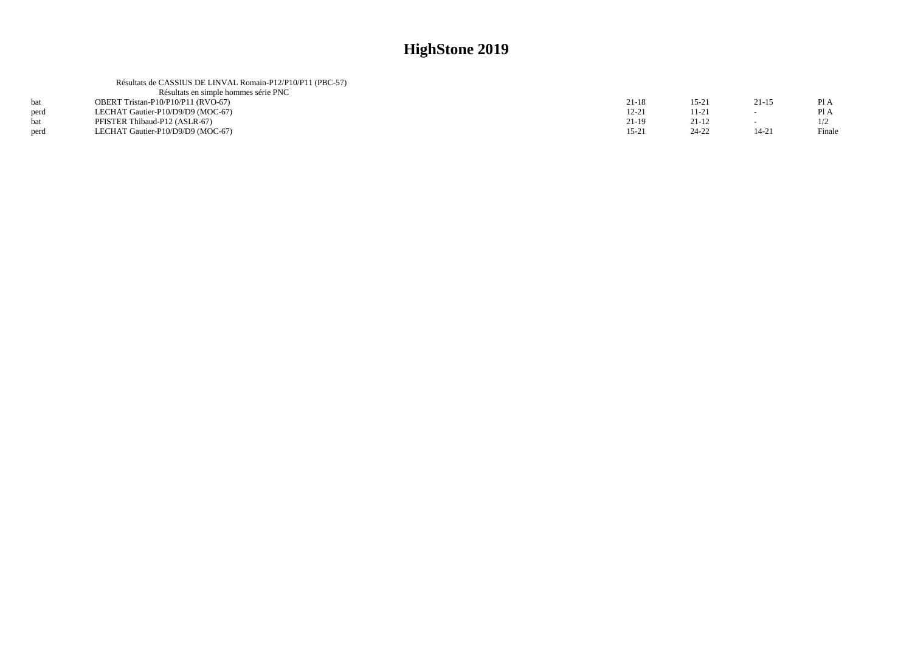|      | Résultats de CASSIUS DE LINVAL Romain-P12/P10/P11 (PBC-57) |           |           |           |        |
|------|------------------------------------------------------------|-----------|-----------|-----------|--------|
|      | Résultats en simple hommes série PNC                       |           |           |           |        |
| hat  | OBERT Tristan-P10/P10/P11 (RVO-67)                         | $21 - 18$ | $15-2$    | $21 - 15$ | Pl A   |
| perd | LECHAT Gautier-P10/D9/D9 (MOC-67)                          | $12 - 21$ | 11-21     |           | Pl A   |
| hat  | PFISTER Thibaud-P12 (ASLR-67)                              | $21-19$   | $21-12$   |           |        |
| perd | LECHAT Gautier-P10/D9/D9 (MOC-67)                          | $15 - 21$ | $24 - 22$ | 14-21     | Finale |
|      |                                                            |           |           |           |        |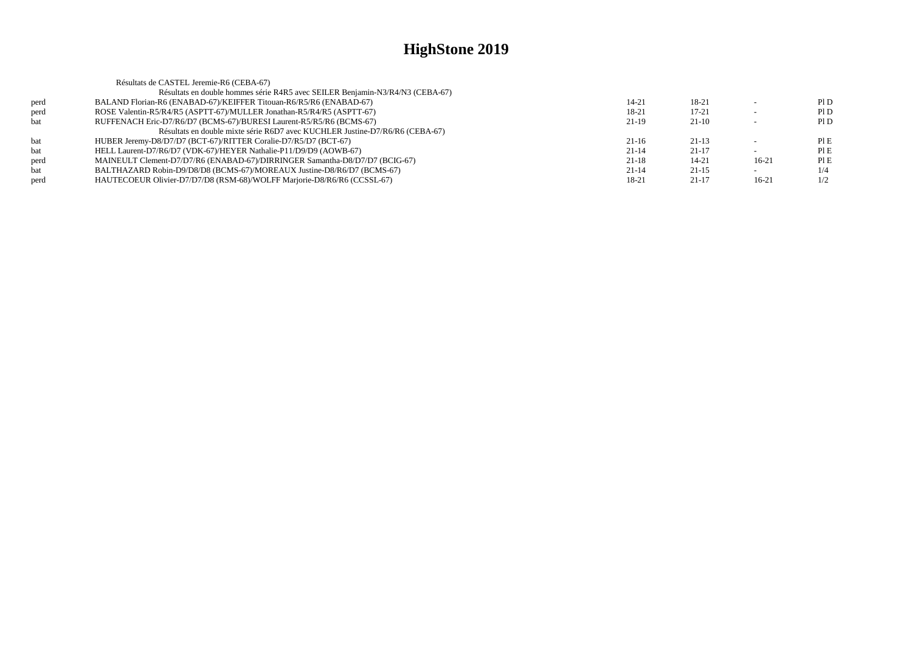|      | Résultats de CASTEL Jeremie-R6 (CEBA-67)                                      |           |           |         |     |
|------|-------------------------------------------------------------------------------|-----------|-----------|---------|-----|
|      | Résultats en double hommes série R4R5 avec SEILER Benjamin-N3/R4/N3 (CEBA-67) |           |           |         |     |
| perd | BALAND Florian-R6 (ENABAD-67)/KEIFFER Titouan-R6/R5/R6 (ENABAD-67)            | 14-21     | 18-21     |         | PID |
| perd | ROSE Valentin-R5/R4/R5 (ASPTT-67)/MULLER Jonathan-R5/R4/R5 (ASPTT-67)         | 18-21     | $17 - 21$ |         | P1D |
| bat  | RUFFENACH Eric-D7/R6/D7 (BCMS-67)/BURESI Laurent-R5/R5/R6 (BCMS-67)           | $21-19$   | $21-10$   |         | PID |
|      | Résultats en double mixte série R6D7 avec KUCHLER Justine-D7/R6/R6 (CEBA-67)  |           |           |         |     |
| bat  | HUBER Jeremy-D8/D7/D7 (BCT-67)/RITTER Coralie-D7/R5/D7 (BCT-67)               | $21-16$   | 21-13     |         | PIE |
| bat  | HELL Laurent-D7/R6/D7 (VDK-67)/HEYER Nathalie-P11/D9/D9 (AOWB-67)             | $21 - 14$ | 21-17     |         | PIE |
| perd | MAINEULT Clement-D7/D7/R6 (ENABAD-67)/DIRRINGER Samantha-D8/D7/D7 (BCIG-67)   | $21 - 18$ | $14 - 21$ | $16-21$ | PIE |
| bat  | BALTHAZARD Robin-D9/D8/D8 (BCMS-67)/MOREAUX Justine-D8/R6/D7 (BCMS-67)        | $21 - 14$ | $21-15$   |         | 1/4 |
| perd | HAUTECOEUR Olivier-D7/D7/D8 (RSM-68)/WOLFF Marjorie-D8/R6/R6 (CCSSL-67)       | 18-21     | $21-17$   | $16-21$ | 1/2 |
|      |                                                                               |           |           |         |     |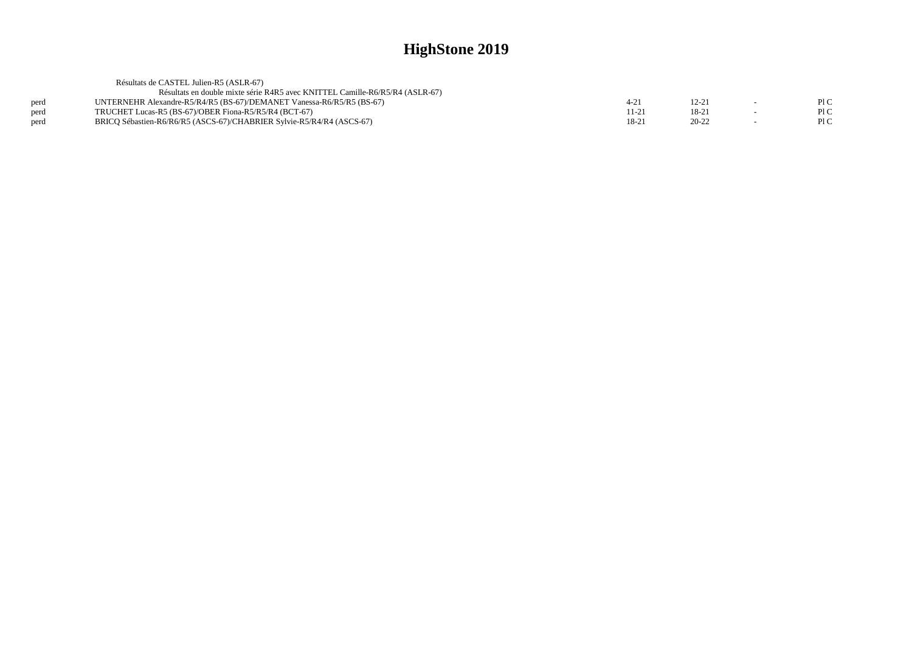|      | Résultats de CASTEL Julien-R5 (ASLR-67)                                      |          |           |     |
|------|------------------------------------------------------------------------------|----------|-----------|-----|
|      | Résultats en double mixte série R4R5 avec KNITTEL Camille-R6/R5/R4 (ASLR-67) |          |           |     |
| perd | UNTERNEHR Alexandre-R5/R4/R5 (BS-67)/DEMANET Vanessa-R6/R5/R5 (BS-67)        | $4 - 21$ | 12-21     | P1C |
| perd | TRUCHET Lucas-R5 (BS-67)/OBER Fiona-R5/R5/R4 (BCT-67)                        | 11-21    | 18-21     | PLC |
| perd | BRICO Sébastien-R6/R6/R5 (ASCS-67)/CHABRIER Sylvie-R5/R4/R4 (ASCS-67)        | 18-21    | $20 - 22$ | P1C |
|      |                                                                              |          |           |     |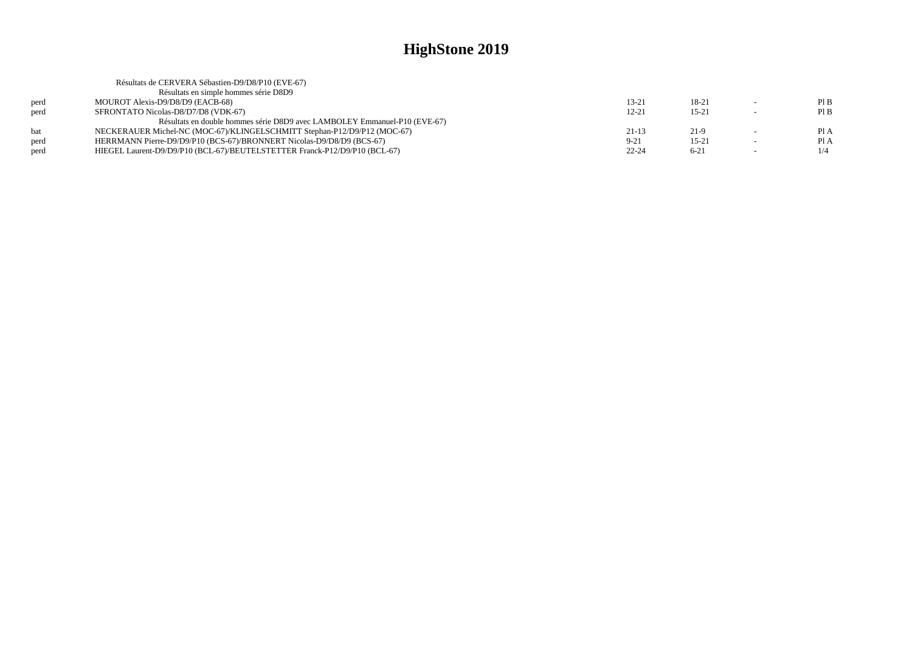|      | Résultats de CERVERA Sébastien-D9/D8/P10 (EVE-67)                          |           |           |        |      |
|------|----------------------------------------------------------------------------|-----------|-----------|--------|------|
|      | Résultats en simple hommes série D8D9                                      |           |           |        |      |
| perd | MOUROT Alexis-D9/D8/D9 (EACB-68)                                           | $13 - 21$ | 18-21     |        | PIB  |
| nerd | SFRONTATO Nicolas-D8/D7/D8 (VDK-67)                                        | $12 - 21$ | $15 - 21$ |        | PIB  |
|      | Résultats en double hommes série D8D9 avec LAMBOLEY Emmanuel-P10 (EVE-67)  |           |           |        |      |
| hat  | NECKERAUER Michel-NC (MOC-67)/KLINGELSCHMITT Stephan-P12/D9/P12 (MOC-67)   | $21-13$   | 21-9      | $\sim$ | Pl A |
| perd | HERRMANN Pierre-D9/D9/P10 (BCS-67)/BRONNERT Nicolas-D9/D8/D9 (BCS-67)      | $9 - 21$  | $15 - 21$ |        | Pl A |
| perd | HIEGEL Laurent-D9/D9/P10 (BCL-67)/BEUTELSTETTER Franck-P12/D9/P10 (BCL-67) | $22 - 24$ | $6 - 21$  |        | 1/4  |
|      |                                                                            |           |           |        |      |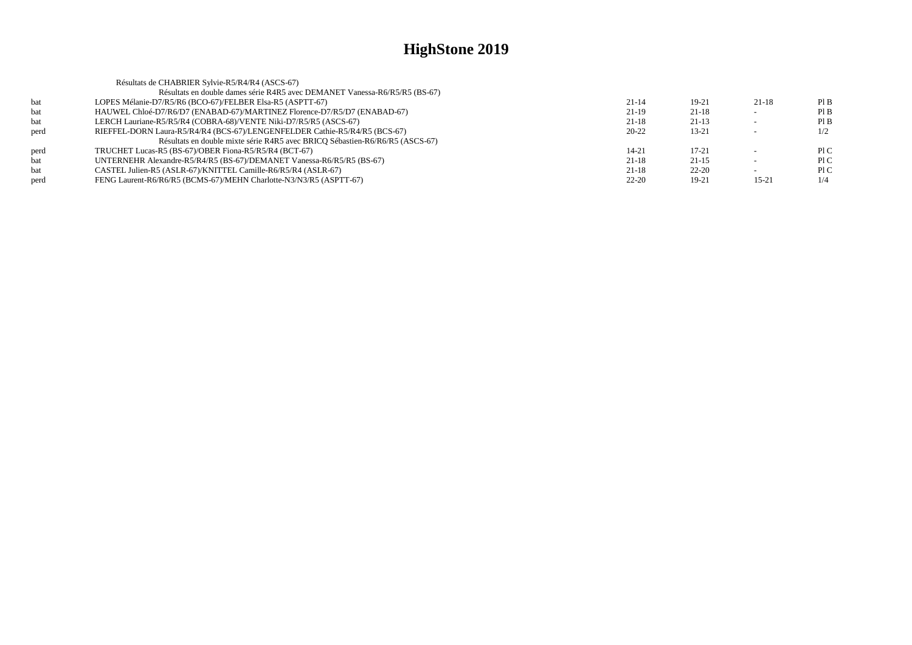|      | Résultats de CHABRIER Sylvie-R5/R4/R4 (ASCS-67)                              |           |           |                          |      |
|------|------------------------------------------------------------------------------|-----------|-----------|--------------------------|------|
|      | Résultats en double dames série R4R5 avec DEMANET Vanessa-R6/R5/R5 (BS-67)   |           |           |                          |      |
| bat  | LOPES Mélanie-D7/R5/R6 (BCO-67)/FELBER Elsa-R5 (ASPTT-67)                    | $21 - 14$ | $19-21$   | $21-18$                  | Pl B |
| bat  | HAUWEL Chloé-D7/R6/D7 (ENABAD-67)/MARTINEZ Florence-D7/R5/D7 (ENABAD-67)     | $21-19$   | $21 - 18$ |                          | PIB  |
| bat  | LERCH Lauriane-R5/R5/R4 (COBRA-68)/VENTE Niki-D7/R5/R5 (ASCS-67)             | $21 - 18$ | $21-13$   |                          | PIB  |
| perd | RIEFFEL-DORN Laura-R5/R4/R4 (BCS-67)/LENGENFELDER Cathie-R5/R4/R5 (BCS-67)   | $20 - 22$ | $13 - 21$ | $\overline{\phantom{0}}$ | 1/2  |
|      | Résultats en double mixte série R4R5 avec BRICO Sébastien-R6/R6/R5 (ASCS-67) |           |           |                          |      |
| perd | TRUCHET Lucas-R5 (BS-67)/OBER Fiona-R5/R5/R4 (BCT-67)                        | $14 - 21$ | $17 - 21$ |                          | P1C  |
| bat  | UNTERNEHR Alexandre-R5/R4/R5 (BS-67)/DEMANET Vanessa-R6/R5/R5 (BS-67)        | $21 - 18$ | $21-15$   | $\overline{\phantom{a}}$ | P1C  |
| bat  | CASTEL Julien-R5 (ASLR-67)/KNITTEL Camille-R6/R5/R4 (ASLR-67)                | $21 - 18$ | $22 - 20$ | $\sim$                   | P1C  |
| perd | FENG Laurent-R6/R6/R5 (BCMS-67)/MEHN Charlotte-N3/N3/R5 (ASPTT-67)           | $22 - 20$ | $19-21$   | $15 - 21$                | 1/4  |
|      |                                                                              |           |           |                          |      |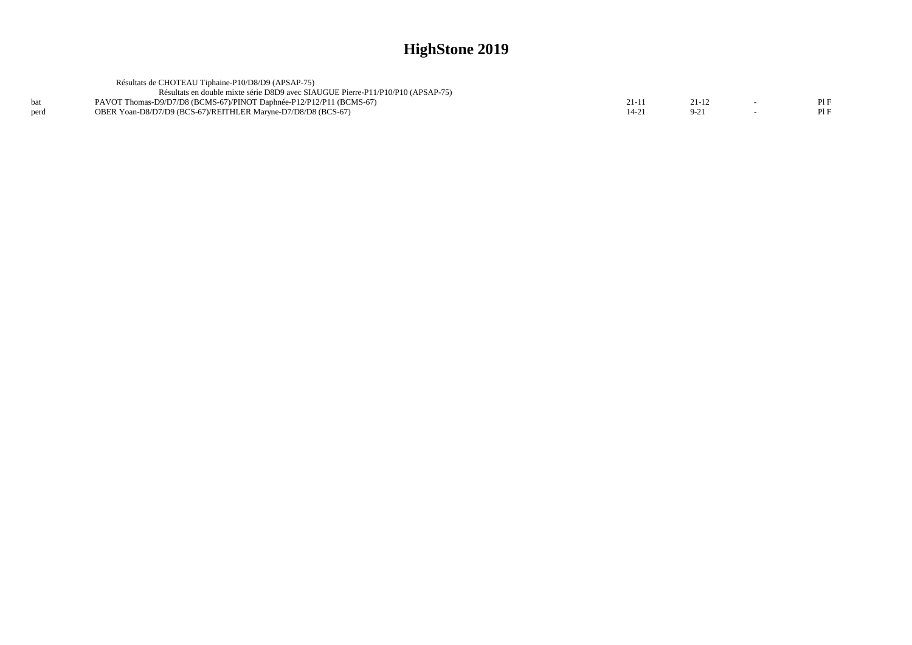|            | Résultats de CHOTEAU Tiphaine-P10/D8/D9 (APSAP-75)                              |       |       |     |
|------------|---------------------------------------------------------------------------------|-------|-------|-----|
|            | Résultats en double mixte série D8D9 avec SIAUGUE Pierre-P11/P10/P10 (APSAP-75) |       |       |     |
| <b>bat</b> | PAVOT Thomas-D9/D7/D8 (BCMS-67)/PINOT Daphnée-P12/P12/P11 (BCMS-67)             | 21-11 | -1-12 | PIF |
| perd       | OBER Yoan-D8/D7/D9 (BCS-67)/REITHLER Marvne-D7/D8/D8 (BCS-67)                   | 14-21 |       | PIF |
|            |                                                                                 |       |       |     |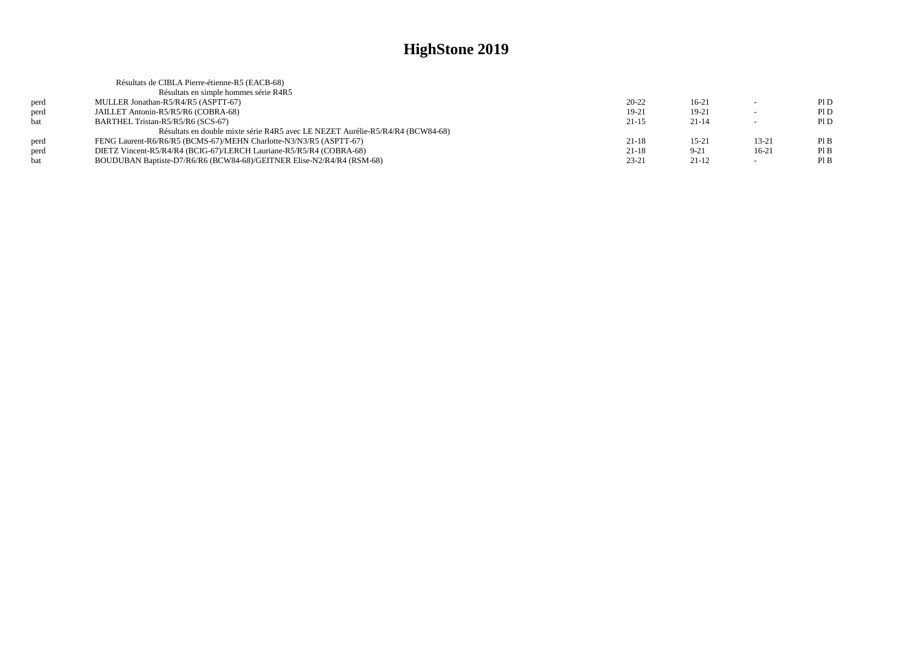|      | Résultats de CIBLA Pierre-étienne-R5 (EACB-68)                                 |           |           |                          |      |
|------|--------------------------------------------------------------------------------|-----------|-----------|--------------------------|------|
|      | Résultats en simple hommes série R4R5                                          |           |           |                          |      |
| perd | MULLER Jonathan-R5/R4/R5 (ASPTT-67)                                            | $20 - 22$ | $16-21$   |                          | PID  |
| perd | JAILLET Antonin-R5/R5/R6 (COBRA-68)                                            | 19-21     | $19-21$   |                          | PID  |
| hat  | BARTHEL Tristan-R5/R5/R6 (SCS-67)                                              | $21 - 15$ | $21 - 14$ | $\overline{\phantom{a}}$ | PID  |
|      | Résultats en double mixte série R4R5 avec LE NEZET Aurélie-R5/R4/R4 (BCW84-68) |           |           |                          |      |
| perd | FENG Laurent-R6/R6/R5 (BCMS-67)/MEHN Charlotte-N3/N3/R5 (ASPTT-67)             | 21-18     | $15 - 21$ | $13 - 21$                | Pl B |
| perd | DIETZ Vincent-R5/R4/R4 (BCIG-67)/LERCH Lauriane-R5/R5/R4 (COBRA-68)            | $21 - 18$ | $9 - 21$  | $16-21$                  | Pl B |
| bat  | BOUDUBAN Baptiste-D7/R6/R6 (BCW84-68)/GEITNER Elise-N2/R4/R4 (RSM-68)          | $23 - 21$ | $21-12$   |                          | PIB  |
|      |                                                                                |           |           |                          |      |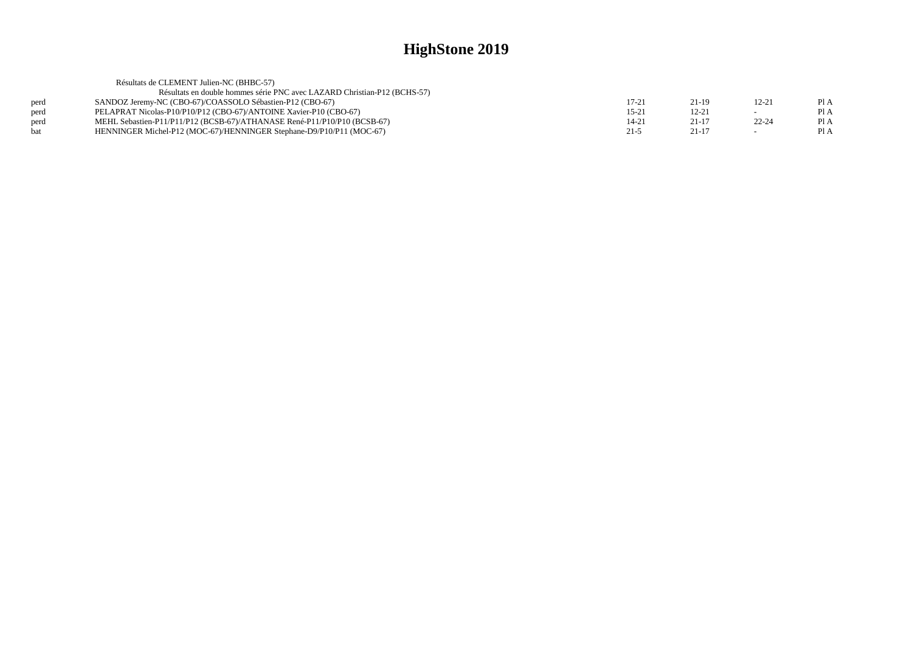|      | Résultats de CLEMENT Julien-NC (BHBC-57)                                 |           |           |                          |      |
|------|--------------------------------------------------------------------------|-----------|-----------|--------------------------|------|
|      | Résultats en double hommes série PNC avec LAZARD Christian-P12 (BCHS-57) |           |           |                          |      |
| perd | SANDOZ Jeremy-NC (CBO-67)/COASSOLO Sébastien-P12 (CBO-67)                | 17-21     | 21-19     | $12 - 21$                | Pl A |
| perd | PELAPRAT Nicolas-P10/P10/P12 (CBO-67)/ANTOINE Xavier-P10 (CBO-67)        | $15 - 21$ | $12 - 21$ | $\sim$                   | Pl A |
| perd | MEHL Sebastien-P11/P11/P12 (BCSB-67)/ATHANASE René-P11/P10/P10 (BCSB-67) | 14-21     | $21 - 17$ | $22 - 24$                | PI A |
| hat  | HENNINGER Michel-P12 (MOC-67)/HENNINGER Stephane-D9/P10/P11 (MOC-67)     | $21 - 5$  | $21 - 17$ | $\overline{\phantom{0}}$ | Pl A |
|      |                                                                          |           |           |                          |      |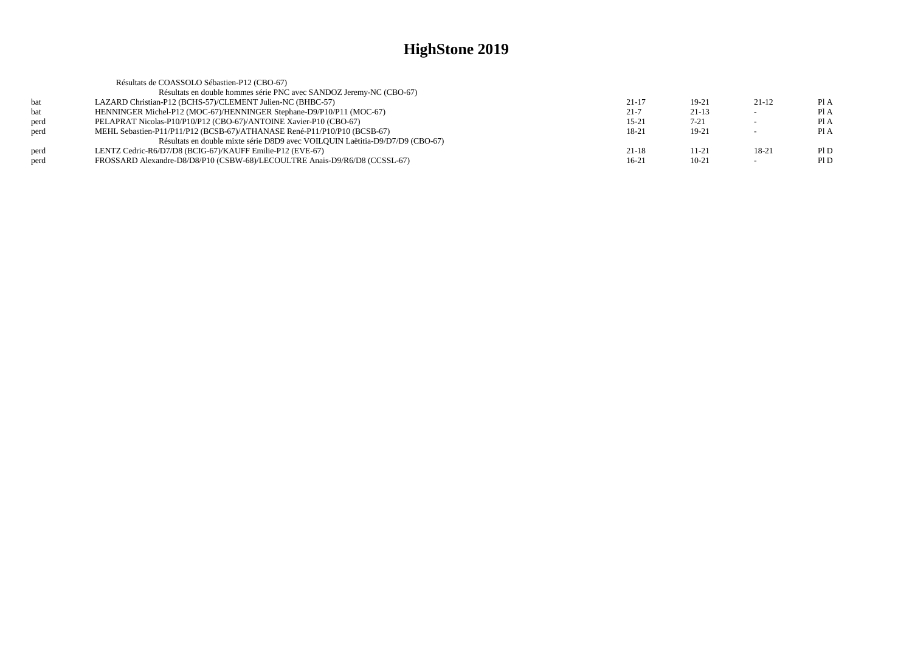| Résultats de COASSOLO Sébastien-P12 (CBO-67)                                  |           |           |         |      |
|-------------------------------------------------------------------------------|-----------|-----------|---------|------|
| Résultats en double hommes série PNC avec SANDOZ Jeremy-NC (CBO-67)           |           |           |         |      |
| LAZARD Christian-P12 (BCHS-57)/CLEMENT Julien-NC (BHBC-57)                    | $21 - 17$ | $19-21$   | $21-12$ | PI A |
| HENNINGER Michel-P12 (MOC-67)/HENNINGER Stephane-D9/P10/P11 (MOC-67)          | $21 - 7$  | $21-13$   |         | Pl A |
| PELAPRAT Nicolas-P10/P10/P12 (CBO-67)/ANTOINE Xavier-P10 (CBO-67)             | $15 - 21$ | $7 - 21$  |         | PI A |
| MEHL Sebastien-P11/P11/P12 (BCSB-67)/ATHANASE René-P11/P10/P10 (BCSB-67)      | 18-21     | $19-21$   |         | PI A |
| Résultats en double mixte série D8D9 avec VOILQUIN Laëtitia-D9/D7/D9 (CBO-67) |           |           |         |      |
| LENTZ Cedric-R6/D7/D8 (BCIG-67)/KAUFF Emilie-P12 (EVE-67)                     | $21-18$   | $11 - 21$ | 18-21   | P1D  |
| FROSSARD Alexandre-D8/D8/P10 (CSBW-68)/LECOULTRE Anais-D9/R6/D8 (CCSSL-67)    | 16-21     | $10 - 21$ |         | P1D  |
|                                                                               |           |           |         |      |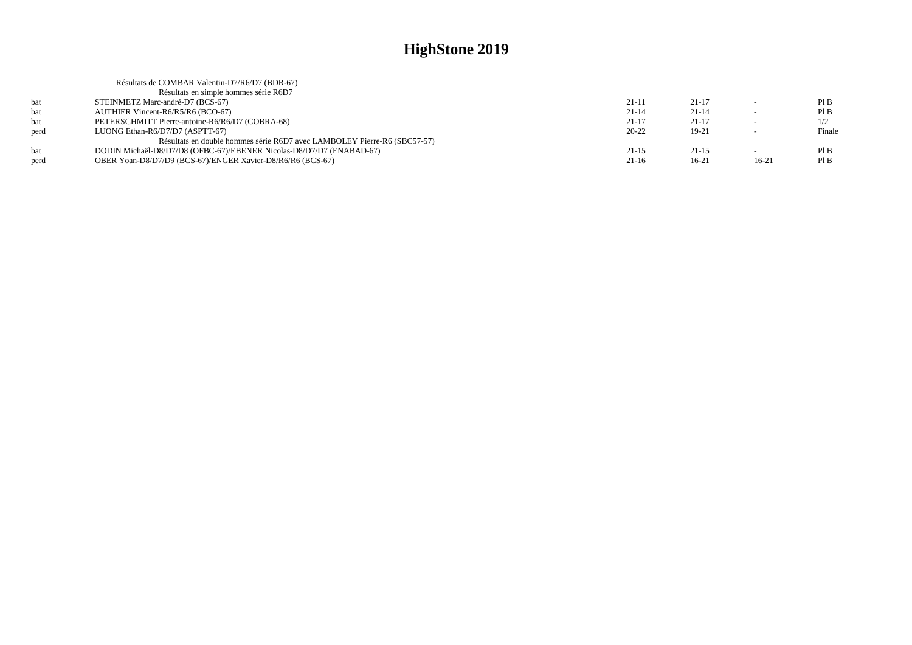|      | Résultats de COMBAR Valentin-D7/R6/D7 (BDR-67)                           |           |           |                          |        |
|------|--------------------------------------------------------------------------|-----------|-----------|--------------------------|--------|
|      | Résultats en simple hommes série R6D7                                    |           |           |                          |        |
| hat  | STEINMETZ Marc-andré-D7 (BCS-67)                                         | $21-11$   | $21 - 17$ | $\overline{\phantom{a}}$ | PIB    |
| bat  | AUTHIER Vincent-R6/R5/R6 (BCO-67)                                        | $21 - 14$ | $21 - 14$ | $\overline{\phantom{0}}$ | PIB    |
| bat  | PETERSCHMITT Pierre-antoine-R6/R6/D7 (COBRA-68)                          | $21-17$   | $21-17$   | $\overline{\phantom{0}}$ | 1/2    |
| perd | LUONG Ethan-R6/D7/D7 (ASPTT-67)                                          | $20 - 22$ | $19-21$   | $\sim$                   | Finale |
|      | Résultats en double hommes série R6D7 avec LAMBOLEY Pierre-R6 (SBC57-57) |           |           |                          |        |
| bat  | DODIN Michaël-D8/D7/D8 (OFBC-67)/EBENER Nicolas-D8/D7/D7 (ENABAD-67)     | $21 - 15$ | $21-15$   |                          | PIB    |
| perd | OBER Yoan-D8/D7/D9 (BCS-67)/ENGER Xavier-D8/R6/R6 (BCS-67)               | $21-16$   | $16-21$   | $16-21$                  | PIB    |
|      |                                                                          |           |           |                          |        |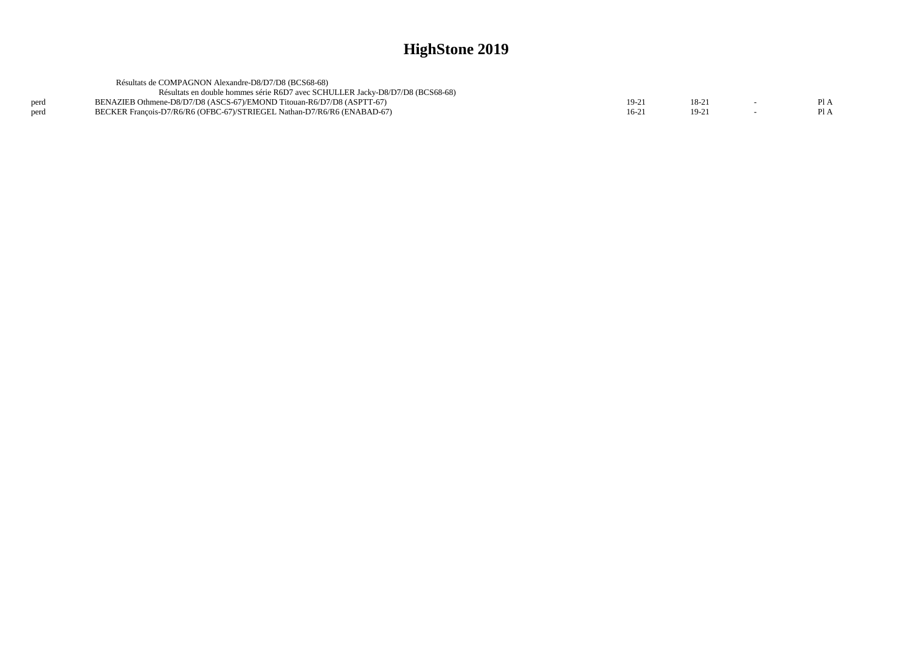|      | Résultats de COMPAGNON Alexandre-D8/D7/D8 (BCS68-68)                          |         |         |     |
|------|-------------------------------------------------------------------------------|---------|---------|-----|
|      | Résultats en double hommes série R6D7 avec SCHULLER Jacky-D8/D7/D8 (BCS68-68) |         |         |     |
| perd | BENAZIEB Othmene-D8/D7/D8 (ASCS-67)/EMOND Titouan-R6/D7/D8 (ASPTT-67)         | $19-2$  | $18-2$  | P1A |
| nerd | BECKER Francois-D7/R6/R6 (OFBC-67)/STRIEGEL Nathan-D7/R6/R6 (ENABAD-67)       | $16-21$ | $19-21$ | P1A |
|      |                                                                               |         |         |     |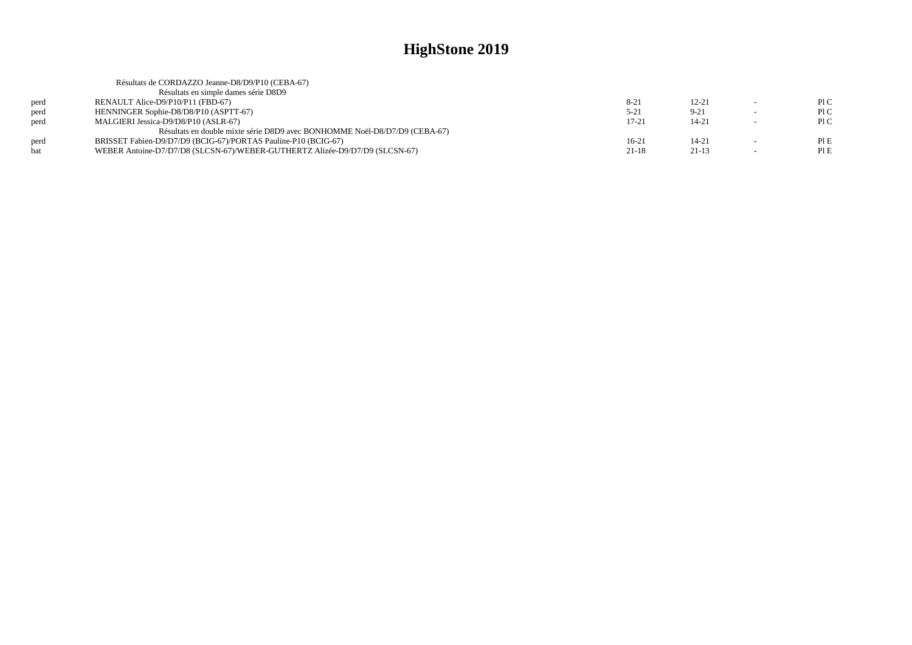|      | Résultats de CORDAZZO Jeanne-D8/D9/P10 (CEBA-67)                            |           |           |                          |      |
|------|-----------------------------------------------------------------------------|-----------|-----------|--------------------------|------|
|      | Résultats en simple dames série D8D9                                        |           |           |                          |      |
| perd | RENAULT Alice-D9/P10/P11 (FBD-67)                                           | $8 - 21$  | $12 - 21$ |                          | P1C  |
| perd | HENNINGER Sophie-D8/D8/P10 (ASPTT-67)                                       | $5 - 21$  | $9 - 21$  | $\overline{\phantom{a}}$ | P1C  |
| perd | MALGIERI Jessica-D9/D8/P10 (ASLR-67)                                        | $17 - 21$ | $14 - 21$ |                          | P1C  |
|      | Résultats en double mixte série D8D9 avec BONHOMME Noël-D8/D7/D9 (CEBA-67)  |           |           |                          |      |
| perd | BRISSET Fabien-D9/D7/D9 (BCIG-67)/PORTAS Pauline-P10 (BCIG-67)              | $16-21$   | $14 - 21$ |                          | PIE  |
|      | WEBER Antoine-D7/D7/D8 (SLCSN-67)/WEBER-GUTHERTZ Alizée-D9/D7/D9 (SLCSN-67) | 21-18     | $21-13$   |                          | PI E |
|      |                                                                             |           |           |                          |      |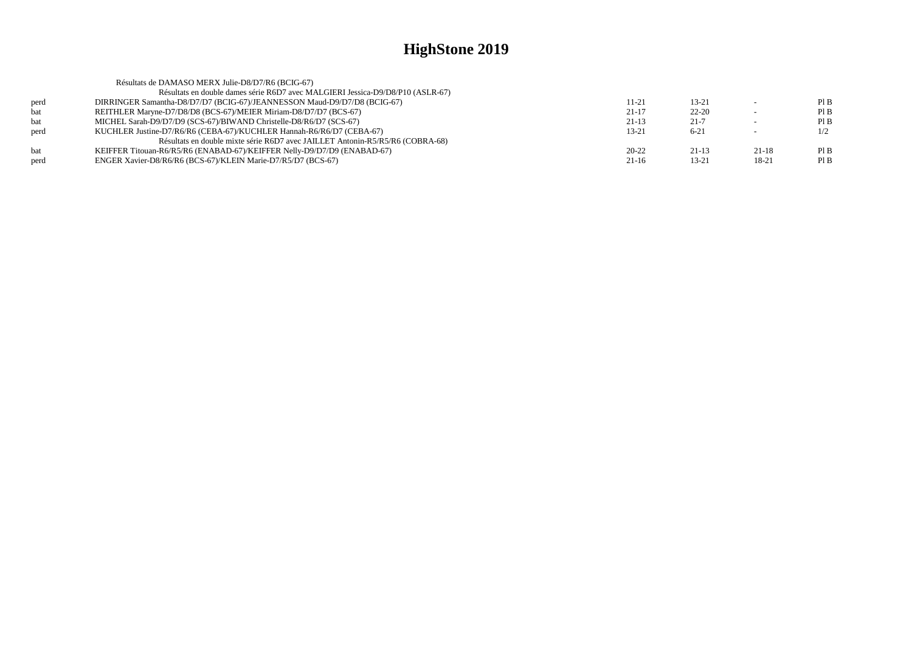|      | Résultats de DAMASO MERX Julie-D8/D7/R6 (BCIG-67)                              |           |           |                          |      |
|------|--------------------------------------------------------------------------------|-----------|-----------|--------------------------|------|
|      | Résultats en double dames série R6D7 avec MALGIERI Jessica-D9/D8/P10 (ASLR-67) |           |           |                          |      |
| perd | DIRRINGER Samantha-D8/D7/D7 (BCIG-67)/JEANNESSON Maud-D9/D7/D8 (BCIG-67)       | 11-21     | $13 - 21$ |                          | PIB  |
| bat  | REITHLER Maryne-D7/D8/D8 (BCS-67)/MEIER Miriam-D8/D7/D7 (BCS-67)               | $21 - 17$ | $22 - 20$ | $\overline{\phantom{0}}$ | PIB  |
| bat  | MICHEL Sarah-D9/D7/D9 (SCS-67)/BIWAND Christelle-D8/R6/D7 (SCS-67)             | $21-13$   | $21 - 7$  |                          | PIB  |
| perd | KUCHLER Justine-D7/R6/R6 (CEBA-67)/KUCHLER Hannah-R6/R6/D7 (CEBA-67)           | $13 - 21$ | $6 - 21$  | $\overline{\phantom{0}}$ | 1/2  |
|      | Résultats en double mixte série R6D7 avec JAILLET Antonin-R5/R5/R6 (COBRA-68)  |           |           |                          |      |
| bat  | KEIFFER Titouan-R6/R5/R6 (ENABAD-67)/KEIFFER Nelly-D9/D7/D9 (ENABAD-67)        | $20 - 22$ | $21-13$   | $21-18$                  | PIB  |
| perd | ENGER Xavier-D8/R6/R6 (BCS-67)/KLEIN Marie-D7/R5/D7 (BCS-67)                   | $21-16$   | $13 - 21$ | 18-21                    | Pl B |
|      |                                                                                |           |           |                          |      |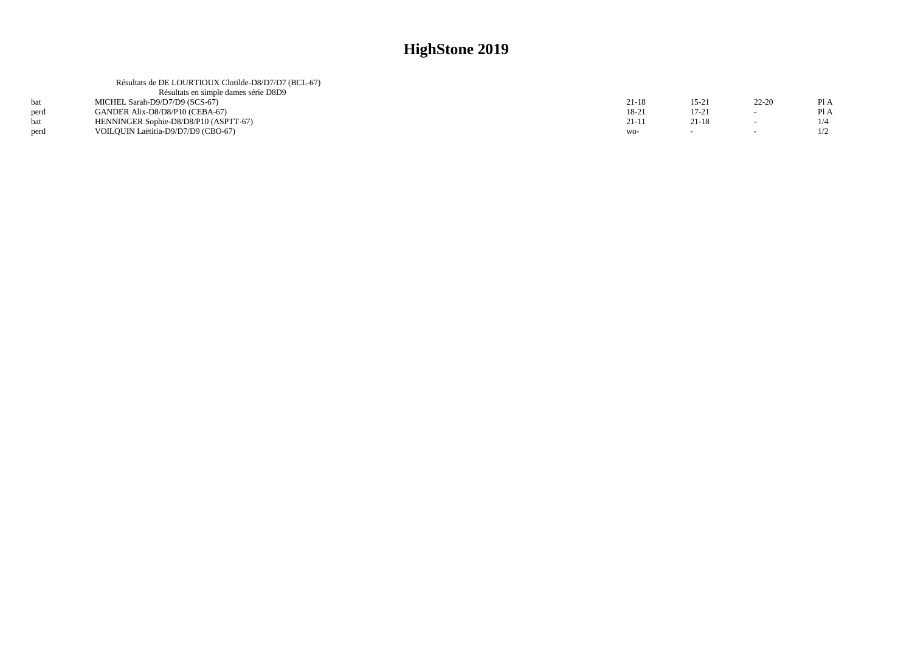|      | Résultats de DE LOURTIOUX Clotilde-D8/D7/D7 (BCL-67) |         |           |                          |      |
|------|------------------------------------------------------|---------|-----------|--------------------------|------|
|      | Résultats en simple dames série D8D9                 |         |           |                          |      |
| hat  | MICHEL Sarah-D9/D7/D9 (SCS-67)                       | $21-18$ | $15 - 21$ | $22 - 20$                | Pl A |
| perd | GANDER Alix-D8/D8/P10 (CEBA-67)                      | 18-21   | $17 - 21$ |                          | Pl A |
|      | HENNINGER Sophie-D8/D8/P10 (ASPTT-67)                | $21-11$ | $21 - 18$ | $\overline{\phantom{0}}$ | 1/4  |
| perd | VOILOUIN Laëtitia-D9/D7/D9 (CBO-67)                  | WO-     |           |                          | 1/2  |
|      |                                                      |         |           |                          |      |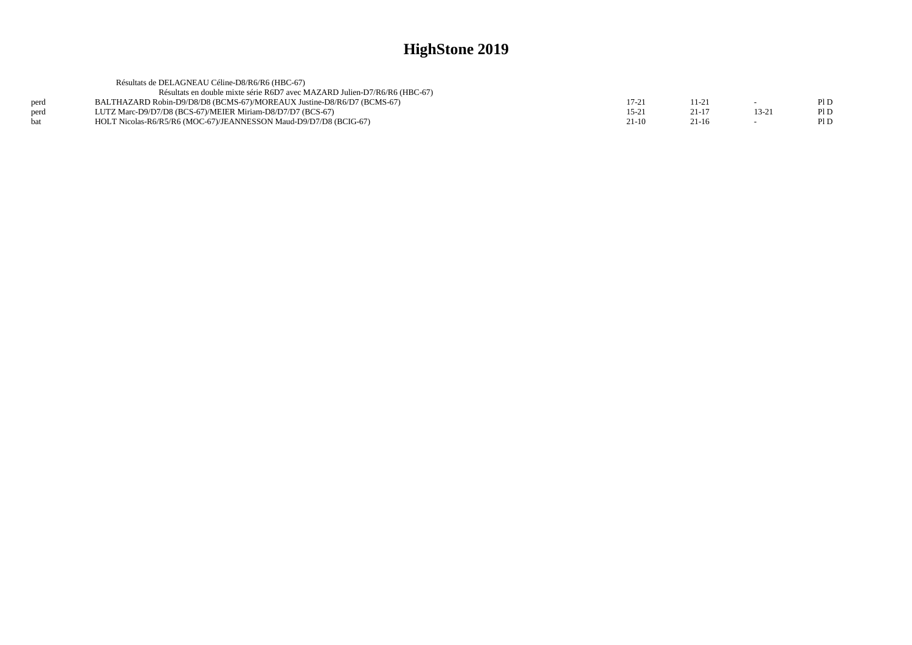|      | Résultats de DELAGNEAU Céline-D8/R6/R6 (HBC-67)                           |          |           |       |      |
|------|---------------------------------------------------------------------------|----------|-----------|-------|------|
|      | Résultats en double mixte série R6D7 avec MAZARD Julien-D7/R6/R6 (HBC-67) |          |           |       |      |
| perd | BALTHAZARD Robin-D9/D8/D8 (BCMS-67)/MOREAUX Justine-D8/R6/D7 (BCMS-67)    | $7 - 21$ | 11-21     |       | PI D |
| perd | LUTZ Marc-D9/D7/D8 (BCS-67)/MEIER Miriam-D8/D7/D7 (BCS-67)                | $15-21$  | $21 - 17$ | 13-21 | PI D |
| hat  | HOLT Nicolas-R6/R5/R6 (MOC-67)/JEANNESSON Maud-D9/D7/D8 (BCIG-67)         | $21-10$  | $21-16$   |       | PI D |
|      |                                                                           |          |           |       |      |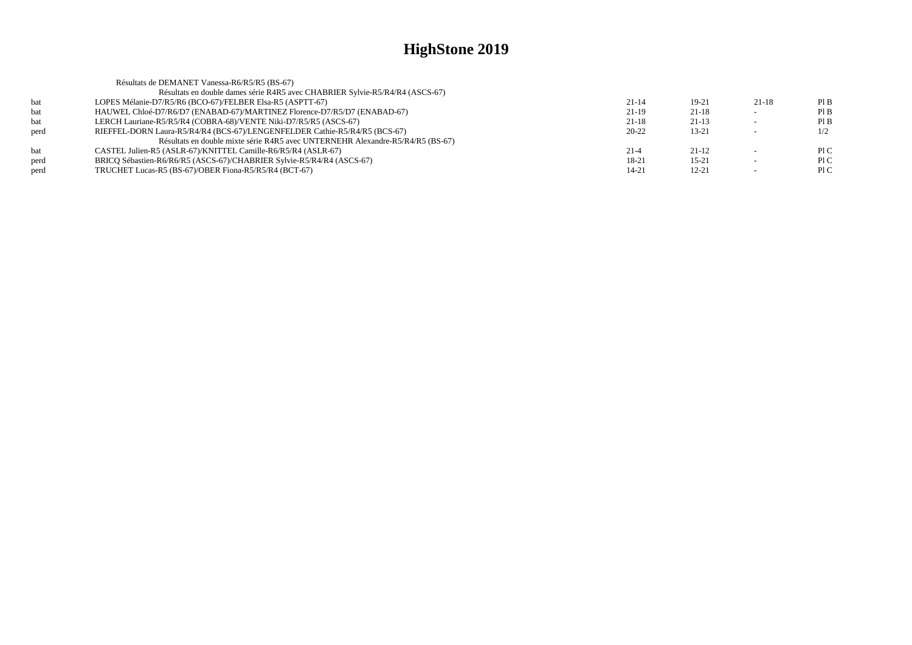|             | Résultats de DEMANET Vanessa-R6/R5/R5 (BS-67)                                  |           |           |                          |      |
|-------------|--------------------------------------------------------------------------------|-----------|-----------|--------------------------|------|
|             | Résultats en double dames série R4R5 avec CHABRIER Sylvie-R5/R4/R4 (ASCS-67)   |           |           |                          |      |
| bat         | LOPES Mélanie-D7/R5/R6 (BCO-67)/FELBER Elsa-R5 (ASPTT-67)                      | $21 - 14$ | $19-21$   | $21-18$                  | Pl B |
| bat         | HAUWEL Chloé-D7/R6/D7 (ENABAD-67)/MARTINEZ Florence-D7/R5/D7 (ENABAD-67)       | $21-19$   | $21-18$   | $\sim$                   | PIB  |
| bat         | LERCH Lauriane-R5/R5/R4 (COBRA-68)/VENTE Niki-D7/R5/R5 (ASCS-67)               | $21 - 18$ | $21-13$   |                          | PIB  |
| perd        | RIEFFEL-DORN Laura-R5/R4/R4 (BCS-67)/LENGENFELDER Cathie-R5/R4/R5 (BCS-67)     | $20 - 22$ | $13 - 21$ |                          | 1/2  |
|             | Résultats en double mixte série R4R5 avec UNTERNEHR Alexandre-R5/R4/R5 (BS-67) |           |           |                          |      |
| <b>b</b> at | CASTEL Julien-R5 (ASLR-67)/KNITTEL Camille-R6/R5/R4 (ASLR-67)                  | $21 - 4$  | $21-12$   |                          | PLC  |
| perd        | BRICO Sébastien-R6/R6/R5 (ASCS-67)/CHABRIER Sylvie-R5/R4/R4 (ASCS-67)          | 18-21     | $15 - 21$ | $\overline{\phantom{0}}$ | P1C  |
| perd        | TRUCHET Lucas-R5 (BS-67)/OBER Fiona-R5/R5/R4 (BCT-67)                          | 14-21     | $12 - 21$ |                          | P1C  |
|             |                                                                                |           |           |                          |      |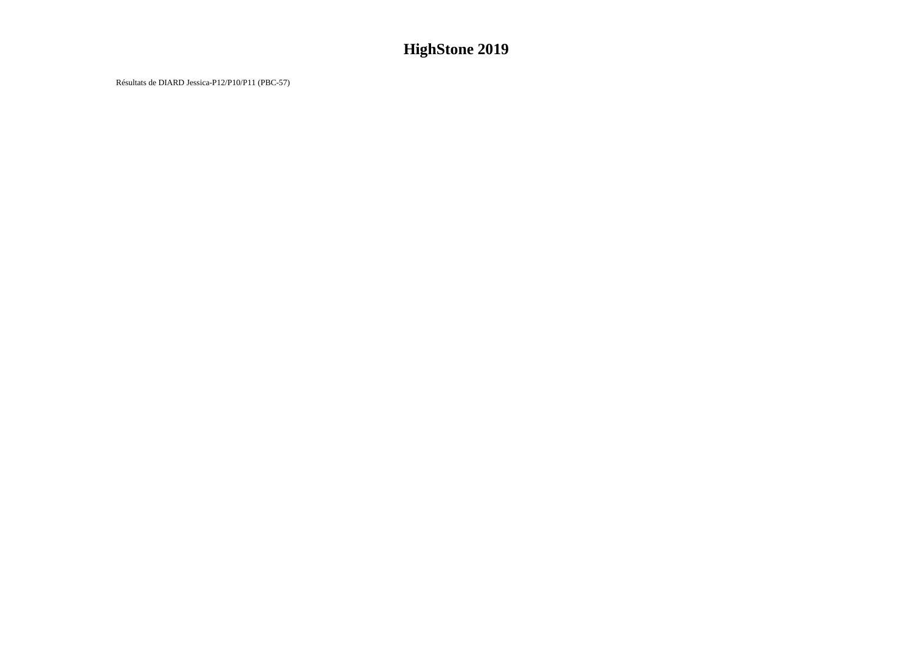Résultats de DIARD Jessica-P12/P10/P11 (PBC-57)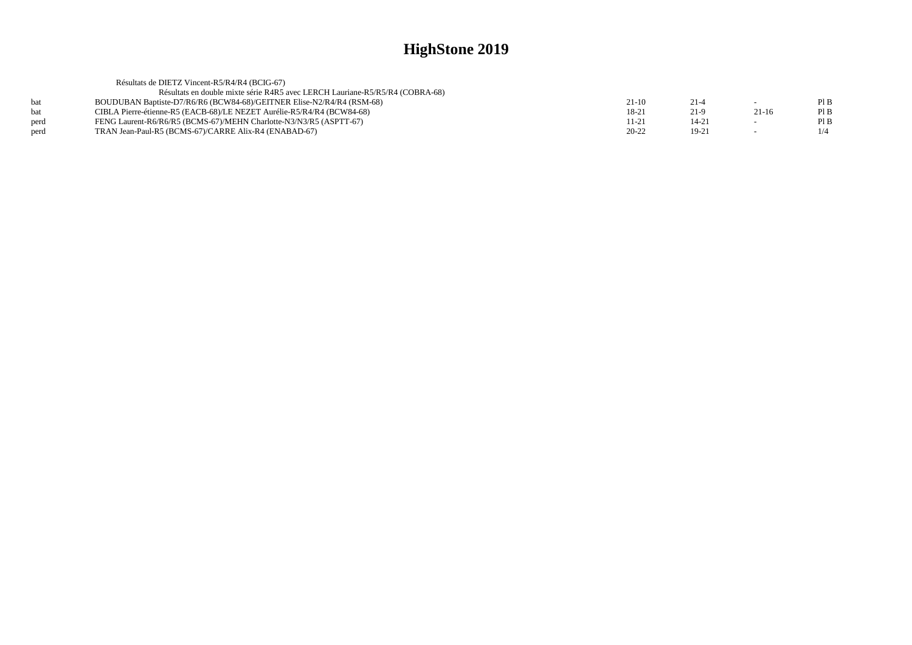|      | Résultats de DIETZ Vincent-R5/R4/R4 (BCIG-67)                                |           |           |        |      |
|------|------------------------------------------------------------------------------|-----------|-----------|--------|------|
|      | Résultats en double mixte série R4R5 avec LERCH Lauriane-R5/R5/R4 (COBRA-68) |           |           |        |      |
|      | BOUDUBAN Baptiste-D7/R6/R6 (BCW84-68)/GEITNER Elise-N2/R4/R4 (RSM-68)        | $21-10$   | $21 - 4$  | $\sim$ | Pl B |
|      | CIBLA Pierre-étienne-R5 (EACB-68)/LE NEZET Aurélie-R5/R4/R4 (BCW84-68)       | 18-21     | $21-9$    | 21-16  | PI B |
| perd | FENG Laurent-R6/R6/R5 (BCMS-67)/MEHN Charlotte-N3/N3/R5 (ASPTT-67)           | 11-21     | $14 - 21$ |        | Pl B |
| perd | TRAN Jean-Paul-R5 (BCMS-67)/CARRE Alix-R4 (ENABAD-67)                        | $20 - 22$ | $19-21$   |        | 1/4  |
|      |                                                                              |           |           |        |      |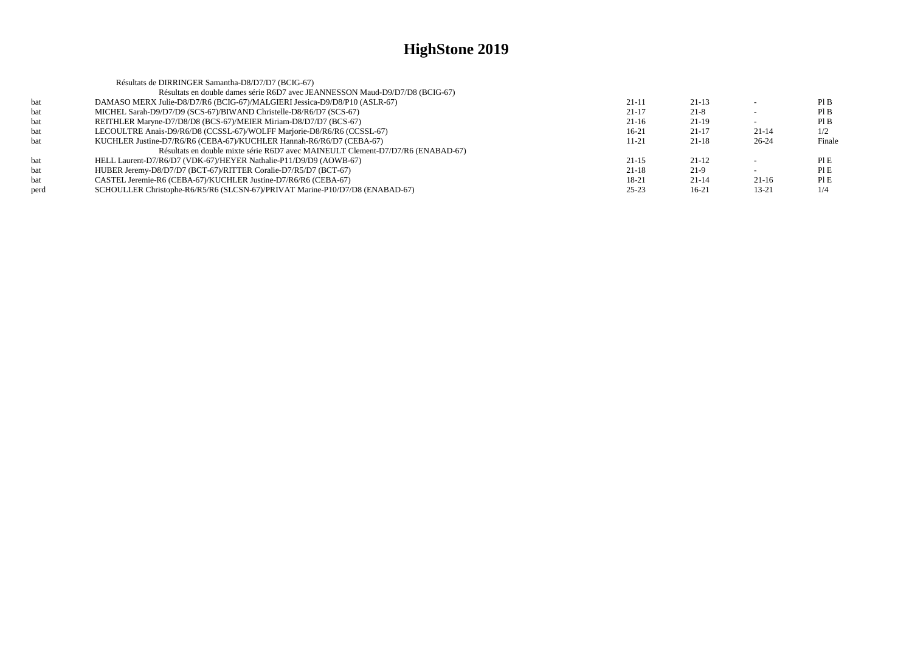| Résultats de DIRRINGER Samantha-D8/D7/D7 (BCIG-67)                              |           |           |           |        |
|---------------------------------------------------------------------------------|-----------|-----------|-----------|--------|
| Résultats en double dames série R6D7 avec JEANNESSON Maud-D9/D7/D8 (BCIG-67)    |           |           |           |        |
| DAMASO MERX Julie-D8/D7/R6 (BCIG-67)/MALGIERI Jessica-D9/D8/P10 (ASLR-67)       | 21-11     | $21-13$   |           | PIB    |
| MICHEL Sarah-D9/D7/D9 (SCS-67)/BIWAND Christelle-D8/R6/D7 (SCS-67)              | $21 - 17$ | $21 - 8$  |           | PIB    |
| REITHLER Maryne-D7/D8/D8 (BCS-67)/MEIER Miriam-D8/D7/D7 (BCS-67)                | $21-16$   | $21-19$   |           | PIB    |
| LECOULTRE Anais-D9/R6/D8 (CCSSL-67)/WOLFF Marjorie-D8/R6/R6 (CCSSL-67)          | $16-21$   | $21-17$   | $21-14$   | 1/2    |
| KUCHLER Justine-D7/R6/R6 (CEBA-67)/KUCHLER Hannah-R6/R6/D7 (CEBA-67)            | 11-21     | $21 - 18$ | $26 - 24$ | Finale |
| Résultats en double mixte série R6D7 avec MAINEULT Clement-D7/D7/R6 (ENABAD-67) |           |           |           |        |
| HELL Laurent-D7/R6/D7 (VDK-67)/HEYER Nathalie-P11/D9/D9 (AOWB-67)               | $21 - 15$ | $21-12$   |           | PIE    |
| HUBER Jeremy-D8/D7/D7 (BCT-67)/RITTER Coralie-D7/R5/D7 (BCT-67)                 | 21-18     | $21-9$    |           | PIE    |
| CASTEL Jeremie-R6 (CEBA-67)/KUCHLER Justine-D7/R6/R6 (CEBA-67)                  | 18-21     | $21 - 14$ | $21-16$   | PIE    |
| SCHOULLER Christophe-R6/R5/R6 (SLCSN-67)/PRIVAT Marine-P10/D7/D8 (ENABAD-67)    | $25 - 23$ | $16-21$   | $13 - 21$ | 1/4    |
|                                                                                 |           |           |           |        |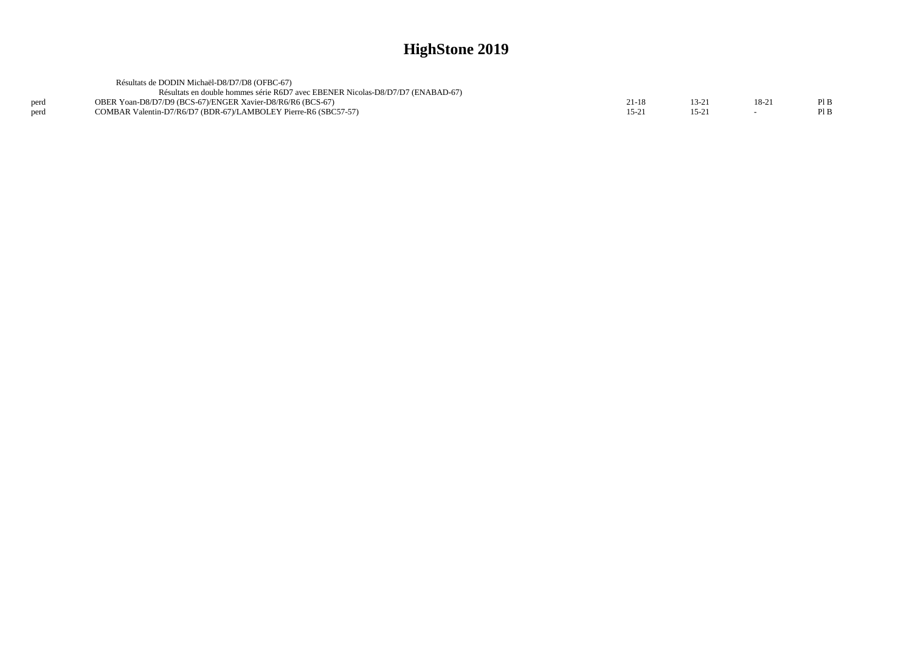|      | Résultats de DODIN Michaël-D8/D7/D8 (OFBC-67)                                  |           |        |         |      |
|------|--------------------------------------------------------------------------------|-----------|--------|---------|------|
|      | Résultats en double hommes série R6D7 avec EBENER Nicolas-D8/D7/D7 (ENABAD-67) |           |        |         |      |
| perd | OBER Yoan-D8/D7/D9 (BCS-67)/ENGER Xavier-D8/R6/R6 (BCS-67)                     | 21-18     | $13-2$ | $18-21$ | Pl B |
| nerd | COMBAR Valentin-D7/R6/D7 (BDR-67)/LAMBOLEY Pierre-R6 (SBC57-57)                | $15 - 21$ | $15-2$ |         | Pl B |
|      |                                                                                |           |        |         |      |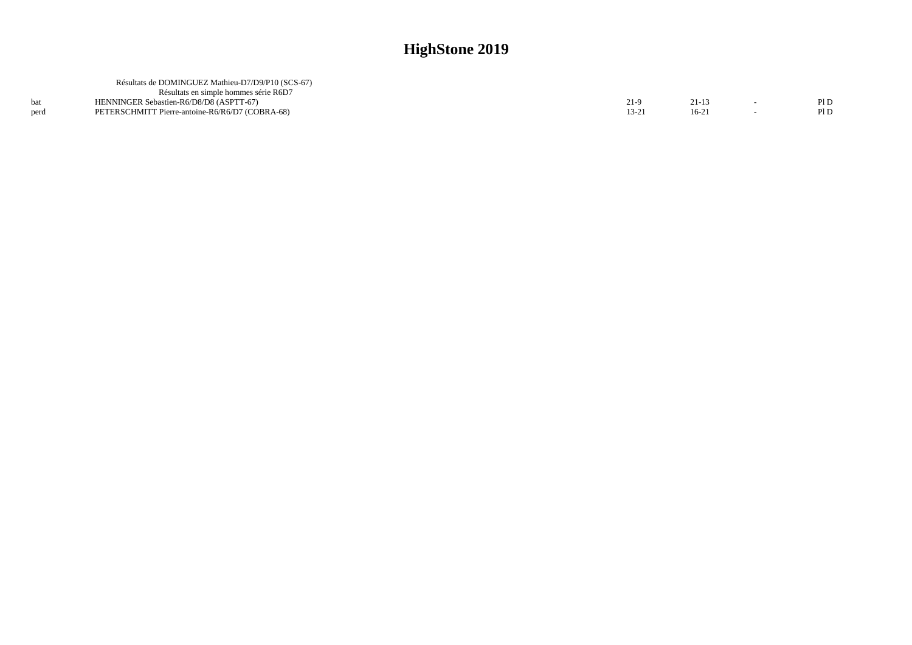| Résultats de DOMINGUEZ Mathieu-D7/D9/P10 (SCS-67) |  |      |
|---------------------------------------------------|--|------|
| Résultats en simple hommes série R6D7             |  |      |
| HENNINGER Sebastien-R6/D8/D8 (ASPTT-67)           |  | Pl D |
| PETERSCHMITT Pierre-antoine-R6/R6/D7 (COBRA-68)   |  | Pl D |
|                                                   |  |      |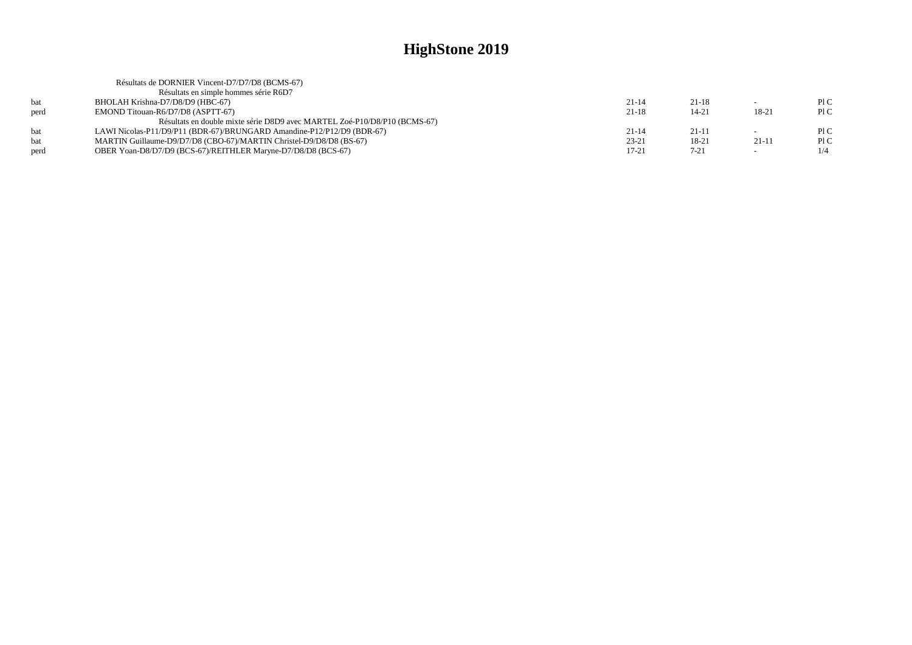|      | Résultats de DORNIER Vincent-D7/D7/D8 (BCMS-67)                           |           |           |        |     |
|------|---------------------------------------------------------------------------|-----------|-----------|--------|-----|
|      | Résultats en simple hommes série R6D7                                     |           |           |        |     |
| hat. | BHOLAH Krishna-D7/D8/D9 (HBC-67)                                          | $21 - 14$ | $21 - 18$ | $\sim$ | P1C |
| perd | EMOND Titouan-R6/D7/D8 (ASPTT-67)                                         | $21-18$   | $14 - 21$ | 18-21  | P1C |
|      | Résultats en double mixte série D8D9 avec MARTEL Zoé-P10/D8/P10 (BCMS-67) |           |           |        |     |
| hat  | LAWI Nicolas-P11/D9/P11 (BDR-67)/BRUNGARD Amandine-P12/P12/D9 (BDR-67)    | $21 - 14$ | $21-11$   |        | P1C |
| hat. | MARTIN Guillaume-D9/D7/D8 (CBO-67)/MARTIN Christel-D9/D8/D8 (BS-67)       | $23 - 21$ | 18-21     | 21-11  | P1C |
| perd | OBER Yoan-D8/D7/D9 (BCS-67)/REITHLER Maryne-D7/D8/D8 (BCS-67)             | $17 - 21$ | $7 - 21$  | $\sim$ |     |
|      |                                                                           |           |           |        |     |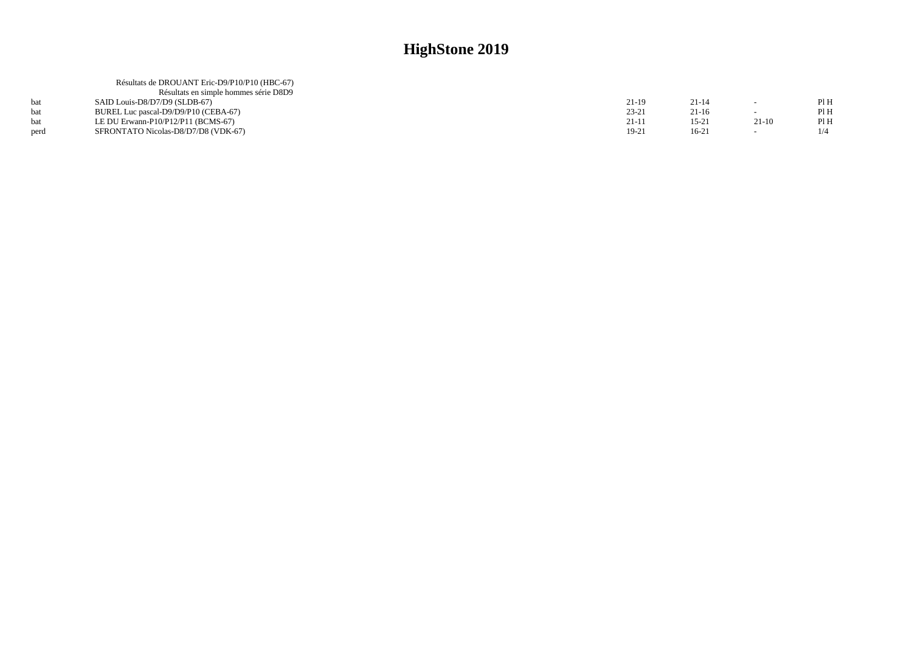|      | Résultats de DROUANT Eric-D9/P10/P10 (HBC-67) |           |           |         |      |
|------|-----------------------------------------------|-----------|-----------|---------|------|
|      | Résultats en simple hommes série D8D9         |           |           |         |      |
|      | SAID Louis-D8/D7/D9 (SLDB-67)                 | 21-19     | $21 - 14$ | $\sim$  | Pl H |
|      | BUREL Luc pascal-D9/D9/P10 (CEBA-67)          | $23 - 21$ | $21-16$   |         | Pl H |
|      | LE DU Erwann-P10/P12/P11 (BCMS-67)            | $21-11$   | $15 - 21$ | $21-10$ | PIH  |
| perd | SFRONTATO Nicolas-D8/D7/D8 (VDK-67)           | $19-21$   | $16-21$   |         |      |
|      |                                               |           |           |         |      |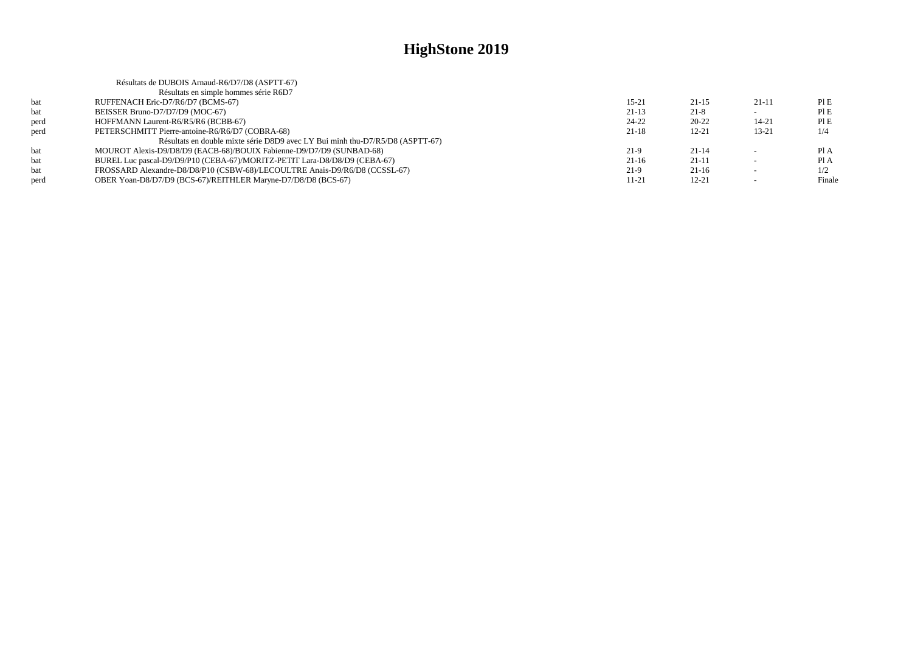|      | Résultats de DUBOIS Arnaud-R6/D7/D8 (ASPTT-67)                                |           |           |                          |        |
|------|-------------------------------------------------------------------------------|-----------|-----------|--------------------------|--------|
|      | Résultats en simple hommes série R6D7                                         |           |           |                          |        |
| bat  | RUFFENACH Eric-D7/R6/D7 (BCMS-67)                                             | 15-21     | $21 - 15$ | $21-11$                  | PI E   |
| bat  | BEISSER Bruno-D7/D7/D9 (MOC-67)                                               | $21-13$   | $21 - 8$  |                          | PIE    |
| perd | HOFFMANN Laurent-R6/R5/R6 (BCBB-67)                                           | $24 - 22$ | $20 - 22$ | $14 - 21$                | PIE    |
| perd | PETERSCHMITT Pierre-antoine-R6/R6/D7 (COBRA-68)                               | $21-18$   | $12 - 21$ | $13 - 21$                | 1/4    |
|      | Résultats en double mixte série D8D9 avec LY Bui minh thu-D7/R5/D8 (ASPTT-67) |           |           |                          |        |
| bat  | MOUROT Alexis-D9/D8/D9 (EACB-68)/BOUIX Fabienne-D9/D7/D9 (SUNBAD-68)          | $21-9$    | $21-14$   |                          | Pl A   |
| bat  | BUREL Luc pascal-D9/D9/P10 (CEBA-67)/MORITZ-PETIT Lara-D8/D8/D9 (CEBA-67)     | $21-16$   | $21-11$   | $\overline{\phantom{0}}$ | PIA    |
| bat  | FROSSARD Alexandre-D8/D8/P10 (CSBW-68)/LECOULTRE Anais-D9/R6/D8 (CCSSL-67)    | $21-9$    | $21-16$   |                          | 1/2    |
| perd | OBER Yoan-D8/D7/D9 (BCS-67)/REITHLER Maryne-D7/D8/D8 (BCS-67)                 | 11-21     | $12 - 21$ |                          | Finale |
|      |                                                                               |           |           |                          |        |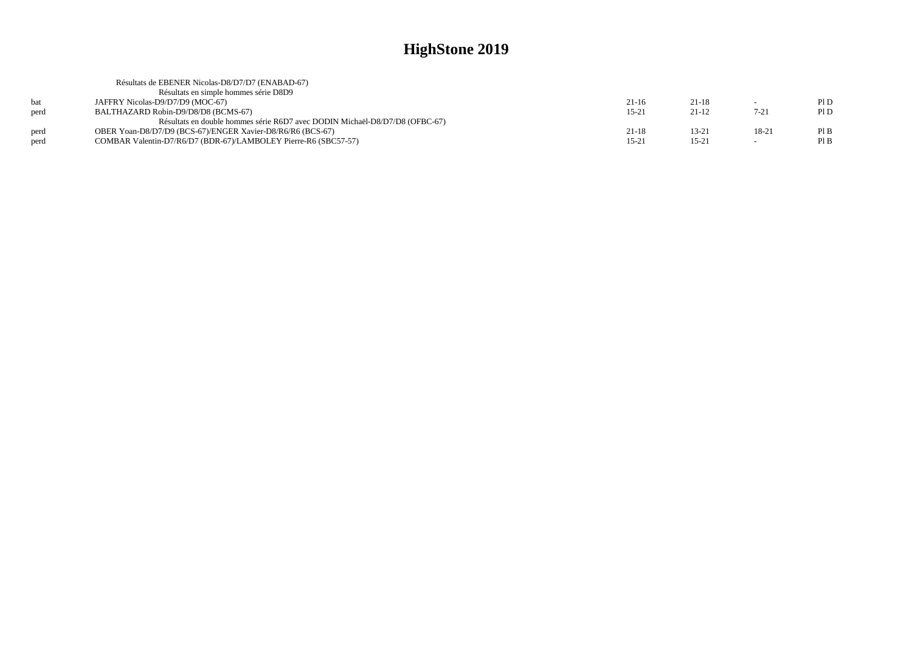|      | Résultats de EBENER Nicolas-D8/D7/D7 (ENABAD-67)                            |           |           |                          |      |
|------|-----------------------------------------------------------------------------|-----------|-----------|--------------------------|------|
|      | Résultats en simple hommes série D8D9                                       |           |           |                          |      |
| hat  | JAFFRY Nicolas-D9/D7/D9 (MOC-67)                                            | $21-16$   | 21-18     |                          | P1D  |
| perd | BALTHAZARD Robin-D9/D8/D8 (BCMS-67)                                         | $15 - 21$ | $21-12$   | $7 - 21$                 | P1D  |
|      | Résultats en double hommes série R6D7 avec DODIN Michaël-D8/D7/D8 (OFBC-67) |           |           |                          |      |
| perd | OBER Yoan-D8/D7/D9 (BCS-67)/ENGER Xavier-D8/R6/R6 (BCS-67)                  | 21-18     | 13-21     | 18-21                    | Pl B |
| perd | COMBAR Valentin-D7/R6/D7 (BDR-67)/LAMBOLEY Pierre-R6 (SBC57-57)             | $15 - 21$ | $15 - 21$ | $\overline{\phantom{0}}$ | PIB  |
|      |                                                                             |           |           |                          |      |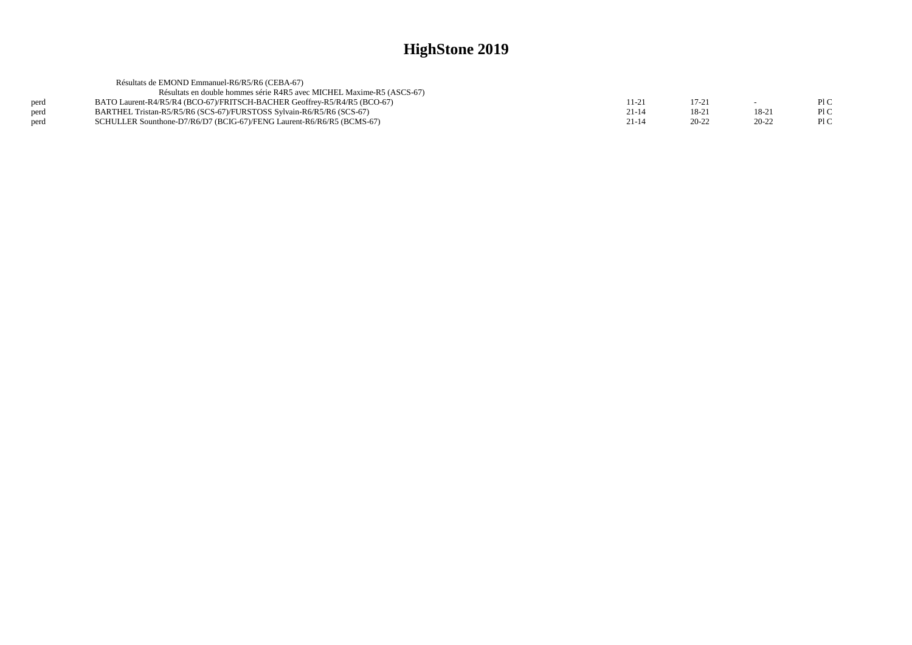|      | Résultats de EMOND Emmanuel-R6/R5/R6 (CEBA-67)                           |           |           |           |     |
|------|--------------------------------------------------------------------------|-----------|-----------|-----------|-----|
|      | Résultats en double hommes série R4R5 avec MICHEL Maxime-R5 (ASCS-67)    |           |           |           |     |
| perd | BATO Laurent-R4/R5/R4 (BCO-67)/FRITSCH-BACHER Geoffrey-R5/R4/R5 (BCO-67) | 11-21     | $17 - 21$ | $\sim$    | P1C |
| perd | BARTHEL Tristan-R5/R5/R6 (SCS-67)/FURSTOSS Sylvain-R6/R5/R6 (SCS-67)     | $21 - 14$ | 18-21     | $18-2$    | PIC |
| perd | SCHULLER Sounthone-D7/R6/D7 (BCIG-67)/FENG Laurent-R6/R6/R5 (BCMS-67)    | $21 - 14$ | $20 - 22$ | $20 - 22$ | P1C |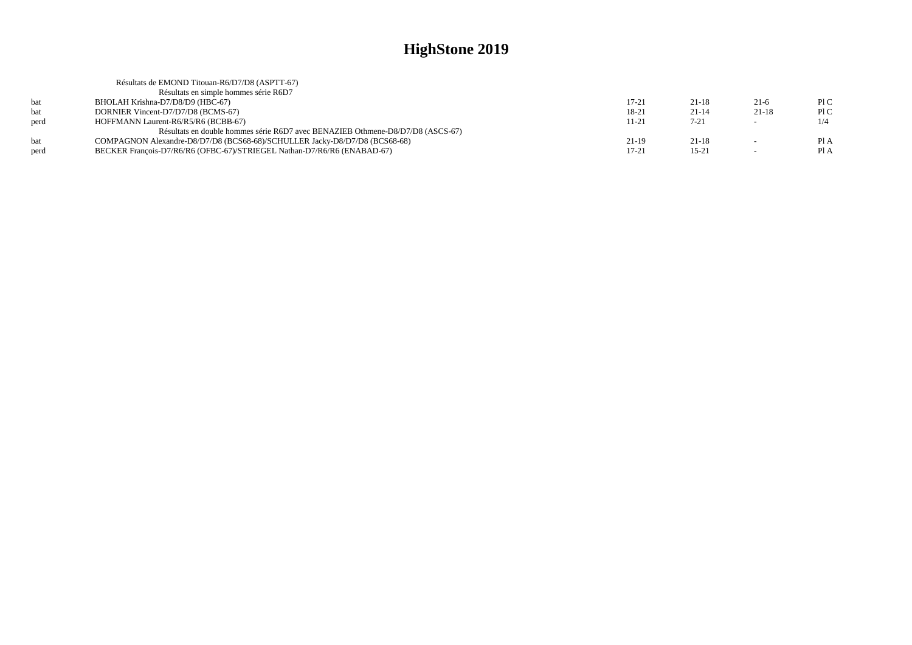|      | Résultats de EMOND Titouan-R6/D7/D8 (ASPTT-67)                                 |           |           |        |      |
|------|--------------------------------------------------------------------------------|-----------|-----------|--------|------|
|      | Résultats en simple hommes série R6D7                                          |           |           |        |      |
| bat  | BHOLAH Krishna-D7/D8/D9 (HBC-67)                                               | 17-21     | 21-18     | $21-6$ | P1C  |
| hat  | DORNIER Vincent-D7/D7/D8 (BCMS-67)                                             | 18-21     | $21 - 14$ | 21-18  | P1C  |
| perd | HOFFMANN Laurent-R6/R5/R6 (BCBB-67)                                            | 11-21     | $7 - 21$  |        | 1/4  |
|      | Résultats en double hommes série R6D7 avec BENAZIEB Othmene-D8/D7/D8 (ASCS-67) |           |           |        |      |
| hat  | COMPAGNON Alexandre-D8/D7/D8 (BCS68-68)/SCHULLER Jacky-D8/D7/D8 (BCS68-68)     | 21-19     | $21-18$   |        | Pl A |
| perd | BECKER Francois-D7/R6/R6 (OFBC-67)/STRIEGEL Nathan-D7/R6/R6 (ENABAD-67)        | $17 - 21$ | $15 - 21$ | $\sim$ | Pl A |
|      |                                                                                |           |           |        |      |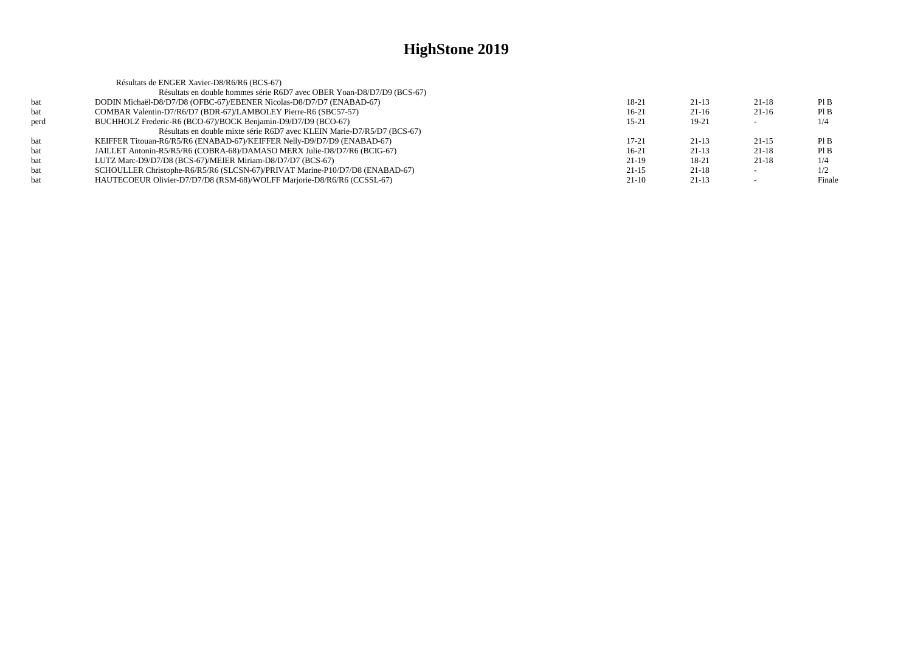|      | Résultats de ENGER Xavier-D8/R6/R6 (BCS-67)                                  |           |         |           |        |
|------|------------------------------------------------------------------------------|-----------|---------|-----------|--------|
|      | Résultats en double hommes série R6D7 avec OBER Yoan-D8/D7/D9 (BCS-67)       |           |         |           |        |
| bat  | DODIN Michaël-D8/D7/D8 (OFBC-67)/EBENER Nicolas-D8/D7/D7 (ENABAD-67)         | 18-21     | $21-13$ | $21-18$   | PI B   |
| bat  | COMBAR Valentin-D7/R6/D7 (BDR-67)/LAMBOLEY Pierre-R6 (SBC57-57)              | $16-21$   | $21-16$ | $21-16$   | PIB    |
| perd | BUCHHOLZ Frederic-R6 (BCO-67)/BOCK Benjamin-D9/D7/D9 (BCO-67)                | $15-21$   | 19-21   |           | 1/4    |
|      | Résultats en double mixte série R6D7 avec KLEIN Marie-D7/R5/D7 (BCS-67)      |           |         |           |        |
| bat  | KEIFFER Titouan-R6/R5/R6 (ENABAD-67)/KEIFFER Nelly-D9/D7/D9 (ENABAD-67)      | $17 - 21$ | $21-13$ | $21 - 15$ | Pl B   |
| bat  | JAILLET Antonin-R5/R5/R6 (COBRA-68)/DAMASO MERX Julie-D8/D7/R6 (BCIG-67)     | $16-21$   | $21-13$ | $21-18$   | PIB    |
| bat  | LUTZ Marc-D9/D7/D8 (BCS-67)/MEIER Miriam-D8/D7/D7 (BCS-67)                   | $21-19$   | 18-21   | $21 - 18$ | 1/4    |
| bat  | SCHOULLER Christophe-R6/R5/R6 (SLCSN-67)/PRIVAT Marine-P10/D7/D8 (ENABAD-67) | $21-15$   | $21-18$ |           | 1/2    |
| bat  | HAUTECOEUR Olivier-D7/D7/D8 (RSM-68)/WOLFF Marjorie-D8/R6/R6 (CCSSL-67)      | $21-10$   | $21-13$ |           | Finale |
|      |                                                                              |           |         |           |        |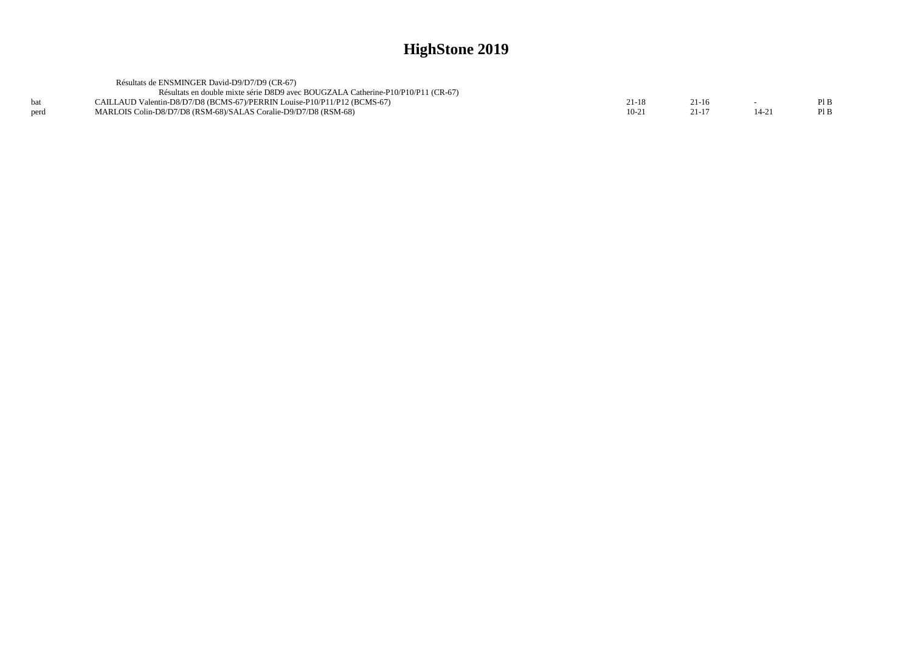|      | Résultats de ENSMINGER David-D9/D7/D9 (CR-67)                                    |         |       |  |
|------|----------------------------------------------------------------------------------|---------|-------|--|
|      | Résultats en double mixte série D8D9 avec BOUGZALA Catherine-P10/P10/P11 (CR-67) |         |       |  |
|      | CAILLAUD Valentin-D8/D7/D8 (BCMS-67)/PERRIN Louise-P10/P11/P12 (BCMS-67)         | 21-18   | 21-16 |  |
| perd | MARLOIS Colin-D8/D7/D8 (RSM-68)/SALAS Coralie-D9/D7/D8 (RSM-68)                  | $10-21$ |       |  |
|      |                                                                                  |         |       |  |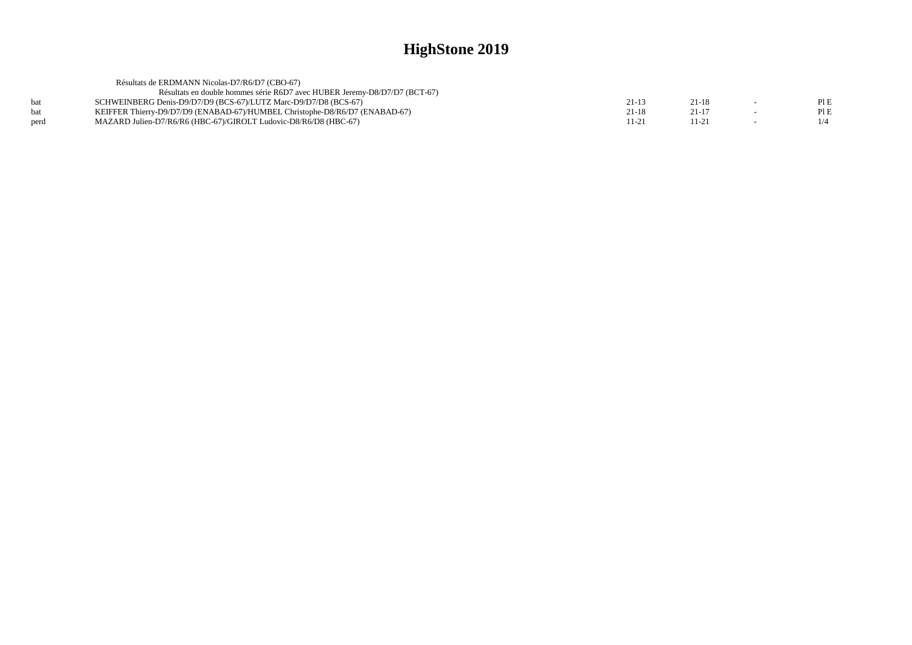|      | Résultats de ERDMANN Nicolas-D7/R6/D7 (CBO-67)                              |           |       |     |
|------|-----------------------------------------------------------------------------|-----------|-------|-----|
|      | Résultats en double hommes série R6D7 avec HUBER Jeremy-D8/D7/D7 (BCT-67)   |           |       |     |
| bat  | SCHWEINBERG Denis-D9/D7/D9 (BCS-67)/LUTZ Marc-D9/D7/D8 (BCS-67)             | $21 - 13$ | 21-18 | PIE |
| bat  | KEIFFER Thierry-D9/D7/D9 (ENABAD-67)/HUMBEL Christophe-D8/R6/D7 (ENABAD-67) | $21 - 18$ | 21-17 | PIE |
| perd | MAZARD Julien-D7/R6/R6 (HBC-67)/GIROLT Ludovic-D8/R6/D8 (HBC-67)            | 11-21     |       |     |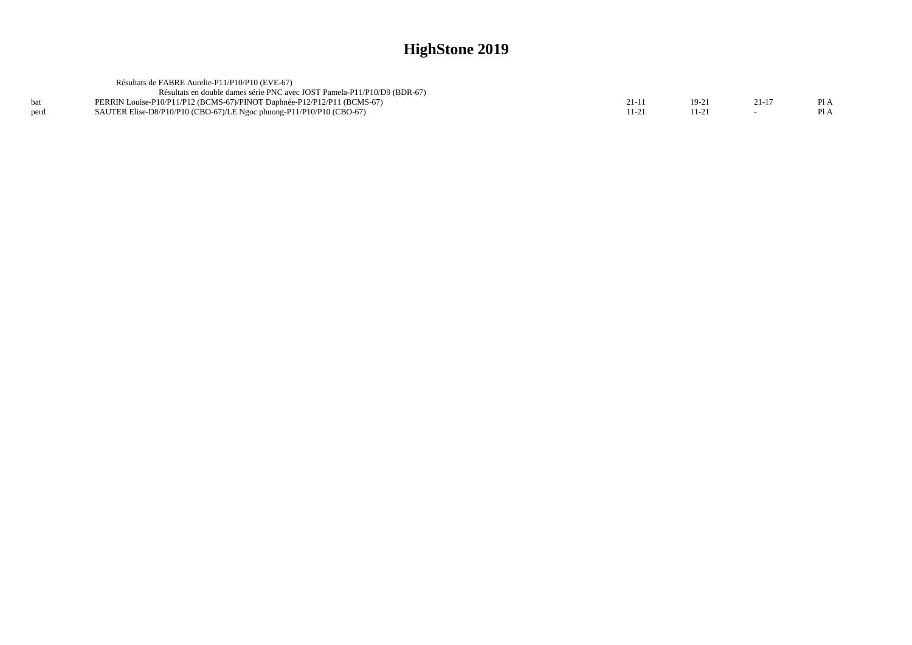|      | Résultats de FABRE Aurelie-P11/P10/P10 (EVE-67)                          |       |           |  |
|------|--------------------------------------------------------------------------|-------|-----------|--|
|      | Résultats en double dames série PNC avec JOST Pamela-P11/P10/D9 (BDR-67) |       |           |  |
|      | PERRIN Louise-P10/P11/P12 (BCMS-67)/PINOT Daphnée-P12/P12/P11 (BCMS-67)  | 21-11 | $21 - 17$ |  |
| perd | SAUTER Elise-D8/P10/P10 (CBO-67)/LE Ngoc phuong-P11/P10/P10 (CBO-67)     |       |           |  |
|      |                                                                          |       |           |  |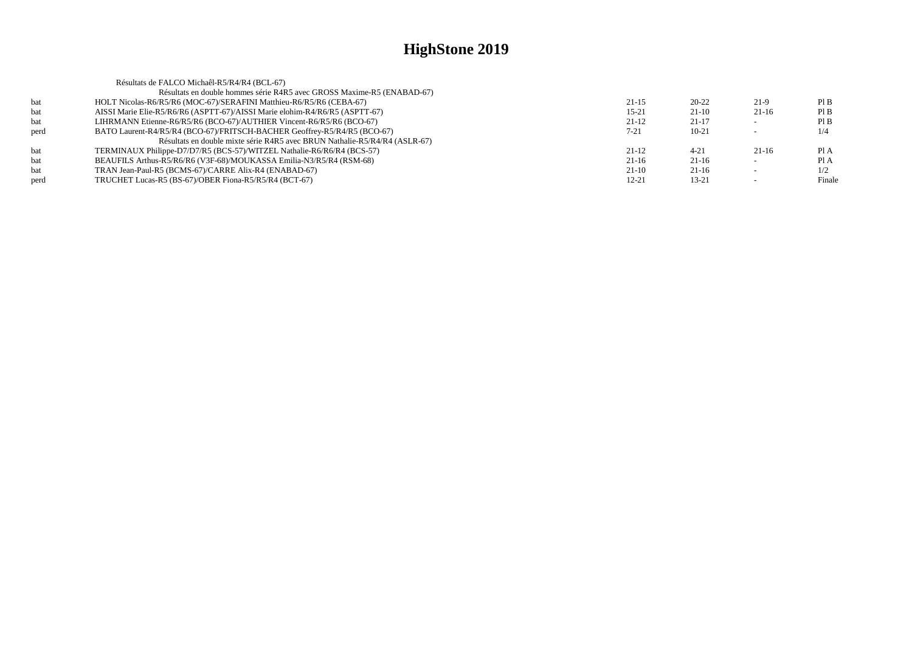|      | Résultats de FALCO Michaêl-R5/R4/R4 (BCL-67)                                |           |           |         |        |
|------|-----------------------------------------------------------------------------|-----------|-----------|---------|--------|
|      | Résultats en double hommes série R4R5 avec GROSS Maxime-R5 (ENABAD-67)      |           |           |         |        |
| bat  | HOLT Nicolas-R6/R5/R6 (MOC-67)/SERAFINI Matthieu-R6/R5/R6 (CEBA-67)         | $21-15$   | $20 - 22$ | $21-9$  | PIB    |
| bat  | AISSI Marie Elie-R5/R6/R6 (ASPTT-67)/AISSI Marie elohim-R4/R6/R5 (ASPTT-67) | $15 - 21$ | $21-10$   | $21-16$ | PIB    |
| bat  | LIHRMANN Etienne-R6/R5/R6 (BCO-67)/AUTHIER Vincent-R6/R5/R6 (BCO-67)        | $21-12$   | $21 - 17$ |         | PIB    |
| perd | BATO Laurent-R4/R5/R4 (BCO-67)/FRITSCH-BACHER Geoffrey-R5/R4/R5 (BCO-67)    | $7 - 21$  | $10 - 21$ |         | 1/4    |
|      | Résultats en double mixte série R4R5 avec BRUN Nathalie-R5/R4/R4 (ASLR-67)  |           |           |         |        |
| bat  | TERMINAUX Philippe-D7/D7/R5 (BCS-57)/WITZEL Nathalie-R6/R6/R4 (BCS-57)      | $21-12$   | $4 - 21$  | $21-16$ | Pl A   |
| bat  | BEAUFILS Arthus-R5/R6/R6 (V3F-68)/MOUKASSA Emilia-N3/R5/R4 (RSM-68)         | $21-16$   | $21-16$   |         | PIA    |
| bat  | TRAN Jean-Paul-R5 (BCMS-67)/CARRE Alix-R4 (ENABAD-67)                       | $21-10$   | $21-16$   |         | 1/2    |
| perd | TRUCHET Lucas-R5 (BS-67)/OBER Fiona-R5/R5/R4 (BCT-67)                       | 12-21     | $13 - 21$ |         | Finale |
|      |                                                                             |           |           |         |        |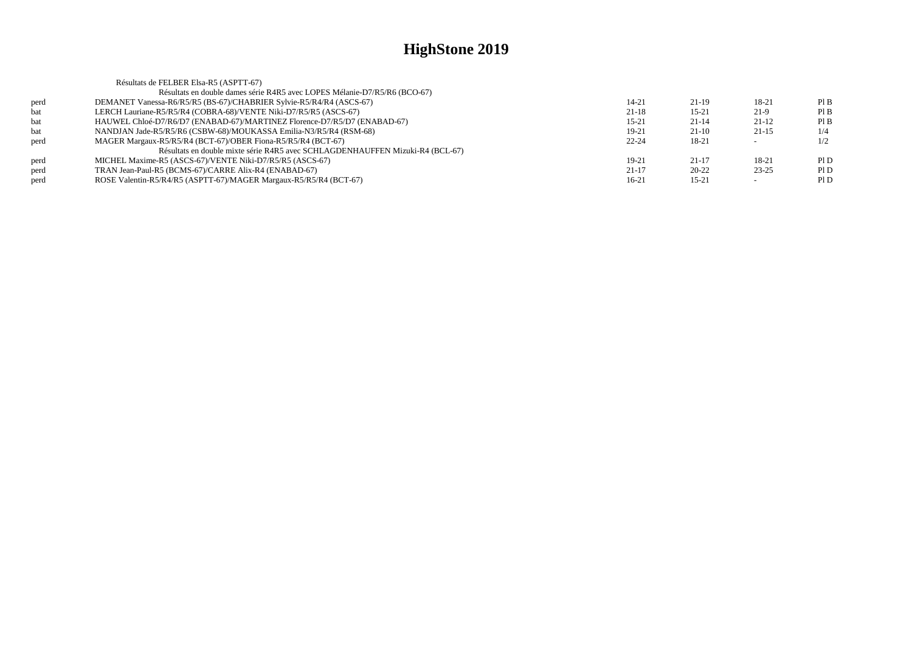|      | Résultats de FELBER Elsa-R5 (ASPTT-67)                                        |           |           |           |      |
|------|-------------------------------------------------------------------------------|-----------|-----------|-----------|------|
|      | Résultats en double dames série R4R5 avec LOPES Mélanie-D7/R5/R6 (BCO-67)     |           |           |           |      |
| perd | DEMANET Vanessa-R6/R5/R5 (BS-67)/CHABRIER Sylvie-R5/R4/R4 (ASCS-67)           | 14-21     | $21-19$   | 18-21     | PI B |
| bat  | LERCH Lauriane-R5/R5/R4 (COBRA-68)/VENTE Niki-D7/R5/R5 (ASCS-67)              | $21 - 18$ | $15 - 21$ | $21-9$    | PIB  |
| bat  | HAUWEL Chloé-D7/R6/D7 (ENABAD-67)/MARTINEZ Florence-D7/R5/D7 (ENABAD-67)      | $15 - 21$ | $21 - 14$ | $21-12$   | PIB  |
| bat  | NANDJAN Jade-R5/R5/R6 (CSBW-68)/MOUKASSA Emilia-N3/R5/R4 (RSM-68)             | $19-21$   | $21-10$   | $21-15$   | 1/4  |
| perd | MAGER Margaux-R5/R5/R4 (BCT-67)/OBER Fiona-R5/R5/R4 (BCT-67)                  | $22 - 24$ | 18-21     |           | 1/2  |
|      | Résultats en double mixte série R4R5 avec SCHLAGDENHAUFFEN Mizuki-R4 (BCL-67) |           |           |           |      |
| perd | MICHEL Maxime-R5 (ASCS-67)/VENTE Niki-D7/R5/R5 (ASCS-67)                      | 19-21     | $21 - 17$ | 18-21     | PID  |
| perd | TRAN Jean-Paul-R5 (BCMS-67)/CARRE Alix-R4 (ENABAD-67)                         | $21-17$   | $20 - 22$ | $23 - 25$ | P1D  |
| perd | ROSE Valentin-R5/R4/R5 (ASPTT-67)/MAGER Margaux-R5/R5/R4 (BCT-67)             | 16-21     | $15 - 21$ |           | P1D  |
|      |                                                                               |           |           |           |      |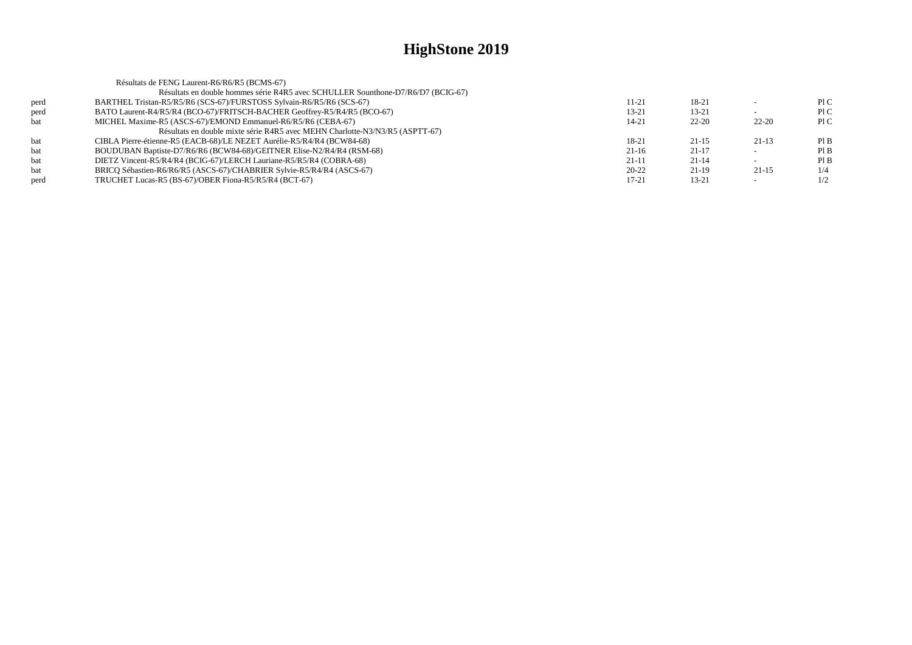| Résultats de FENG Laurent-R6/R6/R5 (BCMS-67)                                     |           |           |           |     |
|----------------------------------------------------------------------------------|-----------|-----------|-----------|-----|
| Résultats en double hommes série R4R5 avec SCHULLER Sounthone-D7/R6/D7 (BCIG-67) |           |           |           |     |
| BARTHEL Tristan-R5/R5/R6 (SCS-67)/FURSTOSS Sylvain-R6/R5/R6 (SCS-67)             | 11-21     | 18-21     |           | P1C |
| BATO Laurent-R4/R5/R4 (BCO-67)/FRITSCH-BACHER Geoffrey-R5/R4/R5 (BCO-67)         | 13-21     | $13 - 21$ |           | P1C |
| MICHEL Maxime-R5 (ASCS-67)/EMOND Emmanuel-R6/R5/R6 (CEBA-67)                     | 14-21     | $22 - 20$ | $22 - 20$ | P1C |
| Résultats en double mixte série R4R5 avec MEHN Charlotte-N3/N3/R5 (ASPTT-67)     |           |           |           |     |
| CIBLA Pierre-étienne-R5 (EACB-68)/LE NEZET Aurélie-R5/R4/R4 (BCW84-68)           | 18-21     | $21-15$   | $21-13$   | PIB |
| BOUDUBAN Baptiste-D7/R6/R6 (BCW84-68)/GEITNER Elise-N2/R4/R4 (RSM-68)            | $21-16$   | 21-17     |           | PIB |
| DIETZ Vincent-R5/R4/R4 (BCIG-67)/LERCH Lauriane-R5/R5/R4 (COBRA-68)              | $21-11$   | $21 - 14$ |           | PIB |
| BRICO Sébastien-R6/R6/R5 (ASCS-67)/CHABRIER Sylvie-R5/R4/R4 (ASCS-67)            | $20 - 22$ | $21-19$   | $21-15$   | 1/4 |
| TRUCHET Lucas-R5 (BS-67)/OBER Fiona-R5/R5/R4 (BCT-67)                            | 17-21     | $13 - 21$ |           | 1/2 |
|                                                                                  |           |           |           |     |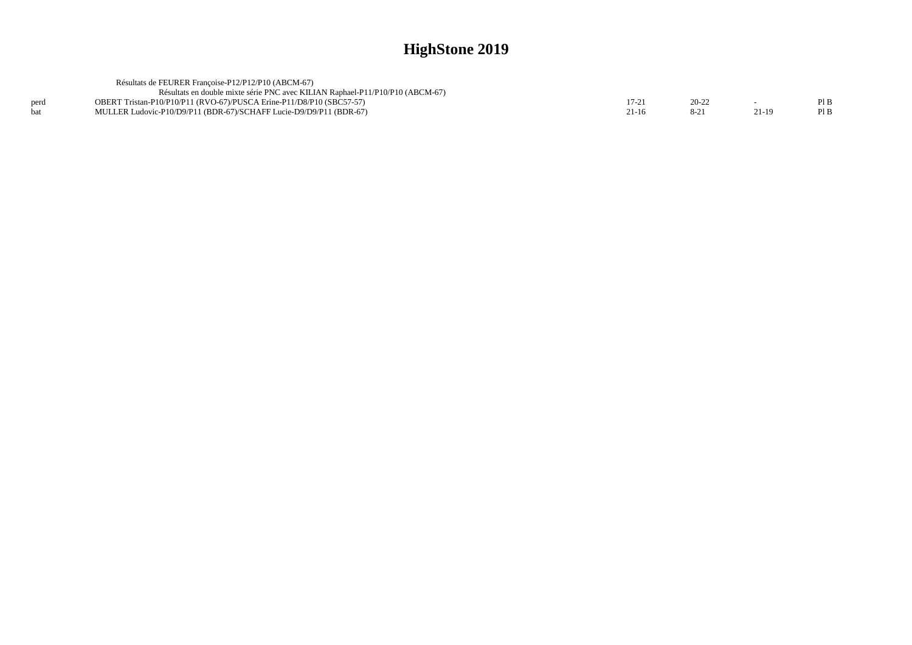|      | Résultats de FEURER Francoise-P12/P12/P10 (ABCM-67)                           |         |           |       |  |
|------|-------------------------------------------------------------------------------|---------|-----------|-------|--|
|      | Résultats en double mixte série PNC avec KILIAN Raphael-P11/P10/P10 (ABCM-67) |         |           |       |  |
| perd | OBERT Tristan-P10/P10/P11 (RVO-67)/PUSCA Erine-P11/D8/P10 (SBC57-57)          | $17-2.$ | $20 - 22$ |       |  |
|      | MULLER Ludovic-P10/D9/P11 (BDR-67)/SCHAFF Lucie-D9/D9/P11 (BDR-67)            | $21-16$ |           | 21-19 |  |
|      |                                                                               |         |           |       |  |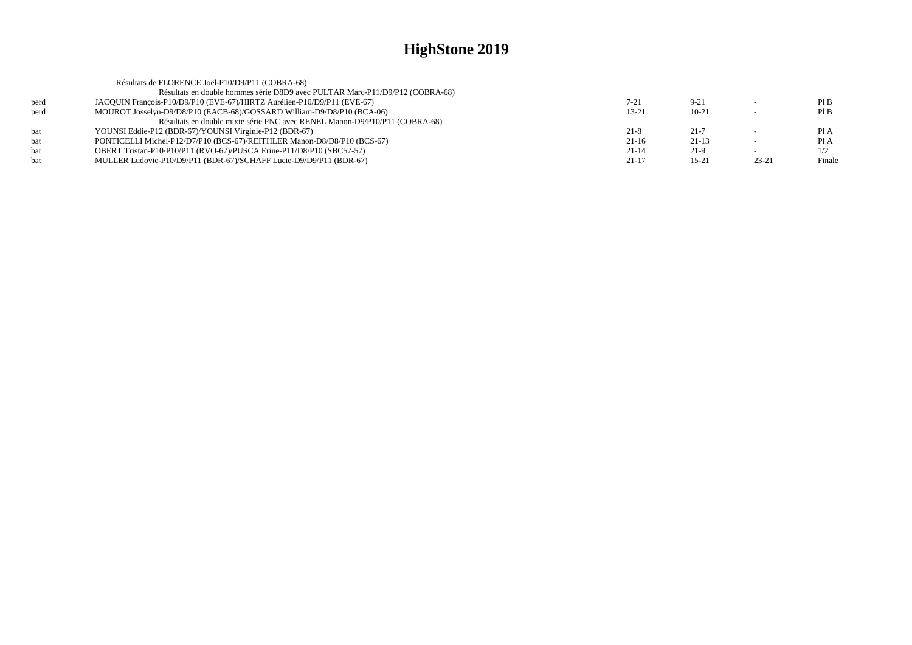|      | Résultats de FLORENCE Joël-P10/D9/P11 (COBRA-68)                             |           |           |           |        |
|------|------------------------------------------------------------------------------|-----------|-----------|-----------|--------|
|      | Résultats en double hommes série D8D9 avec PULTAR Marc-P11/D9/P12 (COBRA-68) |           |           |           |        |
| perd | JACQUIN Francois-P10/D9/P10 (EVE-67)/HIRTZ Aurélien-P10/D9/P11 (EVE-67)      | $7 - 21$  | $9 - 21$  |           | PIB    |
| perd | MOUROT Josselyn-D9/D8/P10 (EACB-68)/GOSSARD William-D9/D8/P10 (BCA-06)       | $13 - 21$ | $10 - 21$ |           | PIB    |
|      | Résultats en double mixte série PNC avec RENEL Manon-D9/P10/P11 (COBRA-68)   |           |           |           |        |
| bat  | YOUNSI Eddie-P12 (BDR-67)/YOUNSI Virginie-P12 (BDR-67)                       | $21 - 8$  | $21 - 7$  |           | Pl A   |
| bat  | PONTICELLI Michel-P12/D7/P10 (BCS-67)/REITHLER Manon-D8/D8/P10 (BCS-67)      | $21-16$   | $21-13$   |           | Pl A   |
| hat  | OBERT Tristan-P10/P10/P11 (RVO-67)/PUSCA Erine-P11/D8/P10 (SBC57-57)         | $21 - 14$ | 21-9      |           | 1/2    |
| bat  | MULLER Ludovic-P10/D9/P11 (BDR-67)/SCHAFF Lucie-D9/D9/P11 (BDR-67)           | $21 - 17$ | $15 - 21$ | $23 - 21$ | Finale |
|      |                                                                              |           |           |           |        |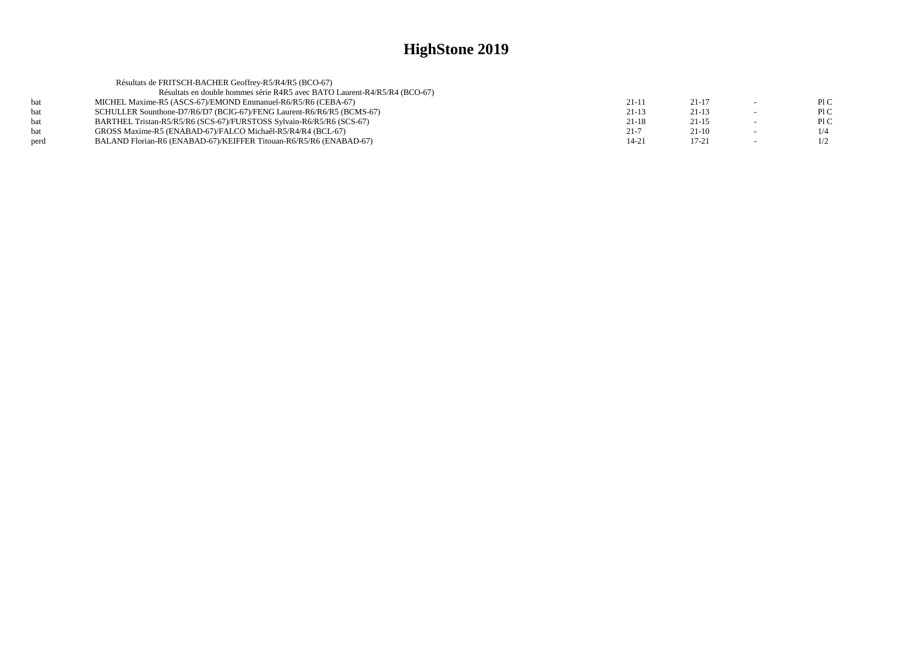|      | Résultats de FRITSCH-BACHER Geoffrey-R5/R4/R5 (BCO-67)                    |           |           |        |     |
|------|---------------------------------------------------------------------------|-----------|-----------|--------|-----|
|      | Résultats en double hommes série R4R5 avec BATO Laurent-R4/R5/R4 (BCO-67) |           |           |        |     |
| bat  | MICHEL Maxime-R5 (ASCS-67)/EMOND Emmanuel-R6/R5/R6 (CEBA-67)              | $21 - 11$ | $21 - 17$ |        | P1C |
|      | SCHULLER Sounthone-D7/R6/D7 (BCIG-67)/FENG Laurent-R6/R6/R5 (BCMS-67)     | $21-13$   | $21-13$   | $\sim$ | P1C |
| hat  | BARTHEL Tristan-R5/R5/R6 (SCS-67)/FURSTOSS Sylvain-R6/R5/R6 (SCS-67)      | $21 - 18$ | $21-15$   |        | P1C |
| hat  | GROSS Maxime-R5 (ENABAD-67)/FALCO Michaêl-R5/R4/R4 (BCL-67)               | $21 - 7$  | $21-10$   |        | 1/4 |
| perd | BALAND Florian-R6 (ENABAD-67)/KEIFFER Titouan-R6/R5/R6 (ENABAD-67)        | $14 - 21$ | $17 - 21$ |        | 1/2 |
|      |                                                                           |           |           |        |     |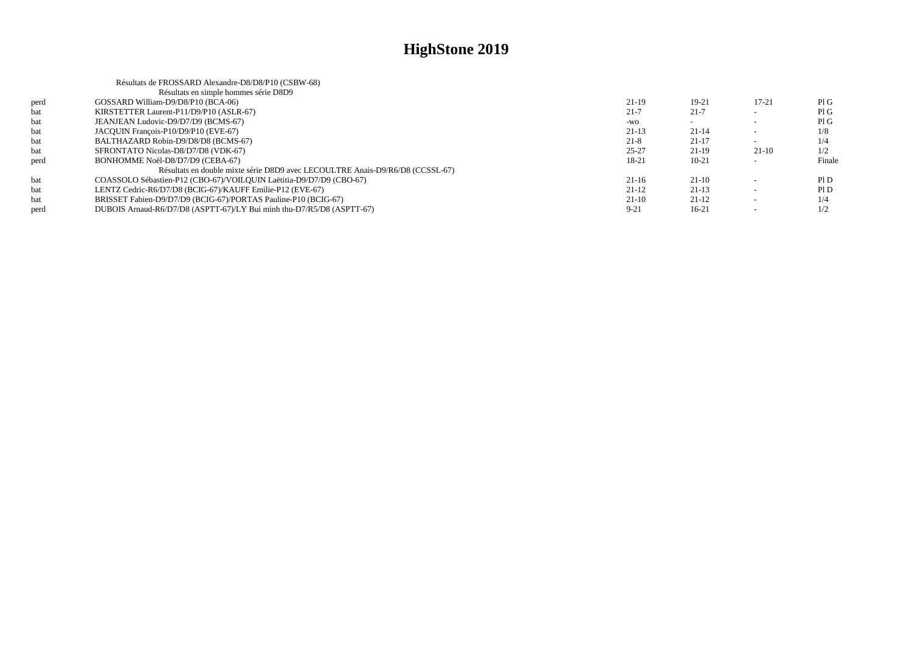|      | Résultats de FROSSARD Alexandre-D8/D8/P10 (CSBW-68)                           |           |           |                          |        |
|------|-------------------------------------------------------------------------------|-----------|-----------|--------------------------|--------|
|      | Résultats en simple hommes série D8D9                                         |           |           |                          |        |
| perd | GOSSARD William-D9/D8/P10 (BCA-06)                                            | $21-19$   | $19-21$   | $17 - 21$                | PIG    |
| bat  | KIRSTETTER Laurent-P11/D9/P10 (ASLR-67)                                       | $21 - 7$  | $21 - 7$  |                          | PIG    |
| bat  | JEANJEAN Ludovic-D9/D7/D9 (BCMS-67)                                           | $-WO$     |           | $\overline{\phantom{0}}$ | PIG    |
| bat  | JACOUIN François-P10/D9/P10 (EVE-67)                                          | $21-13$   | $21 - 14$ |                          | 1/8    |
| bat  | BALTHAZARD Robin-D9/D8/D8 (BCMS-67)                                           | $21 - 8$  | $21 - 17$ |                          | 1/4    |
| bat  | SFRONTATO Nicolas-D8/D7/D8 (VDK-67)                                           | $25 - 27$ | $21-19$   | $21-10$                  | 1/2    |
| perd | BONHOMME Noël-D8/D7/D9 (CEBA-67)                                              | 18-21     | $10-21$   |                          | Finale |
|      | Résultats en double mixte série D8D9 avec LECOULTRE Anais-D9/R6/D8 (CCSSL-67) |           |           |                          |        |
| bat  | COASSOLO Sébastien-P12 (CBO-67)/VOILOUIN Laëtitia-D9/D7/D9 (CBO-67)           | $21-16$   | $21-10$   |                          | PID    |
| bat  | LENTZ Cedric-R6/D7/D8 (BCIG-67)/KAUFF Emilie-P12 (EVE-67)                     | $21-12$   | $21-13$   |                          | PID    |
| bat  | BRISSET Fabien-D9/D7/D9 (BCIG-67)/PORTAS Pauline-P10 (BCIG-67)                | $21-10$   | $21-12$   |                          | 1/4    |
| perd | DUBOIS Arnaud-R6/D7/D8 (ASPTT-67)/LY Bui minh thu-D7/R5/D8 (ASPTT-67)         | $9 - 21$  | $16-21$   |                          | 1/2    |
|      |                                                                               |           |           |                          |        |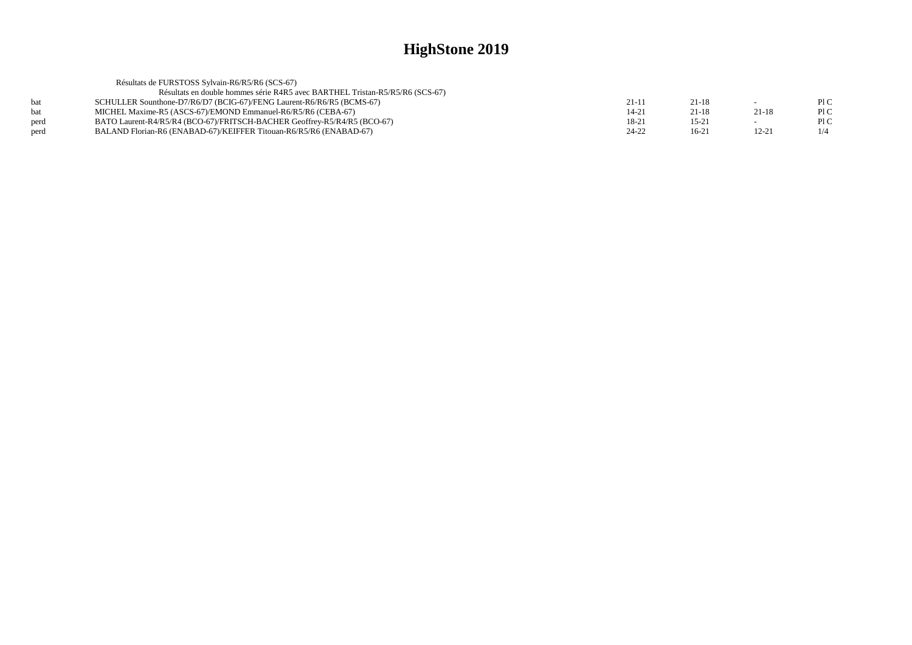|      | Résultats de FURSTOSS Sylvain-R6/R5/R6 (SCS-67)                              |           |           |           |      |
|------|------------------------------------------------------------------------------|-----------|-----------|-----------|------|
|      | Résultats en double hommes série R4R5 avec BARTHEL Tristan-R5/R5/R6 (SCS-67) |           |           |           |      |
| hat  | SCHULLER Sounthone-D7/R6/D7 (BCIG-67)/FENG Laurent-R6/R6/R5 (BCMS-67)        | $21-1$    | $21 - 18$ |           | PLC  |
| hat  | MICHEL Maxime-R5 (ASCS-67)/EMOND Emmanuel-R6/R5/R6 (CEBA-67)                 | $14 - 21$ | $21-18$   | $21 - 18$ | Pl C |
| perd | BATO Laurent-R4/R5/R4 (BCO-67)/FRITSCH-BACHER Geoffrey-R5/R4/R5 (BCO-67)     | $18-21$   | $15 - 21$ |           | PLC  |
| perd | BALAND Florian-R6 (ENABAD-67)/KEIFFER Titouan-R6/R5/R6 (ENABAD-67)           | 24-22     | $16-21$   | $12 - 21$ | 1/4  |
|      |                                                                              |           |           |           |      |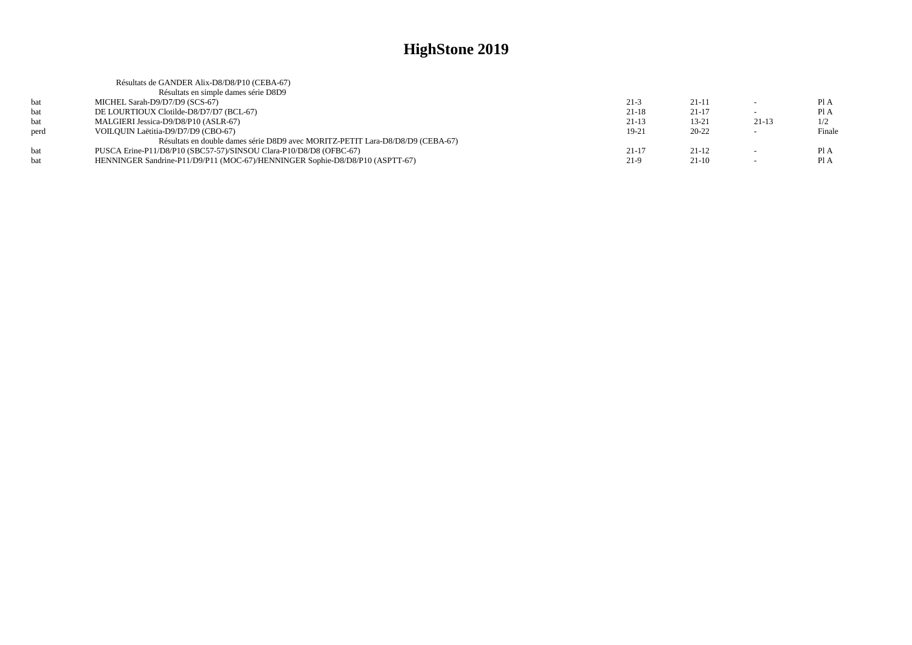|      | Résultats de GANDER Alix-D8/D8/P10 (CEBA-67)                                   |         |           |         |        |
|------|--------------------------------------------------------------------------------|---------|-----------|---------|--------|
|      | Résultats en simple dames série D8D9                                           |         |           |         |        |
| bat  | MICHEL Sarah-D9/D7/D9 (SCS-67)                                                 | $21-3$  | $21-11$   |         | Pl A   |
| bat  | DE LOURTIOUX Clotilde-D8/D7/D7 (BCL-67)                                        | $21-18$ | $21-17$   |         | PIA    |
| bat  | MALGIERI Jessica-D9/D8/P10 (ASLR-67)                                           | $21-13$ | $13 - 21$ | $21-13$ | 1/2    |
| perd | VOILOUIN Laëtitia-D9/D7/D9 (CBO-67)                                            | $19-21$ | $20 - 22$ |         | Finale |
|      | Résultats en double dames série D8D9 avec MORITZ-PETIT Lara-D8/D8/D9 (CEBA-67) |         |           |         |        |
| bat  | PUSCA Erine-P11/D8/P10 (SBC57-57)/SINSOU Clara-P10/D8/D8 (OFBC-67)             | $21-17$ | $21-12$   |         | Pl A   |
| hat  | HENNINGER Sandrine-P11/D9/P11 (MOC-67)/HENNINGER Sophie-D8/D8/P10 (ASPTT-67)   | $21-9$  | $21-10$   |         | PIA    |
|      |                                                                                |         |           |         |        |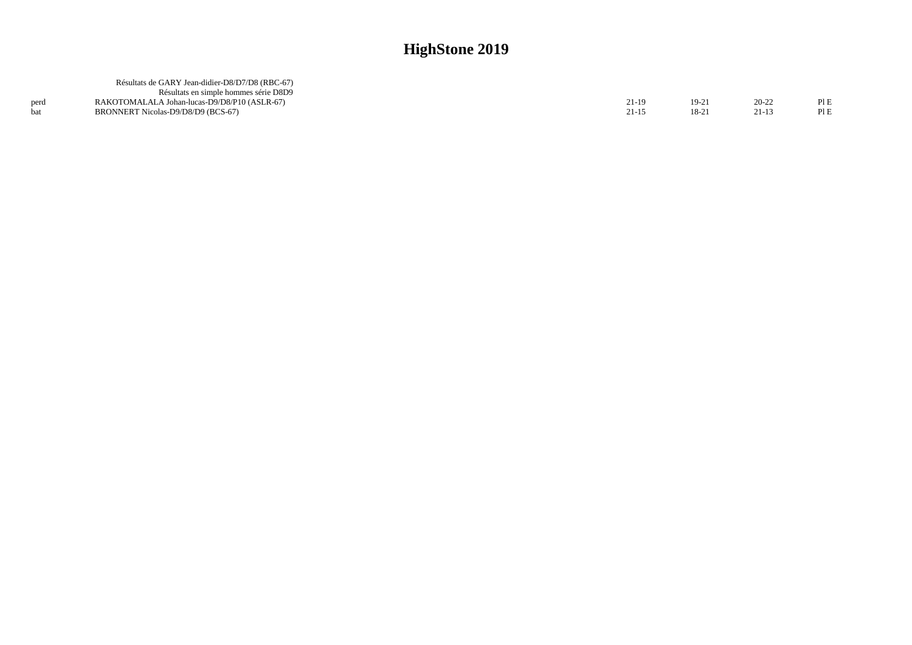| Résultats de GARY Jean-didier-D8/D7/D8 (RBC-67) |                                                                                    |       |           |      |
|-------------------------------------------------|------------------------------------------------------------------------------------|-------|-----------|------|
| Résultats en simple hommes série D8D9           |                                                                                    |       |           |      |
|                                                 | $21-19$                                                                            | 19-21 | $20 - 22$ | Pl E |
|                                                 | $21 - 15$                                                                          | 18-21 | $21-13$   | Pl E |
|                                                 | RAKOTOMALALA Johan-lucas-D9/D8/P10 (ASLR-67)<br>BRONNERT Nicolas-D9/D8/D9 (BCS-67) |       |           |      |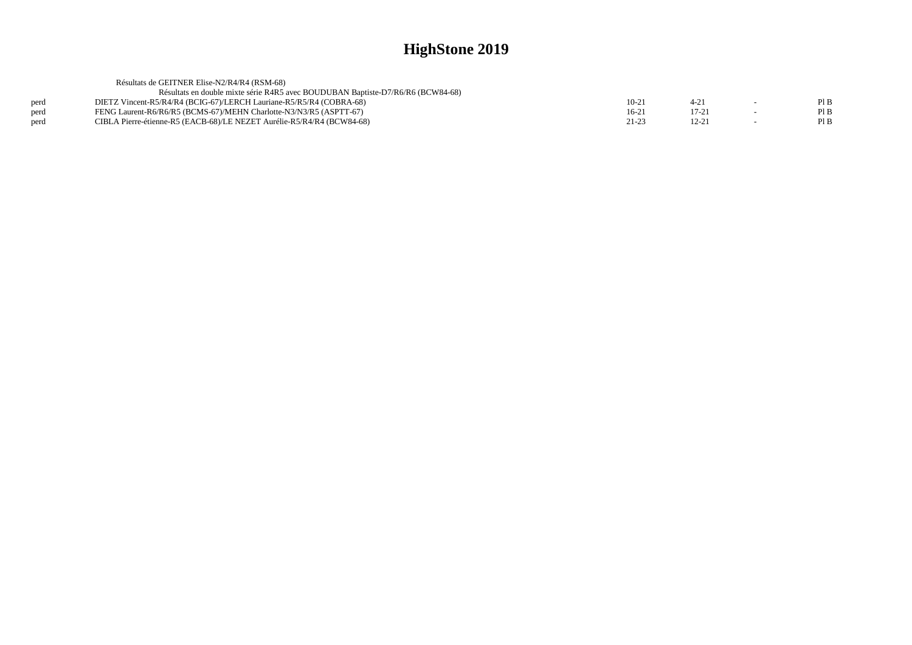|      | Résultats de GEITNER Elise-N2/R4/R4 (RSM-68)                                    |           |           |                          |      |
|------|---------------------------------------------------------------------------------|-----------|-----------|--------------------------|------|
|      | Résultats en double mixte série R4R5 avec BOUDUBAN Baptiste-D7/R6/R6 (BCW84-68) |           |           |                          |      |
| perd | DIETZ Vincent-R5/R4/R4 (BCIG-67)/LERCH Lauriane-R5/R5/R4 (COBRA-68)             | $10-2$    |           | $\overline{\phantom{0}}$ | Pl B |
| perd | FENG Laurent-R6/R6/R5 (BCMS-67)/MEHN Charlotte-N3/N3/R5 (ASPTT-67)              | 16-21     | $17 - 21$ |                          | Pl B |
| perd | CIBLA Pierre-étienne-R5 (EACB-68)/LE NEZET Aurélie-R5/R4/R4 (BCW84-68)          | $21 - 23$ | 12-21     |                          | Pl B |
|      |                                                                                 |           |           |                          |      |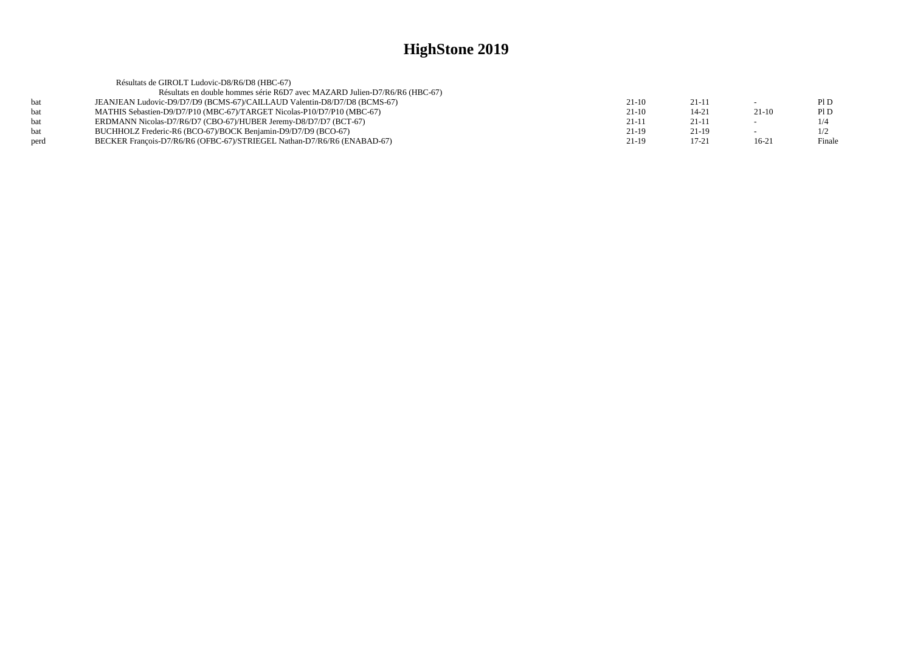|      | Résultats de GIROLT Ludovic-D8/R6/D8 (HBC-67)                              |         |           |                          |        |
|------|----------------------------------------------------------------------------|---------|-----------|--------------------------|--------|
|      | Résultats en double hommes série R6D7 avec MAZARD Julien-D7/R6/R6 (HBC-67) |         |           |                          |        |
| hat  | JEANJEAN Ludovic-D9/D7/D9 (BCMS-67)/CAILLAUD Valentin-D8/D7/D8 (BCMS-67)   | $21-10$ | $21-11$   | $\overline{\phantom{0}}$ | P1D    |
| bat  | MATHIS Sebastien-D9/D7/P10 (MBC-67)/TARGET Nicolas-P10/D7/P10 (MBC-67)     | $21-10$ | $14 - 21$ | $21-10$                  | PID    |
| hat  | ERDMANN Nicolas-D7/R6/D7 (CBO-67)/HUBER Jeremy-D8/D7/D7 (BCT-67)           | $21-11$ | 21-11     | $\sim$                   | 1/4    |
| hat  | BUCHHOLZ Frederic-R6 (BCO-67)/BOCK Benjamin-D9/D7/D9 (BCO-67)              | $21-19$ | $21-19$   |                          | 1/2    |
| perd | BECKER François-D7/R6/R6 (OFBC-67)/STRIEGEL Nathan-D7/R6/R6 (ENABAD-67)    | $21-19$ | $17 - 21$ | $16-21$                  | Finale |
|      |                                                                            |         |           |                          |        |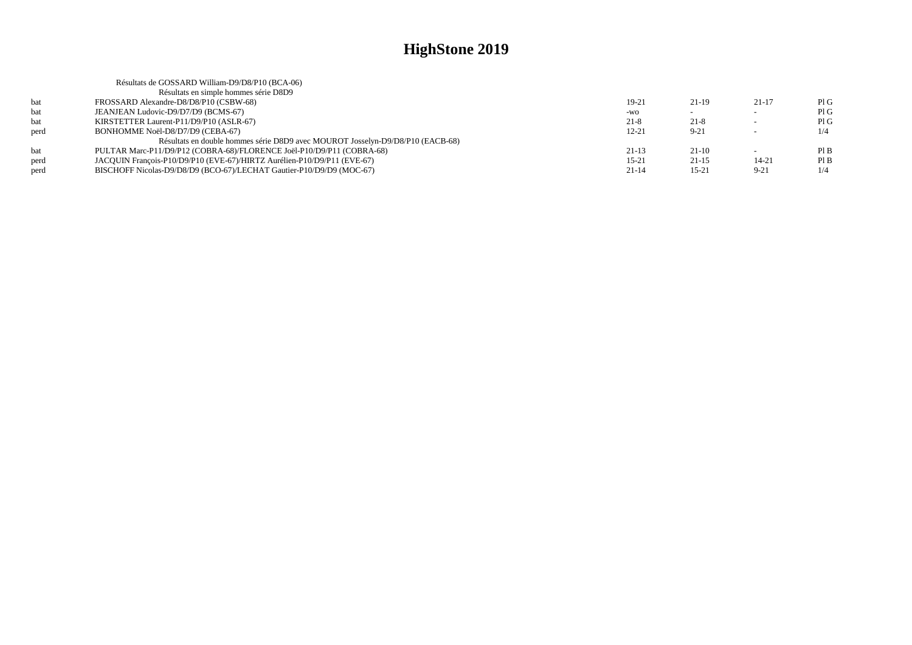|      | Résultats de GOSSARD William-D9/D8/P10 (BCA-06)                                |           |           |           |     |
|------|--------------------------------------------------------------------------------|-----------|-----------|-----------|-----|
|      | Résultats en simple hommes série D8D9                                          |           |           |           |     |
| bat  | FROSSARD Alexandre-D8/D8/P10 (CSBW-68)                                         | 19-21     | $21-19$   | $21 - 17$ | PIG |
| bat  | JEANJEAN Ludovic-D9/D7/D9 (BCMS-67)                                            | $-WO$     |           |           | PIG |
| bat  | KIRSTETTER Laurent-P11/D9/P10 (ASLR-67)                                        | $21 - 8$  | $21-8$    |           | PIG |
| perd | BONHOMME Noël-D8/D7/D9 (CEBA-67)                                               | $12 - 21$ | $9 - 21$  |           |     |
|      | Résultats en double hommes série D8D9 avec MOUROT Josselyn-D9/D8/P10 (EACB-68) |           |           |           |     |
| bat  | PULTAR Marc-P11/D9/P12 (COBRA-68)/FLORENCE Joël-P10/D9/P11 (COBRA-68)          | $21-13$   | $21-10$   |           | PIB |
| perd | JACQUIN Francois-P10/D9/P10 (EVE-67)/HIRTZ Aurélien-P10/D9/P11 (EVE-67)        | $15 - 21$ | $21-15$   | $14 - 21$ | PIB |
| perd | BISCHOFF Nicolas-D9/D8/D9 (BCO-67)/LECHAT Gautier-P10/D9/D9 (MOC-67)           | $21 - 14$ | $15 - 21$ | $9 - 21$  |     |
|      |                                                                                |           |           |           |     |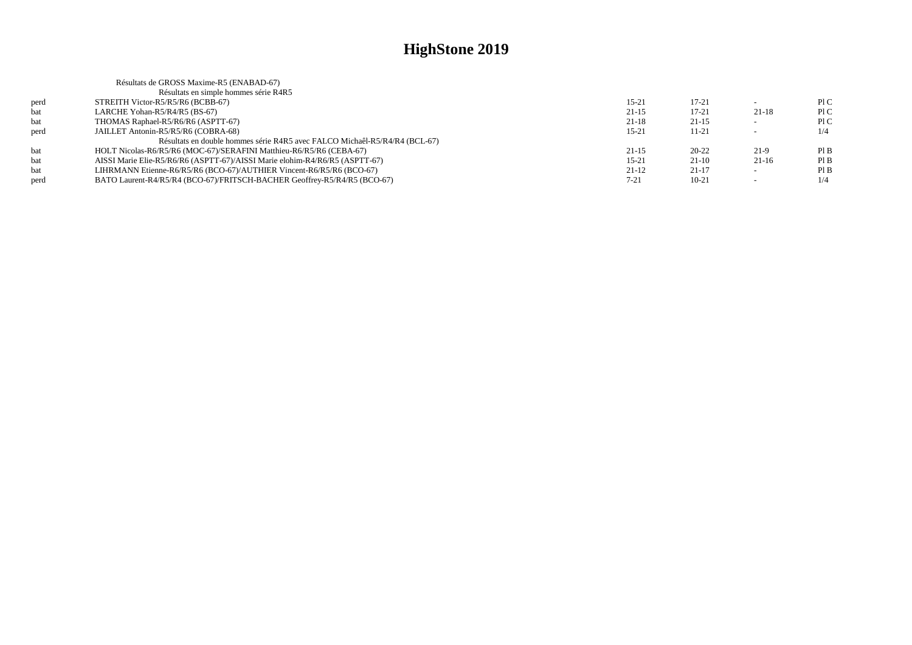|      | Résultats de GROSS Maxime-R5 (ENABAD-67)                                    |           |           |                          |      |
|------|-----------------------------------------------------------------------------|-----------|-----------|--------------------------|------|
|      | Résultats en simple hommes série R4R5                                       |           |           |                          |      |
| perd | STREITH Victor-R5/R5/R6 (BCBB-67)                                           | $15 - 21$ | $17 - 21$ |                          | P1C  |
| bat  | LARCHE Yohan-R5/R4/R5 (BS-67)                                               | $21-15$   | $17-21$   | $21-18$                  | P1C  |
| bat  | THOMAS Raphael-R5/R6/R6 (ASPTT-67)                                          | $21 - 18$ | $21-15$   |                          | P1C  |
| perd | JAILLET Antonin-R5/R5/R6 (COBRA-68)                                         | $15 - 21$ | $11 - 21$ | $\sim$                   | 1/4  |
|      | Résultats en double hommes série R4R5 avec FALCO Michaêl-R5/R4/R4 (BCL-67)  |           |           |                          |      |
| bat  | HOLT Nicolas-R6/R5/R6 (MOC-67)/SERAFINI Matthieu-R6/R5/R6 (CEBA-67)         | $21-15$   | $20 - 22$ | $21-9$                   | Pl B |
| bat  | AISSI Marie Elie-R5/R6/R6 (ASPTT-67)/AISSI Marie elohim-R4/R6/R5 (ASPTT-67) | $15 - 21$ | $21-10$   | $21-16$                  | PIB  |
| bat  | LIHRMANN Etienne-R6/R5/R6 (BCO-67)/AUTHIER Vincent-R6/R5/R6 (BCO-67)        | $21-12$   | $21 - 17$ | $\overline{\phantom{a}}$ | PIB  |
| perd | BATO Laurent-R4/R5/R4 (BCO-67)/FRITSCH-BACHER Geoffrey-R5/R4/R5 (BCO-67)    | 7-21      | $10-21$   |                          | 1/4  |
|      |                                                                             |           |           |                          |      |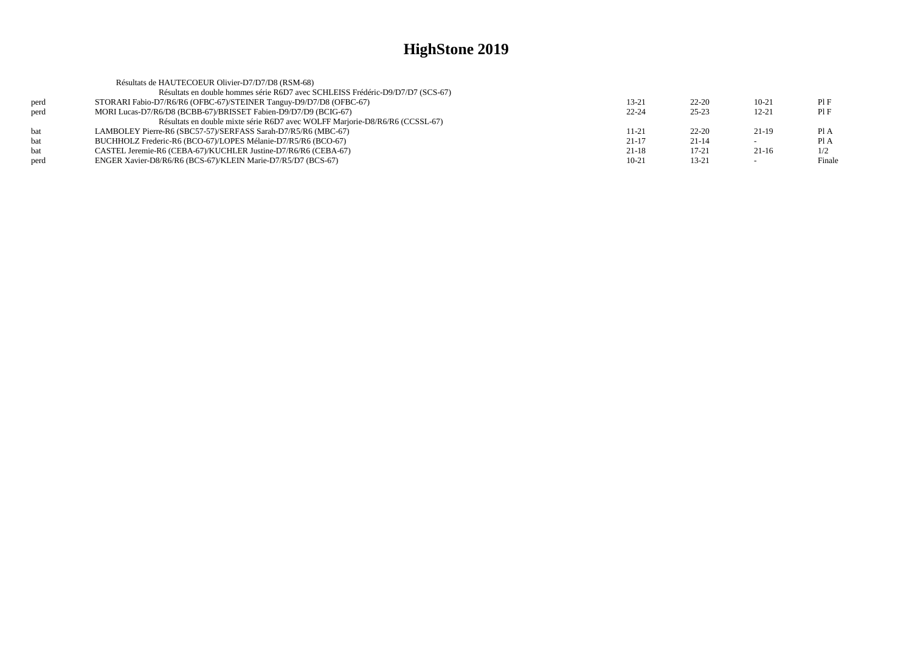|      | Résultats de HAUTECOEUR Olivier-D7/D7/D8 (RSM-68)                              |           |           |           |        |
|------|--------------------------------------------------------------------------------|-----------|-----------|-----------|--------|
|      | Résultats en double hommes série R6D7 avec SCHLEISS Frédéric-D9/D7/D7 (SCS-67) |           |           |           |        |
| perd | STORARI Fabio-D7/R6/R6 (OFBC-67)/STEINER Tanguy-D9/D7/D8 (OFBC-67)             | $13 - 21$ | $22 - 20$ | $10-21$   | PIF    |
| perd | MORI Lucas-D7/R6/D8 (BCBB-67)/BRISSET Fabien-D9/D7/D9 (BCIG-67)                | $22 - 24$ | $25 - 23$ | $12 - 21$ | PIF    |
|      | Résultats en double mixte série R6D7 avec WOLFF Marjorie-D8/R6/R6 (CCSSL-67)   |           |           |           |        |
| bat  | LAMBOLEY Pierre-R6 (SBC57-57)/SERFASS Sarah-D7/R5/R6 (MBC-67)                  | $11 - 21$ | $22 - 20$ | $21-19$   | Pl A   |
| bat  | BUCHHOLZ Frederic-R6 (BCO-67)/LOPES Mélanie-D7/R5/R6 (BCO-67)                  | $21 - 17$ | $21 - 14$ |           | Pl A   |
| bat  | CASTEL Jeremie-R6 (CEBA-67)/KUCHLER Justine-D7/R6/R6 (CEBA-67)                 | $21 - 18$ | $17 - 21$ | $21-16$   | 1/2    |
| perd | ENGER Xavier-D8/R6/R6 (BCS-67)/KLEIN Marie-D7/R5/D7 (BCS-67)                   | $10-21$   | 13-21     |           | Finale |
|      |                                                                                |           |           |           |        |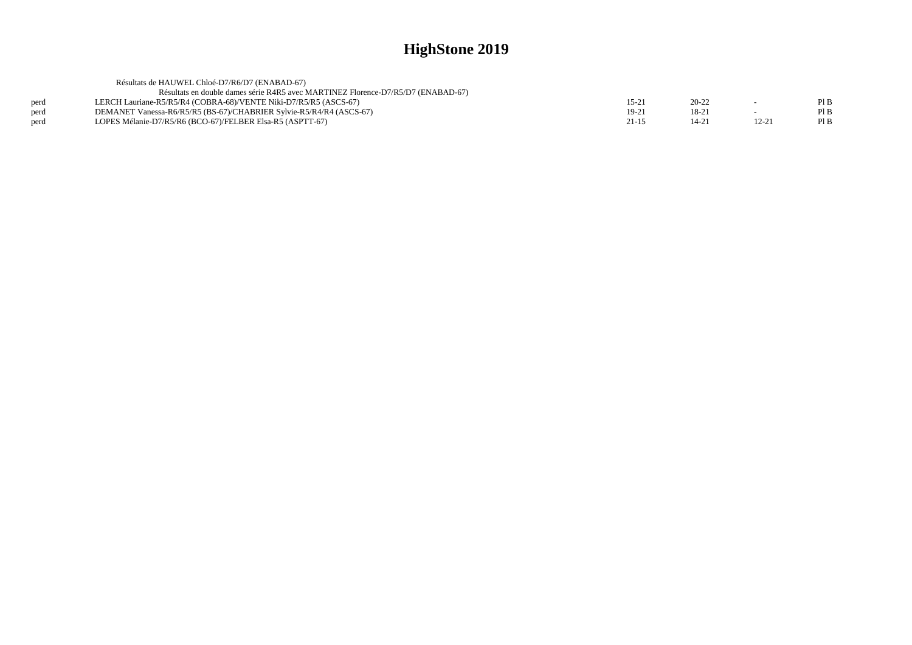|      | Résultats de HAUWEL Chloé-D7/R6/D7 (ENABAD-67)                                   |         |           |           |      |
|------|----------------------------------------------------------------------------------|---------|-----------|-----------|------|
|      | Résultats en double dames série R4R5 avec MARTINEZ Florence-D7/R5/D7 (ENABAD-67) |         |           |           |      |
| perd | LERCH Lauriane-R5/R5/R4 (COBRA-68)/VENTE Niki-D7/R5/R5 (ASCS-67)                 | $15-2.$ | $20 - 22$ | $\sim$    | Pl B |
| perd | DEMANET Vanessa-R6/R5/R5 (BS-67)/CHABRIER Sylvie-R5/R4/R4 (ASCS-67)              | $19-21$ | 18-21     |           | PI B |
| perd | LOPES Mélanie-D7/R5/R6 (BCO-67)/FELBER Elsa-R5 (ASPTT-67)                        | 21-15   | $14 - 21$ | $12 - 21$ | Pl B |
|      |                                                                                  |         |           |           |      |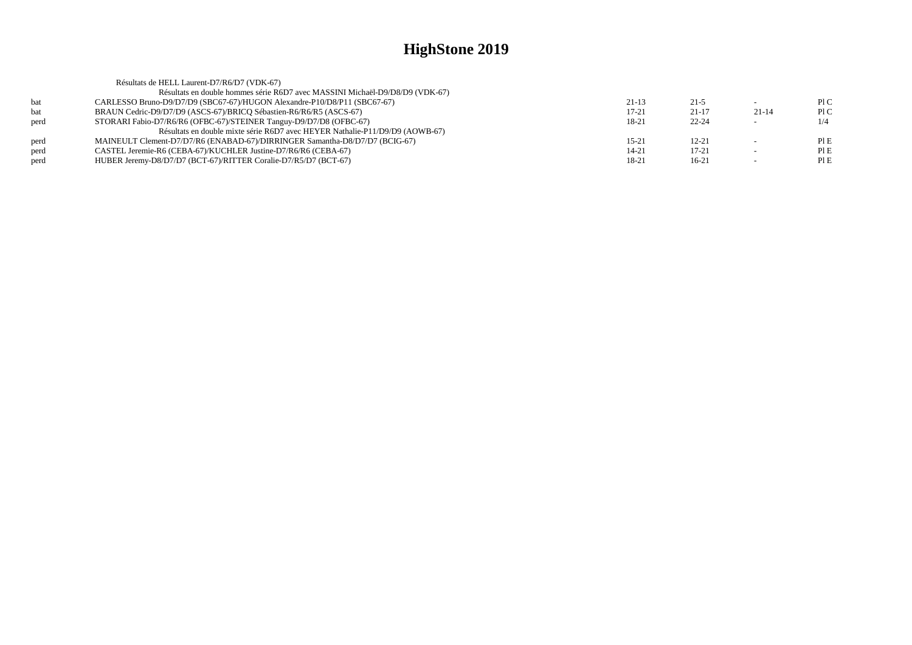|      | Résultats de HELL Laurent-D7/R6/D7 (VDK-67)                                  |           |           |           |     |
|------|------------------------------------------------------------------------------|-----------|-----------|-----------|-----|
|      | Résultats en double hommes série R6D7 avec MASSINI Michaël-D9/D8/D9 (VDK-67) |           |           |           |     |
| bat  | CARLESSO Bruno-D9/D7/D9 (SBC67-67)/HUGON Alexandre-P10/D8/P11 (SBC67-67)     | $21-13$   | $21-5$    |           | P1C |
| bat  | BRAUN Cedric-D9/D7/D9 (ASCS-67)/BRICO Sébastien-R6/R6/R5 (ASCS-67)           | $17 - 21$ | $21-17$   | $21 - 14$ | P1C |
| perd | STORARI Fabio-D7/R6/R6 (OFBC-67)/STEINER Tanguy-D9/D7/D8 (OFBC-67)           | 18-21     | $22 - 24$ |           | 1/4 |
|      | Résultats en double mixte série R6D7 avec HEYER Nathalie-P11/D9/D9 (AOWB-67) |           |           |           |     |
| perd | MAINEULT Clement-D7/D7/R6 (ENABAD-67)/DIRRINGER Samantha-D8/D7/D7 (BCIG-67)  | $15 - 21$ | $12 - 21$ |           | PIE |
| perd | CASTEL Jeremie-R6 (CEBA-67)/KUCHLER Justine-D7/R6/R6 (CEBA-67)               | $14 - 21$ | $17 - 21$ |           | PIE |
| perd | HUBER Jeremy-D8/D7/D7 (BCT-67)/RITTER Coralie-D7/R5/D7 (BCT-67)              | 18-21     | $16-21$   |           | PIE |
|      |                                                                              |           |           |           |     |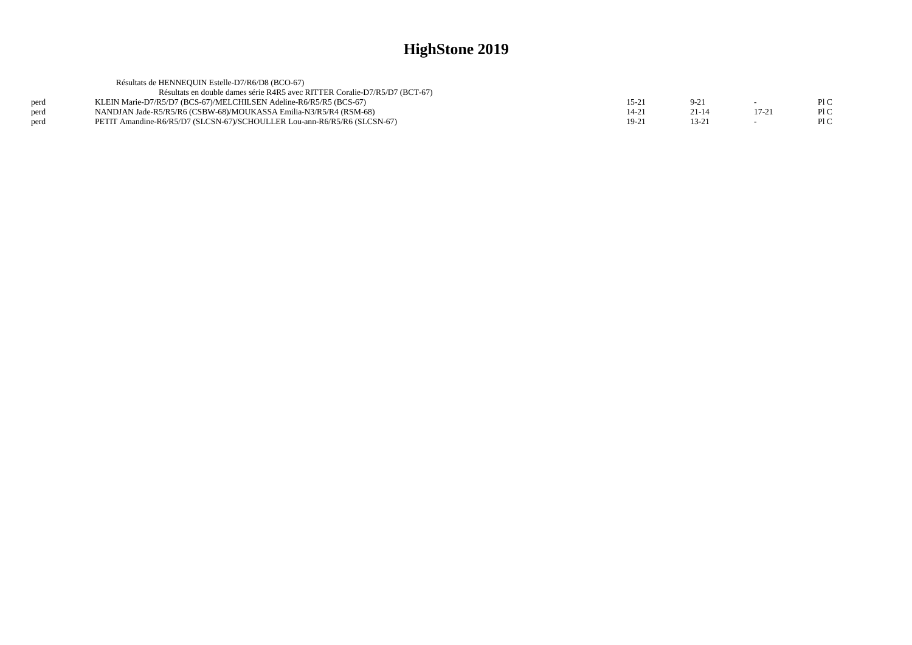|      | Résultats de HENNEOUIN Estelle-D7/R6/D8 (BCO-67)                           |       |           |       |     |
|------|----------------------------------------------------------------------------|-------|-----------|-------|-----|
|      | Résultats en double dames série R4R5 avec RITTER Coralie-D7/R5/D7 (BCT-67) |       |           |       |     |
| perd | KLEIN Marie-D7/R5/D7 (BCS-67)/MELCHILSEN Adeline-R6/R5/R5 (BCS-67)         | 15-21 | $9-21$    |       | P1C |
| perd | NANDJAN Jade-R5/R5/R6 (CSBW-68)/MOUKASSA Emilia-N3/R5/R4 (RSM-68)          | 14-21 | $21 - 14$ | 17-21 | P1C |
| perd | PETIT Amandine-R6/R5/D7 (SLCSN-67)/SCHOULLER Lou-ann-R6/R5/R6 (SLCSN-67)   | 19-21 | $13 - 21$ |       | P1C |
|      |                                                                            |       |           |       |     |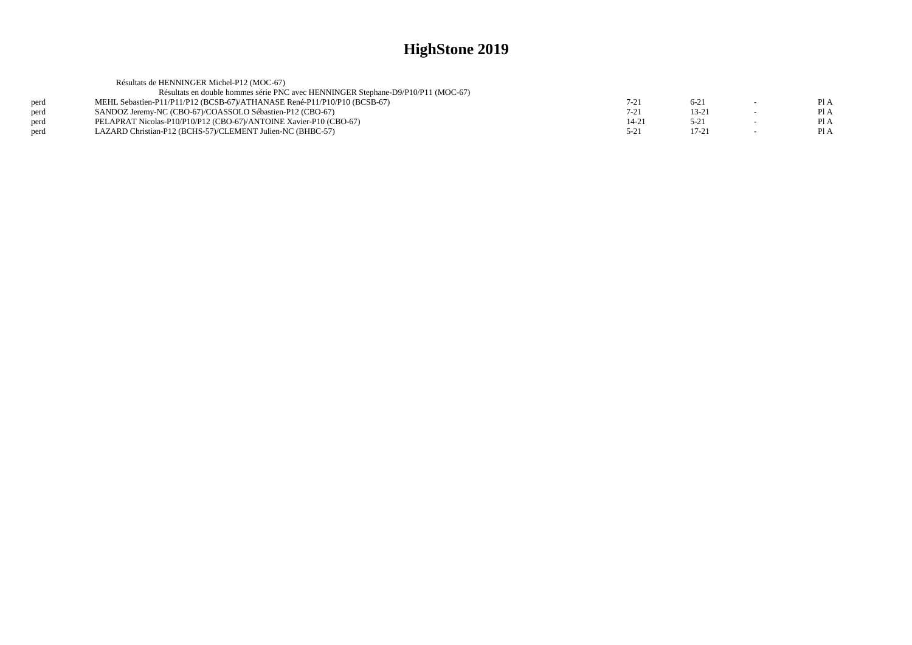|      | Résultats de HENNINGER Michel-P12 (MOC-67)                                       |           |           |      |
|------|----------------------------------------------------------------------------------|-----------|-----------|------|
|      | Résultats en double hommes série PNC avec HENNINGER Stephane-D9/P10/P11 (MOC-67) |           |           |      |
| perd | MEHL Sebastien-P11/P11/P12 (BCSB-67)/ATHANASE René-P11/P10/P10 (BCSB-67)         | $7 - 21$  | $6-21$    | PI A |
| perd | SANDOZ Jeremy-NC (CBO-67)/COASSOLO Sébastien-P12 (CBO-67)                        | $7 - 21$  | $13-21$   | Pl A |
| perd | PELAPRAT Nicolas-P10/P10/P12 (CBO-67)/ANTOINE Xavier-P10 (CBO-67)                | $14 - 21$ | $5 - 21$  | Pl A |
| perd | LAZARD Christian-P12 (BCHS-57)/CLEMENT Julien-NC (BHBC-57)                       | $5 - 21$  | $17 - 21$ | Pl A |
|      |                                                                                  |           |           |      |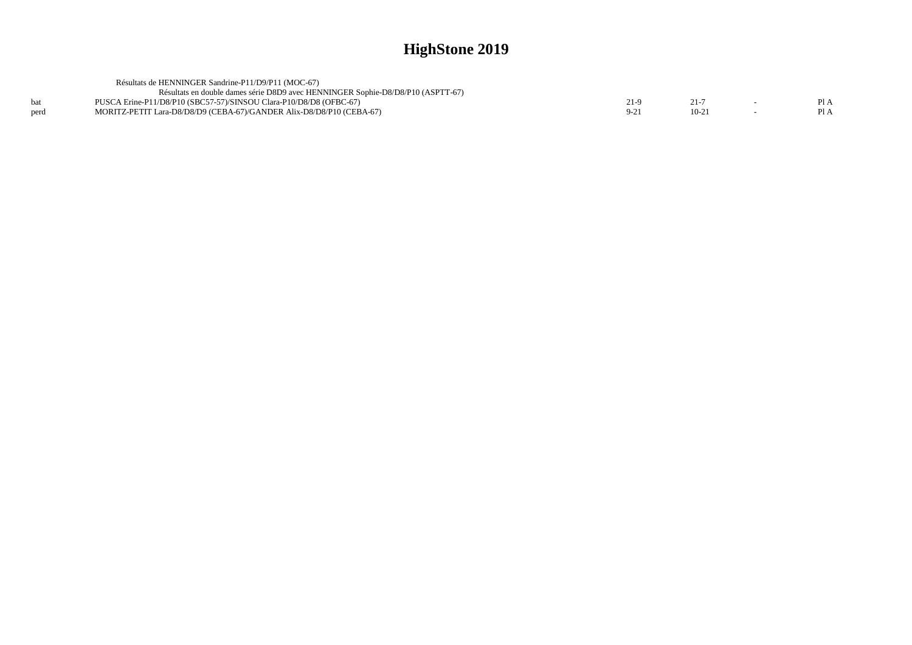|      | Résultats de HENNINGER Sandrine-P11/D9/P11 (MOC-67)                             |  |  |
|------|---------------------------------------------------------------------------------|--|--|
|      | Résultats en double dames série D8D9 avec HENNINGER Sophie-D8/D8/P10 (ASPTT-67) |  |  |
|      | PUSCA Erine-P11/D8/P10 (SBC57-57)/SINSOU Clara-P10/D8/D8 (OFBC-67)              |  |  |
| perd | MORITZ-PETIT Lara-D8/D8/D9 (CEBA-67)/GANDER Alix-D8/D8/P10 (CEBA-67)            |  |  |
|      |                                                                                 |  |  |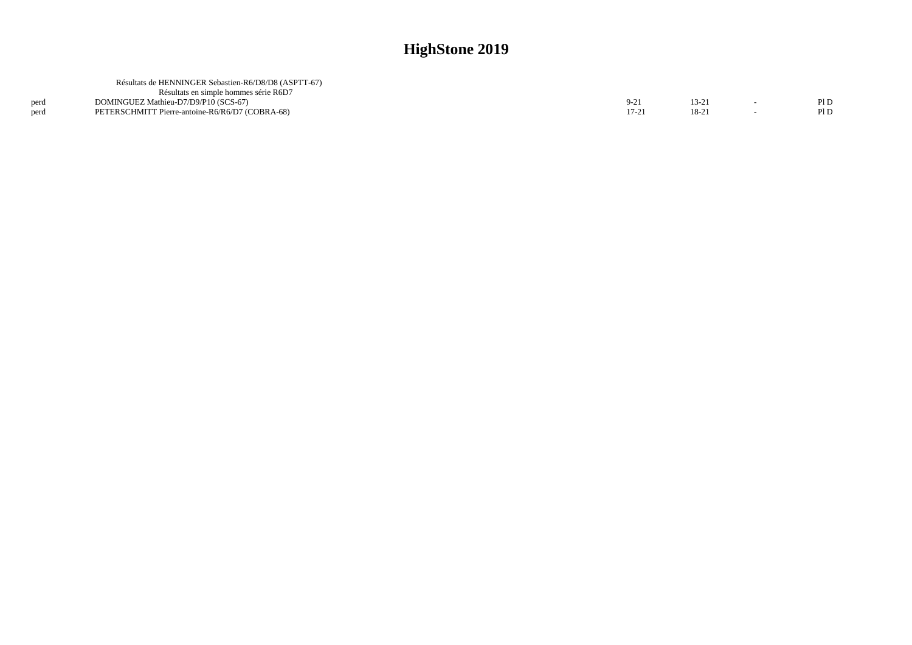|      | Résultats de HENNINGER Sebastien-R6/D8/D8 (ASPTT-67) |      |     |
|------|------------------------------------------------------|------|-----|
|      | Résultats en simple hommes série R6D7                |      |     |
| perd | DOMINGUEZ Mathieu-D7/D9/P10 (SCS-67)                 | 13-2 | PID |
| perd | PETERSCHMITT Pierre-antoine-R6/R6/D7 (COBRA-68)      |      |     |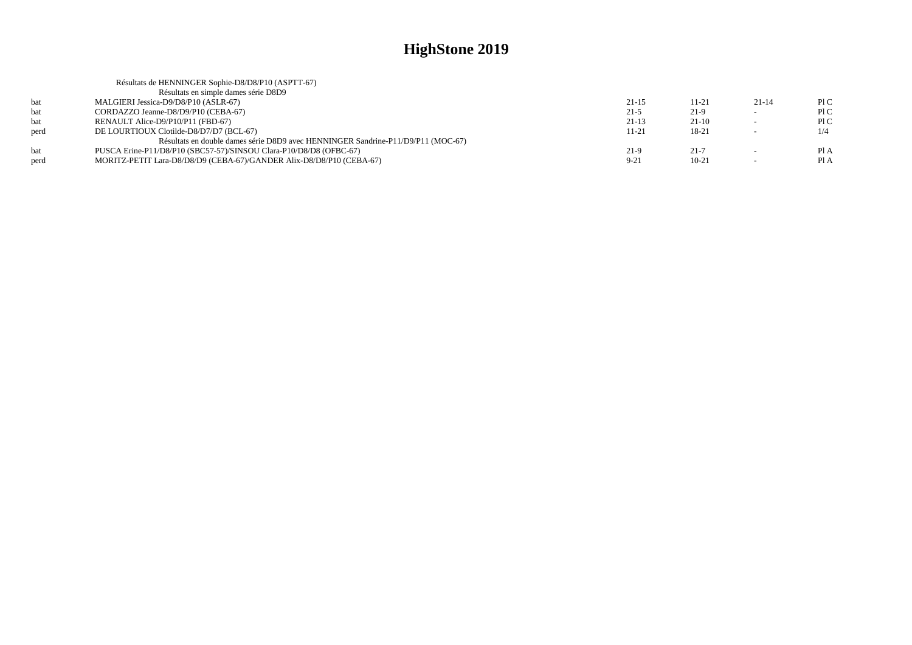|      | Résultats de HENNINGER Sophie-D8/D8/P10 (ASPTT-67)                               |           |           |                          |      |
|------|----------------------------------------------------------------------------------|-----------|-----------|--------------------------|------|
|      | Résultats en simple dames série D8D9                                             |           |           |                          |      |
| bat  | MALGIERI Jessica-D9/D8/P10 (ASLR-67)                                             | $21 - 15$ | 11-21     | $21 - 14$                | P1C  |
| bat  | CORDAZZO Jeanne-D8/D9/P10 (CEBA-67)                                              | $21-5$    | $21-9$    | $\sim$                   | P1C  |
| bat  | RENAULT Alice-D9/P10/P11 (FBD-67)                                                | $21-13$   | $21-10$   | $\overline{\phantom{0}}$ | P1C  |
| perd | DE LOURTIOUX Clotilde-D8/D7/D7 (BCL-67)                                          | 11-21     | 18-21     | $\overline{\phantom{0}}$ | 1/4  |
|      | Résultats en double dames série D8D9 avec HENNINGER Sandrine-P11/D9/P11 (MOC-67) |           |           |                          |      |
| bat  | PUSCA Erine-P11/D8/P10 (SBC57-57)/SINSOU Clara-P10/D8/D8 (OFBC-67)               | $21-9$    | $21 - 7$  | $\overline{\phantom{0}}$ | Pl A |
| perd | MORITZ-PETIT Lara-D8/D8/D9 (CEBA-67)/GANDER Alix-D8/D8/P10 (CEBA-67)             | $9 - 21$  | $10 - 21$ | $\sim$                   | Pl A |
|      |                                                                                  |           |           |                          |      |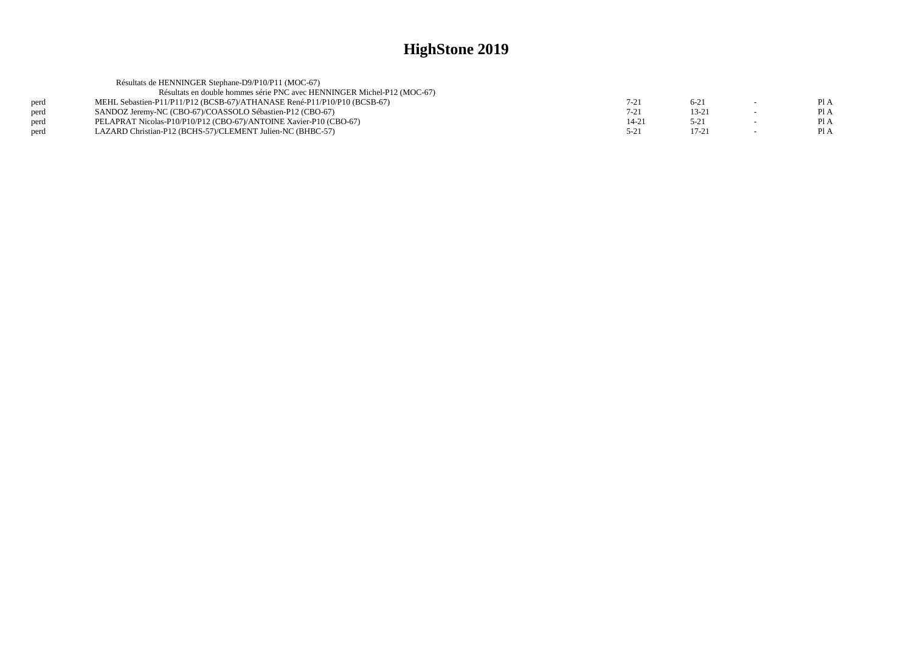|      | Résultats de HENNINGER Stephane-D9/P10/P11 (MOC-67)                      |          |           |      |
|------|--------------------------------------------------------------------------|----------|-----------|------|
|      | Résultats en double hommes série PNC avec HENNINGER Michel-P12 (MOC-67)  |          |           |      |
| perd | MEHL Sebastien-P11/P11/P12 (BCSB-67)/ATHANASE René-P11/P10/P10 (BCSB-67) | $7-21$   | $6-21$    | Pl A |
| perd | SANDOZ Jeremy-NC (CBO-67)/COASSOLO Sébastien-P12 (CBO-67)                | $7 - 21$ | $13 - 21$ | Pl A |
| perd | PELAPRAT Nicolas-P10/P10/P12 (CBO-67)/ANTOINE Xavier-P10 (CBO-67)        | 14-21    | $5-21$    | PI A |
| perd | LAZARD Christian-P12 (BCHS-57)/CLEMENT Julien-NC (BHBC-57)               | $5 - 21$ | $17 - 21$ | P1A  |
|      |                                                                          |          |           |      |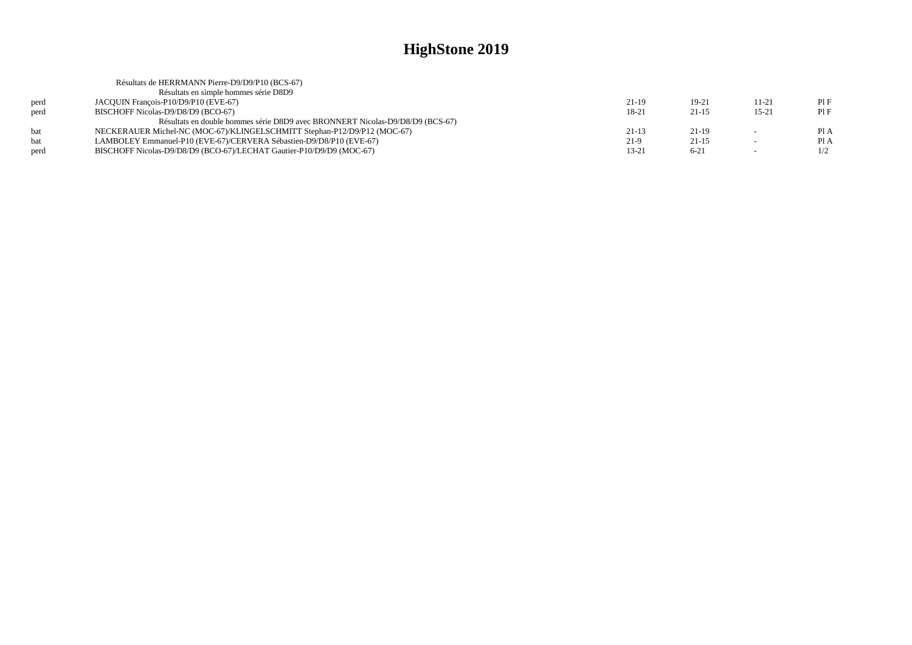|      | Résultats de HERRMANN Pierre-D9/D9/P10 (BCS-67)                               |         |          |                          |      |
|------|-------------------------------------------------------------------------------|---------|----------|--------------------------|------|
|      | Résultats en simple hommes série D8D9                                         |         |          |                          |      |
| perd | JACQUIN François-P10/D9/P10 (EVE-67)                                          | $21-19$ | $19-21$  | 11-21                    | PIF  |
| perd | BISCHOFF Nicolas-D9/D8/D9 (BCO-67)                                            | 18-21   | $21-15$  | 15-21                    | PI F |
|      | Résultats en double hommes série D8D9 avec BRONNERT Nicolas-D9/D8/D9 (BCS-67) |         |          |                          |      |
|      | NECKERAUER Michel-NC (MOC-67)/KLINGELSCHMITT Stephan-P12/D9/P12 (MOC-67)      | $21-13$ | $21-19$  | $\sim$                   | Pl A |
| bat  | LAMBOLEY Emmanuel-P10 (EVE-67)/CERVERA Sébastien-D9/D8/P10 (EVE-67)           | $21-9$  | $21-15$  |                          | Pl A |
| perd | BISCHOFF Nicolas-D9/D8/D9 (BCO-67)/LECHAT Gautier-P10/D9/D9 (MOC-67)          | 13-21   | $6 - 21$ | $\overline{\phantom{a}}$ | 1/2  |
|      |                                                                               |         |          |                          |      |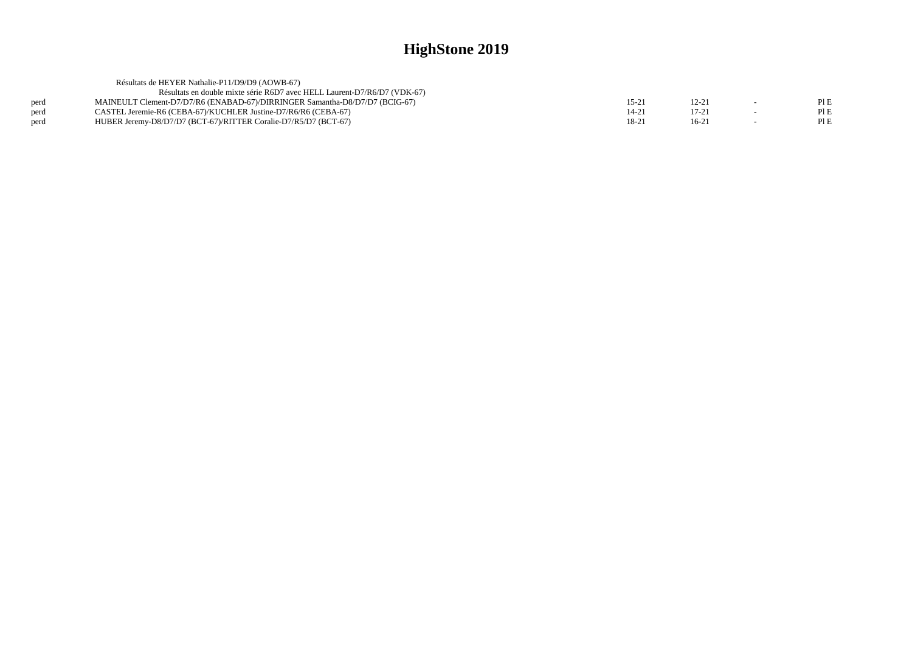| Résultats de HEYER Nathalie-P11/D9/D9 (AOWB-67)                             |         |       |  |
|-----------------------------------------------------------------------------|---------|-------|--|
| Résultats en double mixte série R6D7 avec HELL Laurent-D7/R6/D7 (VDK-67)    |         |       |  |
| MAINEULT Clement-D7/D7/R6 (ENABAD-67)/DIRRINGER Samantha-D8/D7/D7 (BCIG-67) | $15-21$ | 12-21 |  |
| CASTEL Jeremie-R6 (CEBA-67)/KUCHLER Justine-D7/R6/R6 (CEBA-67)              | $14-21$ | 17-21 |  |
| HUBER Jeremy-D8/D7/D7 (BCT-67)/RITTER Coralie-D7/R5/D7 (BCT-67)             | $18-21$ | 16-21 |  |
|                                                                             |         |       |  |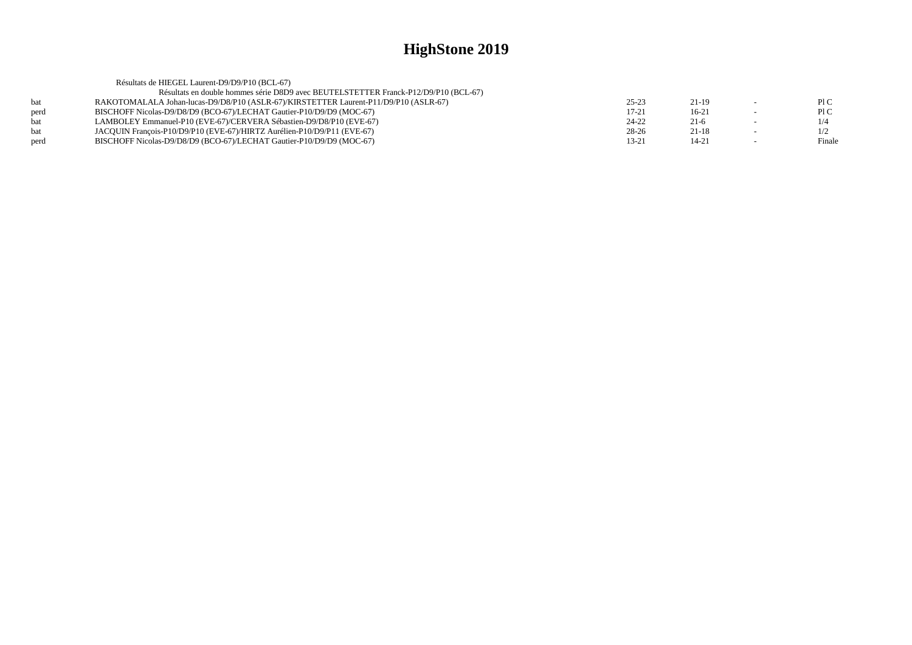|            | Résultats de HIEGEL Laurent-D9/D9/P10 (BCL-67)                                       |           |           |                          |        |
|------------|--------------------------------------------------------------------------------------|-----------|-----------|--------------------------|--------|
|            | Résultats en double hommes série D8D9 avec BEUTELSTETTER Franck-P12/D9/P10 (BCL-67)  |           |           |                          |        |
| hat        | RAKOTOMALALA Johan-lucas-D9/D8/P10 (ASLR-67)/KIRSTETTER Laurent-P11/D9/P10 (ASLR-67) | $25 - 23$ | $21-19$   | $\sim$                   | PIC    |
| perd       | BISCHOFF Nicolas-D9/D8/D9 (BCO-67)/LECHAT Gautier-P10/D9/D9 (MOC-67)                 | $17 - 21$ | $16-21$   | $\overline{\phantom{0}}$ | P1C    |
| <b>bat</b> | LAMBOLEY Emmanuel-P10 (EVE-67)/CERVERA Sébastien-D9/D8/P10 (EVE-67)                  | 24-22     | $21-6$    |                          | 1/4    |
| <b>bat</b> | JACOUIN Francois-P10/D9/P10 (EVE-67)/HIRTZ Aurélien-P10/D9/P11 (EVE-67)              | $28-26$   | $21-18$   | $\sim$                   | 1/2    |
| perd       | BISCHOFF Nicolas-D9/D8/D9 (BCO-67)/LECHAT Gautier-P10/D9/D9 (MOC-67)                 | 13-21     | $14 - 21$ |                          | Finale |
|            |                                                                                      |           |           |                          |        |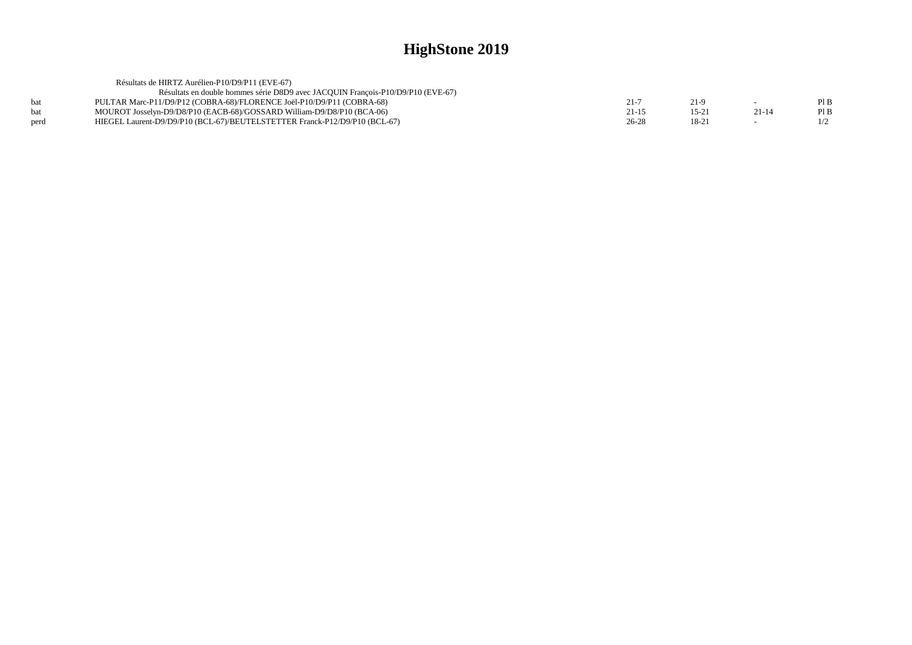|            | Résultats de HIRTZ Aurélien-P10/D9/P11 (EVE-67)                                 |           |                |           |     |
|------------|---------------------------------------------------------------------------------|-----------|----------------|-----------|-----|
|            | Résultats en double hommes série D8D9 avec JACOUIN François-P10/D9/P10 (EVE-67) |           |                |           |     |
| bat        | PULTAR Marc-P11/D9/P12 (COBRA-68)/FLORENCE Joël-P10/D9/P11 (COBRA-68)           | $21 - 7$  | 21-9           |           | PIB |
| <b>bat</b> | MOUROT Josselyn-D9/D8/P10 (EACB-68)/GOSSARD William-D9/D8/P10 (BCA-06)          | $21 - 15$ | $15 - 2^{-1}$  | $21 - 14$ | PIB |
| perd       | HIEGEL Laurent-D9/D9/P10 (BCL-67)/BEUTELSTETTER Franck-P12/D9/P10 (BCL-67)      | $26 - 28$ | $18-2^{\circ}$ |           |     |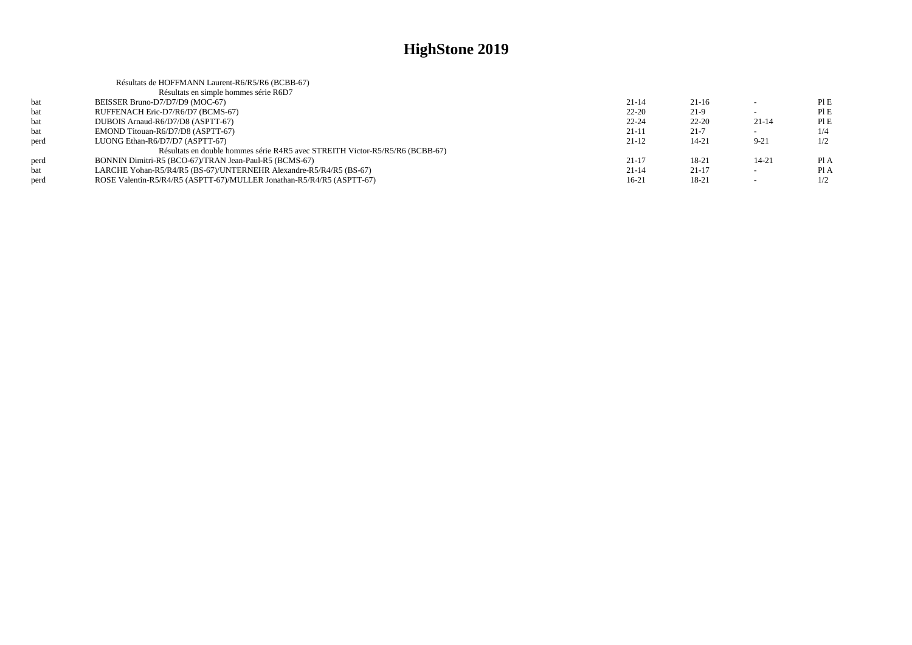|      | Résultats de HOFFMANN Laurent-R6/R5/R6 (BCBB-67)                             |           |           |                          |      |
|------|------------------------------------------------------------------------------|-----------|-----------|--------------------------|------|
|      | Résultats en simple hommes série R6D7                                        |           |           |                          |      |
| bat  | BEISSER Bruno-D7/D7/D9 (MOC-67)                                              | $21 - 14$ | $21-16$   |                          | PIE  |
| bat  | RUFFENACH Eric-D7/R6/D7 (BCMS-67)                                            | $22 - 20$ | $21-9$    |                          | PIE  |
| bat  | DUBOIS Arnaud-R6/D7/D8 (ASPTT-67)                                            | $22 - 24$ | $22 - 20$ | $21 - 14$                | PI E |
| bat  | EMOND Titouan-R6/D7/D8 (ASPTT-67)                                            | $21 - 11$ | $21 - 7$  |                          | 1/4  |
| perd | LUONG Ethan-R6/D7/D7 (ASPTT-67)                                              | $21 - 12$ | 14-21     | $9 - 21$                 | 1/2  |
|      | Résultats en double hommes série R4R5 avec STREITH Victor-R5/R5/R6 (BCBB-67) |           |           |                          |      |
| perd | BONNIN Dimitri-R5 (BCO-67)/TRAN Jean-Paul-R5 (BCMS-67)                       | $21 - 17$ | 18-21     | $14 - 21$                | Pl A |
| bat  | LARCHE Yohan-R5/R4/R5 (BS-67)/UNTERNEHR Alexandre-R5/R4/R5 (BS-67)           | $21 - 14$ | $21 - 17$ |                          | Pl A |
| perd | ROSE Valentin-R5/R4/R5 (ASPTT-67)/MULLER Jonathan-R5/R4/R5 (ASPTT-67)        | $16-21$   | 18-21     | $\overline{\phantom{a}}$ | 1/2  |
|      |                                                                              |           |           |                          |      |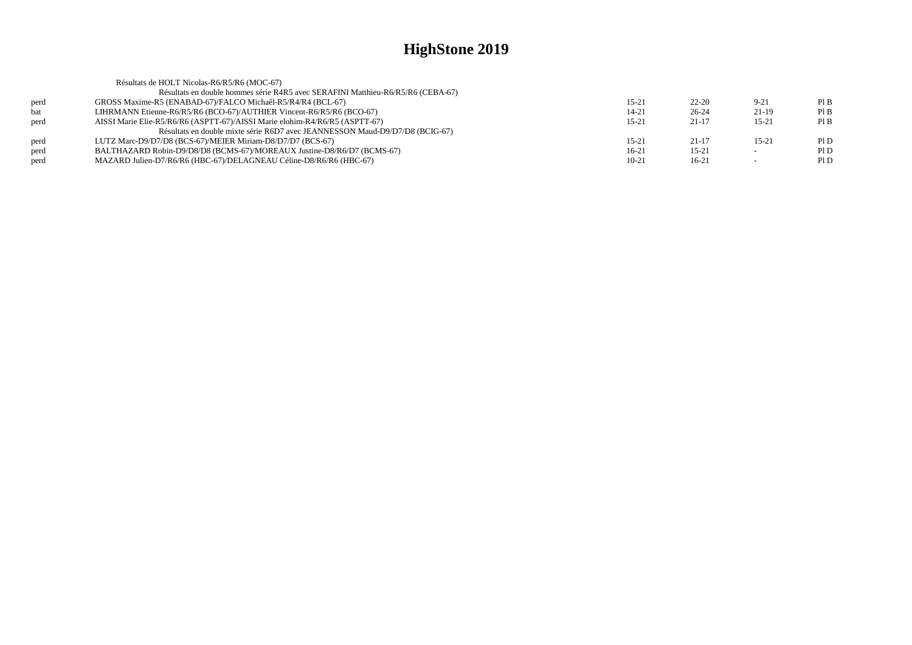|      | Résultats de HOLT Nicolas-R6/R5/R6 (MOC-67)                                     |           |           |           |     |
|------|---------------------------------------------------------------------------------|-----------|-----------|-----------|-----|
|      | Résultats en double hommes série R4R5 avec SERAFINI Matthieu-R6/R5/R6 (CEBA-67) |           |           |           |     |
| perd | GROSS Maxime-R5 (ENABAD-67)/FALCO Michaêl-R5/R4/R4 (BCL-67)                     | $15 - 21$ | $22 - 20$ | $9-21$    | PIB |
| bat  | LIHRMANN Etienne-R6/R5/R6 (BCO-67)/AUTHIER Vincent-R6/R5/R6 (BCO-67)            | 14-21     | $26 - 24$ | 21-19     | PIB |
| perd | AISSI Marie Elie-R5/R6/R6 (ASPTT-67)/AISSI Marie elohim-R4/R6/R5 (ASPTT-67)     | $15 - 21$ | $21-17$   | $15 - 21$ | PIB |
|      | Résultats en double mixte série R6D7 avec JEANNESSON Maud-D9/D7/D8 (BCIG-67)    |           |           |           |     |
| perd | LUTZ Marc-D9/D7/D8 (BCS-67)/MEIER Miriam-D8/D7/D7 (BCS-67)                      | $15 - 21$ | $21-17$   | $15 - 21$ | PID |
| perd | BALTHAZARD Robin-D9/D8/D8 (BCMS-67)/MOREAUX Justine-D8/R6/D7 (BCMS-67)          | $16-21$   | $15 - 21$ |           | PID |
| perd | MAZARD Julien-D7/R6/R6 (HBC-67)/DELAGNEAU Céline-D8/R6/R6 (HBC-67)              | $10-21$   | $16-21$   |           | PID |
|      |                                                                                 |           |           |           |     |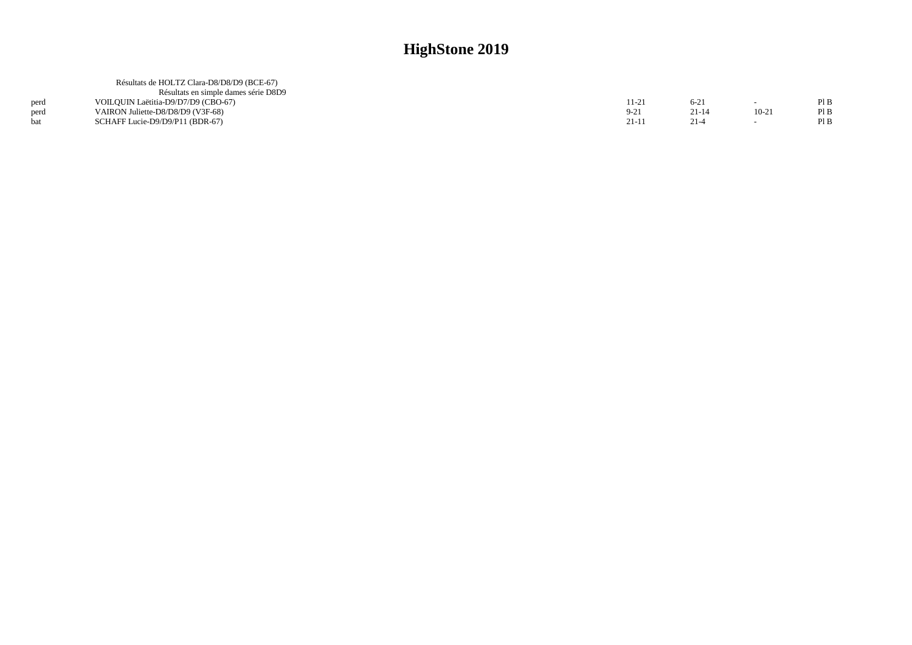|      | Résultats de HOLTZ Clara-D8/D8/D9 (BCE-67) |          |           |         |      |
|------|--------------------------------------------|----------|-----------|---------|------|
|      | Résultats en simple dames série D8D9       |          |           |         |      |
| perd | VOILOUIN Laëtitia-D9/D7/D9 (CBO-67)        | $1 - 21$ | $6 - 21$  |         | PIB  |
| perd | VAIRON Juliette-D8/D8/D9 (V3F-68)          | $9-21$   | $21 - 14$ | $10-21$ | Pl B |
|      | SCHAFF Lucie-D9/D9/P11 (BDR-67)            | $21-1$   | $21-4$    |         |      |
|      |                                            |          |           |         |      |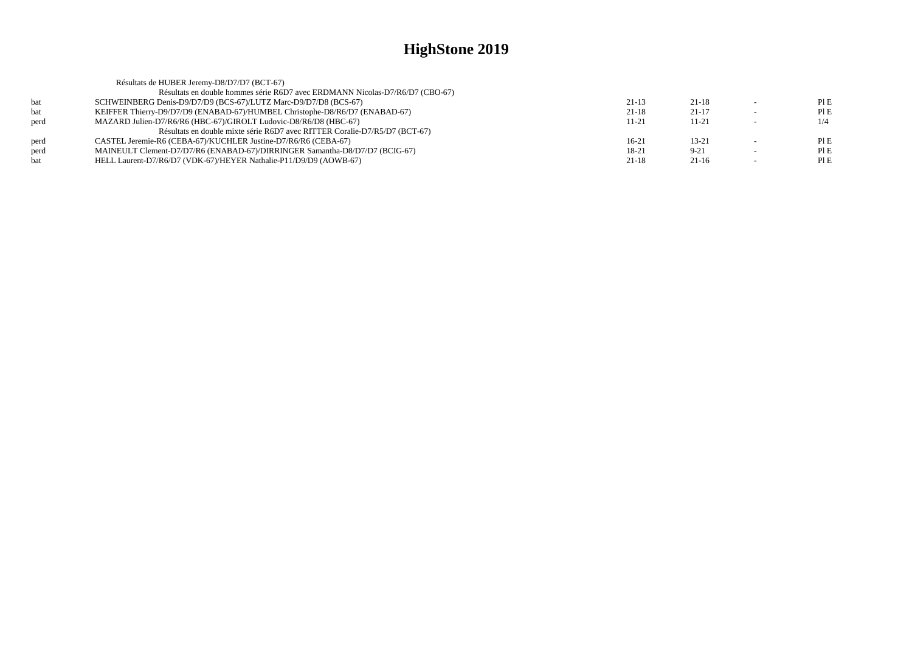|      | Résultats de HUBER Jeremy-D8/D7/D7 (BCT-67)                                  |           |           |                          |     |
|------|------------------------------------------------------------------------------|-----------|-----------|--------------------------|-----|
|      | Résultats en double hommes série R6D7 avec ERDMANN Nicolas-D7/R6/D7 (CBO-67) |           |           |                          |     |
| hat  | SCHWEINBERG Denis-D9/D7/D9 (BCS-67)/LUTZ Marc-D9/D7/D8 (BCS-67)              | $21-13$   | $21-18$   |                          | PIE |
| bat  | KEIFFER Thierry-D9/D7/D9 (ENABAD-67)/HUMBEL Christophe-D8/R6/D7 (ENABAD-67)  | $21 - 18$ | $21 - 17$ |                          | PIE |
| perd | MAZARD Julien-D7/R6/R6 (HBC-67)/GIROLT Ludovic-D8/R6/D8 (HBC-67)             | $11 - 21$ | $11 - 21$ | $\overline{\phantom{a}}$ | 1/4 |
|      | Résultats en double mixte série R6D7 avec RITTER Coralie-D7/R5/D7 (BCT-67)   |           |           |                          |     |
| perd | CASTEL Jeremie-R6 (CEBA-67)/KUCHLER Justine-D7/R6/R6 (CEBA-67)               | $16-21$   | $13 - 21$ |                          | PIE |
| perd | MAINEULT Clement-D7/D7/R6 (ENABAD-67)/DIRRINGER Samantha-D8/D7/D7 (BCIG-67)  | 18-21     | $9 - 21$  |                          | PIE |
| bat  | HELL Laurent-D7/R6/D7 (VDK-67)/HEYER Nathalie-P11/D9/D9 (AOWB-67)            | $21 - 18$ | $21-16$   |                          | PIE |
|      |                                                                              |           |           |                          |     |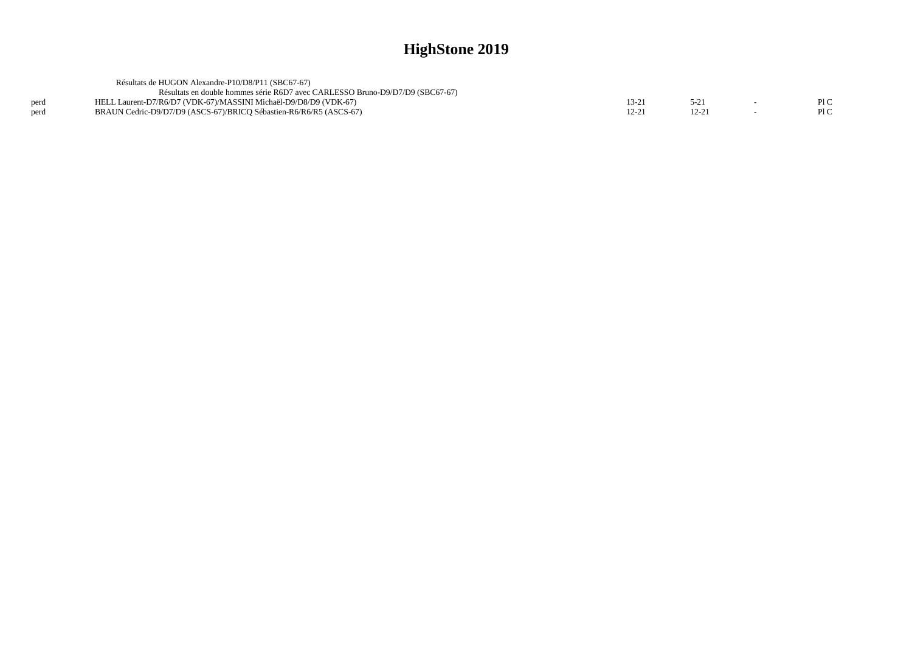|      | Résultats de HUGON Alexandre-P10/D8/P11 (SBC67-67)                            |       |          |     |
|------|-------------------------------------------------------------------------------|-------|----------|-----|
|      | Résultats en double hommes série R6D7 avec CARLESSO Bruno-D9/D7/D9 (SBC67-67) |       |          |     |
| perd | HELL Laurent-D7/R6/D7 (VDK-67)/MASSINI Michaël-D9/D8/D9 (VDK-67)              | 13-21 |          | PIC |
| perd | BRAUN Cedric-D9/D7/D9 (ASCS-67)/BRICO Sébastien-R6/R6/R5 (ASCS-67)            | 12-21 | $12 - 2$ | P1C |
|      |                                                                               |       |          |     |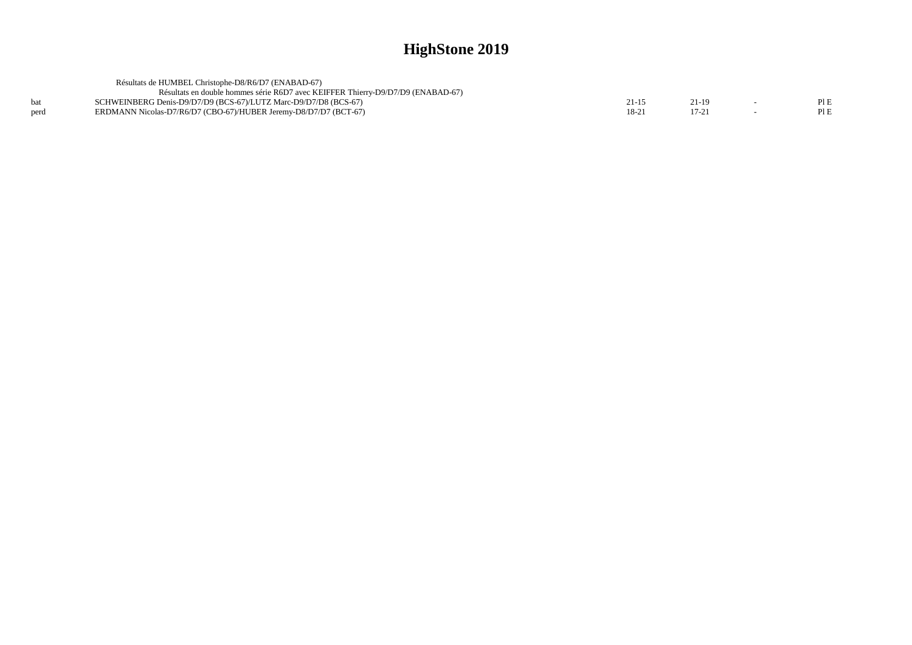|      | Résultats de HUMBEL Christophe-D8/R6/D7 (ENABAD-67)                             |      |       |      |
|------|---------------------------------------------------------------------------------|------|-------|------|
|      | Résultats en double hommes série R6D7 avec KEIFFER Thierry-D9/D7/D9 (ENABAD-67) |      |       |      |
|      | SCHWEINBERG Denis-D9/D7/D9 (BCS-67)/LUTZ Marc-D9/D7/D8 (BCS-67)                 |      | 21-19 | PIE  |
| perd | ERDMANN Nicolas-D7/R6/D7 (CBO-67)/HUBER Jeremy-D8/D7/D7 (BCT-67)                | 18-2 |       | Pl E |
|      |                                                                                 |      |       |      |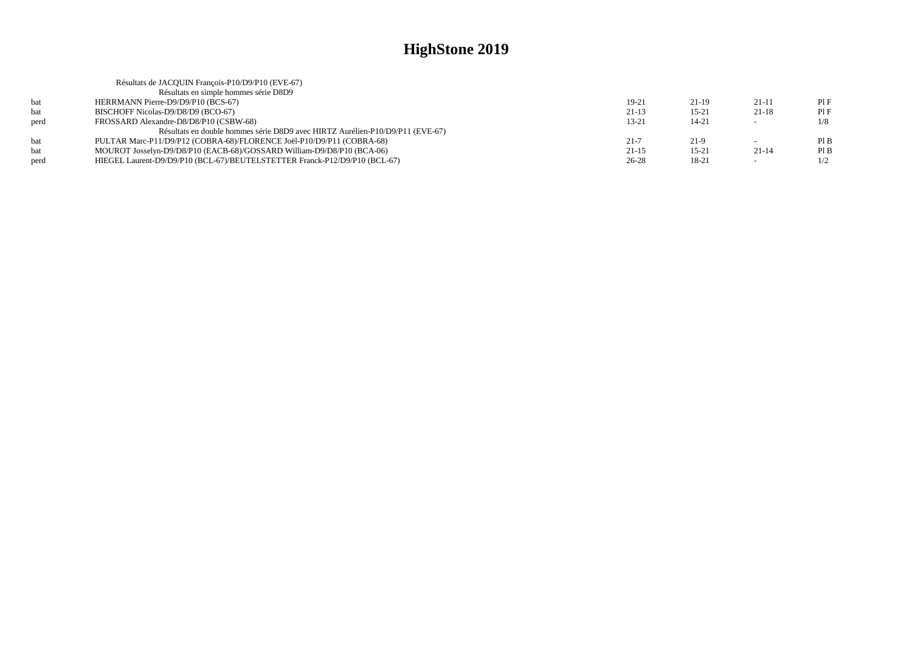|      | Résultats de JACQUIN François-P10/D9/P10 (EVE-67)                             |           |           |                          |      |
|------|-------------------------------------------------------------------------------|-----------|-----------|--------------------------|------|
|      | Résultats en simple hommes série D8D9                                         |           |           |                          |      |
| bat  | HERRMANN Pierre-D9/D9/P10 (BCS-67)                                            | 19-21     | $21-19$   | $21-11$                  | PIF  |
| bat  | BISCHOFF Nicolas-D9/D8/D9 (BCO-67)                                            | $21-13$   | $15 - 21$ | $21-18$                  | PIF  |
| perd | FROSSARD Alexandre-D8/D8/P10 (CSBW-68)                                        | $13 - 21$ | $14 - 21$ | $\overline{\phantom{0}}$ | 1/8  |
|      | Résultats en double hommes série D8D9 avec HIRTZ Aurélien-P10/D9/P11 (EVE-67) |           |           |                          |      |
| hat  | PULTAR Marc-P11/D9/P12 (COBRA-68)/FLORENCE Joël-P10/D9/P11 (COBRA-68)         | $21 - 7$  | $21-9$    | $\sim$                   | PIB  |
| bat  | MOUROT Josselyn-D9/D8/P10 (EACB-68)/GOSSARD William-D9/D8/P10 (BCA-06)        | $21-15$   | $15 - 21$ | $21-14$                  | PI B |
| perd | HIEGEL Laurent-D9/D9/P10 (BCL-67)/BEUTELSTETTER Franck-P12/D9/P10 (BCL-67)    | $26 - 28$ | 18-21     | $\sim$                   | 1/2  |
|      |                                                                               |           |           |                          |      |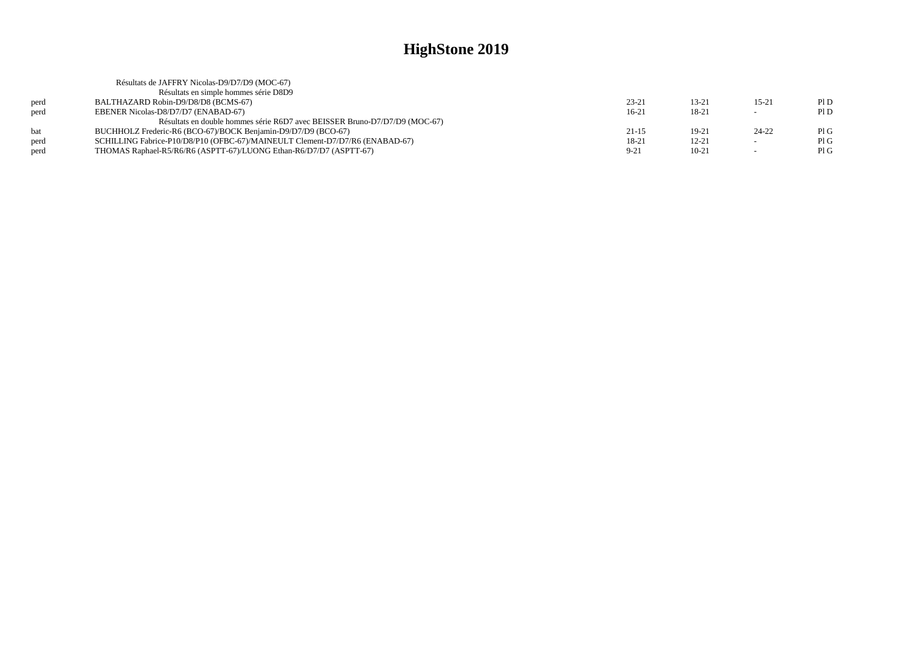|      | Résultats de JAFFRY Nicolas-D9/D7/D9 (MOC-67)                                |           |           |           |     |
|------|------------------------------------------------------------------------------|-----------|-----------|-----------|-----|
|      | Résultats en simple hommes série D8D9                                        |           |           |           |     |
| perd | BALTHAZARD Robin-D9/D8/D8 (BCMS-67)                                          | $23 - 21$ | $13 - 21$ | $15 - 21$ | PID |
| perd | EBENER Nicolas-D8/D7/D7 (ENABAD-67)                                          | $16-21$   | 18-21     | $\sim$    | PID |
|      | Résultats en double hommes série R6D7 avec BEISSER Bruno-D7/D7/D9 (MOC-67)   |           |           |           |     |
| hat  | BUCHHOLZ Frederic-R6 (BCO-67)/BOCK Benjamin-D9/D7/D9 (BCO-67)                | $21 - 15$ | $19-21$   | $24 - 22$ | PIG |
| perd | SCHILLING Fabrice-P10/D8/P10 (OFBC-67)/MAINEULT Clement-D7/D7/R6 (ENABAD-67) | 18-21     | $12 - 21$ |           | PIG |
| perd | THOMAS Raphael-R5/R6/R6 (ASPTT-67)/LUONG Ethan-R6/D7/D7 (ASPTT-67)           | $9 - 21$  | $10 - 21$ |           | PIG |
|      |                                                                              |           |           |           |     |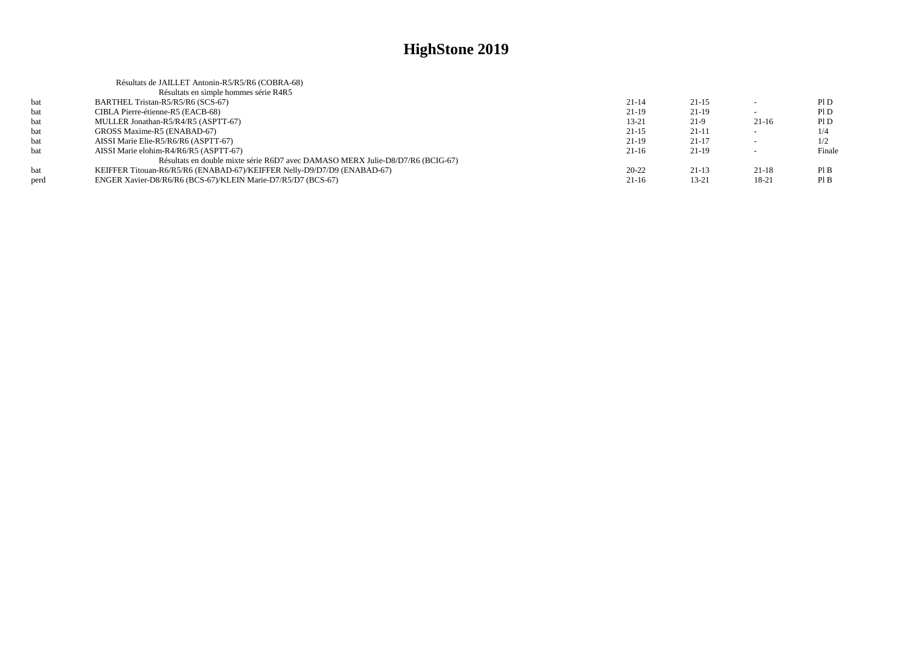|      | Résultats de JAILLET Antonin-R5/R5/R6 (COBRA-68)                               |           |           |                          |        |
|------|--------------------------------------------------------------------------------|-----------|-----------|--------------------------|--------|
|      | Résultats en simple hommes série R4R5                                          |           |           |                          |        |
| bat  | BARTHEL Tristan-R5/R5/R6 (SCS-67)                                              | $21-14$   | $21-15$   |                          | P1D    |
| bat  | CIBLA Pierre-étienne-R5 (EACB-68)                                              | $21-19$   | $21-19$   |                          | P1D    |
| bat  | MULLER Jonathan-R5/R4/R5 (ASPTT-67)                                            | $13 - 21$ | $21-9$    | $21-16$                  | P1D    |
| bat  | GROSS Maxime-R5 (ENABAD-67)                                                    | $21-15$   | $21-11$   | $\overline{\phantom{0}}$ | 1/4    |
| bat  | AISSI Marie Elie-R5/R6/R6 (ASPTT-67)                                           | $21-19$   | $21 - 17$ |                          | 1/2    |
| bat  | AISSI Marie elohim-R4/R6/R5 (ASPTT-67)                                         | $21-16$   | $21-19$   |                          | Finale |
|      | Résultats en double mixte série R6D7 avec DAMASO MERX Julie-D8/D7/R6 (BCIG-67) |           |           |                          |        |
| bat  | KEIFFER Titouan-R6/R5/R6 (ENABAD-67)/KEIFFER Nelly-D9/D7/D9 (ENABAD-67)        | $20 - 22$ | $21-13$   | $21-18$                  | PIB    |
| perd | ENGER Xavier-D8/R6/R6 (BCS-67)/KLEIN Marie-D7/R5/D7 (BCS-67)                   | $21-16$   | $13 - 21$ | 18-21                    | PIB    |
|      |                                                                                |           |           |                          |        |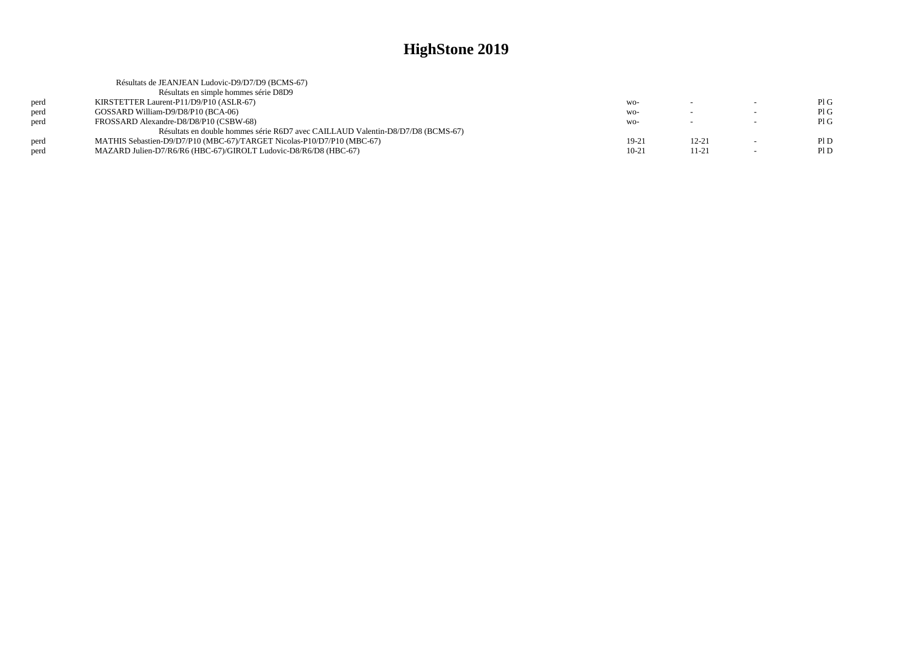|      | Résultats de JEANJEAN Ludovic-D9/D7/D9 (BCMS-67)                                |         |           |                          |     |
|------|---------------------------------------------------------------------------------|---------|-----------|--------------------------|-----|
|      | Résultats en simple hommes série D8D9                                           |         |           |                          |     |
| perd | KIRSTETTER Laurent-P11/D9/P10 (ASLR-67)                                         | $WO-$   | $\sim$    | $\sim$                   | PIG |
| perd | GOSSARD William-D9/D8/P10 (BCA-06)                                              | WO-     |           |                          | PIG |
| perd | FROSSARD Alexandre-D8/D8/P10 (CSBW-68)                                          | $WO-$   | $\sim$    | $\overline{\phantom{a}}$ | PIG |
|      | Résultats en double hommes série R6D7 avec CAILLAUD Valentin-D8/D7/D8 (BCMS-67) |         |           |                          |     |
| perd | MATHIS Sebastien-D9/D7/P10 (MBC-67)/TARGET Nicolas-P10/D7/P10 (MBC-67)          | $19-21$ | $12 - 21$ |                          | P1D |
| perd | MAZARD Julien-D7/R6/R6 (HBC-67)/GIROLT Ludovic-D8/R6/D8 (HBC-67)                | $10-21$ | 11-21     |                          | P1D |
|      |                                                                                 |         |           |                          |     |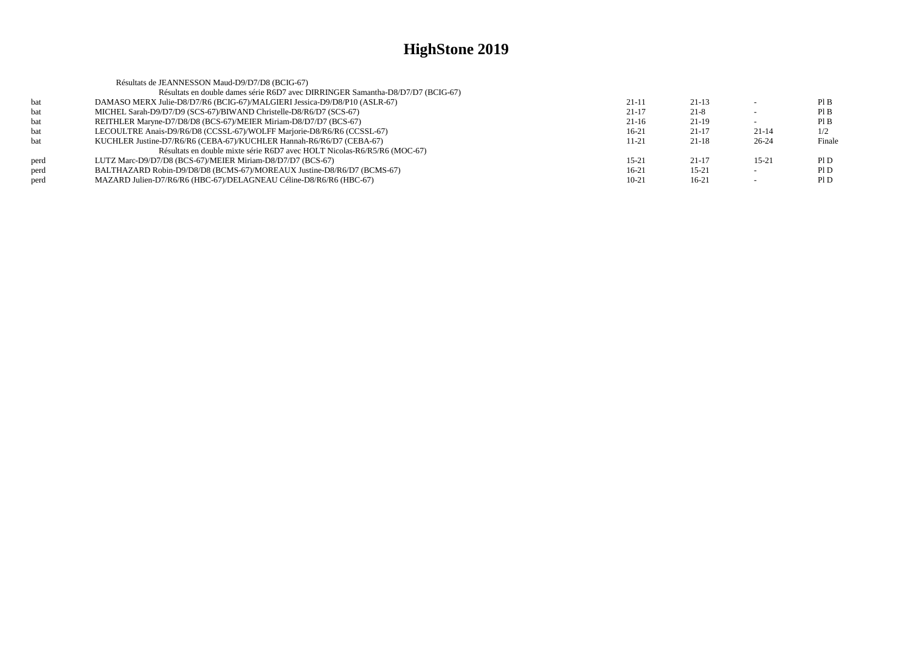|            | Résultats de JEANNESSON Maud-D9/D7/D8 (BCIG-67)                                 |           |           |           |        |
|------------|---------------------------------------------------------------------------------|-----------|-----------|-----------|--------|
|            | Résultats en double dames série R6D7 avec DIRRINGER Samantha-D8/D7/D7 (BCIG-67) |           |           |           |        |
| bat        | DAMASO MERX Julie-D8/D7/R6 (BCIG-67)/MALGIERI Jessica-D9/D8/P10 (ASLR-67)       | $21-11$   | $21-13$   |           | PIB    |
| bat        | MICHEL Sarah-D9/D7/D9 (SCS-67)/BIWAND Christelle-D8/R6/D7 (SCS-67)              | $21 - 17$ | $21 - 8$  |           | PIB    |
| bat        | REITHLER Maryne-D7/D8/D8 (BCS-67)/MEIER Miriam-D8/D7/D7 (BCS-67)                | $21-16$   | $21-19$   |           | PIB    |
| bat        | LECOULTRE Anais-D9/R6/D8 (CCSSL-67)/WOLFF Marjorie-D8/R6/R6 (CCSSL-67)          | $16-21$   | $21-17$   | $21 - 14$ | 1/2    |
| <b>bat</b> | KUCHLER Justine-D7/R6/R6 (CEBA-67)/KUCHLER Hannah-R6/R6/D7 (CEBA-67)            | $11 - 21$ | $21-18$   | $26 - 24$ | Finale |
|            | Résultats en double mixte série R6D7 avec HOLT Nicolas-R6/R5/R6 (MOC-67)        |           |           |           |        |
| perd       | LUTZ Marc-D9/D7/D8 (BCS-67)/MEIER Miriam-D8/D7/D7 (BCS-67)                      | $15 - 21$ | $21 - 17$ | $15 - 21$ | P1D    |
| perd       | BALTHAZARD Robin-D9/D8/D8 (BCMS-67)/MOREAUX Justine-D8/R6/D7 (BCMS-67)          | $16-21$   | $15 - 21$ |           | P1D    |
| perd       | MAZARD Julien-D7/R6/R6 (HBC-67)/DELAGNEAU Céline-D8/R6/R6 (HBC-67)              | $10-21$   | $16-21$   |           | P1D    |
|            |                                                                                 |           |           |           |        |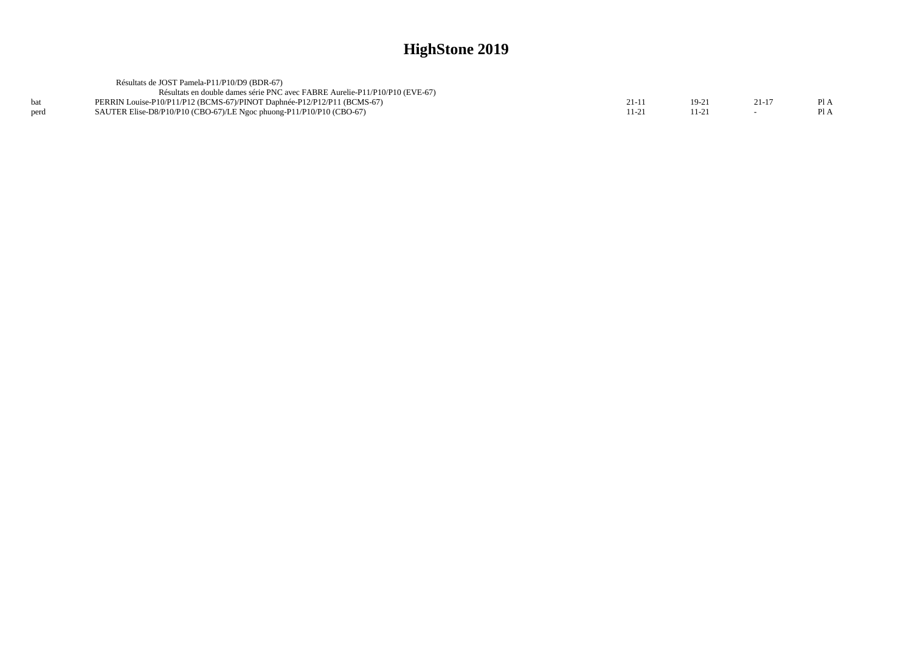|      | Résultats de JOST Pamela-P11/P10/D9 (BDR-67)                                |      |           |  |
|------|-----------------------------------------------------------------------------|------|-----------|--|
|      | Résultats en double dames série PNC avec FABRE Aurelie-P11/P10/P10 (EVE-67) |      |           |  |
|      | PERRIN Louise-P10/P11/P12 (BCMS-67)/PINOT Daphnée-P12/P12/P11 (BCMS-67)     | 21-1 | $21 - 17$ |  |
| nerd | SAUTER Elise-D8/P10/P10 (CBO-67)/LE Ngoc phuong-P11/P10/P10 (CBO-67)        |      |           |  |
|      |                                                                             |      |           |  |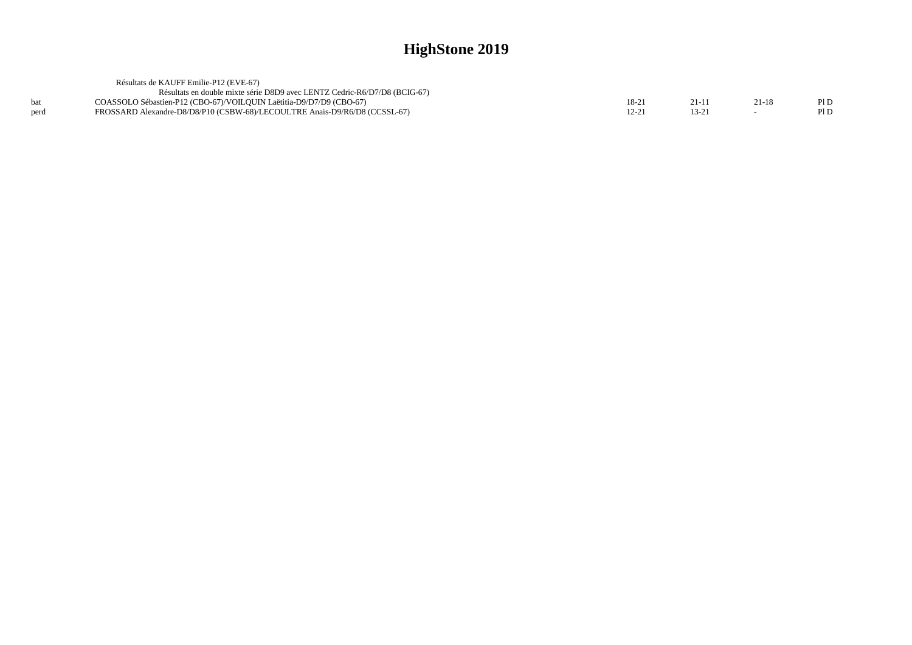|      | Résultats de KAUFF Emilie-P12 (EVE-67)                                     |         |        |       |  |
|------|----------------------------------------------------------------------------|---------|--------|-------|--|
|      | Résultats en double mixte série D8D9 avec LENTZ Cedric-R6/D7/D8 (BCIG-67)  |         |        |       |  |
|      | COASSOLO Sébastien-P12 (CBO-67)/VOILOUIN Laëtitia-D9/D7/D9 (CBO-67)        | $18-21$ | $21-1$ | 21-18 |  |
| perd | FROSSARD Alexandre-D8/D8/P10 (CSBW-68)/LECOULTRE Anais-D9/R6/D8 (CCSSL-67) |         |        |       |  |
|      |                                                                            |         |        |       |  |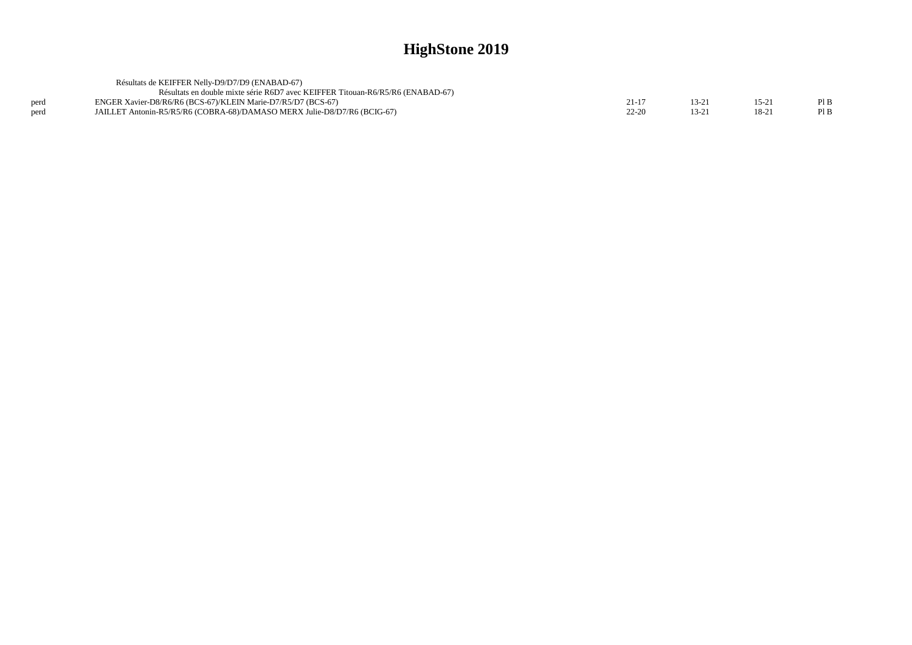|      | Résultats de KEIFFER Nelly-D9/D7/D9 (ENABAD-67)                                |           |          |         |      |
|------|--------------------------------------------------------------------------------|-----------|----------|---------|------|
|      | Résultats en double mixte série R6D7 avec KEIFFER Titouan-R6/R5/R6 (ENABAD-67) |           |          |         |      |
| perd | ENGER Xavier-D8/R6/R6 (BCS-67)/KLEIN Marie-D7/R5/D7 (BCS-67)                   | $21 - 1$  | $13 - 2$ | $15-21$ |      |
| perd | JAILLET Antonin-R5/R5/R6 (COBRA-68)/DAMASO MERX Julie-D8/D7/R6 (BCIG-67)       | $22 - 20$ | $13-2.$  | 18-21   | Pl B |
|      |                                                                                |           |          |         |      |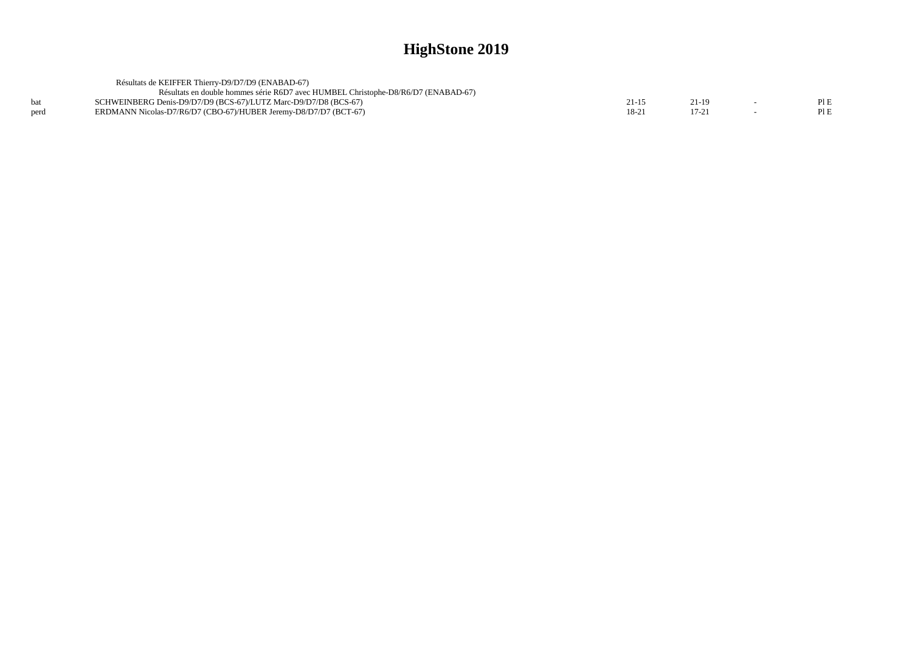|      | Résultats de KEIFFER Thierry-D9/D7/D9 (ENABAD-67)                                 |       |         |     |
|------|-----------------------------------------------------------------------------------|-------|---------|-----|
|      | Résultats en double hommes série R6D7 avec HUMBEL Christophe-D8/R6/D7 (ENABAD-67) |       |         |     |
|      | SCHWEINBERG Denis-D9/D7/D9 (BCS-67)/LUTZ Marc-D9/D7/D8 (BCS-67)                   | 21-15 | 21-19   | PIE |
| perd | ERDMANN Nicolas-D7/R6/D7 (CBO-67)/HUBER Jeremy-D8/D7/D7 (BCT-67)                  | 18-21 | $17-21$ | PIE |
|      |                                                                                   |       |         |     |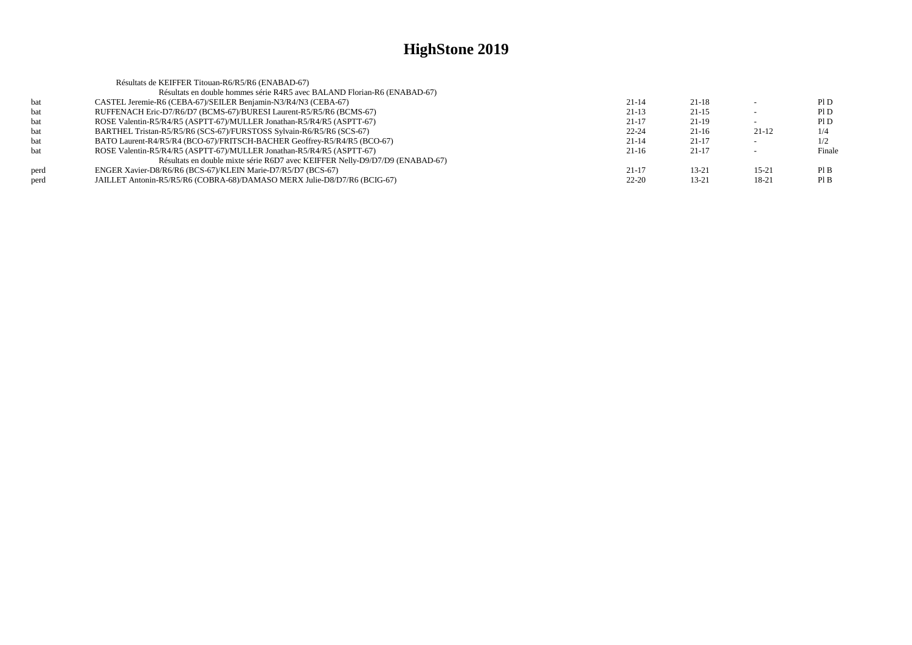|      | Résultats de KEIFFER Titouan-R6/R5/R6 (ENABAD-67)                            |           |           |           |        |
|------|------------------------------------------------------------------------------|-----------|-----------|-----------|--------|
|      | Résultats en double hommes série R4R5 avec BALAND Florian-R6 (ENABAD-67)     |           |           |           |        |
| bat  | CASTEL Jeremie-R6 (CEBA-67)/SEILER Benjamin-N3/R4/N3 (CEBA-67)               | $21 - 14$ | $21-18$   |           | P1D    |
| bat  | RUFFENACH Eric-D7/R6/D7 (BCMS-67)/BURESI Laurent-R5/R5/R6 (BCMS-67)          | $21-13$   | $21-15$   |           | P1D    |
| bat  | ROSE Valentin-R5/R4/R5 (ASPTT-67)/MULLER Jonathan-R5/R4/R5 (ASPTT-67)        | $21 - 17$ | 21-19     |           | PID    |
| bat  | BARTHEL Tristan-R5/R5/R6 (SCS-67)/FURSTOSS Sylvain-R6/R5/R6 (SCS-67)         | $22 - 24$ | $21-16$   | $21-12$   | 1/4    |
| bat  | BATO Laurent-R4/R5/R4 (BCO-67)/FRITSCH-BACHER Geoffrey-R5/R4/R5 (BCO-67)     | $21 - 14$ | $21-17$   |           | 1/2    |
| bat  | ROSE Valentin-R5/R4/R5 (ASPTT-67)/MULLER Jonathan-R5/R4/R5 (ASPTT-67)        | $21-16$   | $21-17$   |           | Finale |
|      | Résultats en double mixte série R6D7 avec KEIFFER Nelly-D9/D7/D9 (ENABAD-67) |           |           |           |        |
| perd | ENGER Xavier-D8/R6/R6 (BCS-67)/KLEIN Marie-D7/R5/D7 (BCS-67)                 | $21 - 17$ | $13 - 21$ | $15 - 21$ | PIB    |
| perd | JAILLET Antonin-R5/R5/R6 (COBRA-68)/DAMASO MERX Julie-D8/D7/R6 (BCIG-67)     | $22 - 20$ | $13 - 21$ | 18-21     | PIB    |
|      |                                                                              |           |           |           |        |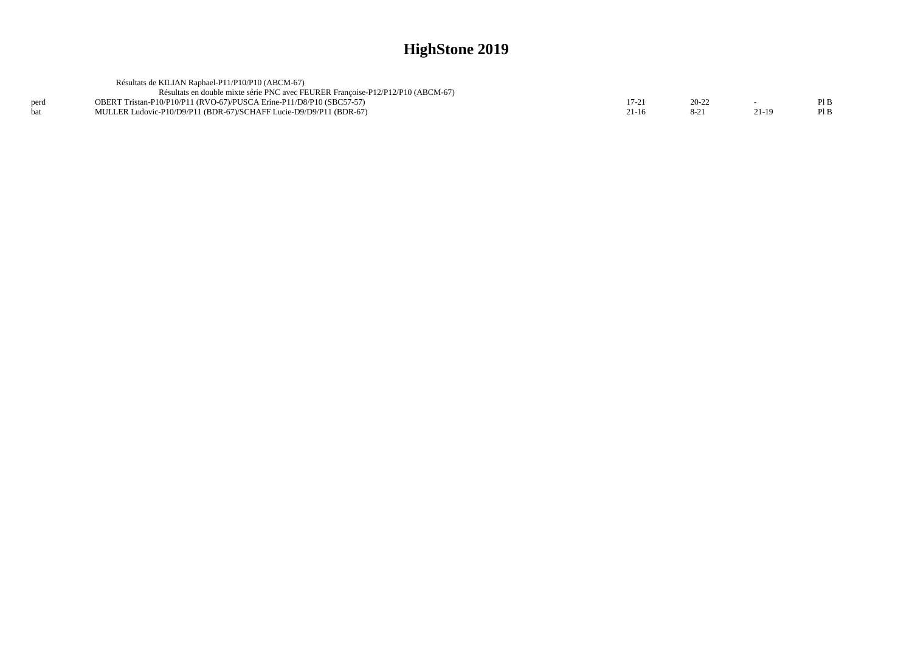|      | Résultats de KILIAN Raphael-P11/P10/P10 (ABCM-67)                               |           |         |                          |      |
|------|---------------------------------------------------------------------------------|-----------|---------|--------------------------|------|
|      | Résultats en double mixte série PNC avec FEURER Francoise-P12/P12/P10 (ABCM-67) |           |         |                          |      |
| perd | OBERT Tristan-P10/P10/P11 (RVO-67)/PUSCA Erine-P11/D8/P10 (SBC57-57)            | 17-21     | $20-22$ | $\overline{\phantom{0}}$ | PI B |
|      | MULLER Ludovic-P10/D9/P11 (BDR-67)/SCHAFF Lucie-D9/D9/P11 (BDR-67)              | $21 - 16$ |         |                          | PI B |
|      |                                                                                 |           |         |                          |      |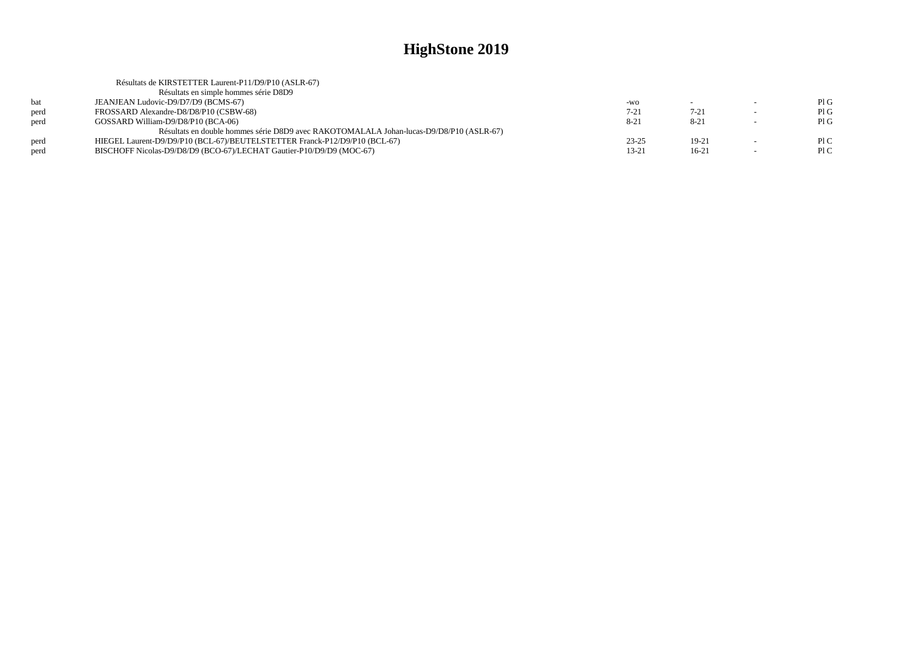|      | Résultats de KIRSTETTER Laurent-P11/D9/P10 (ASLR-67)                                    |           |         |        |     |
|------|-----------------------------------------------------------------------------------------|-----------|---------|--------|-----|
|      | Résultats en simple hommes série D8D9                                                   |           |         |        |     |
| bat  | JEANJEAN Ludovic-D9/D7/D9 (BCMS-67)                                                     | $-WO$     |         |        | PIG |
| perd | FROSSARD Alexandre-D8/D8/P10 (CSBW-68)                                                  | $7 - 21$  | $7-21$  | $\sim$ | PIG |
| perd | GOSSARD William-D9/D8/P10 (BCA-06)                                                      | $8 - 21$  | $8-21$  | $\sim$ | PIG |
|      | Résultats en double hommes série D8D9 avec RAKOTOMALALA Johan-lucas-D9/D8/P10 (ASLR-67) |           |         |        |     |
| perd | HIEGEL Laurent-D9/D9/P10 (BCL-67)/BEUTELSTETTER Franck-P12/D9/P10 (BCL-67)              | $23 - 25$ | $19-21$ |        | P1C |
| perd | BISCHOFF Nicolas-D9/D8/D9 (BCO-67)/LECHAT Gautier-P10/D9/D9 (MOC-67)                    | 13-21     | $16-21$ |        | P1C |
|      |                                                                                         |           |         |        |     |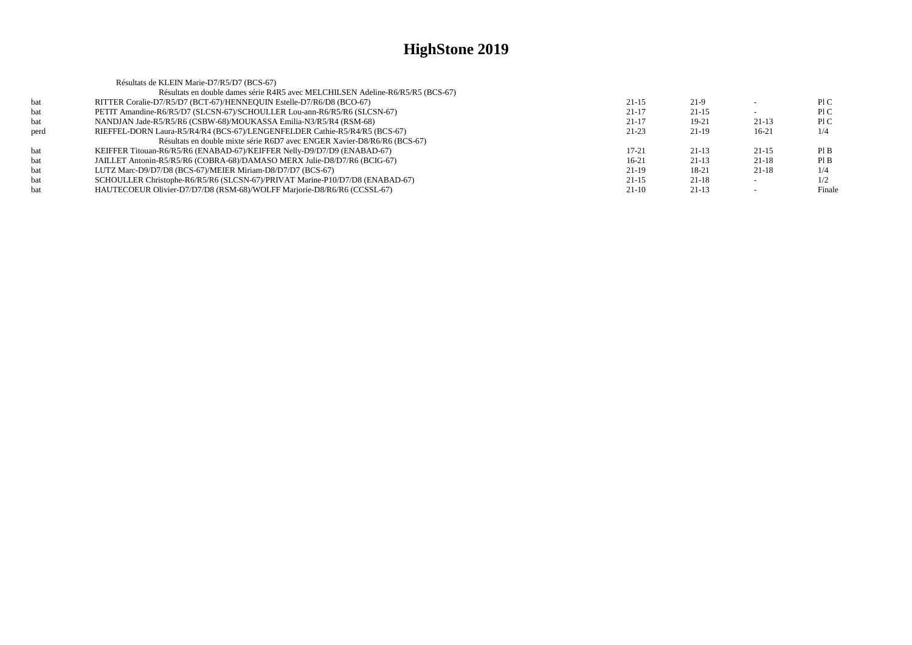|      | Résultats de KLEIN Marie-D7/R5/D7 (BCS-67)                                     |           |         |           |        |
|------|--------------------------------------------------------------------------------|-----------|---------|-----------|--------|
|      | Résultats en double dames série R4R5 avec MELCHILSEN Adeline-R6/R5/R5 (BCS-67) |           |         |           |        |
| bat  | RITTER Coralie-D7/R5/D7 (BCT-67)/HENNEQUIN Estelle-D7/R6/D8 (BCO-67)           | $21-15$   | 21-9    |           | P1C    |
| bat  | PETIT Amandine-R6/R5/D7 (SLCSN-67)/SCHOULLER Lou-ann-R6/R5/R6 (SLCSN-67)       | $21-17$   | $21-15$ |           | P1C    |
| bat  | NANDJAN Jade-R5/R5/R6 (CSBW-68)/MOUKASSA Emilia-N3/R5/R4 (RSM-68)              | $21 - 17$ | $19-21$ | $21-13$   | P1C    |
| perd | RIEFFEL-DORN Laura-R5/R4/R4 (BCS-67)/LENGENFELDER Cathie-R5/R4/R5 (BCS-67)     | $21-23$   | $21-19$ | $16-21$   | 1/4    |
|      | Résultats en double mixte série R6D7 avec ENGER Xavier-D8/R6/R6 (BCS-67)       |           |         |           |        |
| bat  | KEIFFER Titouan-R6/R5/R6 (ENABAD-67)/KEIFFER Nelly-D9/D7/D9 (ENABAD-67)        | $17-21$   | $21-13$ | $21 - 15$ | PI B   |
| bat  | JAILLET Antonin-R5/R5/R6 (COBRA-68)/DAMASO MERX Julie-D8/D7/R6 (BCIG-67)       | $16-21$   | $21-13$ | $21 - 18$ | Pl B   |
| bat  | LUTZ Marc-D9/D7/D8 (BCS-67)/MEIER Miriam-D8/D7/D7 (BCS-67)                     | $21-19$   | 18-21   | $21 - 18$ | 1/4    |
| bat  | SCHOULLER Christophe-R6/R5/R6 (SLCSN-67)/PRIVAT Marine-P10/D7/D8 (ENABAD-67)   | $21-15$   | $21-18$ |           | 1/2    |
| bat  | HAUTECOEUR Olivier-D7/D7/D8 (RSM-68)/WOLFF Marjorie-D8/R6/R6 (CCSSL-67)        | $21-10$   | $21-13$ |           | Finale |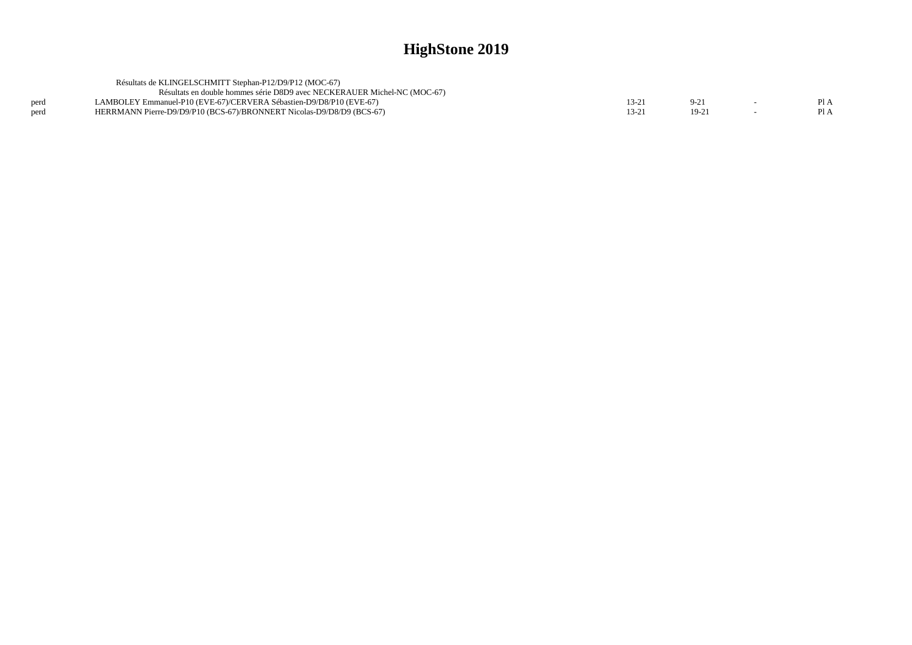|      | Résultats de KLINGELSCHMITT Stephan-P12/D9/P12 (MOC-67)                  |           |         |         |
|------|--------------------------------------------------------------------------|-----------|---------|---------|
|      | Résultats en double hommes série D8D9 avec NECKERAUER Michel-NC (MOC-67) |           |         |         |
| perd | LAMBOLEY Emmanuel-P10 (EVE-67)/CERVERA Sébastien-D9/D8/P10 (EVE-67)      | $13 - 21$ |         | $P_{A}$ |
| perd | HERRMANN Pierre-D9/D9/P10 (BCS-67)/BRONNERT Nicolas-D9/D8/D9 (BCS-67)    | 13-21     | $19-21$ | P1A     |
|      |                                                                          |           |         |         |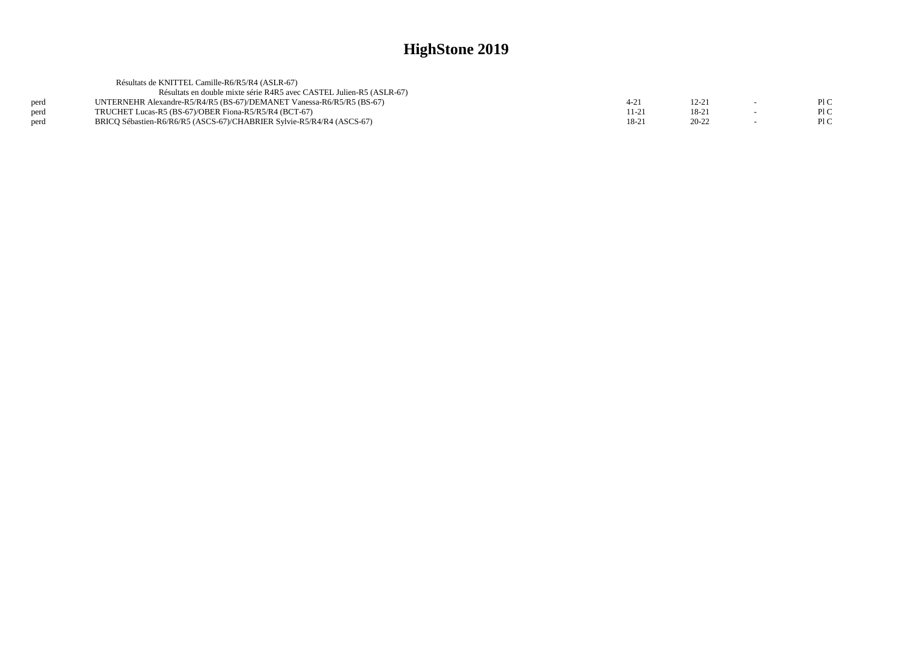|      | Résultats de KNITTEL Camille-R6/R5/R4 (ASLR-67)                       |          |         |      |
|------|-----------------------------------------------------------------------|----------|---------|------|
|      | Résultats en double mixte série R4R5 avec CASTEL Julien-R5 (ASLR-67)  |          |         |      |
| perd | UNTERNEHR Alexandre-R5/R4/R5 (BS-67)/DEMANET Vanessa-R6/R5/R5 (BS-67) | $4 - 2!$ | 12-2    | PIC  |
| perd | TRUCHET Lucas-R5 (BS-67)/OBER Fiona-R5/R5/R4 (BCT-67)                 | 11-21    | 18-2    | Pl C |
| perd | BRICO Sébastien-R6/R6/R5 (ASCS-67)/CHABRIER Sylvie-R5/R4/R4 (ASCS-67) | $18-21$  | $20-22$ | Pl C |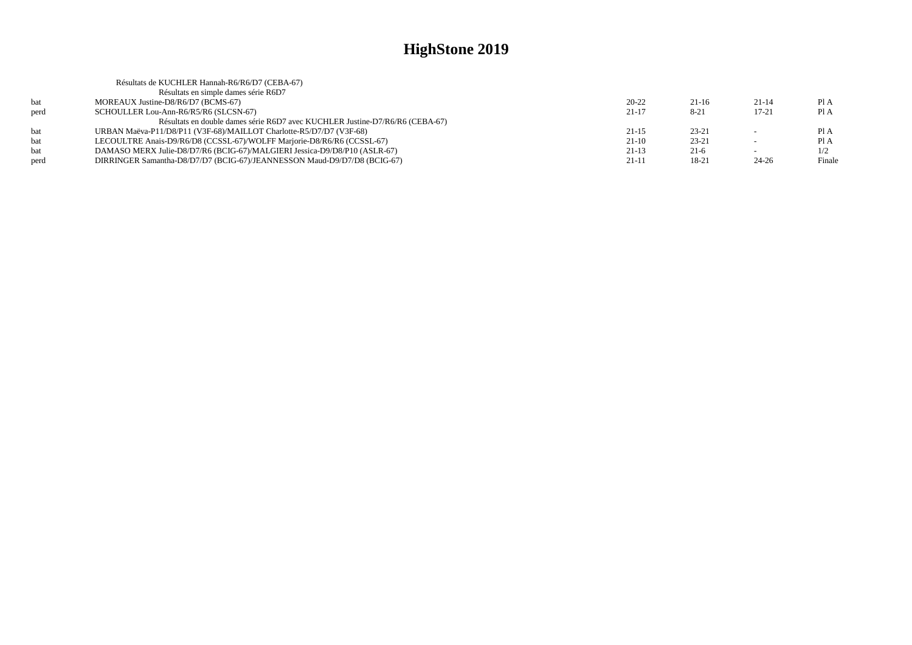|      | Résultats de KUCHLER Hannah-R6/R6/D7 (CEBA-67)                               |           |           |                          |        |
|------|------------------------------------------------------------------------------|-----------|-----------|--------------------------|--------|
|      | Résultats en simple dames série R6D7                                         |           |           |                          |        |
| bat  | MOREAUX Justine-D8/R6/D7 (BCMS-67)                                           | $20 - 22$ | $21-16$   | $21-14$                  | Pl A   |
| perd | SCHOULLER Lou-Ann-R6/R5/R6 (SLCSN-67)                                        | $21-17$   | $8-21$    | $17 - 21$                | Pl A   |
|      | Résultats en double dames série R6D7 avec KUCHLER Justine-D7/R6/R6 (CEBA-67) |           |           |                          |        |
| hat  | URBAN Maëva-P11/D8/P11 (V3F-68)/MAILLOT Charlotte-R5/D7/D7 (V3F-68)          | $21 - 15$ | $23 - 21$ | $\sim$                   | Pl A   |
| bat  | LECOULTRE Anais-D9/R6/D8 (CCSSL-67)/WOLFF Marjorie-D8/R6/R6 (CCSSL-67)       | $21-10$   | $23 - 21$ | $\overline{\phantom{a}}$ | Pl A   |
| hat  | DAMASO MERX Julie-D8/D7/R6 (BCIG-67)/MALGIERI Jessica-D9/D8/P10 (ASLR-67)    | $21-13$   | $21-6$    | $\sim$                   | 1/2    |
| perd | DIRRINGER Samantha-D8/D7/D7 (BCIG-67)/JEANNESSON Maud-D9/D7/D8 (BCIG-67)     | 21-11     | 18-21     | $24 - 26$                | Finale |
|      |                                                                              |           |           |                          |        |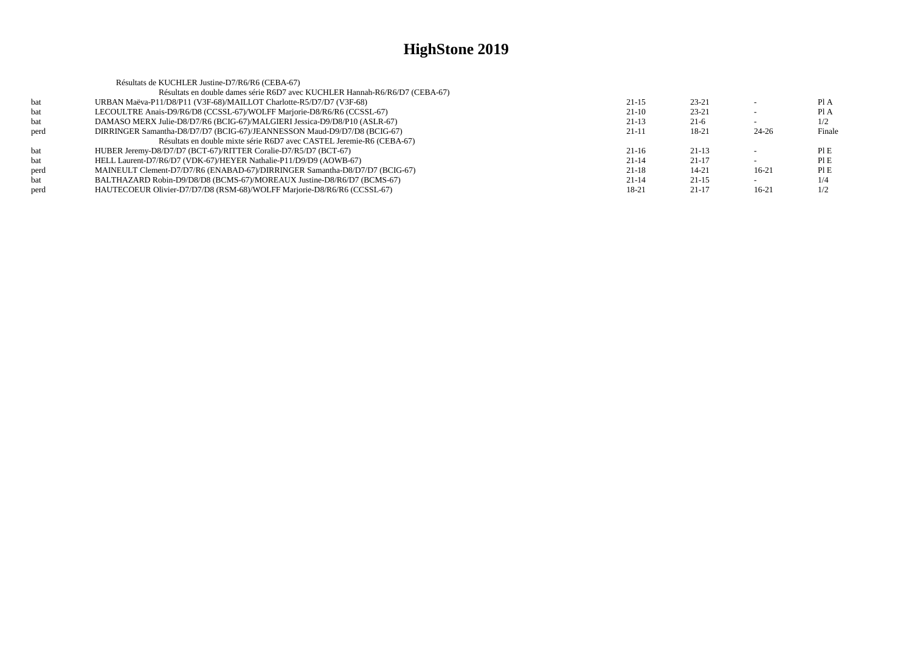|      | Résultats de KUCHLER Justine-D7/R6/R6 (CEBA-67)                             |           |           |           |        |
|------|-----------------------------------------------------------------------------|-----------|-----------|-----------|--------|
|      | Résultats en double dames série R6D7 avec KUCHLER Hannah-R6/R6/D7 (CEBA-67) |           |           |           |        |
| bat  | URBAN Maëva-P11/D8/P11 (V3F-68)/MAILLOT Charlotte-R5/D7/D7 (V3F-68)         | $21-15$   | $23 - 21$ |           | PI A   |
| bat  | LECOULTRE Anais-D9/R6/D8 (CCSSL-67)/WOLFF Marjorie-D8/R6/R6 (CCSSL-67)      | $21-10$   | $23 - 21$ |           | Pl A   |
| bat  | DAMASO MERX Julie-D8/D7/R6 (BCIG-67)/MALGIERI Jessica-D9/D8/P10 (ASLR-67)   | $21-13$   | $21-6$    |           | 1/2    |
| perd | DIRRINGER Samantha-D8/D7/D7 (BCIG-67)/JEANNESSON Maud-D9/D7/D8 (BCIG-67)    | 21-11     | 18-21     | $24 - 26$ | Finale |
|      | Résultats en double mixte série R6D7 avec CASTEL Jeremie-R6 (CEBA-67)       |           |           |           |        |
| bat  | HUBER Jeremy-D8/D7/D7 (BCT-67)/RITTER Coralie-D7/R5/D7 (BCT-67)             | $21-16$   | $21-13$   |           | PI E   |
| bat  | HELL Laurent-D7/R6/D7 (VDK-67)/HEYER Nathalie-P11/D9/D9 (AOWB-67)           | $21 - 14$ | $21-17$   |           | PIE    |
| perd | MAINEULT Clement-D7/D7/R6 (ENABAD-67)/DIRRINGER Samantha-D8/D7/D7 (BCIG-67) | $21-18$   | $14 - 21$ | $16-21$   | PIE    |
| bat  | BALTHAZARD Robin-D9/D8/D8 (BCMS-67)/MOREAUX Justine-D8/R6/D7 (BCMS-67)      | $21 - 14$ | $21-15$   |           | 1/4    |
| perd | HAUTECOEUR Olivier-D7/D7/D8 (RSM-68)/WOLFF Marjorie-D8/R6/R6 (CCSSL-67)     | 18-21     | $21 - 17$ | $16-21$   | 1/2    |
|      |                                                                             |           |           |           |        |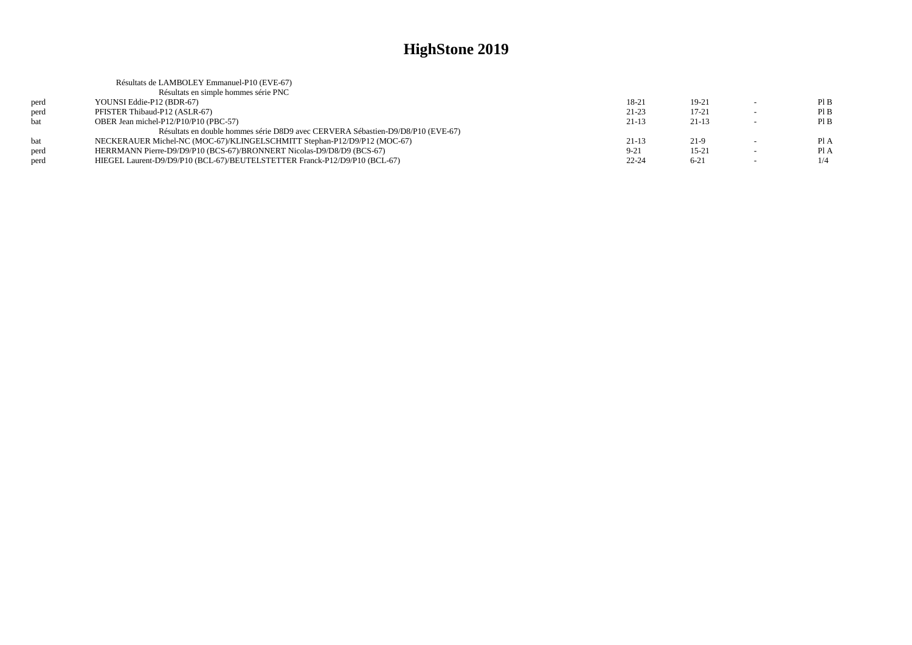|             | Résultats de LAMBOLEY Emmanuel-P10 (EVE-67)                                     |           |           |                          |      |
|-------------|---------------------------------------------------------------------------------|-----------|-----------|--------------------------|------|
|             | Résultats en simple hommes série PNC                                            |           |           |                          |      |
| perd        | YOUNSI Eddie-P12 (BDR-67)                                                       | 18-21     | 19-21     | $\overline{\phantom{a}}$ | PIB  |
| perd        | PFISTER Thibaud-P12 (ASLR-67)                                                   | $21-23$   | $17 - 21$ |                          | PIB  |
| <b>bat</b>  | OBER Jean michel-P12/P10/P10 (PBC-57)                                           | $21-13$   | $21-13$   | $\overline{\phantom{a}}$ | PIB  |
|             | Résultats en double hommes série D8D9 avec CERVERA Sébastien-D9/D8/P10 (EVE-67) |           |           |                          |      |
| <b>b</b> at | NECKERAUER Michel-NC (MOC-67)/KLINGELSCHMITT Stephan-P12/D9/P12 (MOC-67)        | $21-13$   | 21-9      | $\overline{a}$           | PI A |
| perd        | HERRMANN Pierre-D9/D9/P10 (BCS-67)/BRONNERT Nicolas-D9/D8/D9 (BCS-67)           | $9 - 21$  | $15-21$   |                          | Pl A |
| perd        | HIEGEL Laurent-D9/D9/P10 (BCL-67)/BEUTELSTETTER Franck-P12/D9/P10 (BCL-67)      | $22 - 24$ | $6 - 21$  |                          | 1/4  |
|             |                                                                                 |           |           |                          |      |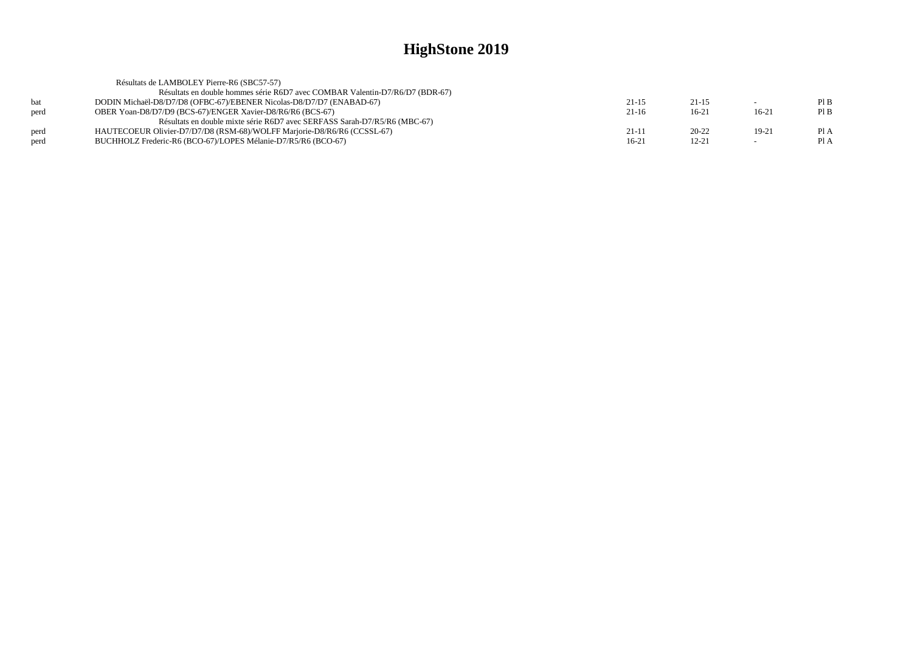|      | Résultats de LAMBOLEY Pierre-R6 (SBC57-57)                                   |           |           |         |      |
|------|------------------------------------------------------------------------------|-----------|-----------|---------|------|
|      | Résultats en double hommes série R6D7 avec COMBAR Valentin-D7/R6/D7 (BDR-67) |           |           |         |      |
| hat  | DODIN Michaël-D8/D7/D8 (OFBC-67)/EBENER Nicolas-D8/D7/D7 (ENABAD-67)         | $21 - 15$ | $21 - 15$ | $\sim$  | PIB  |
| perd | OBER Yoan-D8/D7/D9 (BCS-67)/ENGER Xavier-D8/R6/R6 (BCS-67)                   | $21-16$   | $16-21$   | $16-21$ | Pl B |
|      | Résultats en double mixte série R6D7 avec SERFASS Sarah-D7/R5/R6 (MBC-67)    |           |           |         |      |
| perd | HAUTECOEUR Olivier-D7/D7/D8 (RSM-68)/WOLFF Marjorie-D8/R6/R6 (CCSSL-67)      | $21 - 11$ | $20 - 22$ | 19-21   | Pl A |
| perd | BUCHHOLZ Frederic-R6 (BCO-67)/LOPES Mélanie-D7/R5/R6 (BCO-67)                | 16-21     | $12 - 21$ | $\sim$  | Pl A |
|      |                                                                              |           |           |         |      |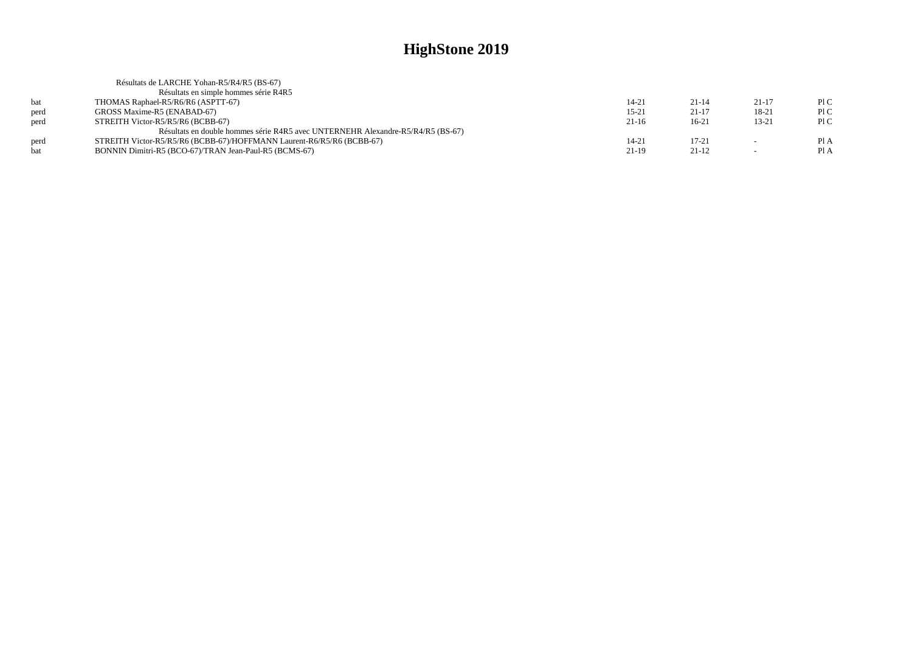|      | Résultats de LARCHE Yohan-R5/R4/R5 (BS-67)                                      |           |           |         |      |
|------|---------------------------------------------------------------------------------|-----------|-----------|---------|------|
|      | Résultats en simple hommes série R4R5                                           |           |           |         |      |
| bat  | THOMAS Raphael-R5/R6/R6 (ASPTT-67)                                              | $14 - 21$ | $21 - 14$ | $21-17$ | P1C  |
| perd | GROSS Maxime-R5 (ENABAD-67)                                                     | $15-21$   | 21-17     | 18-21   | P1C  |
| perd | STREITH Victor-R5/R5/R6 (BCBB-67)                                               | $21-16$   | $16-21$   | 13-21   | PLC  |
|      | Résultats en double hommes série R4R5 avec UNTERNEHR Alexandre-R5/R4/R5 (BS-67) |           |           |         |      |
| perd | STREITH Victor-R5/R5/R6 (BCBB-67)/HOFFMANN Laurent-R6/R5/R6 (BCBB-67)           | $14 - 21$ | $17 - 21$ |         | Pl A |
|      | BONNIN Dimitri-R5 (BCO-67)/TRAN Jean-Paul-R5 (BCMS-67)                          | $21-19$   | $21-12$   |         | Pl A |
|      |                                                                                 |           |           |         |      |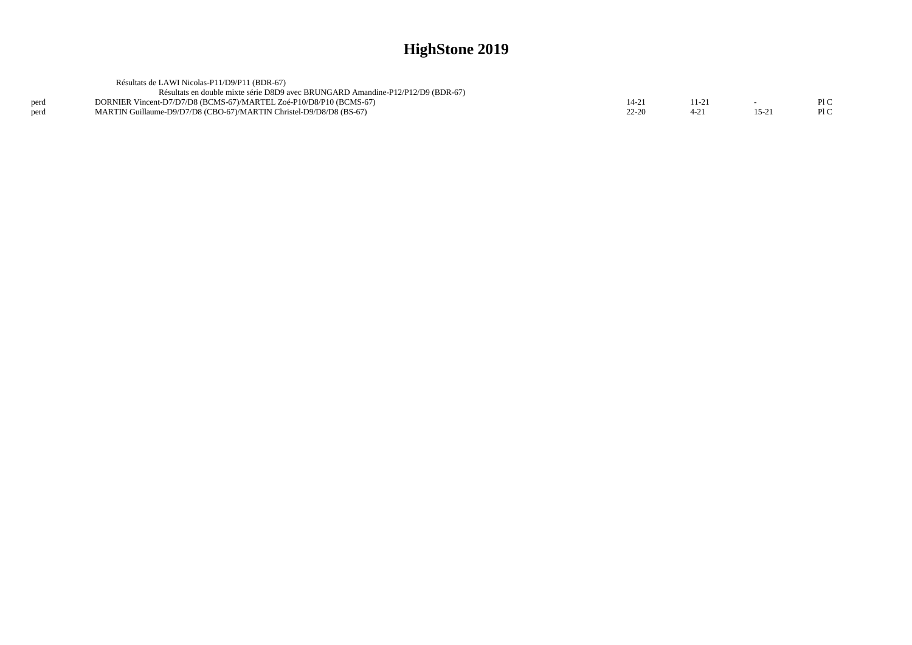|      | Résultats de LAWI Nicolas-P11/D9/P11 (BDR-67)                                   |       |  |     |
|------|---------------------------------------------------------------------------------|-------|--|-----|
|      | Résultats en double mixte série D8D9 avec BRUNGARD Amandine-P12/P12/D9 (BDR-67) |       |  |     |
| perd | DORNIER Vincent-D7/D7/D8 (BCMS-67)/MARTEL Zoé-P10/D8/P10 (BCMS-67)              | 14-21 |  | PLC |
| nerd | MARTIN Guillaume-D9/D7/D8 (CBO-67)/MARTIN Christel-D9/D8/D8 (BS-67)             | 22-20 |  | PLC |
|      |                                                                                 |       |  |     |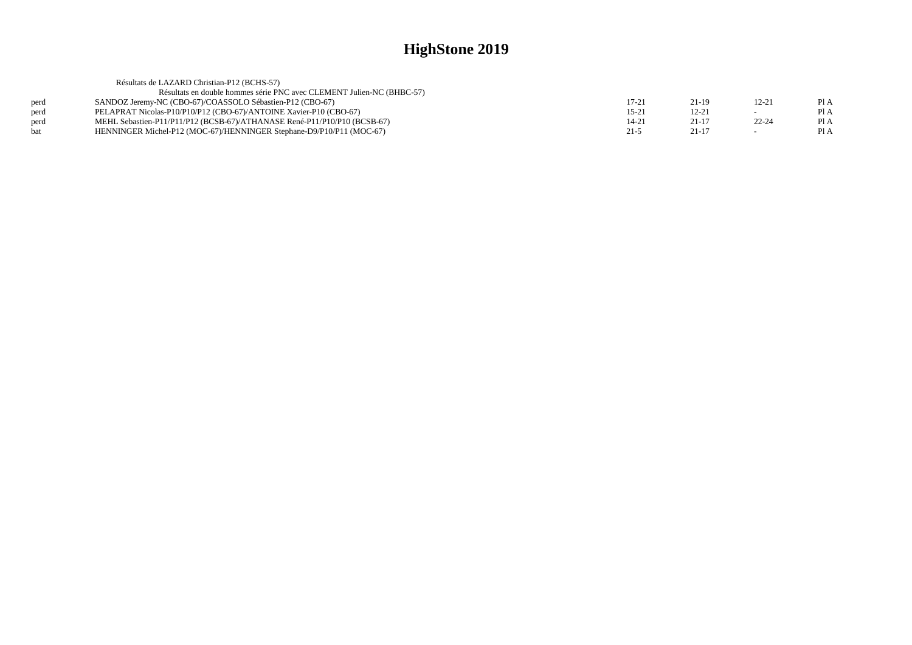|      | Résultats de LAZARD Christian-P12 (BCHS-57)                              |         |           |           |      |
|------|--------------------------------------------------------------------------|---------|-----------|-----------|------|
|      | Résultats en double hommes série PNC avec CLEMENT Julien-NC (BHBC-57)    |         |           |           |      |
| perd | SANDOZ Jeremy-NC (CBO-67)/COASSOLO Sébastien-P12 (CBO-67)                | 17-21   | $21-19$   | 12-21     | Pl A |
| perd | PELAPRAT Nicolas-P10/P10/P12 (CBO-67)/ANTOINE Xavier-P10 (CBO-67)        | $15-21$ | $12 - 21$ |           | PI A |
| perd | MEHL Sebastien-P11/P11/P12 (BCSB-67)/ATHANASE René-P11/P10/P10 (BCSB-67) | 14-21   | $21 - 17$ | $22 - 24$ | PI A |
| bat  | HENNINGER Michel-P12 (MOC-67)/HENNINGER Stephane-D9/P10/P11 (MOC-67)     | $21-5$  | $21 - 17$ |           | Pl A |
|      |                                                                          |         |           |           |      |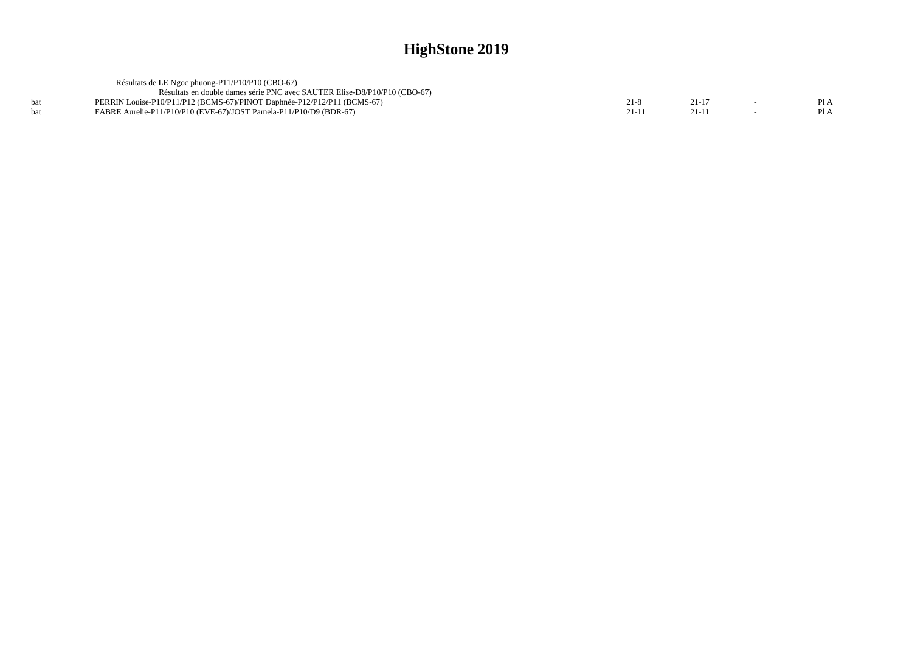| Résultats de LE Ngoc phuong-P11/P10/P10 (CBO-67)                          |      |  |  |
|---------------------------------------------------------------------------|------|--|--|
| Résultats en double dames série PNC avec SAUTER Elise-D8/P10/P10 (CBO-67) |      |  |  |
| PERRIN Louise-P10/P11/P12 (BCMS-67)/PINOT Daphnée-P12/P12/P11 (BCMS-67)   | 21-8 |  |  |
| FABRE Aurelie-P11/P10/P10 (EVE-67)/JOST Pamela-P11/P10/D9 (BDR-67)        |      |  |  |
|                                                                           |      |  |  |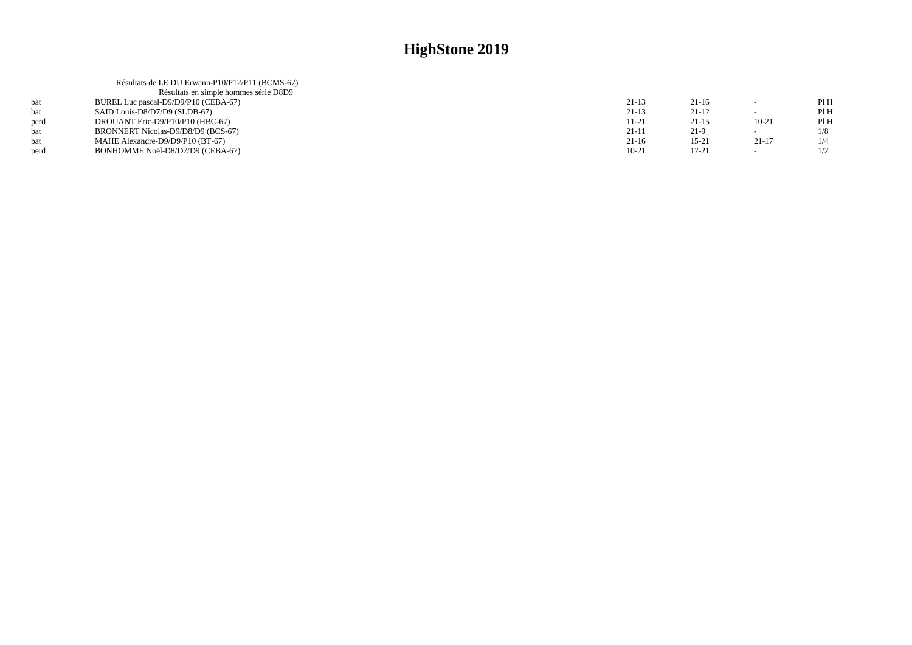|      | Résultats de LE DU Erwann-P10/P12/P11 (BCMS-67) |           |           |           |      |
|------|-------------------------------------------------|-----------|-----------|-----------|------|
|      | Résultats en simple hommes série D8D9           |           |           |           |      |
| bat  | BUREL Luc pascal-D9/D9/P10 (CEBA-67)            | $21-13$   | $21-16$   |           | Pl H |
| hat  | SAID Louis-D8/D7/D9 (SLDB-67)                   | $21-13$   | $21-12$   |           | Pl H |
| perd | DROUANT Eric-D9/P10/P10 (HBC-67)                | $11-21$   | $21 - 15$ | $10 - 21$ | Pl H |
| bat  | BRONNERT Nicolas-D9/D8/D9 (BCS-67)              | 21-11     | $21-9$    |           | 1/8  |
| bat  | MAHE Alexandre-D9/D9/P10 (BT-67)                | $21-16$   | $15 - 21$ | $21 - 17$ | 1/4  |
| perd | BONHOMME Noël-D8/D7/D9 (CEBA-67)                | $10 - 21$ | $17 - 21$ |           | 1/2  |
|      |                                                 |           |           |           |      |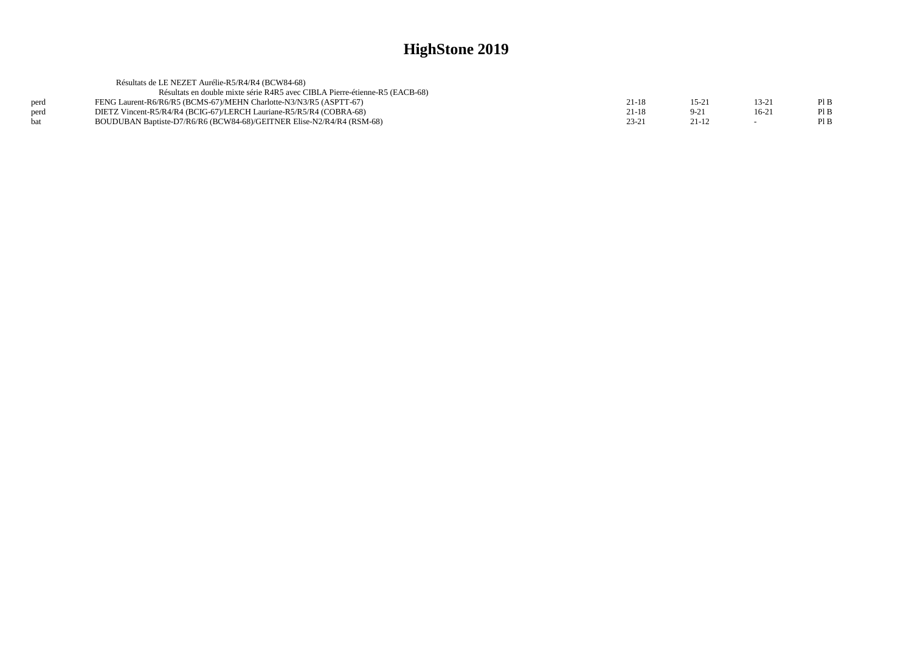|      | Résultats de LE NEZET Aurélie-R5/R4/R4 (BCW84-68)                           |           |           |         |      |
|------|-----------------------------------------------------------------------------|-----------|-----------|---------|------|
|      | Résultats en double mixte série R4R5 avec CIBLA Pierre-étienne-R5 (EACB-68) |           |           |         |      |
| perd | FENG Laurent-R6/R6/R5 (BCMS-67)/MEHN Charlotte-N3/N3/R5 (ASPTT-67)          | $21 - 18$ | 15-21     | $13-21$ | Pl B |
| perd | DIETZ Vincent-R5/R4/R4 (BCIG-67)/LERCH Lauriane-R5/R5/R4 (COBRA-68)         | $21 - 18$ | $9-21$    | $16-21$ | Pl B |
| hat  | BOUDUBAN Baptiste-D7/R6/R6 (BCW84-68)/GEITNER Elise-N2/R4/R4 (RSM-68)       | $23 - 21$ | $21 - 12$ | $\sim$  | Pl B |
|      |                                                                             |           |           |         |      |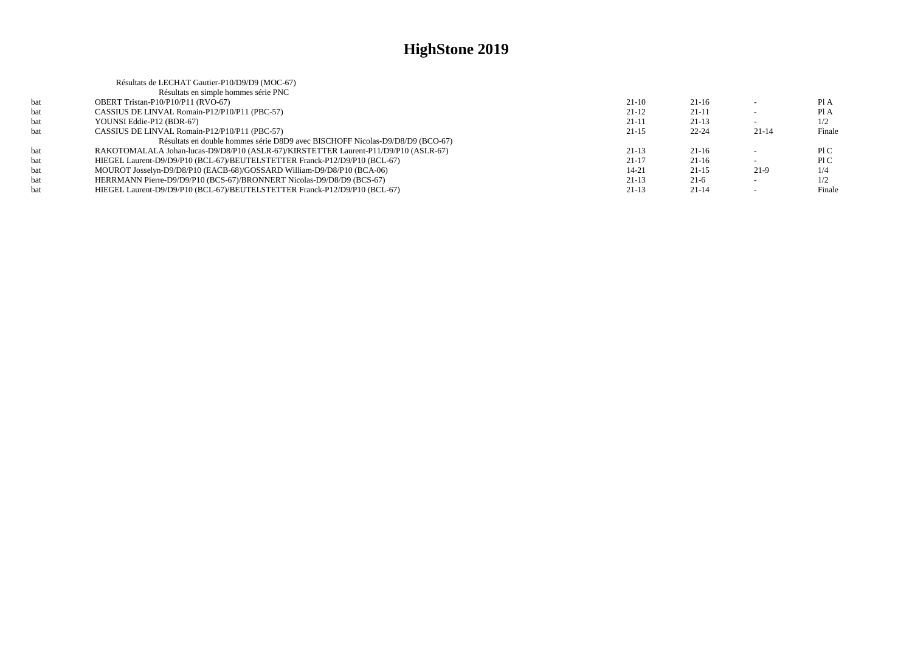|     | Résultats de LECHAT Gautier-P10/D9/D9 (MOC-67)                                       |           |           |           |        |
|-----|--------------------------------------------------------------------------------------|-----------|-----------|-----------|--------|
|     | Résultats en simple hommes série PNC                                                 |           |           |           |        |
| bat | OBERT Tristan-P10/P10/P11 (RVO-67)                                                   | $21-10$   | $21-16$   |           | PI A   |
| bat | CASSIUS DE LINVAL Romain-P12/P10/P11 (PBC-57)                                        | $21-12$   | $21-11$   |           | PI A   |
| bat | YOUNSI Eddie-P12 (BDR-67)                                                            | $21-11$   | $21-13$   |           | 1/2    |
| bat | CASSIUS DE LINVAL Romain-P12/P10/P11 (PBC-57)                                        | $21 - 15$ | $22 - 24$ | $21 - 14$ | Finale |
|     | Résultats en double hommes série D8D9 avec BISCHOFF Nicolas-D9/D8/D9 (BCO-67)        |           |           |           |        |
| bat | RAKOTOMALALA Johan-lucas-D9/D8/P10 (ASLR-67)/KIRSTETTER Laurent-P11/D9/P10 (ASLR-67) | $21-13$   | $21-16$   |           | P1C    |
| bat | HIEGEL Laurent-D9/D9/P10 (BCL-67)/BEUTELSTETTER Franck-P12/D9/P10 (BCL-67)           | $21 - 17$ | $21-16$   |           | P1C    |
| bat | MOUROT Josselyn-D9/D8/P10 (EACB-68)/GOSSARD William-D9/D8/P10 (BCA-06)               | $14 - 21$ | $21-15$   | $21-9$    | 1/4    |
| bat | HERRMANN Pierre-D9/D9/P10 (BCS-67)/BRONNERT Nicolas-D9/D8/D9 (BCS-67)                | $21-13$   | $21-6$    |           | 1/2    |
| bat | HIEGEL Laurent-D9/D9/P10 (BCL-67)/BEUTELSTETTER Franck-P12/D9/P10 (BCL-67)           | $21-13$   | $21 - 14$ |           | Finale |
|     |                                                                                      |           |           |           |        |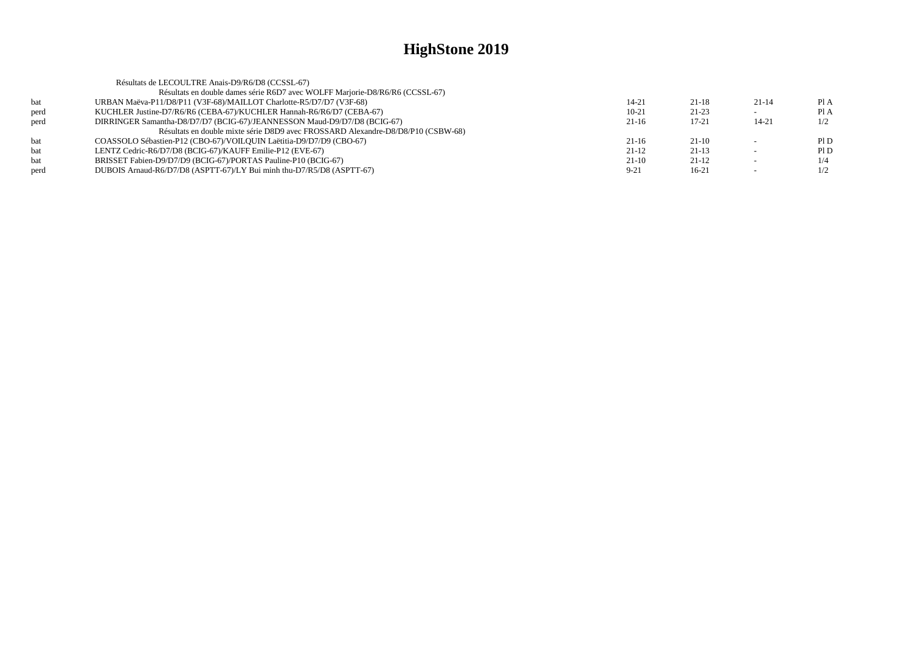|            | Résultats de LECOULTRE Anais-D9/R6/D8 (CCSSL-67)                                 |          |           |         |      |
|------------|----------------------------------------------------------------------------------|----------|-----------|---------|------|
|            | Résultats en double dames série R6D7 avec WOLFF Marjorie-D8/R6/R6 (CCSSL-67)     |          |           |         |      |
| bat        | URBAN Maëva-P11/D8/P11 (V3F-68)/MAILLOT Charlotte-R5/D7/D7 (V3F-68)              | 14-21    | $21 - 18$ | $21-14$ | Pl A |
| perd       | KUCHLER Justine-D7/R6/R6 (CEBA-67)/KUCHLER Hannah-R6/R6/D7 (CEBA-67)             | $10-21$  | $21-23$   |         | Pl A |
| perd       | DIRRINGER Samantha-D8/D7/D7 (BCIG-67)/JEANNESSON Maud-D9/D7/D8 (BCIG-67)         | $21-16$  | $17 - 21$ | 14-21   | 1/2  |
|            | Résultats en double mixte série D8D9 avec FROSSARD Alexandre-D8/D8/P10 (CSBW-68) |          |           |         |      |
| <b>bat</b> | COASSOLO Sébastien-P12 (CBO-67)/VOILOUIN Laëtitia-D9/D7/D9 (CBO-67)              | $21-16$  | $21-10$   |         | PID  |
| bat        | LENTZ Cedric-R6/D7/D8 (BCIG-67)/KAUFF Emilie-P12 (EVE-67)                        | $21-12$  | $21-13$   |         | P1D  |
| bat        | BRISSET Fabien-D9/D7/D9 (BCIG-67)/PORTAS Pauline-P10 (BCIG-67)                   | $21-10$  | $21-12$   |         | 1/4  |
| perd       | DUBOIS Arnaud-R6/D7/D8 (ASPTT-67)/LY Bui minh thu-D7/R5/D8 (ASPTT-67)            | $9 - 21$ | $16-21$   |         | 1/2  |
|            |                                                                                  |          |           |         |      |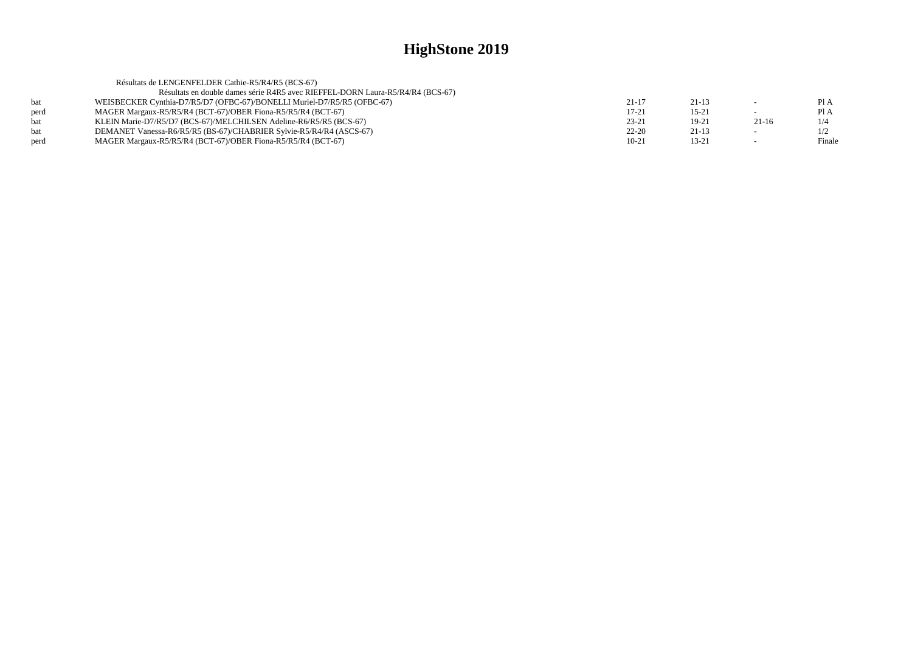|      | Résultats de LENGENFELDER Cathie-R5/R4/R5 (BCS-67)                             |           |           |                          |        |
|------|--------------------------------------------------------------------------------|-----------|-----------|--------------------------|--------|
|      | Résultats en double dames série R4R5 avec RIEFFEL-DORN Laura-R5/R4/R4 (BCS-67) |           |           |                          |        |
| hat  | WEISBECKER Cynthia-D7/R5/D7 (OFBC-67)/BONELLI Muriel-D7/R5/R5 (OFBC-67)        | $21 - 17$ | $21-13$   |                          | Pl A   |
| perd | MAGER Margaux-R5/R5/R4 (BCT-67)/OBER Fiona-R5/R5/R4 (BCT-67)                   | $17 - 21$ | $15 - 21$ |                          | Pl A   |
| hat  | KLEIN Marie-D7/R5/D7 (BCS-67)/MELCHILSEN Adeline-R6/R5/R5 (BCS-67)             | $23 - 21$ | $19-21$   | $21-16$                  | 1/4    |
| bat  | DEMANET Vanessa-R6/R5/R5 (BS-67)/CHABRIER Sylvie-R5/R4/R4 (ASCS-67)            | $22 - 20$ | $21-13$   |                          | 1/2    |
| perd | MAGER Margaux-R5/R5/R4 (BCT-67)/OBER Fiona-R5/R5/R4 (BCT-67)                   | $10 - 21$ | $13 - 21$ | $\overline{\phantom{0}}$ | Finale |
|      |                                                                                |           |           |                          |        |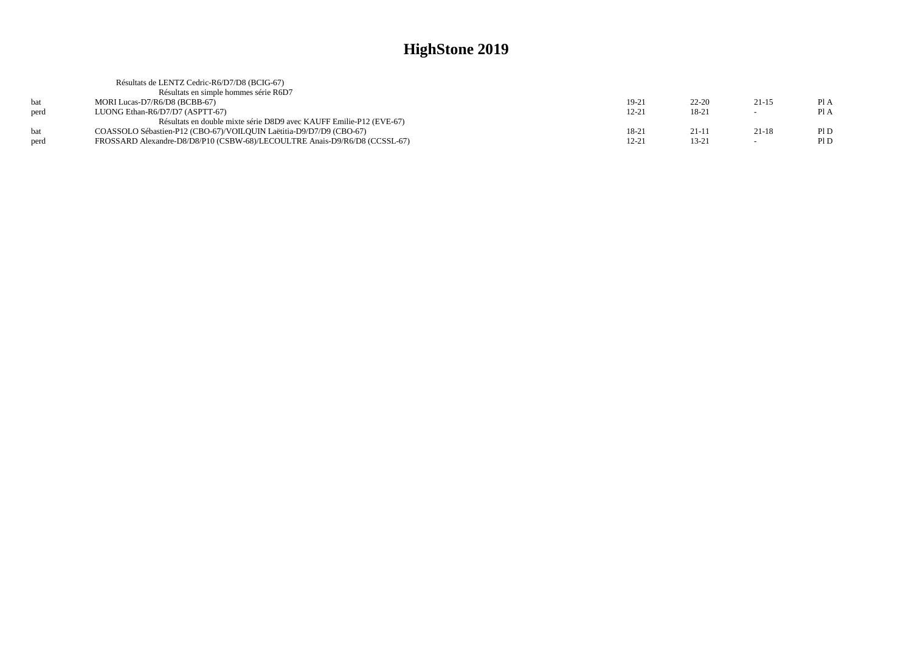|      | Résultats de LENTZ Cedric-R6/D7/D8 (BCIG-67)                               |           |           |         |      |
|------|----------------------------------------------------------------------------|-----------|-----------|---------|------|
|      | Résultats en simple hommes série R6D7                                      |           |           |         |      |
| hat  | MORI Lucas-D7/R6/D8 (BCBB-67)                                              | 19-21     | $22 - 20$ | $21-15$ | PIA  |
| perd | LUONG Ethan-R6/D7/D7 (ASPTT-67)                                            | $12 - 21$ | $18-21$   | $\sim$  | Pl A |
|      | Résultats en double mixte série D8D9 avec KAUFF Emilie-P12 (EVE-67)        |           |           |         |      |
| hat  | COASSOLO Sébastien-P12 (CBO-67)/VOILOUIN Laëtitia-D9/D7/D9 (CBO-67)        | 18-21     | $21-11$   | $21-18$ | PID  |
| perd | FROSSARD Alexandre-D8/D8/P10 (CSBW-68)/LECOULTRE Anais-D9/R6/D8 (CCSSL-67) | $12 - 21$ | $13 - 21$ | $\sim$  | PID  |
|      |                                                                            |           |           |         |      |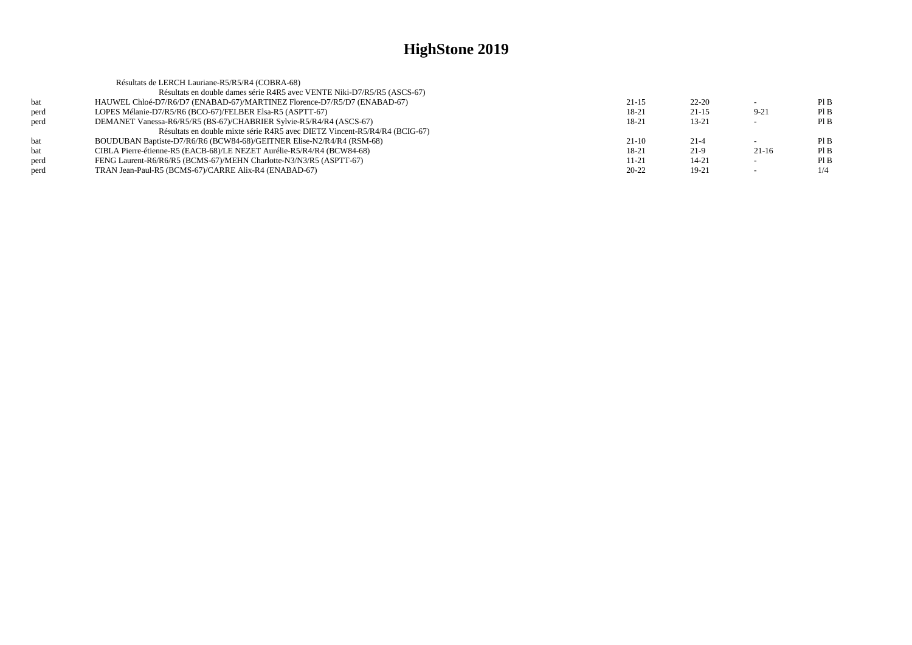|      | Résultats de LERCH Lauriane-R5/R5/R4 (COBRA-68)                            |           |           |          |      |
|------|----------------------------------------------------------------------------|-----------|-----------|----------|------|
|      | Résultats en double dames série R4R5 avec VENTE Niki-D7/R5/R5 (ASCS-67)    |           |           |          |      |
| bat  | HAUWEL Chloé-D7/R6/D7 (ENABAD-67)/MARTINEZ Florence-D7/R5/D7 (ENABAD-67)   | $21 - 15$ | $22 - 20$ |          | PIB  |
| perd | LOPES Mélanie-D7/R5/R6 (BCO-67)/FELBER Elsa-R5 (ASPTT-67)                  | 18-21     | $21-15$   | $9 - 21$ | PIB  |
| perd | DEMANET Vanessa-R6/R5/R5 (BS-67)/CHABRIER Sylvie-R5/R4/R4 (ASCS-67)        | 18-21     | $13 - 21$ |          | PIB  |
|      | Résultats en double mixte série R4R5 avec DIETZ Vincent-R5/R4/R4 (BCIG-67) |           |           |          |      |
| bat  | BOUDUBAN Baptiste-D7/R6/R6 (BCW84-68)/GEITNER Elise-N2/R4/R4 (RSM-68)      | $21-10$   | $21 - 4$  |          | PIB  |
| bat  | CIBLA Pierre-étienne-R5 (EACB-68)/LE NEZET Aurélie-R5/R4/R4 (BCW84-68)     | 18-21     | $21-9$    | $21-16$  | PIB  |
| perd | FENG Laurent-R6/R6/R5 (BCMS-67)/MEHN Charlotte-N3/N3/R5 (ASPTT-67)         | 11-21     | 14-21     |          | Pl B |
| perd | TRAN Jean-Paul-R5 (BCMS-67)/CARRE Alix-R4 (ENABAD-67)                      | $20 - 22$ | 19-21     |          | 1/4  |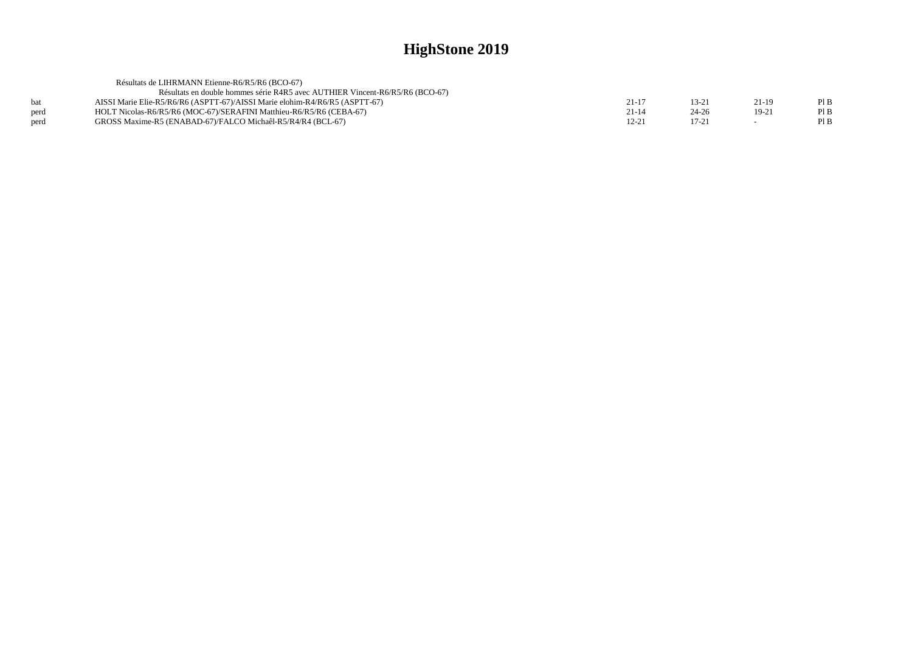|            | Résultats de LIHRMANN Etienne-R6/R5/R6 (BCO-67)                              |           |           |         |      |
|------------|------------------------------------------------------------------------------|-----------|-----------|---------|------|
|            | Résultats en double hommes série R4R5 avec AUTHIER Vincent-R6/R5/R6 (BCO-67) |           |           |         |      |
| <b>bat</b> | AISSI Marie Elie-R5/R6/R6 (ASPTT-67)/AISSI Marie elohim-R4/R6/R5 (ASPTT-67)  | 21-17     | $13 - 21$ | 21-19   | PI B |
| perd       | HOLT Nicolas-R6/R5/R6 (MOC-67)/SERAFINI Matthieu-R6/R5/R6 (CEBA-67)          | 21-14     | $24 - 26$ | $19-21$ | Pl B |
| perd       | GROSS Maxime-R5 (ENABAD-67)/FALCO Michaêl-R5/R4/R4 (BCL-67)                  | $12 - 21$ | $17 - 21$ |         | Pl B |
|            |                                                                              |           |           |         |      |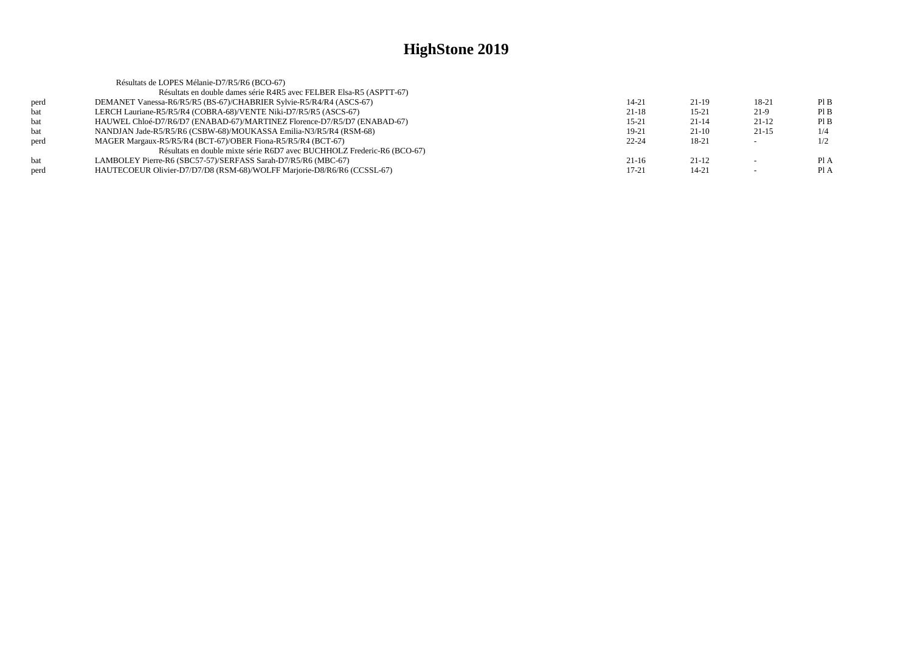| Résultats de LOPES Mélanie-D7/R5/R6 (BCO-67)                             |           |           |           |      |
|--------------------------------------------------------------------------|-----------|-----------|-----------|------|
| Résultats en double dames série R4R5 avec FELBER Elsa-R5 (ASPTT-67)      |           |           |           |      |
| DEMANET Vanessa-R6/R5/R5 (BS-67)/CHABRIER Sylvie-R5/R4/R4 (ASCS-67)      | 14-21     | $21-19$   | 18-21     | PIB  |
| LERCH Lauriane-R5/R5/R4 (COBRA-68)/VENTE Niki-D7/R5/R5 (ASCS-67)         | $21 - 18$ | $15 - 21$ | $21-9$    | PIB  |
| HAUWEL Chloé-D7/R6/D7 (ENABAD-67)/MARTINEZ Florence-D7/R5/D7 (ENABAD-67) | $15 - 21$ | $21 - 14$ | $21-12$   | PIB  |
| NANDJAN Jade-R5/R5/R6 (CSBW-68)/MOUKASSA Emilia-N3/R5/R4 (RSM-68)        | 19-21     | $21-10$   | $21 - 15$ | 1/4  |
| MAGER Margaux-R5/R5/R4 (BCT-67)/OBER Fiona-R5/R5/R4 (BCT-67)             | $22 - 24$ | 18-21     | $\sim$    | 1/2  |
| Résultats en double mixte série R6D7 avec BUCHHOLZ Frederic-R6 (BCO-67)  |           |           |           |      |
| LAMBOLEY Pierre-R6 (SBC57-57)/SERFASS Sarah-D7/R5/R6 (MBC-67)            | $21-16$   | $21-12$   |           | P1A  |
| HAUTECOEUR Olivier-D7/D7/D8 (RSM-68)/WOLFF Marjorie-D8/R6/R6 (CCSSL-67)  | $17 - 21$ | $14 - 21$ |           | Pl A |
|                                                                          |           |           |           |      |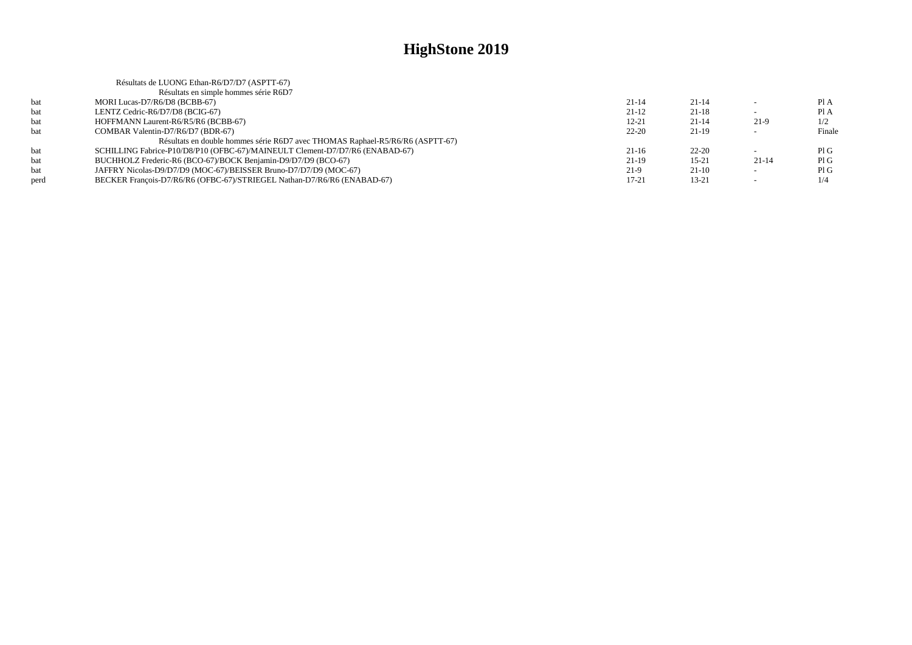|      | Résultats de LUONG Ethan-R6/D7/D7 (ASPTT-67)                                  |           |           |         |        |
|------|-------------------------------------------------------------------------------|-----------|-----------|---------|--------|
|      | Résultats en simple hommes série R6D7                                         |           |           |         |        |
| bat  | MORI Lucas-D7/R6/D8 (BCBB-67)                                                 | $21 - 14$ | $21 - 14$ |         | Pl A   |
| bat  | LENTZ Cedric-R6/D7/D8 (BCIG-67)                                               | $21-12$   | $21-18$   |         | PI A   |
| bat  | HOFFMANN Laurent-R6/R5/R6 (BCBB-67)                                           | $12 - 21$ | $21 - 14$ | $21-9$  | 1/2    |
| bat  | COMBAR Valentin-D7/R6/D7 (BDR-67)                                             | $22 - 20$ | $21-19$   |         | Finale |
|      | Résultats en double hommes série R6D7 avec THOMAS Raphael-R5/R6/R6 (ASPTT-67) |           |           |         |        |
| bat  | SCHILLING Fabrice-P10/D8/P10 (OFBC-67)/MAINEULT Clement-D7/D7/R6 (ENABAD-67)  | $21-16$   | $22 - 20$ |         | PIG    |
| bat  | BUCHHOLZ Frederic-R6 (BCO-67)/BOCK Benjamin-D9/D7/D9 (BCO-67)                 | $21-19$   | $15 - 21$ | $21-14$ | Pl G   |
| bat  | JAFFRY Nicolas-D9/D7/D9 (MOC-67)/BEISSER Bruno-D7/D7/D9 (MOC-67)              | $21-9$    | $21-10$   |         | PIG    |
| perd | BECKER François-D7/R6/R6 (OFBC-67)/STRIEGEL Nathan-D7/R6/R6 (ENABAD-67)       | 17-21     | $13 - 21$ |         | 1/4    |
|      |                                                                               |           |           |         |        |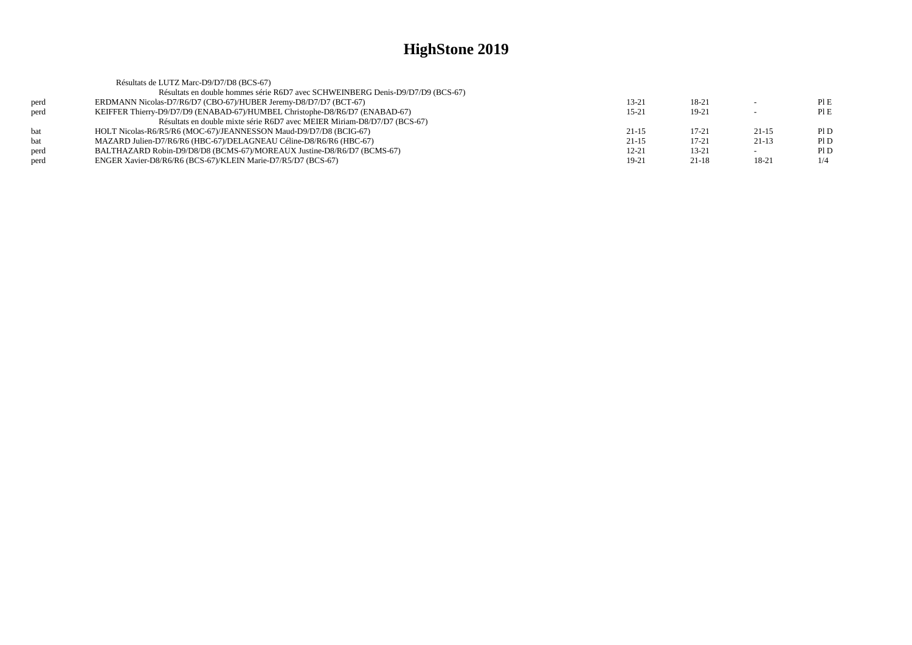|      | Résultats de LUTZ Marc-D9/D7/D8 (BCS-67)                                       |           |           |         |     |
|------|--------------------------------------------------------------------------------|-----------|-----------|---------|-----|
|      | Résultats en double hommes série R6D7 avec SCHWEINBERG Denis-D9/D7/D9 (BCS-67) |           |           |         |     |
| perd | ERDMANN Nicolas-D7/R6/D7 (CBO-67)/HUBER Jeremy-D8/D7/D7 (BCT-67)               | $13 - 21$ | 18-21     |         | PIE |
| perd | KEIFFER Thierry-D9/D7/D9 (ENABAD-67)/HUMBEL Christophe-D8/R6/D7 (ENABAD-67)    | $15 - 21$ | $19-21$   |         | PIE |
|      | Résultats en double mixte série R6D7 avec MEIER Miriam-D8/D7/D7 (BCS-67)       |           |           |         |     |
| bat  | HOLT Nicolas-R6/R5/R6 (MOC-67)/JEANNESSON Maud-D9/D7/D8 (BCIG-67)              | $21 - 15$ | $17 - 21$ | $21-15$ | PID |
| bat  | MAZARD Julien-D7/R6/R6 (HBC-67)/DELAGNEAU Céline-D8/R6/R6 (HBC-67)             | $21 - 15$ | $17 - 21$ | $21-13$ | PID |
| perd | BALTHAZARD Robin-D9/D8/D8 (BCMS-67)/MOREAUX Justine-D8/R6/D7 (BCMS-67)         | $12 - 21$ | $13 - 21$ |         | PID |
| perd | ENGER Xavier-D8/R6/R6 (BCS-67)/KLEIN Marie-D7/R5/D7 (BCS-67)                   | 19-21     | $21 - 18$ | 18-21   | 1/4 |
|      |                                                                                |           |           |         |     |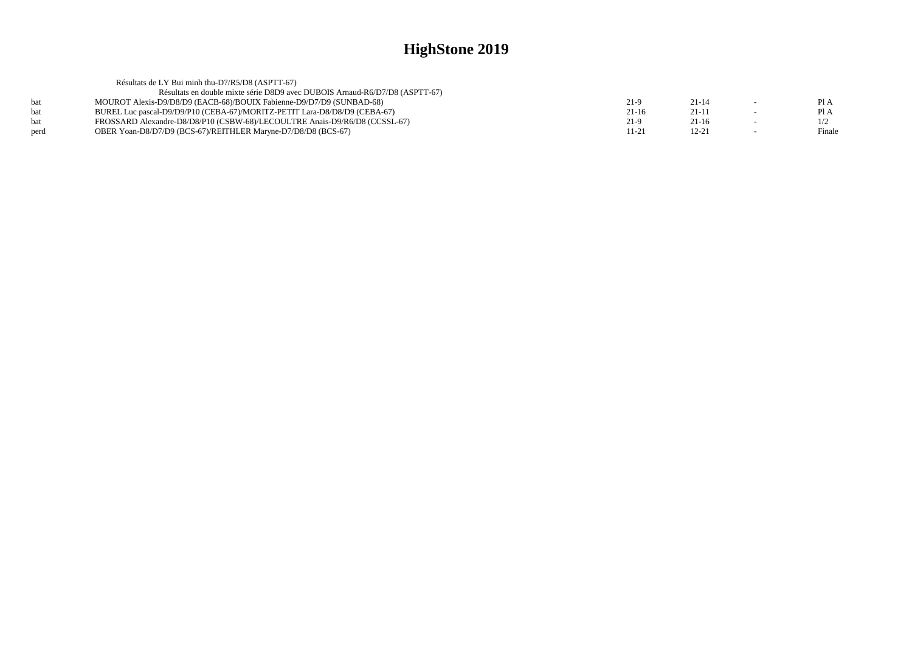| Résultats de LY Bui minh thu-D7/R5/D8 (ASPTT-67)                            |         |           |        |
|-----------------------------------------------------------------------------|---------|-----------|--------|
| Résultats en double mixte série D8D9 avec DUBOIS Arnaud-R6/D7/D8 (ASPTT-67) |         |           |        |
| MOUROT Alexis-D9/D8/D9 (EACB-68)/BOUIX Fabienne-D9/D7/D9 (SUNBAD-68)        | 21-9    | $21 - 14$ | Pl A   |
| BUREL Luc pascal-D9/D9/P10 (CEBA-67)/MORITZ-PETIT Lara-D8/D8/D9 (CEBA-67)   | $21-16$ | $21-1$    | Pl A   |
| FROSSARD Alexandre-D8/D8/P10 (CSBW-68)/LECOULTRE Anais-D9/R6/D8 (CCSSL-67)  | $21-9$  | $21 - 16$ |        |
| OBER Yoan-D8/D7/D9 (BCS-67)/REITHLER Maryne-D7/D8/D8 (BCS-67)               | 11-21   | 12-21     | Finale |
|                                                                             |         |           |        |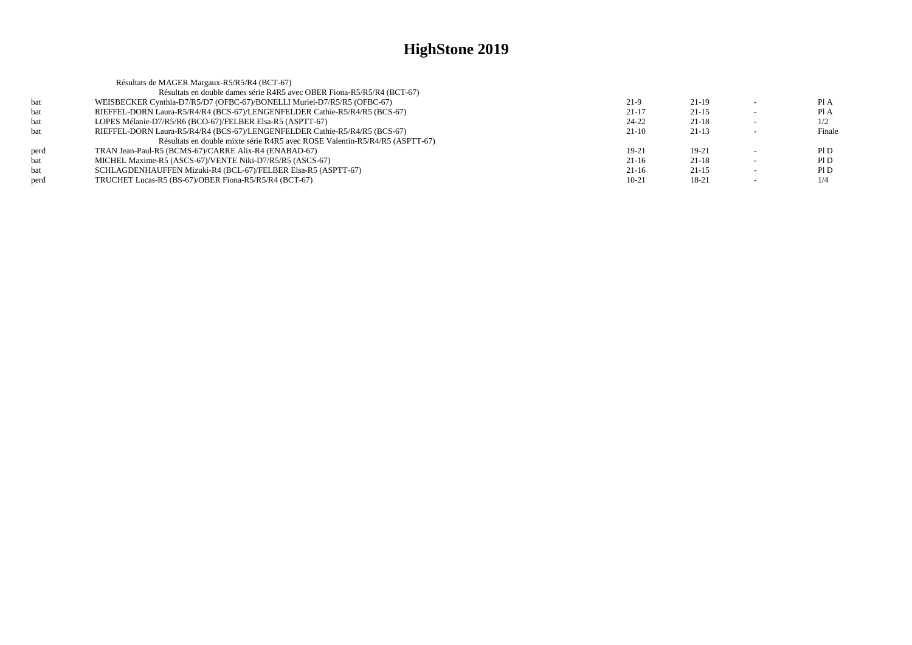|      | Résultats de MAGER Margaux-R5/R5/R4 (BCT-67)                                |           |           |        |
|------|-----------------------------------------------------------------------------|-----------|-----------|--------|
|      | Résultats en double dames série R4R5 avec OBER Fiona-R5/R5/R4 (BCT-67)      |           |           |        |
| bat  | WEISBECKER Cynthia-D7/R5/D7 (OFBC-67)/BONELLI Muriel-D7/R5/R5 (OFBC-67)     | $21-9$    | $21-19$   | PI A   |
| bat  | RIEFFEL-DORN Laura-R5/R4/R4 (BCS-67)/LENGENFELDER Cathie-R5/R4/R5 (BCS-67)  | $21 - 17$ | $21 - 15$ | Pl A   |
| bat  | LOPES Mélanie-D7/R5/R6 (BCO-67)/FELBER Elsa-R5 (ASPTT-67)                   | 24-22     | $21 - 18$ | 1/2    |
| bat  | RIEFFEL-DORN Laura-R5/R4/R4 (BCS-67)/LENGENFELDER Cathie-R5/R4/R5 (BCS-67)  | $21-10$   | $21-13$   | Finale |
|      | Résultats en double mixte série R4R5 avec ROSE Valentin-R5/R4/R5 (ASPTT-67) |           |           |        |
| perd | TRAN Jean-Paul-R5 (BCMS-67)/CARRE Alix-R4 (ENABAD-67)                       | 19-21     | 19-21     | PID    |
| bat  | MICHEL Maxime-R5 (ASCS-67)/VENTE Niki-D7/R5/R5 (ASCS-67)                    | $21-16$   | $21-18$   | PID    |
| bat  | SCHLAGDENHAUFFEN Mizuki-R4 (BCL-67)/FELBER Elsa-R5 (ASPTT-67)               | $21-16$   | $21 - 15$ | PID    |
| perd | TRUCHET Lucas-R5 (BS-67)/OBER Fiona-R5/R5/R4 (BCT-67)                       | $10-21$   | 18-21     | 1/4    |
|      |                                                                             |           |           |        |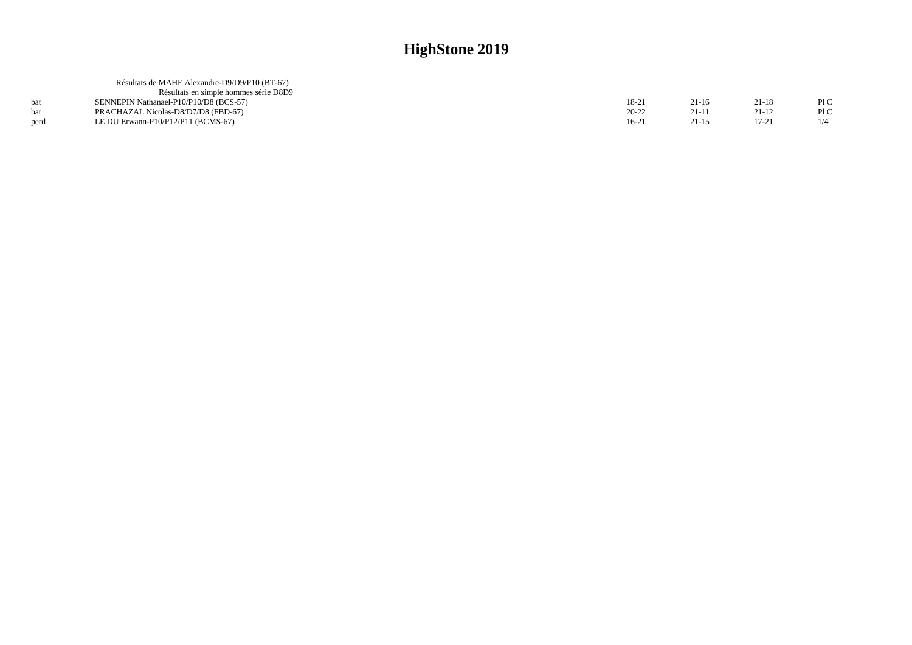| Résultats de MAHE Alexandre-D9/D9/P10 (BT-67) |           |           |         |     |
|-----------------------------------------------|-----------|-----------|---------|-----|
| Résultats en simple hommes série D8D9         |           |           |         |     |
| SENNEPIN Nathanael-P10/P10/D8 (BCS-57)        | 18-21     | 21-16     | 21-18   | P1C |
| PRACHAZAL Nicolas-D8/D7/D8 (FBD-67)           | $20 - 22$ | $21-11$   | 21-12   | PLC |
| LE DU Erwann-P10/P12/P11 (BCMS-67)            | $16-21$   | $21 - 15$ | $17-21$ |     |
|                                               |           |           |         |     |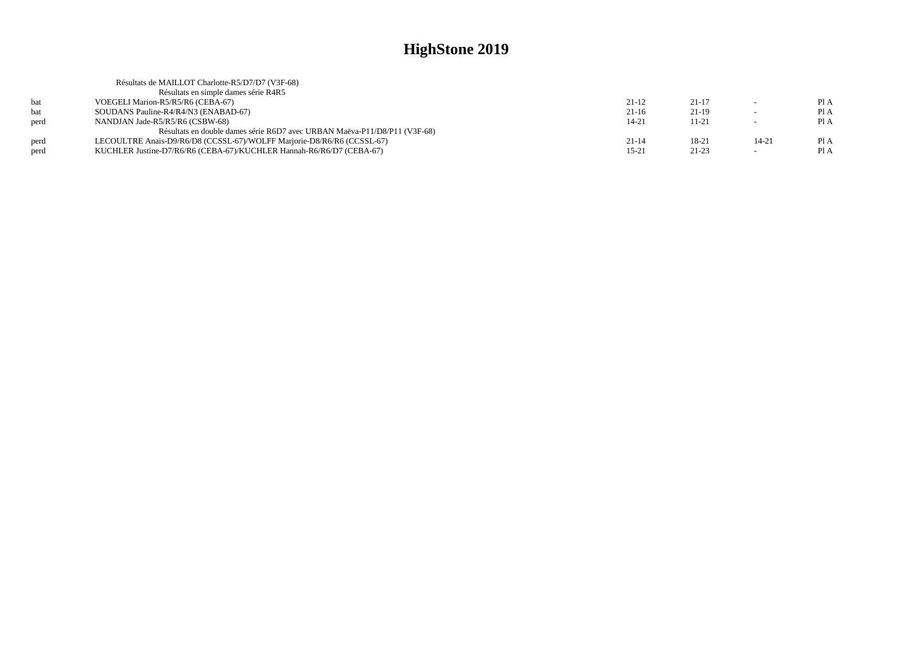|      | Résultats de MAILLOT Charlotte-R5/D7/D7 (V3F-68)                          |           |           |        |      |
|------|---------------------------------------------------------------------------|-----------|-----------|--------|------|
|      | Résultats en simple dames série R4R5                                      |           |           |        |      |
| bat  | VOEGELI Marion-R5/R5/R6 (CEBA-67)                                         | $21-12$   | $21 - 17$ | $\sim$ | PIA  |
| bat  | SOUDANS Pauline-R4/R4/N3 (ENABAD-67)                                      | $21-16$   | 21-19     |        | Pl A |
| perd | NANDJAN Jade-R5/R5/R6 (CSBW-68)                                           | $14 - 21$ | $11 - 21$ | $\sim$ | PIA  |
|      | Résultats en double dames série R6D7 avec URBAN Maëva-P11/D8/P11 (V3F-68) |           |           |        |      |
| perd | LECOULTRE Anais-D9/R6/D8 (CCSSL-67)/WOLFF Marjorie-D8/R6/R6 (CCSSL-67)    | $21 - 14$ | 18-21     | 14-21  | PIA  |
| perd | KUCHLER Justine-D7/R6/R6 (CEBA-67)/KUCHLER Hannah-R6/R6/D7 (CEBA-67)      | 15-21     | 21-23     |        | Pl A |
|      |                                                                           |           |           |        |      |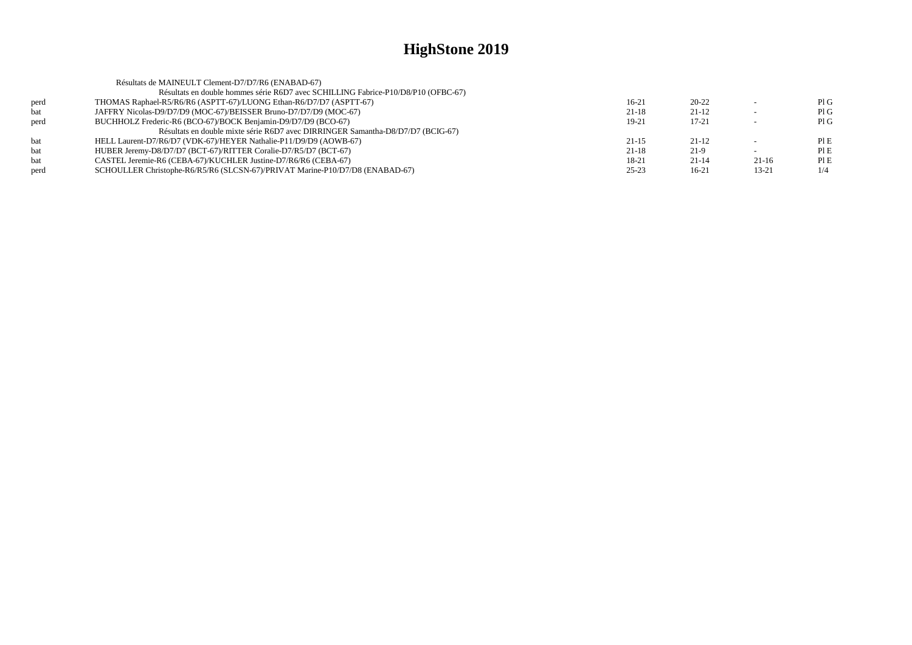|      | Résultats de MAINEULT Clement-D7/D7/R6 (ENABAD-67)                                |           |           |           |     |
|------|-----------------------------------------------------------------------------------|-----------|-----------|-----------|-----|
|      | Résultats en double hommes série R6D7 avec SCHILLING Fabrice-P10/D8/P10 (OFBC-67) |           |           |           |     |
| perd | THOMAS Raphael-R5/R6/R6 (ASPTT-67)/LUONG Ethan-R6/D7/D7 (ASPTT-67)                | 16-21     | $20 - 22$ |           | PIG |
| bat  | JAFFRY Nicolas-D9/D7/D9 (MOC-67)/BEISSER Bruno-D7/D7/D9 (MOC-67)                  | 21-18     | $21-12$   |           | PIG |
| perd | BUCHHOLZ Frederic-R6 (BCO-67)/BOCK Benjamin-D9/D7/D9 (BCO-67)                     | 19-21     | $17 - 21$ |           | PIG |
|      | Résultats en double mixte série R6D7 avec DIRRINGER Samantha-D8/D7/D7 (BCIG-67)   |           |           |           |     |
| bat  | HELL Laurent-D7/R6/D7 (VDK-67)/HEYER Nathalie-P11/D9/D9 (AOWB-67)                 | $21 - 15$ | $21-12$   |           | PIE |
| bat  | HUBER Jeremy-D8/D7/D7 (BCT-67)/RITTER Coralie-D7/R5/D7 (BCT-67)                   | 21-18     | $21-9$    |           | PIE |
| bat  | CASTEL Jeremie-R6 (CEBA-67)/KUCHLER Justine-D7/R6/R6 (CEBA-67)                    | 18-21     | $21 - 14$ | $21-16$   | PIE |
| perd | SCHOULLER Christophe-R6/R5/R6 (SLCSN-67)/PRIVAT Marine-P10/D7/D8 (ENABAD-67)      | $25 - 23$ | $16-21$   | $13 - 21$ | 1/4 |
|      |                                                                                   |           |           |           |     |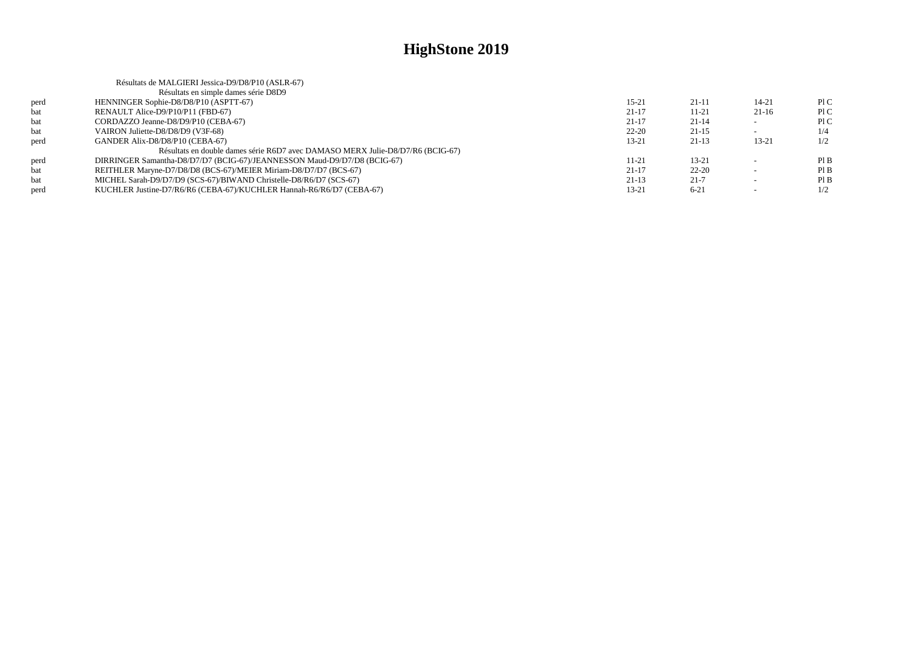|      | Résultats de MALGIERI Jessica-D9/D8/P10 (ASLR-67)                              |           |           |         |     |
|------|--------------------------------------------------------------------------------|-----------|-----------|---------|-----|
|      | Résultats en simple dames série D8D9                                           |           |           |         |     |
| perd | HENNINGER Sophie-D8/D8/P10 (ASPTT-67)                                          | $15 - 21$ | $21 - 11$ | 14-21   | P1C |
| bat  | RENAULT Alice-D9/P10/P11 (FBD-67)                                              | $21 - 17$ | $11 - 21$ | $21-16$ | P1C |
| bat  | CORDAZZO Jeanne-D8/D9/P10 (CEBA-67)                                            | $21 - 17$ | $21-14$   |         | PLC |
| bat  | VAIRON Juliette-D8/D8/D9 (V3F-68)                                              | $22 - 20$ | $21-15$   |         | 1/4 |
| perd | GANDER Alix-D8/D8/P10 (CEBA-67)                                                | $13 - 21$ | $21 - 13$ | 13-21   | 1/2 |
|      | Résultats en double dames série R6D7 avec DAMASO MERX Julie-D8/D7/R6 (BCIG-67) |           |           |         |     |
| perd | DIRRINGER Samantha-D8/D7/D7 (BCIG-67)/JEANNESSON Maud-D9/D7/D8 (BCIG-67)       | $11 - 21$ | $13 - 21$ |         | PIB |
| bat  | REITHLER Maryne-D7/D8/D8 (BCS-67)/MEIER Miriam-D8/D7/D7 (BCS-67)               | $21 - 17$ | $22 - 20$ |         | PIB |
| bat  | MICHEL Sarah-D9/D7/D9 (SCS-67)/BIWAND Christelle-D8/R6/D7 (SCS-67)             | $21-13$   | $21 - 7$  |         | PIB |
| perd | KUCHLER Justine-D7/R6/R6 (CEBA-67)/KUCHLER Hannah-R6/R6/D7 (CEBA-67)           | 13-21     | $6 - 21$  |         | 1/2 |
|      |                                                                                |           |           |         |     |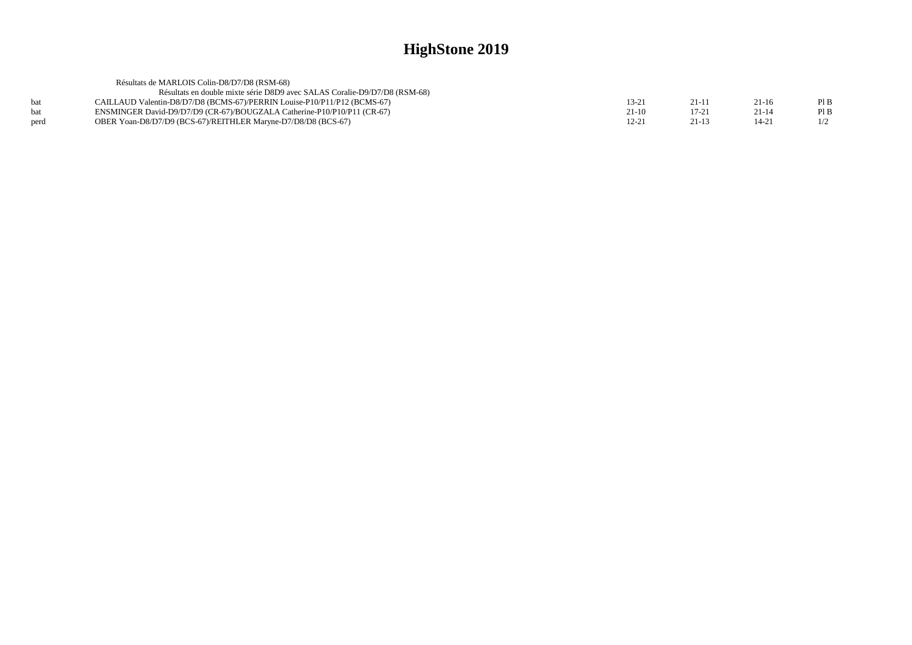|      | Résultats de MARLOIS Colin-D8/D7/D8 (RSM-68)                              |         |         |           |      |
|------|---------------------------------------------------------------------------|---------|---------|-----------|------|
|      | Résultats en double mixte série D8D9 avec SALAS Coralie-D9/D7/D8 (RSM-68) |         |         |           |      |
| bat  | CAILLAUD Valentin-D8/D7/D8 (BCMS-67)/PERRIN Louise-P10/P11/P12 (BCMS-67)  | 13-21   | $21-1$  | $21-16$   | PIB  |
| bat  | ENSMINGER David-D9/D7/D9 (CR-67)/BOUGZALA Catherine-P10/P10/P11 (CR-67)   | $21-10$ | $17-21$ | $21 - 14$ | PI B |
| perd | OBER Yoan-D8/D7/D9 (BCS-67)/REITHLER Maryne-D7/D8/D8 (BCS-67)             | 12-21   | $21-13$ | $14 - 21$ |      |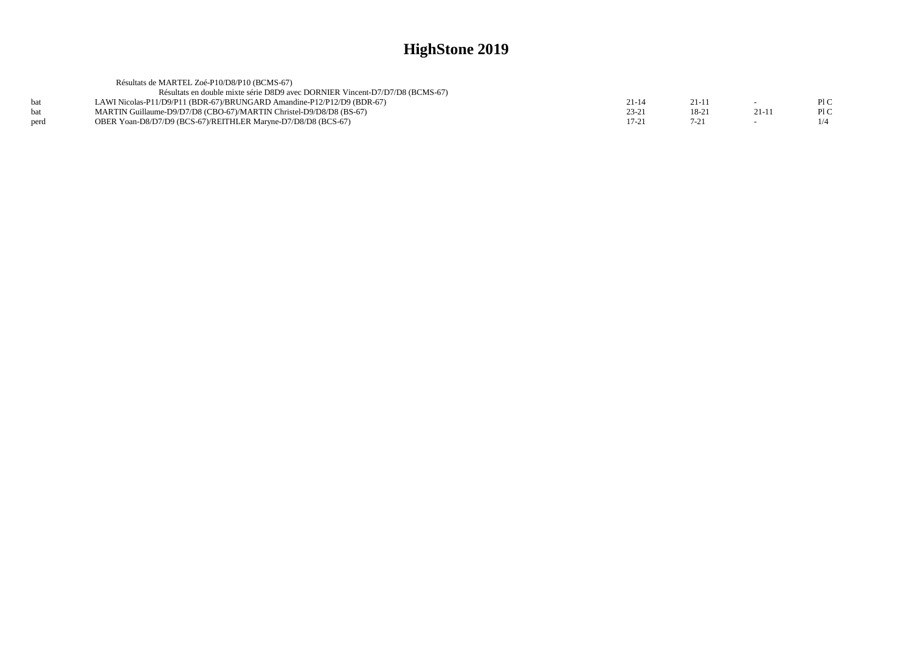| PLC  |
|------|
| Pl C |
|      |
|      |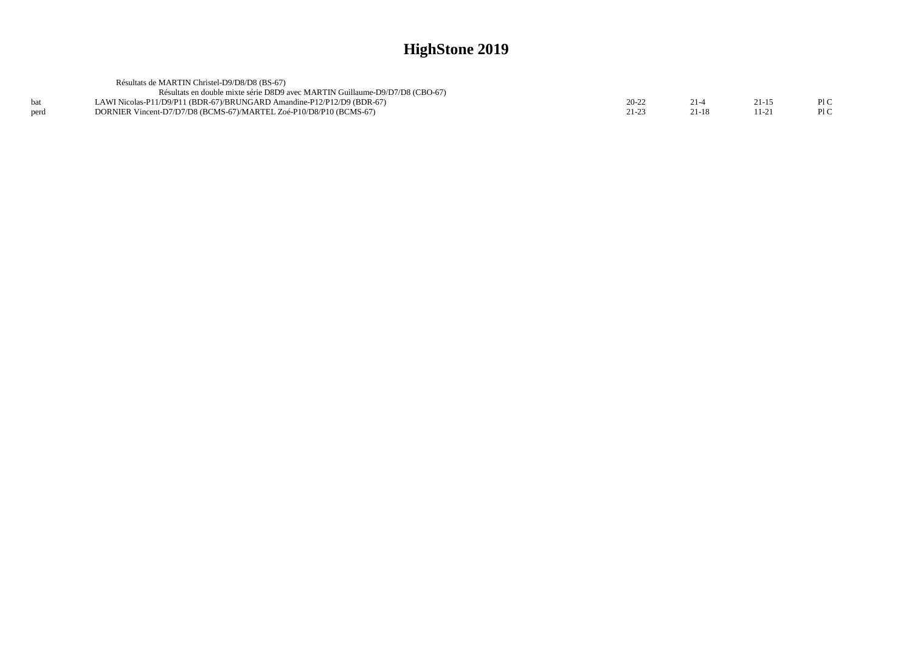|      | Résultats de MARTIN Christel-D9/D8/D8 (BS-67)                                |       |  |      |
|------|------------------------------------------------------------------------------|-------|--|------|
|      | Résultats en double mixte série D8D9 avec MARTIN Guillaume-D9/D7/D8 (CBO-67) |       |  |      |
|      | LAWI Nicolas-P11/D9/P11 (BDR-67)/BRUNGARD Amandine-P12/P12/D9 (BDR-67)       | 20-22 |  | P1C  |
| perd | DORNIER Vincent-D7/D7/D8 (BCMS-67)/MARTEL Zoé-P10/D8/P10 (BCMS-67)           |       |  | Pl C |
|      |                                                                              |       |  |      |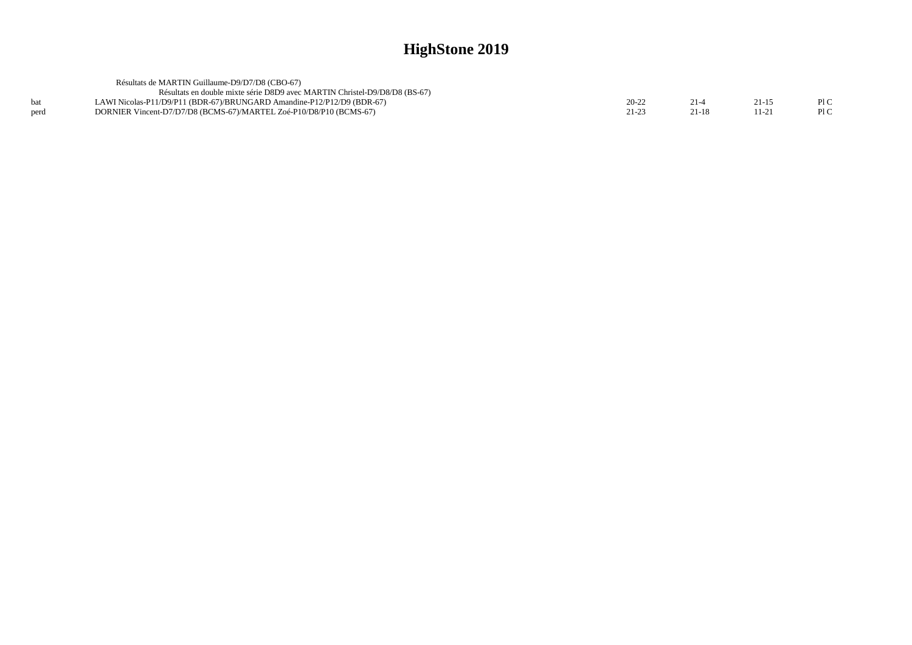|      | Résultats de MARTIN Guillaume-D9/D7/D8 (CBO-67)                            |       |           |     |
|------|----------------------------------------------------------------------------|-------|-----------|-----|
|      | Résultats en double mixte série D8D9 avec MARTIN Christel-D9/D8/D8 (BS-67) |       |           |     |
|      | LAWI Nicolas-P11/D9/P11 (BDR-67)/BRUNGARD Amandine-P12/P12/D9 (BDR-67)     | 20-22 | $21 - 15$ | P1C |
| perd | DORNIER Vincent-D7/D7/D8 (BCMS-67)/MARTEL Zoé-P10/D8/P10 (BCMS-67)         | 21-23 |           | P1C |
|      |                                                                            |       |           |     |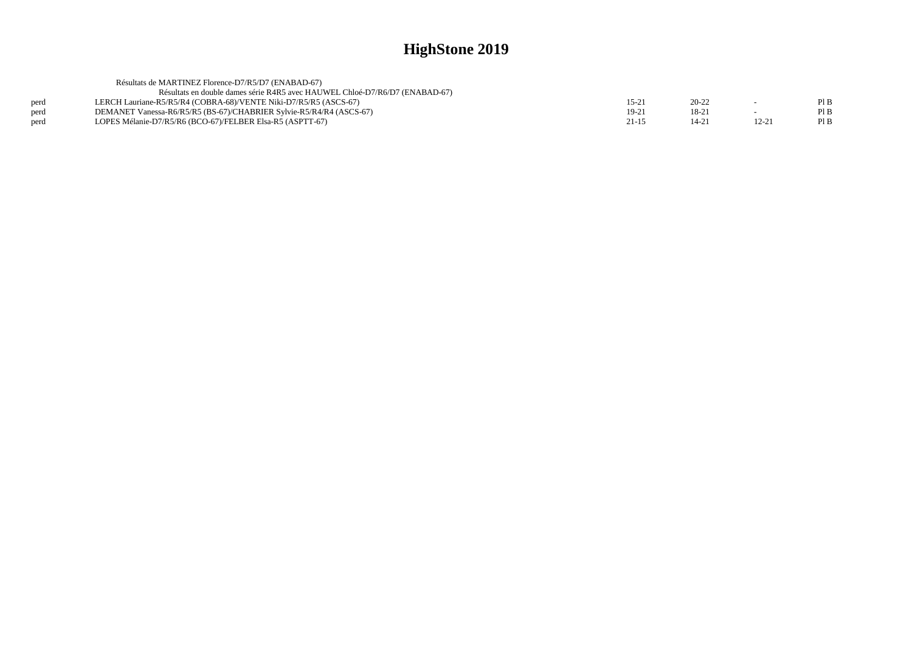|      | Résultats de MARTINEZ Florence-D7/R5/D7 (ENABAD-67)                         |         |           |           |      |
|------|-----------------------------------------------------------------------------|---------|-----------|-----------|------|
|      | Résultats en double dames série R4R5 avec HAUWEL Chloé-D7/R6/D7 (ENABAD-67) |         |           |           |      |
| perd | LERCH Lauriane-R5/R5/R4 (COBRA-68)/VENTE Niki-D7/R5/R5 (ASCS-67)            | $15-2$  | $20 - 22$ | $\sim$    | Pl B |
| perd | DEMANET Vanessa-R6/R5/R5 (BS-67)/CHABRIER Sylvie-R5/R4/R4 (ASCS-67)         | $19-21$ | 18-21     |           | Pl B |
| perd | LOPES Mélanie-D7/R5/R6 (BCO-67)/FELBER Elsa-R5 (ASPTT-67)                   | 21-15   | $14 - 21$ | $12 - 21$ | Pl B |
|      |                                                                             |         |           |           |      |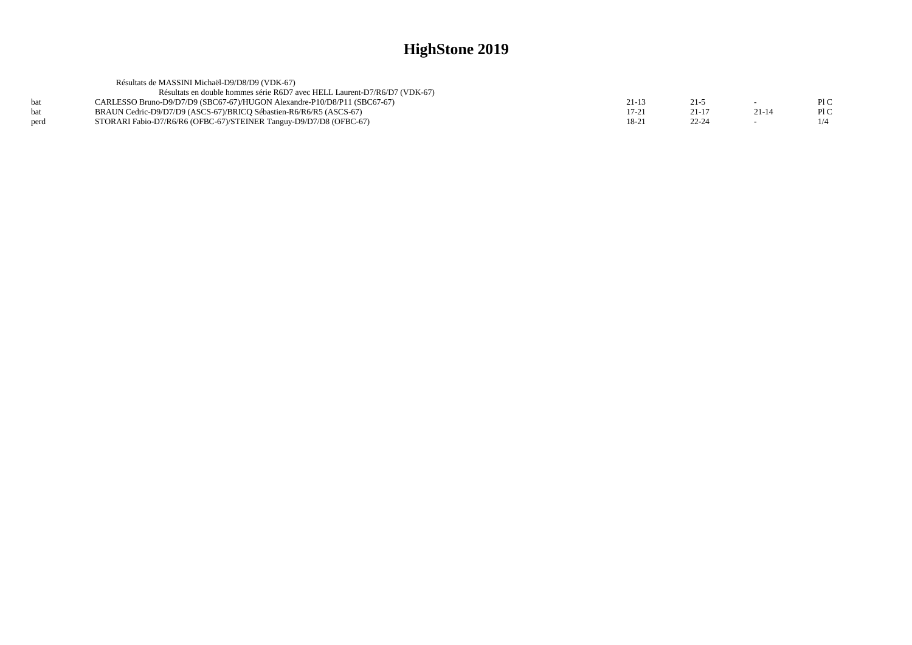|      | Résultats de MASSINI Michaël-D9/D8/D9 (VDK-67)                            |           |           |       |     |
|------|---------------------------------------------------------------------------|-----------|-----------|-------|-----|
|      | Résultats en double hommes série R6D7 avec HELL Laurent-D7/R6/D7 (VDK-67) |           |           |       |     |
| bat  | CARLESSO Bruno-D9/D7/D9 (SBC67-67)/HUGON Alexandre-P10/D8/P11 (SBC67-67)  | $21 - 17$ | $21 - 5$  |       | P1C |
| bat  | BRAUN Cedric-D9/D7/D9 (ASCS-67)/BRICO Sébastien-R6/R6/R5 (ASCS-67)        | 17-21     | $21 - 17$ | 21-14 | P1C |
| perd | STORARI Fabio-D7/R6/R6 (OFBC-67)/STEINER Tanguy-D9/D7/D8 (OFBC-67)        | 18-21     | $22 - 24$ |       | 1/4 |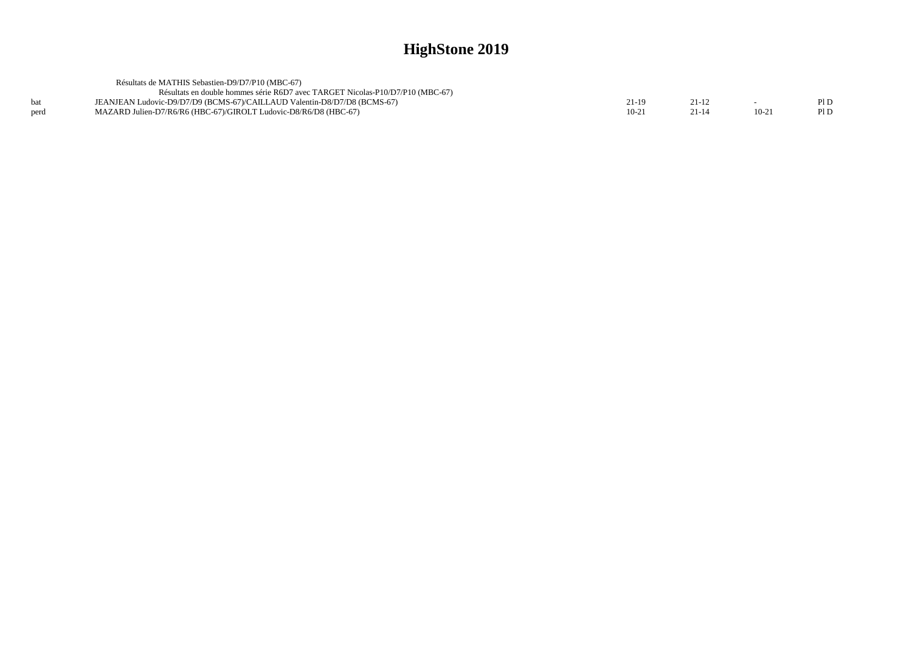|      | Résultats de MATHIS Sebastien-D9/D7/P10 (MBC-67)                              |        |  |     |
|------|-------------------------------------------------------------------------------|--------|--|-----|
|      | Résultats en double hommes série R6D7 avec TARGET Nicolas-P10/D7/P10 (MBC-67) |        |  |     |
|      | JEANJEAN Ludovic-D9/D7/D9 (BCMS-67)/CAILLAUD Valentin-D8/D7/D8 (BCMS-67)      |        |  | PID |
| perd | MAZARD Julien-D7/R6/R6 (HBC-67)/GIROLT Ludovic-D8/R6/D8 (HBC-67)              | $10-2$ |  | PID |
|      |                                                                               |        |  |     |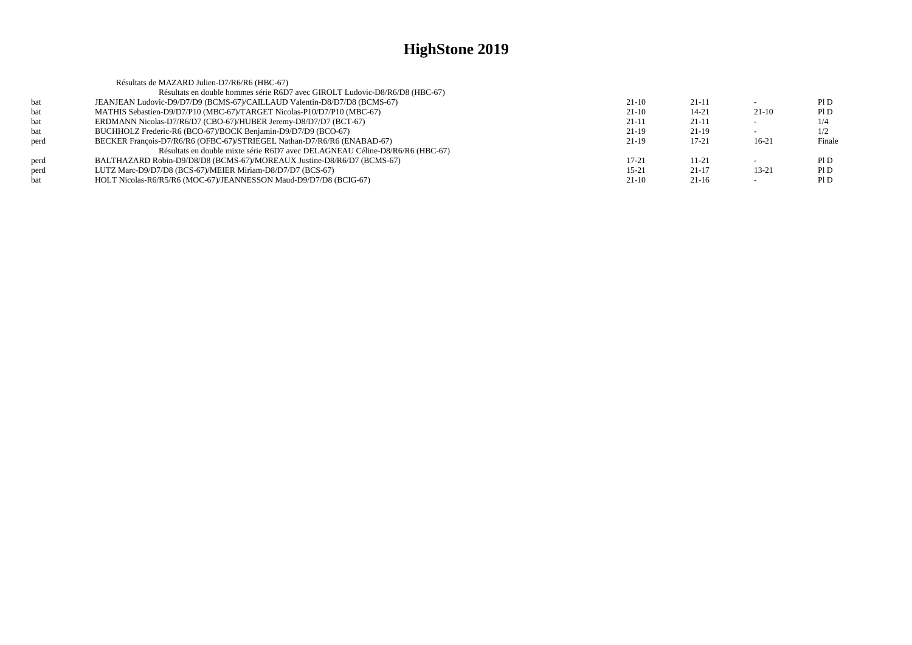|      | Résultats de MAZARD Julien-D7/R6/R6 (HBC-67)                                 |           |           |                          |        |
|------|------------------------------------------------------------------------------|-----------|-----------|--------------------------|--------|
|      | Résultats en double hommes série R6D7 avec GIROLT Ludovic-D8/R6/D8 (HBC-67)  |           |           |                          |        |
| bat  | JEANJEAN Ludovic-D9/D7/D9 (BCMS-67)/CAILLAUD Valentin-D8/D7/D8 (BCMS-67)     | $21-10$   | $21-11$   |                          | P1D    |
| bat  | MATHIS Sebastien-D9/D7/P10 (MBC-67)/TARGET Nicolas-P10/D7/P10 (MBC-67)       | $21-10$   | $14 - 21$ | $21-10$                  | PID    |
| bat  | ERDMANN Nicolas-D7/R6/D7 (CBO-67)/HUBER Jeremy-D8/D7/D7 (BCT-67)             | $21-11$   | $21-11$   | $\overline{\phantom{0}}$ | 1/4    |
| bat  | BUCHHOLZ Frederic-R6 (BCO-67)/BOCK Benjamin-D9/D7/D9 (BCO-67)                | $21-19$   | $21-19$   |                          | 1/2    |
| perd | BECKER Francois-D7/R6/R6 (OFBC-67)/STRIEGEL Nathan-D7/R6/R6 (ENABAD-67)      | 21-19     | $17 - 21$ | $16-21$                  | Finale |
|      | Résultats en double mixte série R6D7 avec DELAGNEAU Céline-D8/R6/R6 (HBC-67) |           |           |                          |        |
| perd | BALTHAZARD Robin-D9/D8/D8 (BCMS-67)/MOREAUX Justine-D8/R6/D7 (BCMS-67)       | $17 - 21$ | $11 - 21$ |                          | P1D    |
| perd | LUTZ Marc-D9/D7/D8 (BCS-67)/MEIER Miriam-D8/D7/D7 (BCS-67)                   | $15 - 21$ | $21-17$   | $13 - 21$                | PID    |
| bat  | HOLT Nicolas-R6/R5/R6 (MOC-67)/JEANNESSON Maud-D9/D7/D8 (BCIG-67)            | $21-10$   | $21-16$   |                          | P1D    |
|      |                                                                              |           |           |                          |        |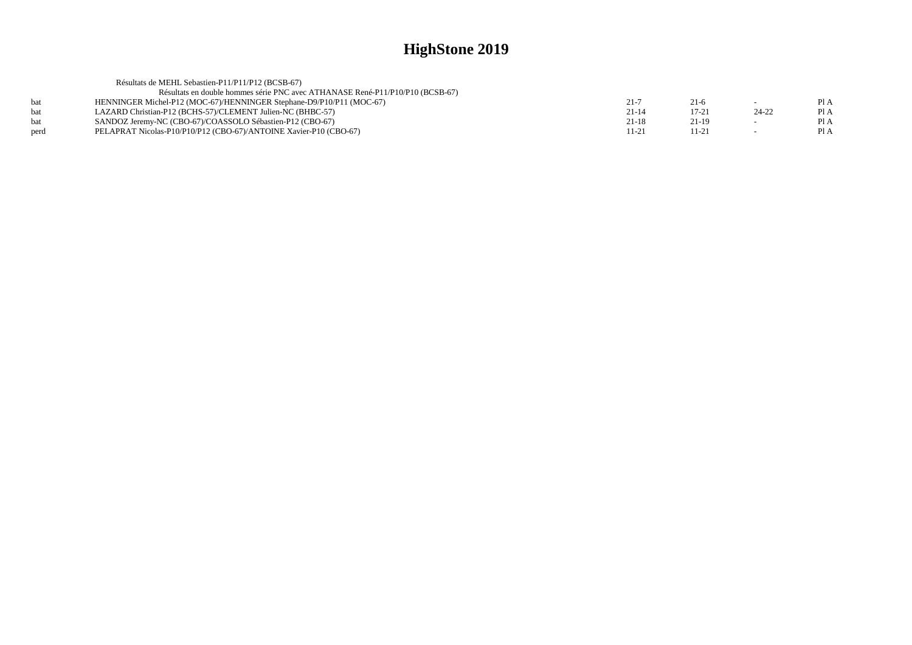|      | Résultats de MEHL Sebastien-P11/P11/P12 (BCSB-67)                             |           |           |                          |      |
|------|-------------------------------------------------------------------------------|-----------|-----------|--------------------------|------|
|      | Résultats en double hommes série PNC avec ATHANASE René-P11/P10/P10 (BCSB-67) |           |           |                          |      |
| hat  | HENNINGER Michel-P12 (MOC-67)/HENNINGER Stephane-D9/P10/P11 (MOC-67)          | $21 - 7$  | $21-6$    | $\sim$                   | Pl A |
| hat  | LAZARD Christian-P12 (BCHS-57)/CLEMENT Julien-NC (BHBC-57)                    | $21 - 14$ | $17 - 21$ | $24 - 22$                | Pl A |
| bat  | SANDOZ Jeremy-NC (CBO-67)/COASSOLO Sébastien-P12 (CBO-67)                     | $21 - 18$ | $21-19$   |                          | Pl A |
| perd | PELAPRAT Nicolas-P10/P10/P12 (CBO-67)/ANTOINE Xavier-P10 (CBO-67)             | 11-21     | $11 - 21$ | $\overline{\phantom{a}}$ | Pl A |
|      |                                                                               |           |           |                          |      |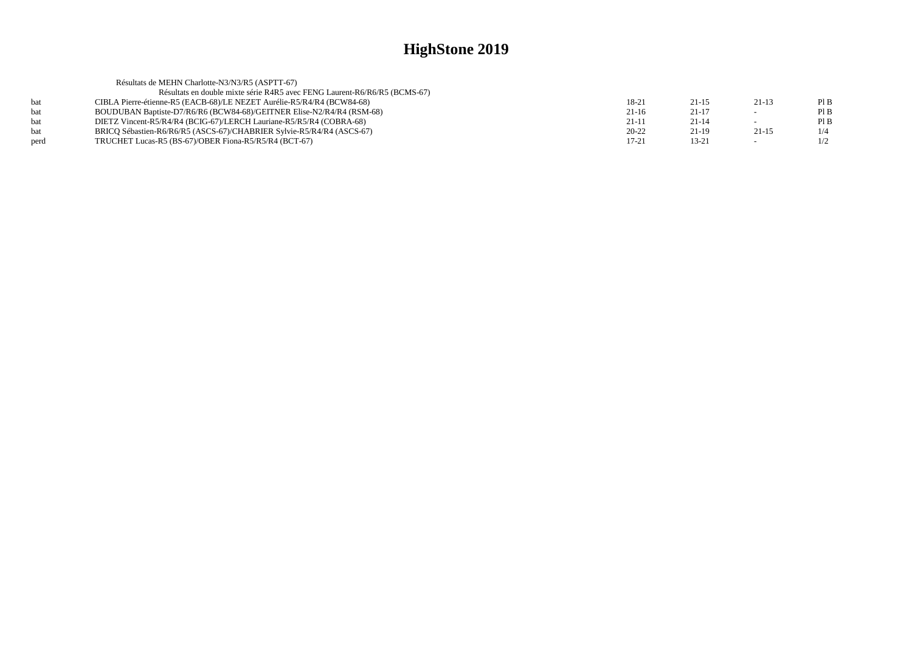|             | Résultats de MEHN Charlotte-N3/N3/R5 (ASPTT-67)                           |           |           |           |     |
|-------------|---------------------------------------------------------------------------|-----------|-----------|-----------|-----|
|             | Résultats en double mixte série R4R5 avec FENG Laurent-R6/R6/R5 (BCMS-67) |           |           |           |     |
| <b>b</b> at | CIBLA Pierre-étienne-R5 (EACB-68)/LE NEZET Aurélie-R5/R4/R4 (BCW84-68)    | 18-21     | $21 - 15$ | $21-13$   | PIB |
| <b>b</b> at | BOUDUBAN Baptiste-D7/R6/R6 (BCW84-68)/GEITNER Elise-N2/R4/R4 (RSM-68)     | $21-16$   | $21-17$   |           | PIB |
| <b>b</b> at | DIETZ Vincent-R5/R4/R4 (BCIG-67)/LERCH Lauriane-R5/R5/R4 (COBRA-68)       | $21-11$   | $21 - 14$ |           | PIB |
| <b>b</b> at | BRICO Sébastien-R6/R6/R5 (ASCS-67)/CHABRIER Sylvie-R5/R4/R4 (ASCS-67)     | $20 - 22$ | $21-19$   | $21 - 15$ | 1/4 |
| perd        | TRUCHET Lucas-R5 (BS-67)/OBER Fiona-R5/R5/R4 (BCT-67)                     | 17-21     | $13 - 21$ |           | 1/2 |
|             |                                                                           |           |           |           |     |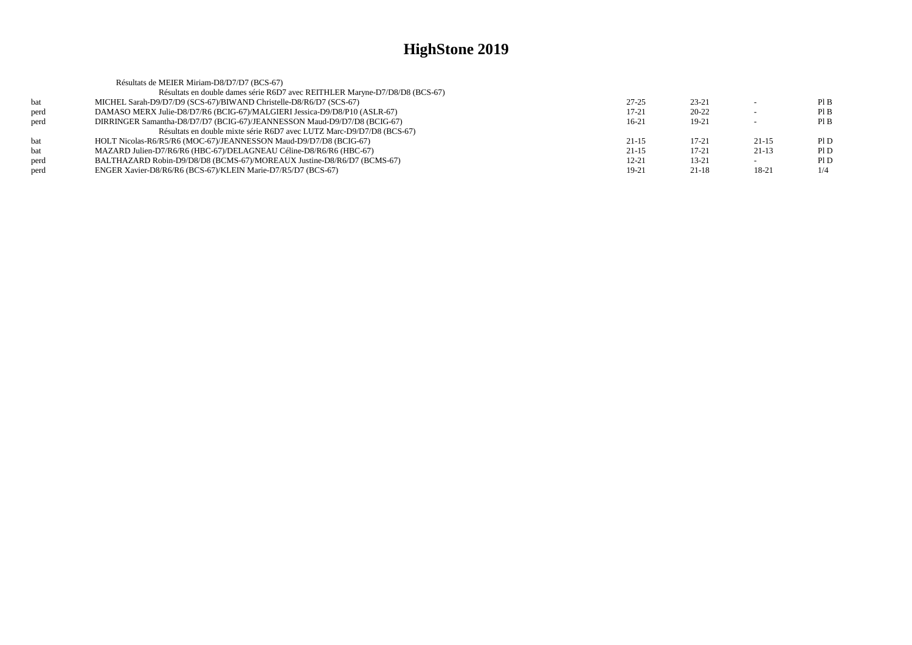|      | Résultats de MEIER Miriam-D8/D7/D7 (BCS-67)                                 |           |           |           |      |
|------|-----------------------------------------------------------------------------|-----------|-----------|-----------|------|
|      | Résultats en double dames série R6D7 avec REITHLER Maryne-D7/D8/D8 (BCS-67) |           |           |           |      |
| bat  | MICHEL Sarah-D9/D7/D9 (SCS-67)/BIWAND Christelle-D8/R6/D7 (SCS-67)          | $27 - 25$ | $23 - 21$ |           | PIB  |
| perd | DAMASO MERX Julie-D8/D7/R6 (BCIG-67)/MALGIERI Jessica-D9/D8/P10 (ASLR-67)   | 17-21     | $20 - 22$ |           | PIB  |
| perd | DIRRINGER Samantha-D8/D7/D7 (BCIG-67)/JEANNESSON Maud-D9/D7/D8 (BCIG-67)    | $16-21$   | 19-21     |           | Pl B |
|      | Résultats en double mixte série R6D7 avec LUTZ Marc-D9/D7/D8 (BCS-67)       |           |           |           |      |
| bat  | HOLT Nicolas-R6/R5/R6 (MOC-67)/JEANNESSON Maud-D9/D7/D8 (BCIG-67)           | $21-15$   | $17 - 21$ | $21 - 15$ | Pl D |
| bat  | MAZARD Julien-D7/R6/R6 (HBC-67)/DELAGNEAU Céline-D8/R6/R6 (HBC-67)          | $21-15$   | $17 - 21$ | $21-13$   | Pl D |
| perd | BALTHAZARD Robin-D9/D8/D8 (BCMS-67)/MOREAUX Justine-D8/R6/D7 (BCMS-67)      | $12 - 21$ | $13 - 21$ |           | Pl D |
| perd | ENGER Xavier-D8/R6/R6 (BCS-67)/KLEIN Marie-D7/R5/D7 (BCS-67)                | 19-21     | $21-18$   | 18-21     | 1/4  |
|      |                                                                             |           |           |           |      |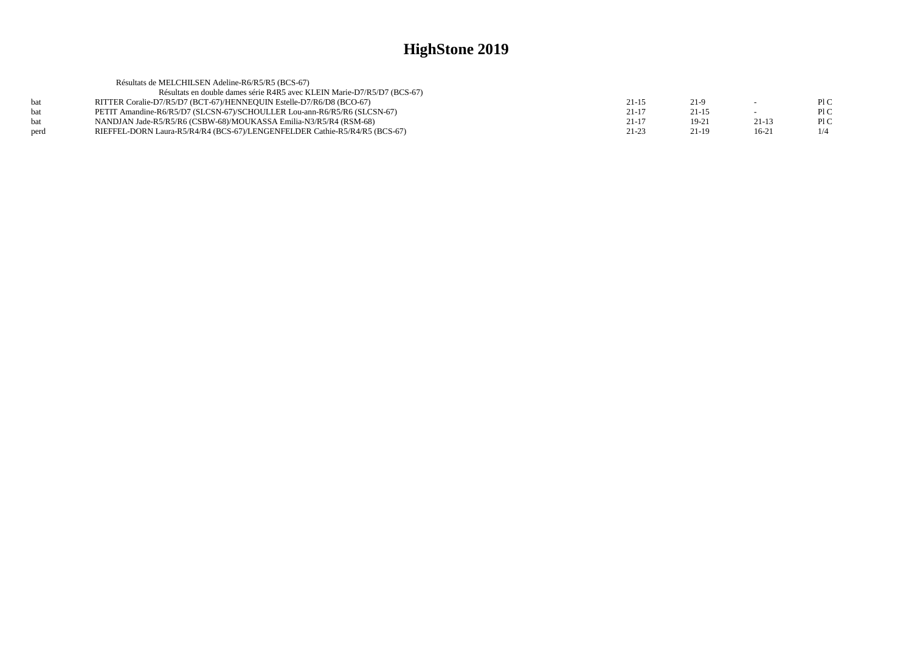|      | Résultats de MELCHILSEN Adeline-R6/R5/R5 (BCS-67)                          |           |           |         |     |
|------|----------------------------------------------------------------------------|-----------|-----------|---------|-----|
|      | Résultats en double dames série R4R5 avec KLEIN Marie-D7/R5/D7 (BCS-67)    |           |           |         |     |
| hat  | RITTER Coralie-D7/R5/D7 (BCT-67)/HENNEQUIN Estelle-D7/R6/D8 (BCO-67)       | $21 - 15$ | $21-9$    | $\sim$  | P1C |
| hat  | PETIT Amandine-R6/R5/D7 (SLCSN-67)/SCHOULLER Lou-ann-R6/R5/R6 (SLCSN-67)   | $21 - 17$ | $21 - 15$ |         | P1C |
| hat  | NANDJAN Jade-R5/R5/R6 (CSBW-68)/MOUKASSA Emilia-N3/R5/R4 (RSM-68)          | $21 - 17$ | 19-21     | $21-13$ | P1C |
| perd | RIEFFEL-DORN Laura-R5/R4/R4 (BCS-67)/LENGENFELDER Cathie-R5/R4/R5 (BCS-67) | $21 - 23$ | 21-19     | $16-21$ | 1/4 |
|      |                                                                            |           |           |         |     |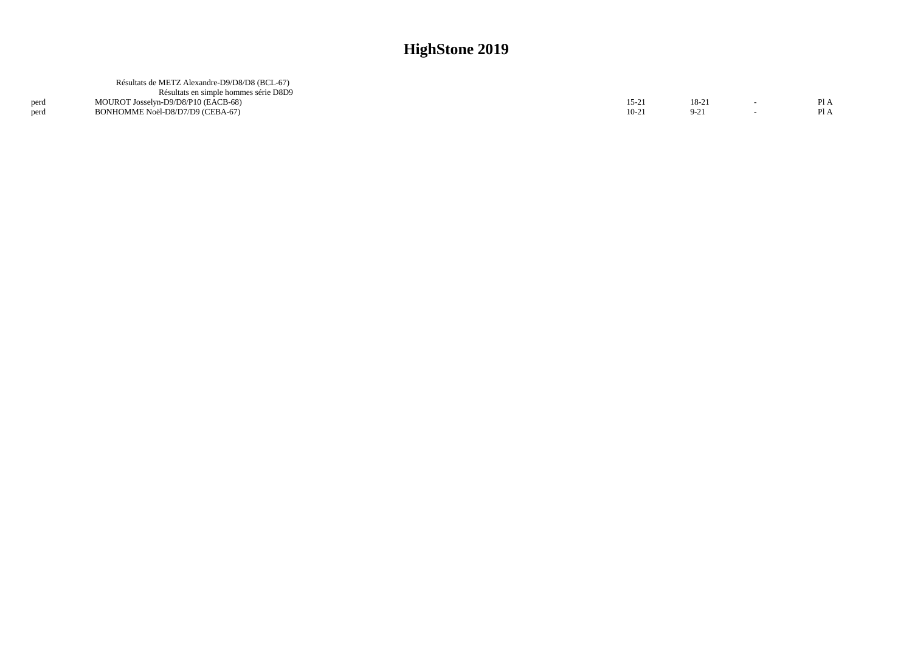|      | Résultats de METZ Alexandre-D9/D8/D8 (BCL-67) |         |          |      |
|------|-----------------------------------------------|---------|----------|------|
|      | Résultats en simple hommes série D8D9         |         |          |      |
| perd | MOUROT Josselyn-D9/D8/P10 (EACB-68)           | 15-21   | 18-21    | Pl A |
| perd | BONHOMME Noël-D8/D7/D9 (CEBA-67)              | $10-21$ | $9 - 21$ | ГI А |
|      |                                               |         |          |      |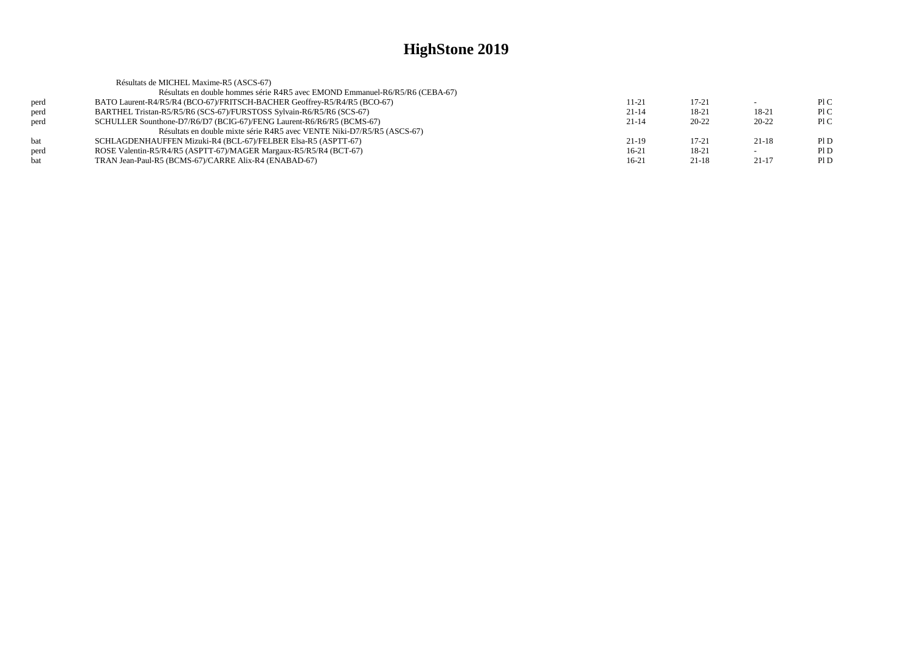|      | Résultats de MICHEL Maxime-R5 (ASCS-67)                                      |           |           |           |     |
|------|------------------------------------------------------------------------------|-----------|-----------|-----------|-----|
|      | Résultats en double hommes série R4R5 avec EMOND Emmanuel-R6/R5/R6 (CEBA-67) |           |           |           |     |
| perd | BATO Laurent-R4/R5/R4 (BCO-67)/FRITSCH-BACHER Geoffrey-R5/R4/R5 (BCO-67)     | 11-21     | $17 - 21$ |           | P1C |
| perd | BARTHEL Tristan-R5/R5/R6 (SCS-67)/FURSTOSS Sylvain-R6/R5/R6 (SCS-67)         | $21 - 14$ | 18-21     | 18-21     | P1C |
| perd | SCHULLER Sounthone-D7/R6/D7 (BCIG-67)/FENG Laurent-R6/R6/R5 (BCMS-67)        | $21 - 14$ | $20 - 22$ | $20 - 22$ | P1C |
|      | Résultats en double mixte série R4R5 avec VENTE Niki-D7/R5/R5 (ASCS-67)      |           |           |           |     |
| bat  | SCHLAGDENHAUFFEN Mizuki-R4 (BCL-67)/FELBER Elsa-R5 (ASPTT-67)                | $21-19$   | $17 - 21$ | $21-18$   | PID |
| perd | ROSE Valentin-R5/R4/R5 (ASPTT-67)/MAGER Margaux-R5/R5/R4 (BCT-67)            | $16-21$   | 18-21     |           | PID |
| hat  | TRAN Jean-Paul-R5 (BCMS-67)/CARRE Alix-R4 (ENABAD-67)                        | $16-21$   | $21 - 18$ | $21 - 17$ | P1D |
|      |                                                                              |           |           |           |     |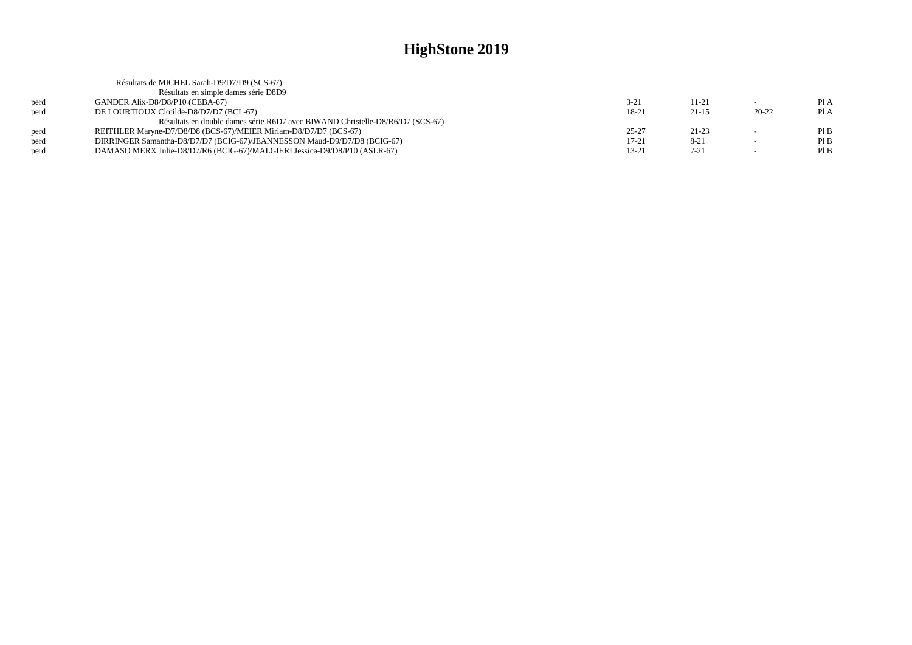|      | Résultats de MICHEL Sarah-D9/D7/D9 (SCS-67)                                   |           |           |           |      |
|------|-------------------------------------------------------------------------------|-----------|-----------|-----------|------|
|      | Résultats en simple dames série D8D9                                          |           |           |           |      |
| perd | GANDER Alix-D8/D8/P10 (CEBA-67)                                               | $3 - 21$  | 11-21     |           | Pl A |
| perd | DE LOURTIOUX Clotilde-D8/D7/D7 (BCL-67)                                       | 18-21     | $21 - 15$ | $20 - 22$ | Pl A |
|      | Résultats en double dames série R6D7 avec BIWAND Christelle-D8/R6/D7 (SCS-67) |           |           |           |      |
| perd | REITHLER Maryne-D7/D8/D8 (BCS-67)/MEIER Miriam-D8/D7/D7 (BCS-67)              | $25 - 27$ | $21 - 23$ |           | PIB  |
| perd | DIRRINGER Samantha-D8/D7/D7 (BCIG-67)/JEANNESSON Maud-D9/D7/D8 (BCIG-67)      | $17-21$   | $8 - 21$  |           | PIB  |
| perd | DAMASO MERX Julie-D8/D7/R6 (BCIG-67)/MALGIERI Jessica-D9/D8/P10 (ASLR-67)     | $13 - 21$ | $7 - 21$  |           | PIB  |
|      |                                                                               |           |           |           |      |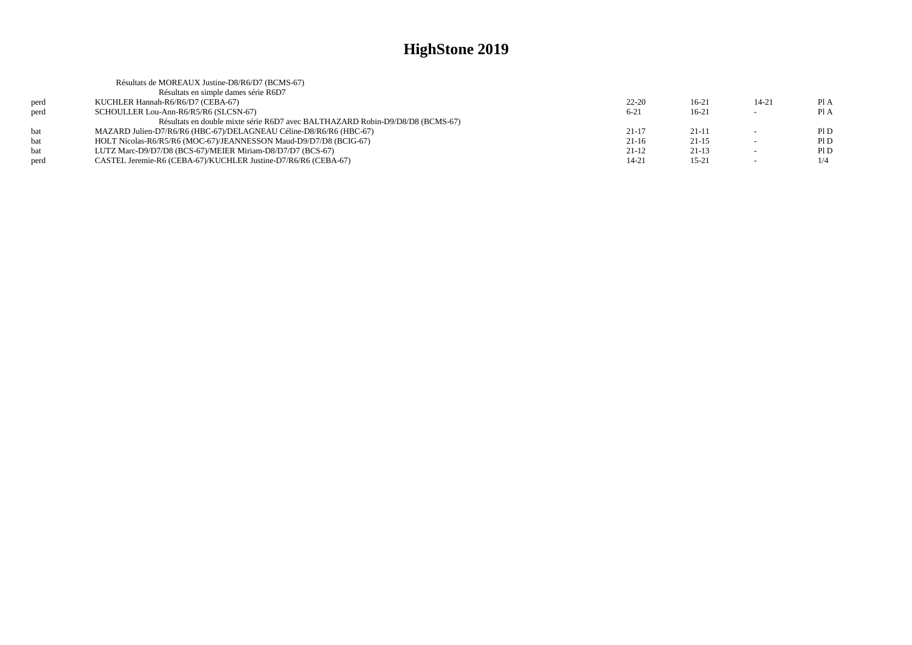|      | Résultats de MOREAUX Justine-D8/R6/D7 (BCMS-67)                               |           |           |           |      |
|------|-------------------------------------------------------------------------------|-----------|-----------|-----------|------|
|      | Résultats en simple dames série R6D7                                          |           |           |           |      |
| perd | KUCHLER Hannah-R6/R6/D7 (CEBA-67)                                             | $22 - 20$ | $16-21$   | $14 - 21$ | Pl A |
| perd | SCHOULLER Lou-Ann-R6/R5/R6 (SLCSN-67)                                         | $6 - 21$  | $16-21$   | $\sim$    | Pl A |
|      | Résultats en double mixte série R6D7 avec BALTHAZARD Robin-D9/D8/D8 (BCMS-67) |           |           |           |      |
| hat  | MAZARD Julien-D7/R6/R6 (HBC-67)/DELAGNEAU Céline-D8/R6/R6 (HBC-67)            | $21-17$   | $21 - 11$ | $\sim$    | PID  |
| bat  | HOLT Nicolas-R6/R5/R6 (MOC-67)/JEANNESSON Maud-D9/D7/D8 (BCIG-67)             | $21-16$   | $21-15$   |           | PID  |
| bat  | LUTZ Marc-D9/D7/D8 (BCS-67)/MEIER Miriam-D8/D7/D7 (BCS-67)                    | $21-12$   | $21 - 13$ | $\sim$    | PID  |
| perd | CASTEL Jeremie-R6 (CEBA-67)/KUCHLER Justine-D7/R6/R6 (CEBA-67)                | 14-21     | $15 - 21$ |           | 1/4  |
|      |                                                                               |           |           |           |      |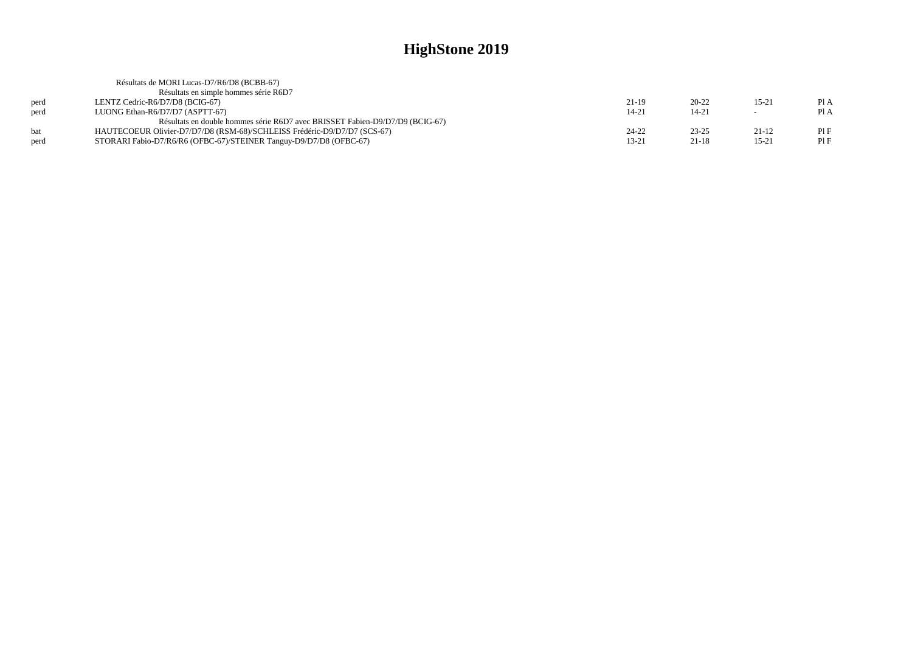|      | Résultats de MORI Lucas-D7/R6/D8 (BCBB-67)                                   |           |           |           |      |
|------|------------------------------------------------------------------------------|-----------|-----------|-----------|------|
|      | Résultats en simple hommes série R6D7                                        |           |           |           |      |
| perd | LENTZ Cedric-R6/D7/D8 (BCIG-67)                                              | 21-19     | $20 - 22$ | $15 - 21$ | Pl A |
| perd | LUONG Ethan-R6/D7/D7 (ASPTT-67)                                              | 14-21     | $14 - 21$ | $\sim$    | Pl A |
|      | Résultats en double hommes série R6D7 avec BRISSET Fabien-D9/D7/D9 (BCIG-67) |           |           |           |      |
| hat  | HAUTECOEUR Olivier-D7/D7/D8 (RSM-68)/SCHLEISS Frédéric-D9/D7/D7 (SCS-67)     | 24-22     | $23 - 25$ | 21-12     | PIF  |
| perd | STORARI Fabio-D7/R6/R6 (OFBC-67)/STEINER Tanguy-D9/D7/D8 (OFBC-67)           | $13 - 21$ | $21 - 18$ | $15 - 21$ | PIF  |
|      |                                                                              |           |           |           |      |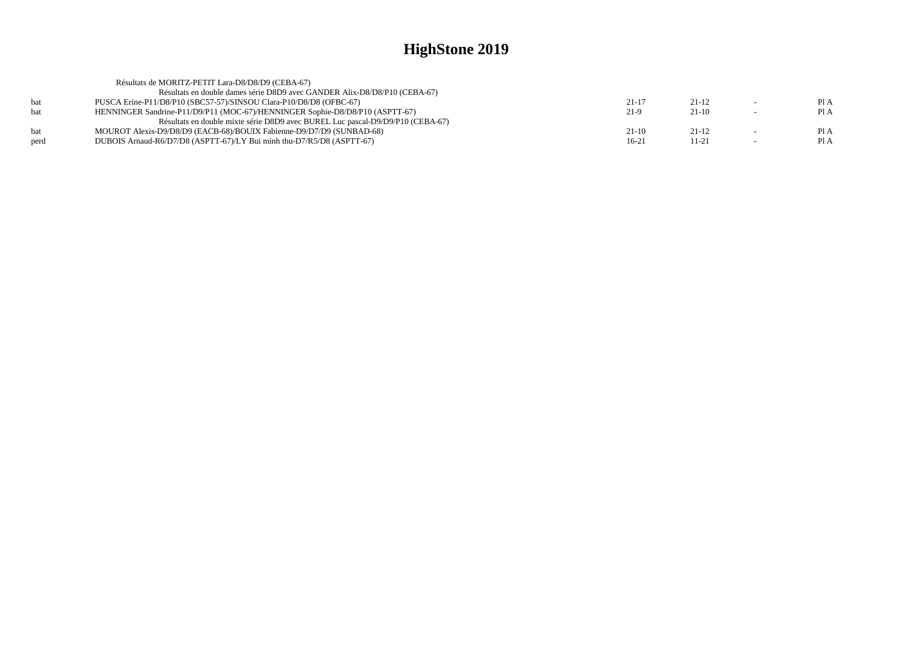|      | Résultats de MORITZ-PETIT Lara-D8/D8/D9 (CEBA-67)                              |           |           |                          |      |
|------|--------------------------------------------------------------------------------|-----------|-----------|--------------------------|------|
|      | Résultats en double dames série D8D9 avec GANDER Alix-D8/D8/P10 (CEBA-67)      |           |           |                          |      |
| hat  | PUSCA Erine-P11/D8/P10 (SBC57-57)/SINSOU Clara-P10/D8/D8 (OFBC-67)             | $21 - 17$ | $21-12$   |                          | PIA  |
| bat  | HENNINGER Sandrine-P11/D9/P11 (MOC-67)/HENNINGER Sophie-D8/D8/P10 (ASPTT-67)   | 21-9      | $21-10$   | $\overline{\phantom{0}}$ | Pl A |
|      | Résultats en double mixte série D8D9 avec BUREL Luc pascal-D9/D9/P10 (CEBA-67) |           |           |                          |      |
| bat  | MOUROT Alexis-D9/D8/D9 (EACB-68)/BOUIX Fabienne-D9/D7/D9 (SUNBAD-68)           | 21-10     | 21-12     |                          | Pl A |
| perd | DUBOIS Arnaud-R6/D7/D8 (ASPTT-67)/LY Bui minh thu-D7/R5/D8 (ASPTT-67)          | $16-21$   | $11 - 21$ | $\overline{\phantom{a}}$ | Pl A |
|      |                                                                                |           |           |                          |      |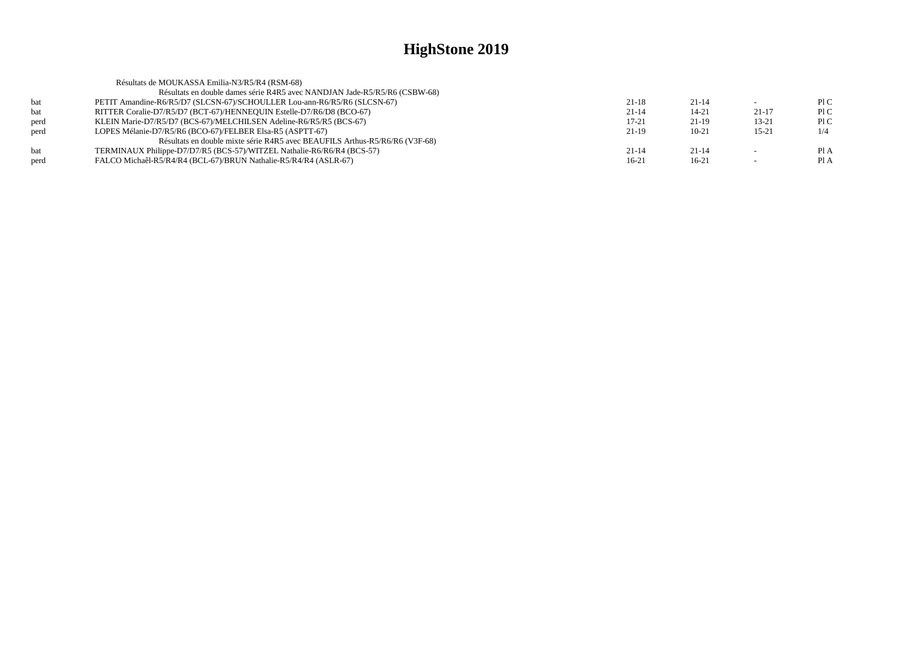|            | Résultats de MOUKASSA Emilia-N3/R5/R4 (RSM-68)                              |           |           |           |      |
|------------|-----------------------------------------------------------------------------|-----------|-----------|-----------|------|
|            | Résultats en double dames série R4R5 avec NANDJAN Jade-R5/R5/R6 (CSBW-68)   |           |           |           |      |
| bat        | PETIT Amandine-R6/R5/D7 (SLCSN-67)/SCHOULLER Lou-ann-R6/R5/R6 (SLCSN-67)    | $21-18$   | $21 - 14$ |           | P1C  |
| bat        | RITTER Coralie-D7/R5/D7 (BCT-67)/HENNEQUIN Estelle-D7/R6/D8 (BCO-67)        | $21 - 14$ | $14 - 21$ | $21-17$   | P1C  |
| perd       | KLEIN Marie-D7/R5/D7 (BCS-67)/MELCHILSEN Adeline-R6/R5/R5 (BCS-67)          | $17 - 21$ | $21-19$   | $13 - 21$ | P1C  |
| perd       | LOPES Mélanie-D7/R5/R6 (BCO-67)/FELBER Elsa-R5 (ASPTT-67)                   | $21-19$   | $10-21$   | $15 - 21$ | 1/4  |
|            | Résultats en double mixte série R4R5 avec BEAUFILS Arthus-R5/R6/R6 (V3F-68) |           |           |           |      |
| <b>bat</b> | TERMINAUX Philippe-D7/D7/R5 (BCS-57)/WITZEL Nathalie-R6/R6/R4 (BCS-57)      | $21 - 14$ | $21 - 14$ |           | PI A |
| perd       | FALCO Michaêl-R5/R4/R4 (BCL-67)/BRUN Nathalie-R5/R4/R4 (ASLR-67)            | 16-21     | $16-21$   |           | Pl A |
|            |                                                                             |           |           |           |      |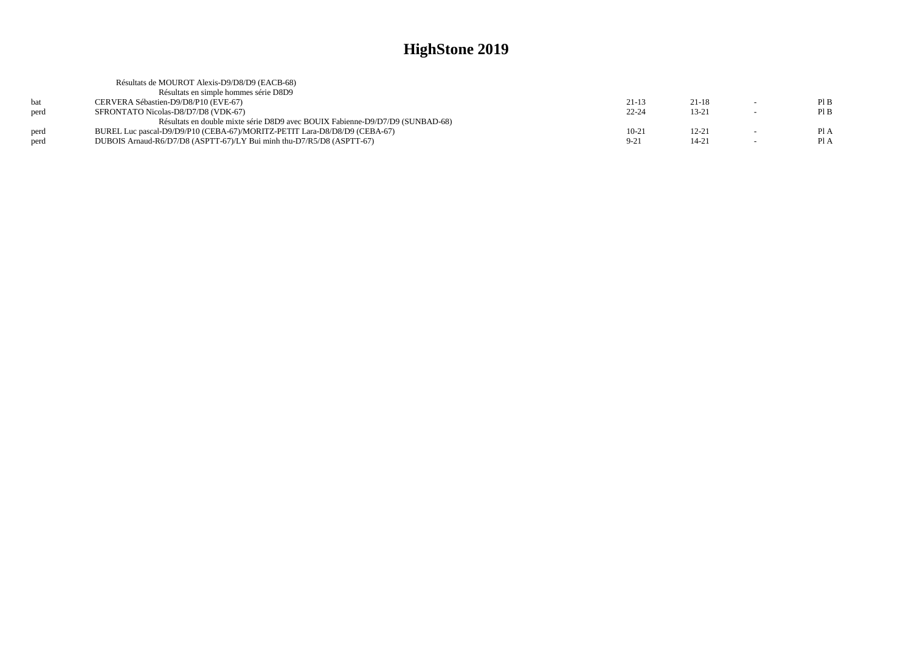|      | Résultats de MOUROT Alexis-D9/D8/D9 (EACB-68)                                 |           |           |                          |      |
|------|-------------------------------------------------------------------------------|-----------|-----------|--------------------------|------|
|      | Résultats en simple hommes série D8D9                                         |           |           |                          |      |
| hat  | CERVERA Sébastien-D9/D8/P10 (EVE-67)                                          | $21-13$   | 21-18     |                          | PIB  |
| perd | SFRONTATO Nicolas-D8/D7/D8 (VDK-67)                                           | $22 - 24$ | $13 - 21$ | $\overline{\phantom{0}}$ | PIB  |
|      | Résultats en double mixte série D8D9 avec BOUIX Fabienne-D9/D7/D9 (SUNBAD-68) |           |           |                          |      |
| perd | BUREL Luc pascal-D9/D9/P10 (CEBA-67)/MORITZ-PETIT Lara-D8/D8/D9 (CEBA-67)     | $10-21$   | $12 - 21$ |                          | Pl A |
| perd | DUBOIS Arnaud-R6/D7/D8 (ASPTT-67)/LY Bui minh thu-D7/R5/D8 (ASPTT-67)         | $9 - 21$  | 14-21     | $\overline{\phantom{a}}$ | Pl A |
|      |                                                                               |           |           |                          |      |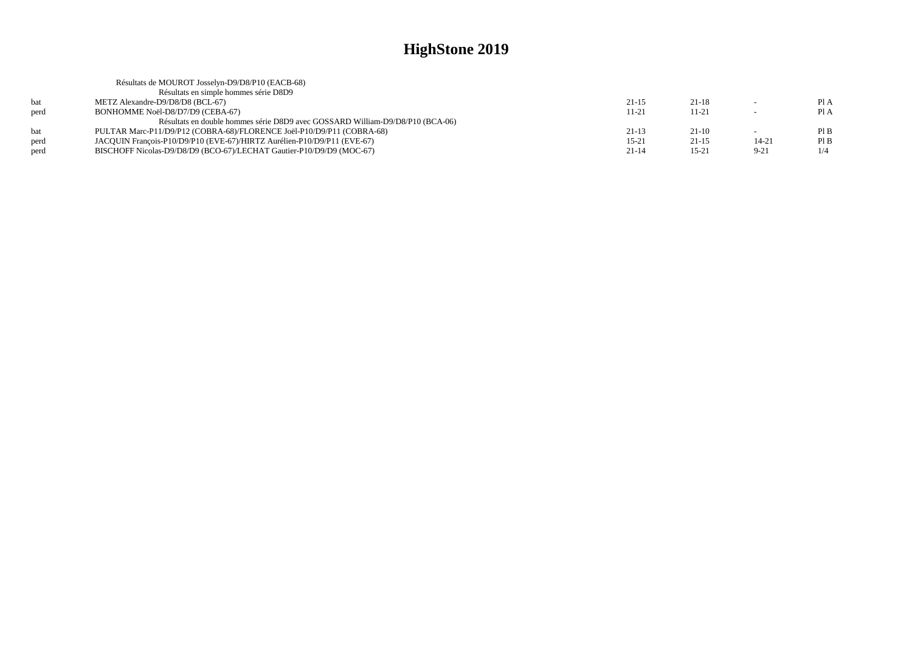|      | Résultats de MOUROT Josselyn-D9/D8/P10 (EACB-68)                              |           |           |                          |      |
|------|-------------------------------------------------------------------------------|-----------|-----------|--------------------------|------|
|      | Résultats en simple hommes série D8D9                                         |           |           |                          |      |
| hat  | METZ Alexandre-D9/D8/D8 (BCL-67)                                              | 21-15     | 21-18     | $\sim$                   | PIA  |
| perd | BONHOMME Noël-D8/D7/D9 (CEBA-67)                                              | 11-21     | $11 - 21$ | $\overline{\phantom{0}}$ | Pl A |
|      | Résultats en double hommes série D8D9 avec GOSSARD William-D9/D8/P10 (BCA-06) |           |           |                          |      |
| hat  | PULTAR Marc-P11/D9/P12 (COBRA-68)/FLORENCE Joël-P10/D9/P11 (COBRA-68)         | $21-13$   | $21-10$   |                          | PIB  |
| perd | JACQUIN François-P10/D9/P10 (EVE-67)/HIRTZ Aurélien-P10/D9/P11 (EVE-67)       | $15 - 21$ | $21-15$   | 14-21                    | PI B |
| perd | BISCHOFF Nicolas-D9/D8/D9 (BCO-67)/LECHAT Gautier-P10/D9/D9 (MOC-67)          | $21 - 14$ | $15 - 21$ | $9 - 21$                 |      |
|      |                                                                               |           |           |                          |      |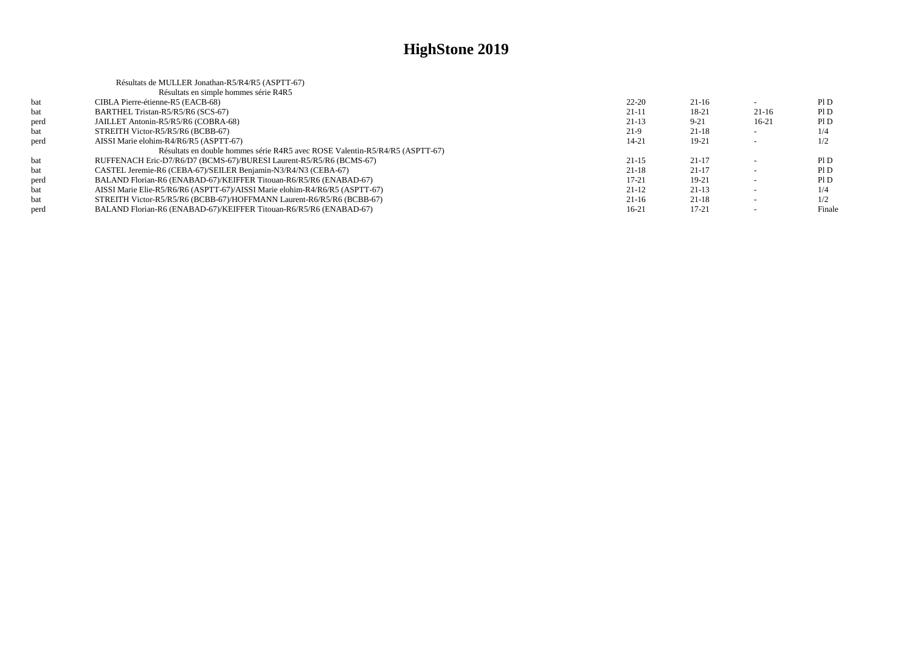|      | Résultats de MULLER Jonathan-R5/R4/R5 (ASPTT-67)                             |           |           |                          |        |
|------|------------------------------------------------------------------------------|-----------|-----------|--------------------------|--------|
|      | Résultats en simple hommes série R4R5                                        |           |           |                          |        |
| bat  | CIBLA Pierre-étienne-R5 (EACB-68)                                            | $22 - 20$ | $21-16$   |                          | P1D    |
| bat  | BARTHEL Tristan-R5/R5/R6 (SCS-67)                                            | $21 - 11$ | $18-21$   | $21-16$                  | PID    |
| perd | JAILLET Antonin-R5/R5/R6 (COBRA-68)                                          | $21-13$   | $9 - 21$  | $16-21$                  | PID    |
| bat  | STREITH Victor-R5/R5/R6 (BCBB-67)                                            | $21-9$    | $21 - 18$ |                          | 1/4    |
| perd | AISSI Marie elohim-R4/R6/R5 (ASPTT-67)                                       | 14-21     | 19-21     |                          | 1/2    |
|      | Résultats en double hommes série R4R5 avec ROSE Valentin-R5/R4/R5 (ASPTT-67) |           |           |                          |        |
| bat  | RUFFENACH Eric-D7/R6/D7 (BCMS-67)/BURESI Laurent-R5/R5/R6 (BCMS-67)          | $21 - 15$ | $21-17$   |                          | PID    |
| bat  | CASTEL Jeremie-R6 (CEBA-67)/SEILER Benjamin-N3/R4/N3 (CEBA-67)               | $21 - 18$ | $21 - 17$ | $\overline{\phantom{a}}$ | Pl D   |
| perd | BALAND Florian-R6 (ENABAD-67)/KEIFFER Titouan-R6/R5/R6 (ENABAD-67)           | $17 - 21$ | $19-21$   |                          | PID    |
| bat  | AISSI Marie Elie-R5/R6/R6 (ASPTT-67)/AISSI Marie elohim-R4/R6/R5 (ASPTT-67)  | $21 - 12$ | $21-13$   |                          | 1/4    |
| bat  | STREITH Victor-R5/R5/R6 (BCBB-67)/HOFFMANN Laurent-R6/R5/R6 (BCBB-67)        | $21-16$   | $21-18$   | $\overline{\phantom{0}}$ | 1/2    |
| perd | BALAND Florian-R6 (ENABAD-67)/KEIFFER Titouan-R6/R5/R6 (ENABAD-67)           | 16-21     | $17 - 21$ |                          | Finale |
|      |                                                                              |           |           |                          |        |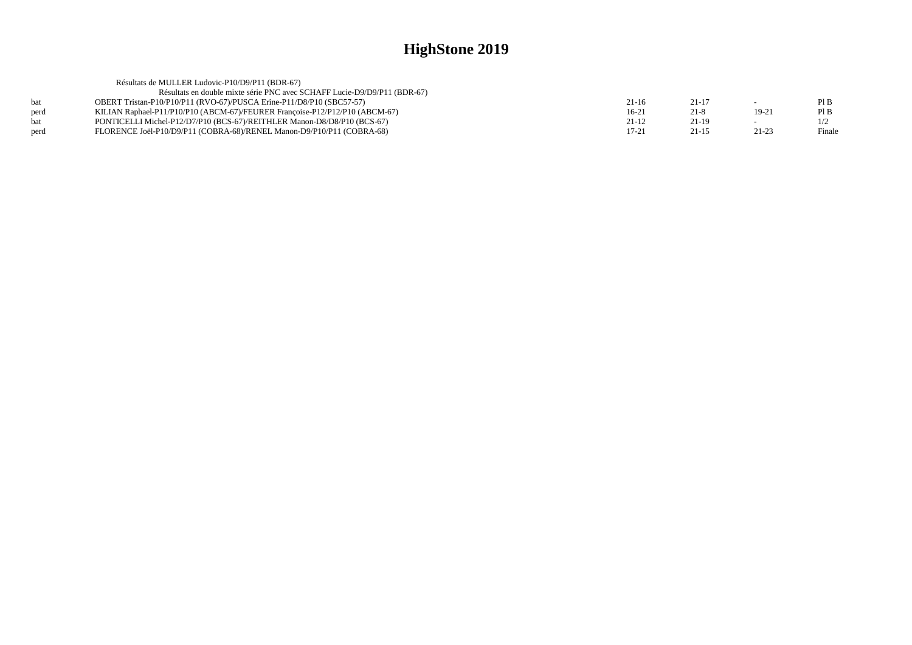|      | Résultats de MULLER Ludovic-P10/D9/P11 (BDR-67)                             |         |          |         |        |
|------|-----------------------------------------------------------------------------|---------|----------|---------|--------|
|      | Résultats en double mixte série PNC avec SCHAFF Lucie-D9/D9/P11 (BDR-67)    |         |          |         |        |
| hat  | OBERT Tristan-P10/P10/P11 (RVO-67)/PUSCA Erine-P11/D8/P10 (SBC57-57)        | $21-16$ | $21-17$  |         | Pl B   |
| perd | KILIAN Raphael-P11/P10/P10 (ABCM-67)/FEURER Francoise-P12/P12/P10 (ABCM-67) | 16-21   | $21 - 8$ | $19-21$ | PIB    |
| hat  | PONTICELLI Michel-P12/D7/P10 (BCS-67)/REITHLER Manon-D8/D8/P10 (BCS-67)     | $21-12$ | $21-19$  |         | 1/2    |
| perd | FLORENCE Joël-P10/D9/P11 (COBRA-68)/RENEL Manon-D9/P10/P11 (COBRA-68)       | 17-21   | $21-15$  | $21-23$ | Finale |
|      |                                                                             |         |          |         |        |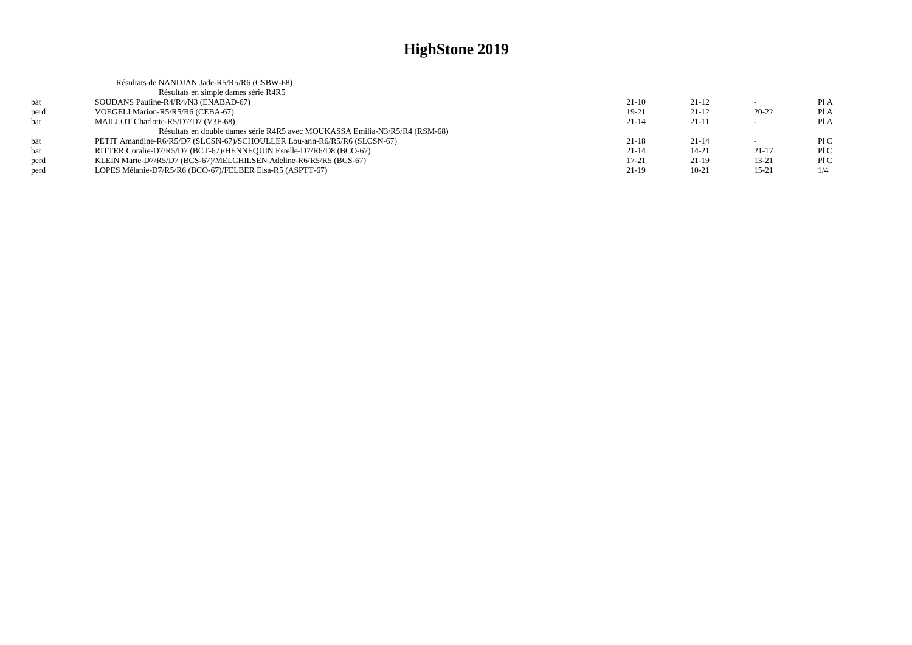|      | Résultats de NANDJAN Jade-R5/R5/R6 (CSBW-68)                                |           |           |           |      |
|------|-----------------------------------------------------------------------------|-----------|-----------|-----------|------|
|      | Résultats en simple dames série R4R5                                        |           |           |           |      |
| bat  | SOUDANS Pauline-R4/R4/N3 (ENABAD-67)                                        | $21-10$   | $21-12$   |           | Pl A |
| perd | VOEGELI Marion-R5/R5/R6 (CEBA-67)                                           | 19-21     | $21-12$   | $20 - 22$ | Pl A |
| bat  | MAILLOT Charlotte-R5/D7/D7 (V3F-68)                                         | $21 - 14$ | $21-11$   |           | Pl A |
|      | Résultats en double dames série R4R5 avec MOUKASSA Emilia-N3/R5/R4 (RSM-68) |           |           |           |      |
| bat  | PETIT Amandine-R6/R5/D7 (SLCSN-67)/SCHOULLER Lou-ann-R6/R5/R6 (SLCSN-67)    | $21 - 18$ | $21 - 14$ |           | P1C  |
| bat  | RITTER Coralie-D7/R5/D7 (BCT-67)/HENNEQUIN Estelle-D7/R6/D8 (BCO-67)        | $21 - 14$ | $14 - 21$ | $21-17$   | P1C  |
| perd | KLEIN Marie-D7/R5/D7 (BCS-67)/MELCHILSEN Adeline-R6/R5/R5 (BCS-67)          | $17 - 21$ | $21-19$   | $13 - 21$ | P1C  |
| perd | LOPES Mélanie-D7/R5/R6 (BCO-67)/FELBER Elsa-R5 (ASPTT-67)                   | $21-19$   | $10-21$   | $15 - 21$ | 1/4  |
|      |                                                                             |           |           |           |      |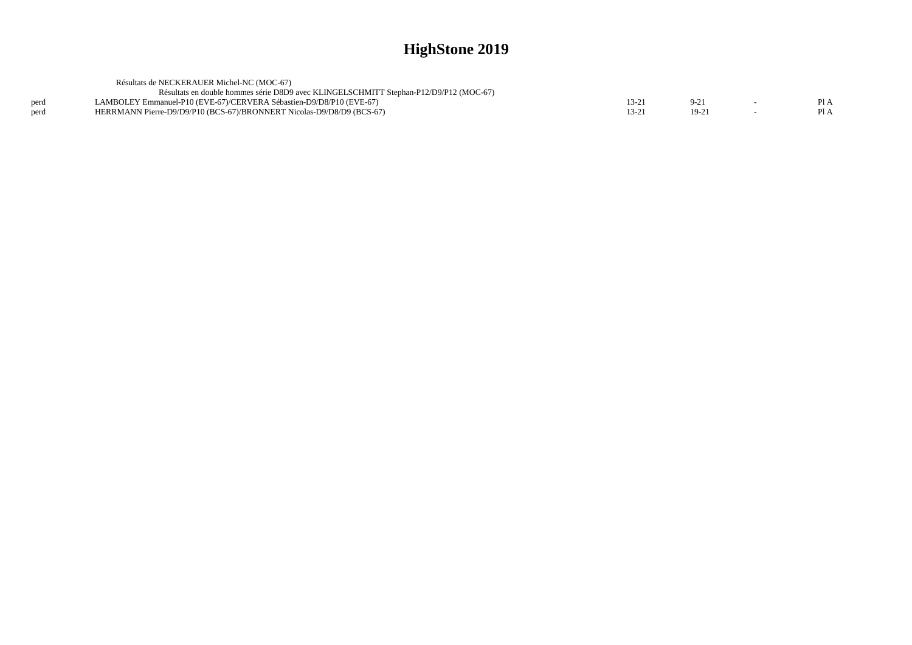|      | Résultats de NECKERAUER Michel-NC (MOC-67)                                            |       |       |      |
|------|---------------------------------------------------------------------------------------|-------|-------|------|
|      | Résultats en double hommes série D8D9 avec KLINGELSCHMITT Stephan-P12/D9/P12 (MOC-67) |       |       |      |
| perd | LAMBOLEY Emmanuel-P10 (EVE-67)/CERVERA Sébastien-D9/D8/P10 (EVE-67)                   | 13-21 |       | Pl A |
| nerd | HERRMANN Pierre-D9/D9/P10 (BCS-67)/BRONNERT Nicolas-D9/D8/D9 (BCS-67)                 | 13-21 | 19-21 | Pl A |
|      |                                                                                       |       |       |      |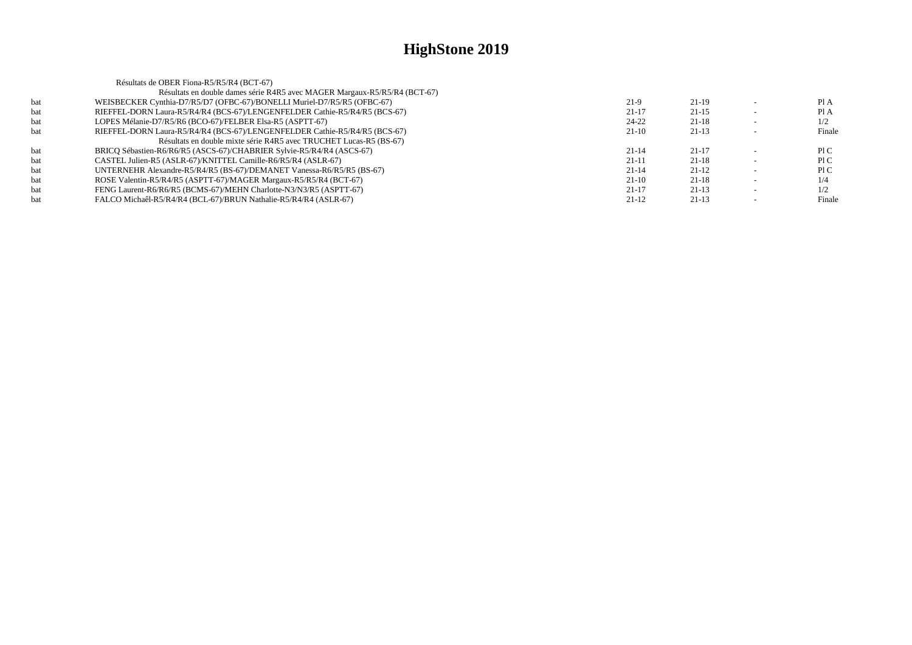|     | Résultats de OBER Fiona-R5/R5/R4 (BCT-67)                                  |           |         |        |
|-----|----------------------------------------------------------------------------|-----------|---------|--------|
|     | Résultats en double dames série R4R5 avec MAGER Margaux-R5/R5/R4 (BCT-67)  |           |         |        |
| bat | WEISBECKER Cynthia-D7/R5/D7 (OFBC-67)/BONELLI Muriel-D7/R5/R5 (OFBC-67)    | $21-9$    | $21-19$ | PI A   |
| bat | RIEFFEL-DORN Laura-R5/R4/R4 (BCS-67)/LENGENFELDER Cathie-R5/R4/R5 (BCS-67) | $21-17$   | $21-15$ | Pl A   |
| bat | LOPES Mélanie-D7/R5/R6 (BCO-67)/FELBER Elsa-R5 (ASPTT-67)                  | 24-22     | $21-18$ | 1/2    |
| bat | RIEFFEL-DORN Laura-R5/R4/R4 (BCS-67)/LENGENFELDER Cathie-R5/R4/R5 (BCS-67) | $21-10$   | $21-13$ | Finale |
|     | Résultats en double mixte série R4R5 avec TRUCHET Lucas-R5 (BS-67)         |           |         |        |
| bat | BRICO Sébastien-R6/R6/R5 (ASCS-67)/CHABRIER Sylvie-R5/R4/R4 (ASCS-67)      | $21 - 14$ | $21-17$ | P1C    |
| bat | CASTEL Julien-R5 (ASLR-67)/KNITTEL Camille-R6/R5/R4 (ASLR-67)              | $21-11$   | $21-18$ | P1C    |
| bat | UNTERNEHR Alexandre-R5/R4/R5 (BS-67)/DEMANET Vanessa-R6/R5/R5 (BS-67)      | $21 - 14$ | $21-12$ | P1C    |
| bat | ROSE Valentin-R5/R4/R5 (ASPTT-67)/MAGER Margaux-R5/R5/R4 (BCT-67)          | $21-10$   | $21-18$ | 1/4    |
| bat | FENG Laurent-R6/R6/R5 (BCMS-67)/MEHN Charlotte-N3/N3/R5 (ASPTT-67)         | $21 - 17$ | $21-13$ | 1/2    |
| bat | FALCO Michaêl-R5/R4/R4 (BCL-67)/BRUN Nathalie-R5/R4/R4 (ASLR-67)           | $21-12$   | $21-13$ | Finale |
|     |                                                                            |           |         |        |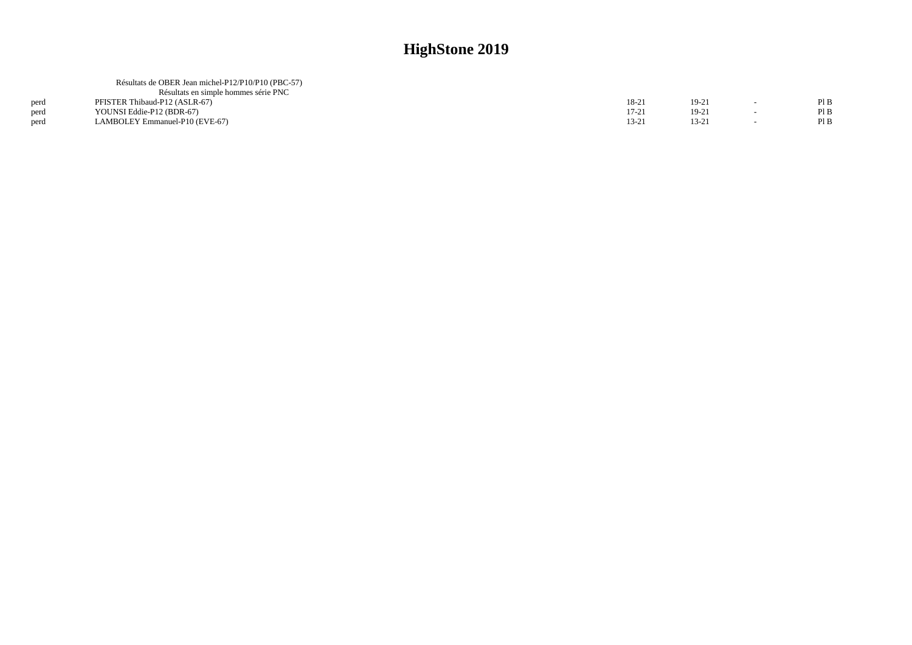|      | Résultats de OBER Jean michel-P12/P10/P10 (PBC-57) |           |         |        |      |
|------|----------------------------------------------------|-----------|---------|--------|------|
|      | Résultats en simple hommes série PNC               |           |         |        |      |
| perd | PFISTER Thibaud-P12 (ASLR-67)                      | 18-21     | $19-2.$ | $\sim$ | Pl B |
| perd | YOUNSI Eddie-P12 (BDR-67)                          | $17 - 21$ | $19-21$ |        | PIB  |
| perd | LAMBOLEY Emmanuel-P10 (EVE-67)                     | 13-21     | 13-21   |        | Pl B |
|      |                                                    |           |         |        |      |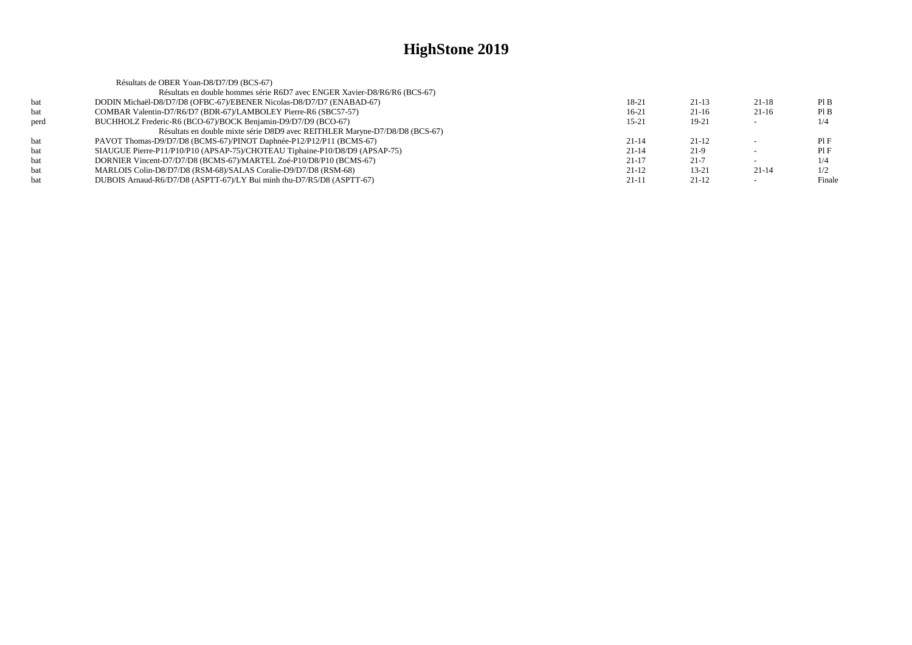| Résultats de OBER Yoan-D8/D7/D9 (BCS-67)                                    |           |           |           |        |
|-----------------------------------------------------------------------------|-----------|-----------|-----------|--------|
| Résultats en double hommes série R6D7 avec ENGER Xavier-D8/R6/R6 (BCS-67)   |           |           |           |        |
| DODIN Michaël-D8/D7/D8 (OFBC-67)/EBENER Nicolas-D8/D7/D7 (ENABAD-67)        | 18-21     | $21-13$   | $21-18$   | PIB    |
| COMBAR Valentin-D7/R6/D7 (BDR-67)/LAMBOLEY Pierre-R6 (SBC57-57)             | $16-21$   | $21-16$   | $21-16$   | PIB    |
| BUCHHOLZ Frederic-R6 (BCO-67)/BOCK Benjamin-D9/D7/D9 (BCO-67)               | $15 - 21$ | $19-21$   |           | 1/4    |
| Résultats en double mixte série D8D9 avec REITHLER Maryne-D7/D8/D8 (BCS-67) |           |           |           |        |
| PAVOT Thomas-D9/D7/D8 (BCMS-67)/PINOT Daphnée-P12/P12/P11 (BCMS-67)         | $21 - 14$ | $21-12$   |           | PIF    |
| SIAUGUE Pierre-P11/P10/P10 (APSAP-75)/CHOTEAU Tiphaine-P10/D8/D9 (APSAP-75) | $21 - 14$ | 21-9      |           | PIF    |
| DORNIER Vincent-D7/D7/D8 (BCMS-67)/MARTEL Zoé-P10/D8/P10 (BCMS-67)          | $21 - 17$ | $21 - 7$  |           | 1/4    |
| MARLOIS Colin-D8/D7/D8 (RSM-68)/SALAS Coralie-D9/D7/D8 (RSM-68)             | $21-12$   | $13 - 21$ | $21 - 14$ | 1/2    |
| DUBOIS Arnaud-R6/D7/D8 (ASPTT-67)/LY Bui minh thu-D7/R5/D8 (ASPTT-67)       | $21 - 11$ | $21-12$   |           | Finale |
|                                                                             |           |           |           |        |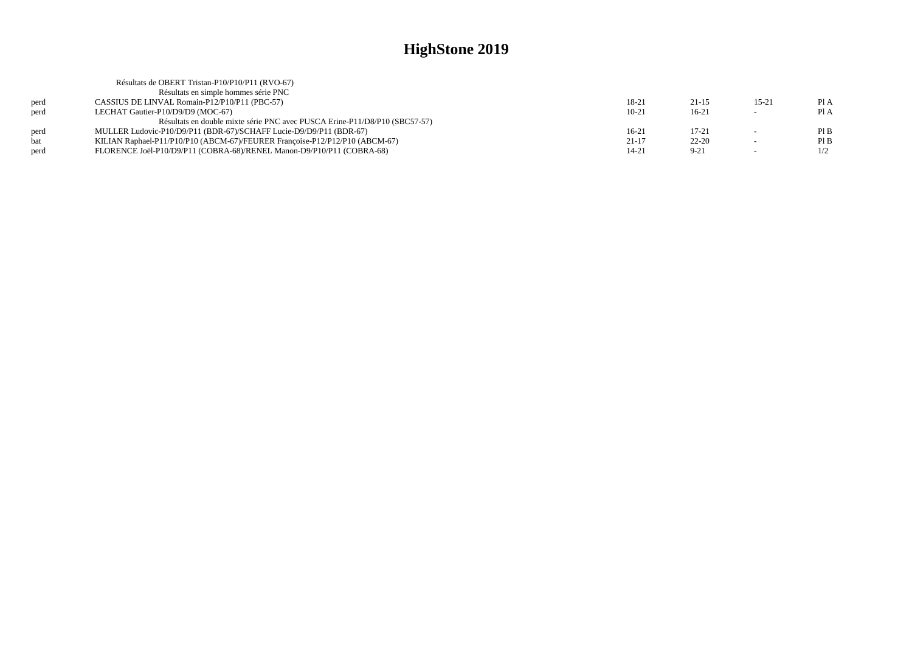|      | Résultats de OBERT Tristan-P10/P10/P11 (RVO-67)                             |           |           |           |      |
|------|-----------------------------------------------------------------------------|-----------|-----------|-----------|------|
|      | Résultats en simple hommes série PNC                                        |           |           |           |      |
| perd | CASSIUS DE LINVAL Romain-P12/P10/P11 (PBC-57)                               | 18-21     | $21-15$   | $15 - 21$ | Pl A |
| perd | LECHAT Gautier-P10/D9/D9 (MOC-67)                                           | $10-21$   | $16-21$   |           | Pl A |
|      | Résultats en double mixte série PNC avec PUSCA Erine-P11/D8/P10 (SBC57-57)  |           |           |           |      |
| perd | MULLER Ludovic-P10/D9/P11 (BDR-67)/SCHAFF Lucie-D9/D9/P11 (BDR-67)          | $16-21$   | $17 - 21$ |           | PIB  |
| bat  | KILIAN Raphael-P11/P10/P10 (ABCM-67)/FEURER Francoise-P12/P12/P10 (ABCM-67) | $21 - 17$ | $22 - 20$ | $\sim$    | PIB  |
| perd | FLORENCE Joël-P10/D9/P11 (COBRA-68)/RENEL Manon-D9/P10/P11 (COBRA-68)       | $14 - 21$ | $9 - 21$  | $\sim$    | 1/2  |
|      |                                                                             |           |           |           |      |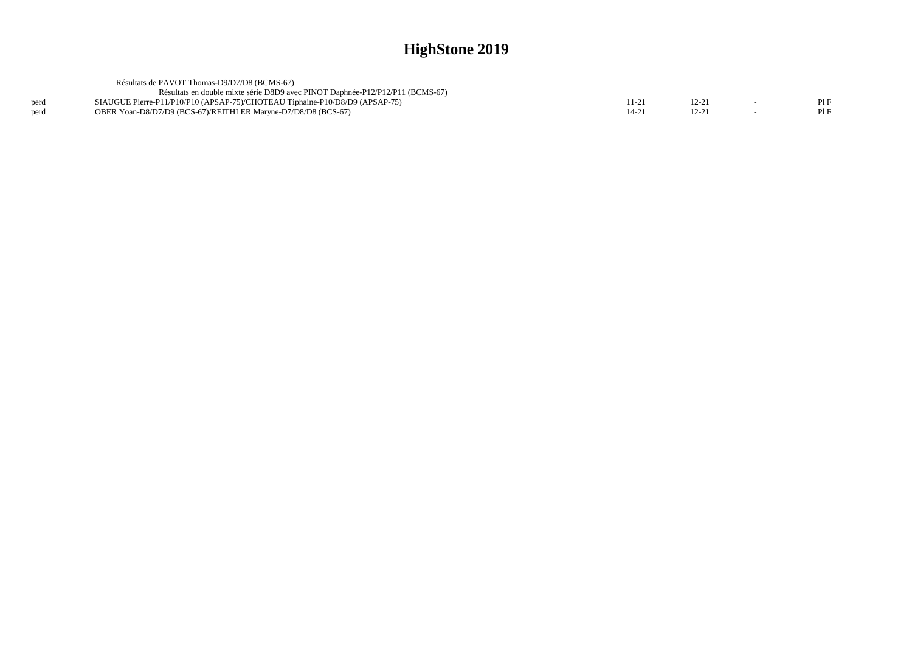|      | Résultats de PAVOT Thomas-D9/D7/D8 (BCMS-67)                                  |           |       |     |
|------|-------------------------------------------------------------------------------|-----------|-------|-----|
|      | Résultats en double mixte série D8D9 avec PINOT Daphnée-P12/P12/P11 (BCMS-67) |           |       |     |
| perd | SIAUGUE Pierre-P11/P10/P10 (APSAP-75)/CHOTEAU Tiphaine-P10/D8/D9 (APSAP-75)   | $11-21$   | 12-21 | PIF |
| nerd | OBER Yoan-D8/D7/D9 (BCS-67)/REITHLER Marvne-D7/D8/D8 (BCS-67)                 | $14 - 21$ | 12-21 | PIF |
|      |                                                                               |           |       |     |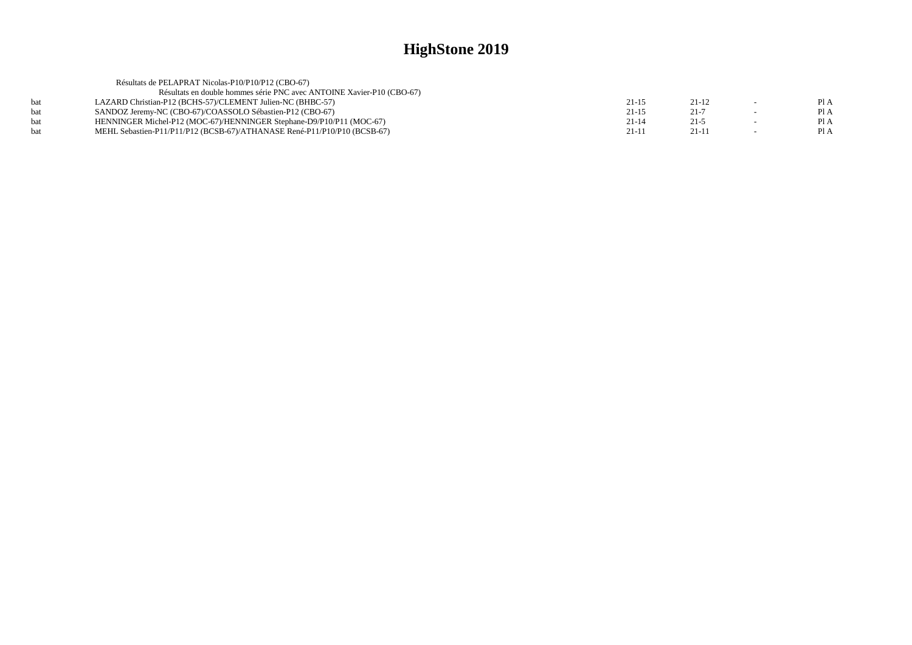|     | Résultats de PELAPRAT Nicolas-P10/P10/P12 (CBO-67)                       |           |           |      |
|-----|--------------------------------------------------------------------------|-----------|-----------|------|
|     | Résultats en double hommes série PNC avec ANTOINE Xavier-P10 (CBO-67)    |           |           |      |
| hat | LAZARD Christian-P12 (BCHS-57)/CLEMENT Julien-NC (BHBC-57)               | $21 - 15$ | $21 - 12$ | PI A |
| hat | SANDOZ Jeremy-NC (CBO-67)/COASSOLO Sébastien-P12 (CBO-67)                | $21 - 15$ | $21 - 7$  | Pl A |
| hat | HENNINGER Michel-P12 (MOC-67)/HENNINGER Stephane-D9/P10/P11 (MOC-67)     | $21 - 14$ | $21 - 5$  | PI A |
|     | MEHL Sebastien-P11/P11/P12 (BCSB-67)/ATHANASE René-P11/P10/P10 (BCSB-67) | $21-11$   | $21 - 11$ | Pl A |
|     |                                                                          |           |           |      |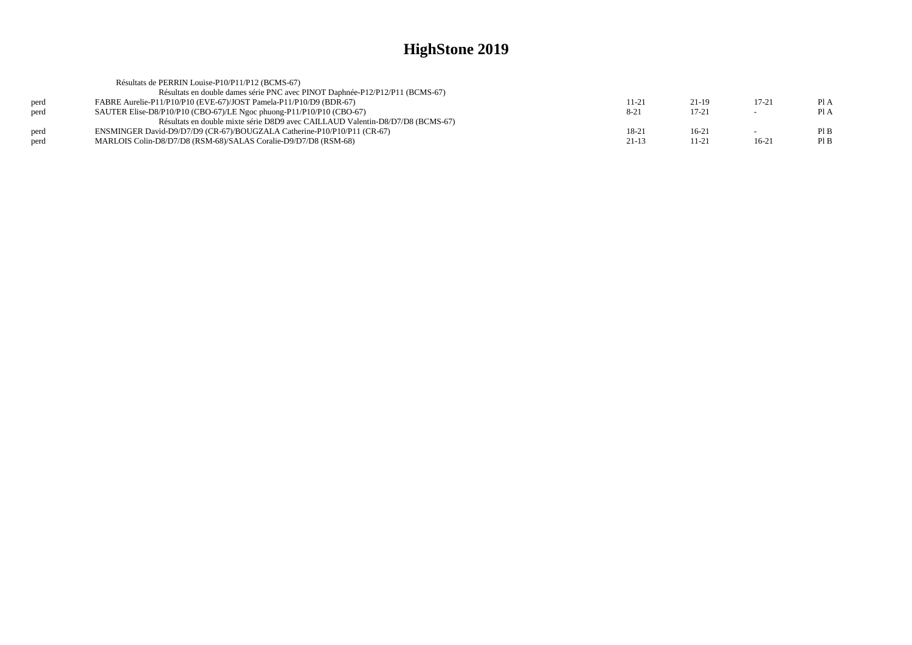| Résultats de PERRIN Louise-P10/P11/P12 (BCMS-67)                               |          |           |           |      |
|--------------------------------------------------------------------------------|----------|-----------|-----------|------|
| Résultats en double dames série PNC avec PINOT Daphnée-P12/P12/P11 (BCMS-67)   |          |           |           |      |
| FABRE Aurelie-P11/P10/P10 (EVE-67)/JOST Pamela-P11/P10/D9 (BDR-67)             | 11-21    | 21-19     | $17 - 21$ | Pl A |
| SAUTER Elise-D8/P10/P10 (CBO-67)/LE Ngoc phuong-P11/P10/P10 (CBO-67)           | $8 - 21$ | $17 - 21$ |           | Pl A |
| Résultats en double mixte série D8D9 avec CAILLAUD Valentin-D8/D7/D8 (BCMS-67) |          |           |           |      |
| ENSMINGER David-D9/D7/D9 (CR-67)/BOUGZALA Catherine-P10/P10/P11 (CR-67)        | 18-21    | $16-21$   |           | PIB  |
| MARLOIS Colin-D8/D7/D8 (RSM-68)/SALAS Coralie-D9/D7/D8 (RSM-68)                | $21-13$  | 11-21     | $16-21$   | Pl B |
|                                                                                |          |           |           |      |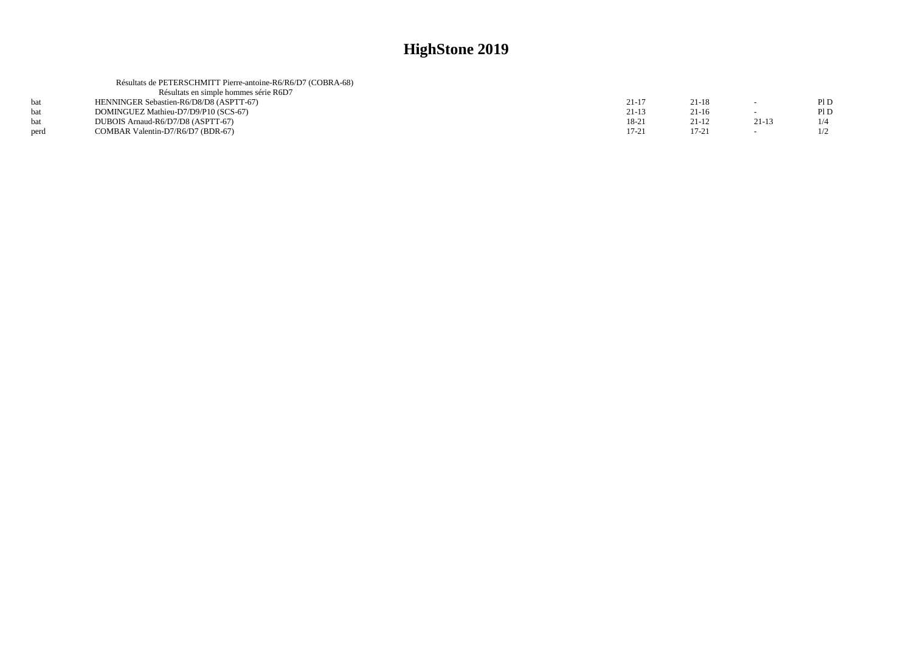| Résultats de PETERSCHMITT Pierre-antoine-R6/R6/D7 (COBRA-68) |           |           |                          |     |
|--------------------------------------------------------------|-----------|-----------|--------------------------|-----|
| Résultats en simple hommes série R6D7                        |           |           |                          |     |
| HENNINGER Sebastien-R6/D8/D8 (ASPTT-67)                      | $21 - 17$ | $21 - 18$ | $\sim$                   | P1D |
| DOMINGUEZ Mathieu-D7/D9/P10 (SCS-67)                         | $21-13$   | $21-16$   | $\overline{\phantom{0}}$ | PID |
| DUBOIS Arnaud-R6/D7/D8 (ASPTT-67)                            | 18-21     | $21 - 12$ | $21-13$                  | 1/4 |
| COMBAR Valentin-D7/R6/D7 (BDR-67)                            | $17 - 21$ | 17-21     | $\sim$                   | 1/2 |
|                                                              |           |           |                          |     |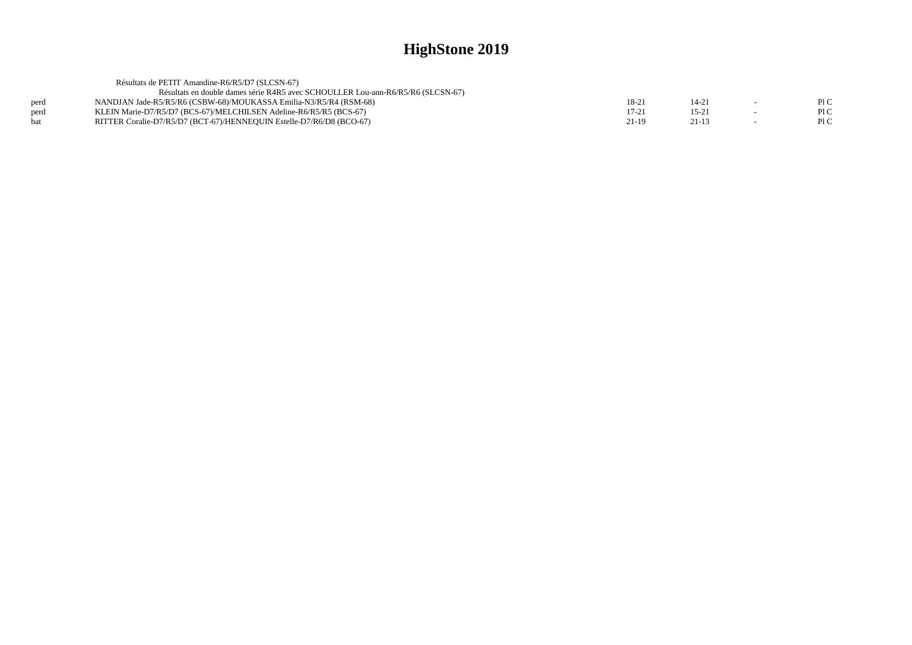|      | Résultats de PETIT Amandine-R6/R5/D7 (SLCSN-67)                                 |           |                |     |
|------|---------------------------------------------------------------------------------|-----------|----------------|-----|
|      | Résultats en double dames série R4R5 avec SCHOULLER Lou-ann-R6/R5/R6 (SLCSN-67) |           |                |     |
| perd | NANDJAN Jade-R5/R5/R6 (CSBW-68)/MOUKASSA Emilia-N3/R5/R4 (RSM-68)               | 18-21     | 14-21          | P1C |
| perd | KLEIN Marie-D7/R5/D7 (BCS-67)/MELCHILSEN Adeline-R6/R5/R5 (BCS-67)              | $17 - 21$ | $15-2^{\circ}$ | P1C |
| bat  | RITTER Coralie-D7/R5/D7 (BCT-67)/HENNEQUIN Estelle-D7/R6/D8 (BCO-67)            | 21-19     | $21 - 13$      | P1C |
|      |                                                                                 |           |                |     |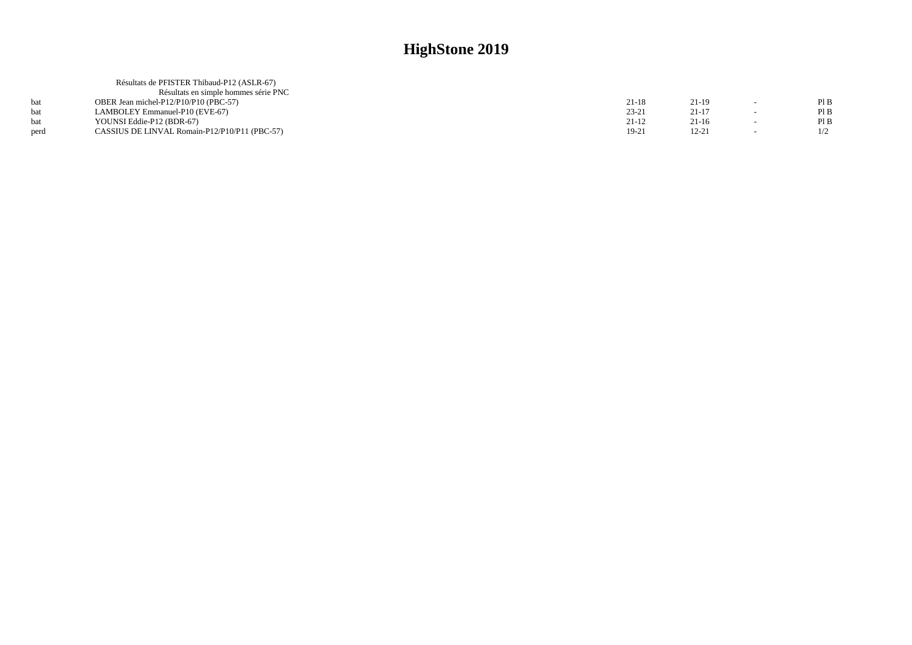|      | Résultats de PFISTER Thibaud-P12 (ASLR-67)    |           |           |                          |      |
|------|-----------------------------------------------|-----------|-----------|--------------------------|------|
|      | Résultats en simple hommes série PNC          |           |           |                          |      |
| hat  | OBER Jean michel-P12/P10/P10 (PBC-57)         | $21-18$   | $21-19$   | $\sim$                   | Pl B |
| bat  | LAMBOLEY Emmanuel-P10 (EVE-67)                | $23 - 21$ | $21 - 17$ | $\sim$                   | PIB  |
| hat  | YOUNSI Eddie-P12 (BDR-67)                     | $21-12$   | $21 - 16$ | $\overline{\phantom{a}}$ | Pl B |
| perd | CASSIUS DE LINVAL Romain-P12/P10/P11 (PBC-57) | 19-21     | 12-21     |                          | 1/2  |
|      |                                               |           |           |                          |      |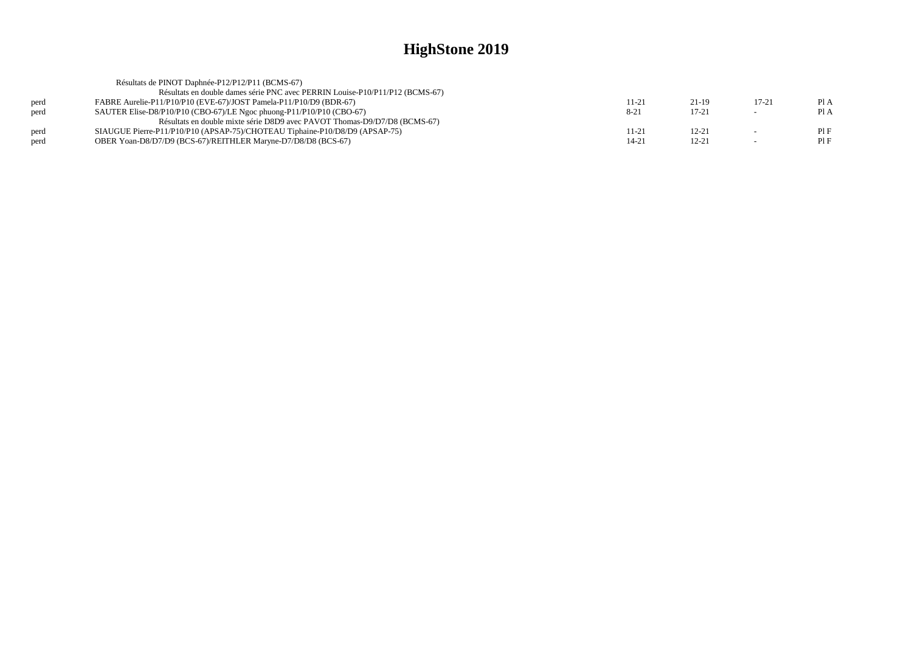| PI A |
|------|
| Pl A |
|      |
| PIF  |
| PI F |
|      |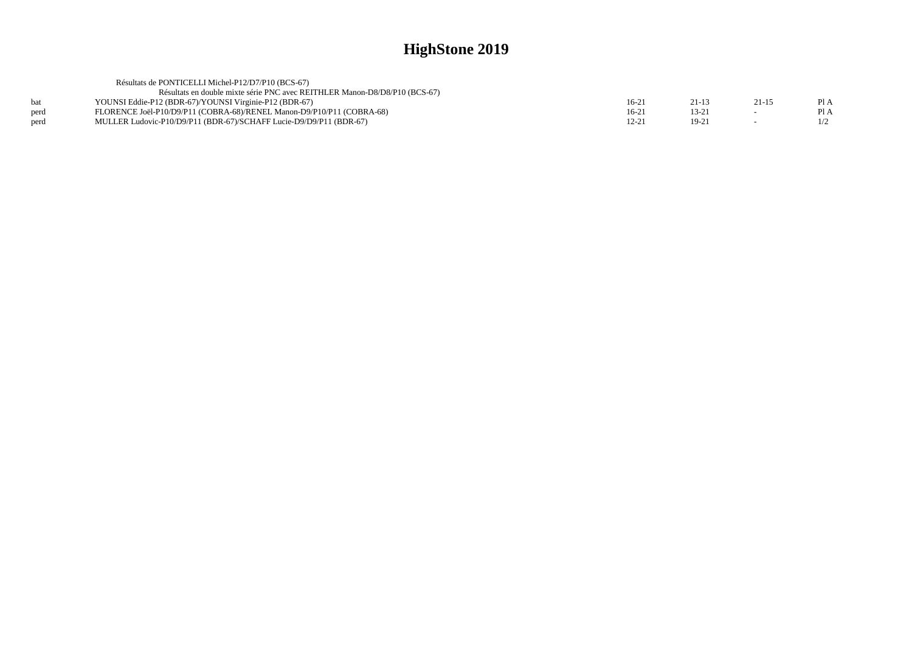|      | Résultats de PONTICELLI Michel-P12/D7/P10 (BCS-67)                         |         |       |       |      |
|------|----------------------------------------------------------------------------|---------|-------|-------|------|
|      | Résultats en double mixte série PNC avec REITHLER Manon-D8/D8/P10 (BCS-67) |         |       |       |      |
| bat  | YOUNSI Eddie-P12 (BDR-67)/YOUNSI Virginie-P12 (BDR-67)                     | $16-21$ | 21-13 | 21-15 | P1A  |
| perd | FLORENCE Joël-P10/D9/P11 (COBRA-68)/RENEL Manon-D9/P10/P11 (COBRA-68)      | $16-21$ | 13-21 |       | Pl A |
| perd | MULLER Ludovic-P10/D9/P11 (BDR-67)/SCHAFF Lucie-D9/D9/P11 (BDR-67)         | 12-21   | 19-21 |       |      |
|      |                                                                            |         |       |       |      |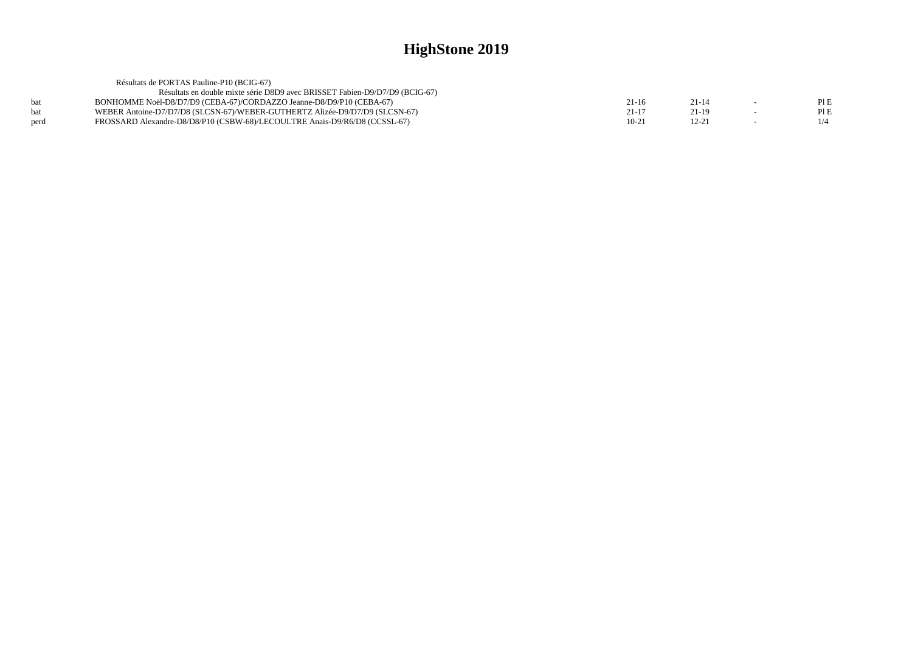|      | Résultats de PORTAS Pauline-P10 (BCIG-67)                                   |           |       |     |
|------|-----------------------------------------------------------------------------|-----------|-------|-----|
|      | Résultats en double mixte série D8D9 avec BRISSET Fabien-D9/D7/D9 (BCIG-67) |           |       |     |
| hat  | BONHOMME Noël-D8/D7/D9 (CEBA-67)/CORDAZZO Jeanne-D8/D9/P10 (CEBA-67)        | $21 - 16$ | 21-14 | PIE |
| bat  | WEBER Antoine-D7/D7/D8 (SLCSN-67)/WEBER-GUTHERTZ Alizée-D9/D7/D9 (SLCSN-67) | $21-17$   | 21-19 | PIE |
| perd | FROSSARD Alexandre-D8/D8/P10 (CSBW-68)/LECOULTRE Anais-D9/R6/D8 (CCSSL-67)  | $10-21$   | 12-21 |     |
|      |                                                                             |           |       |     |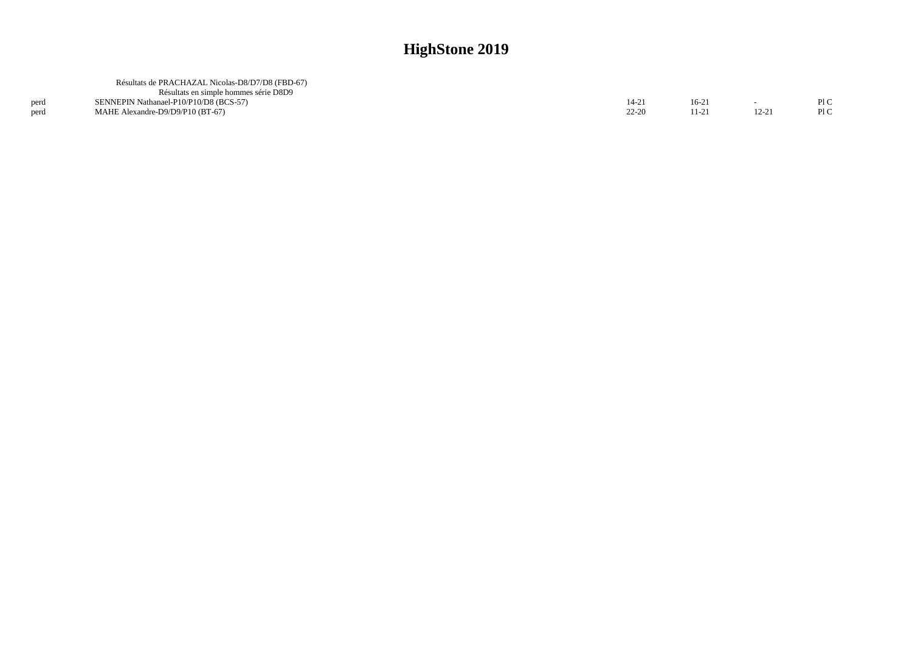| Résultats de PRACHAZAL Nicolas-D8/D7/D8 (FBD-67) |                                  |        |       |      |
|--------------------------------------------------|----------------------------------|--------|-------|------|
| Résultats en simple hommes série D8D9            |                                  |        |       |      |
| SENNEPIN Nathanael-P10/P10/D8 (BCS-57)           | 14-21                            | $16-2$ |       | Pl C |
|                                                  | $22 - 20$                        |        | 12-21 | PI C |
|                                                  | MAHE Alexandre-D9/D9/P10 (BT-67) |        |       |      |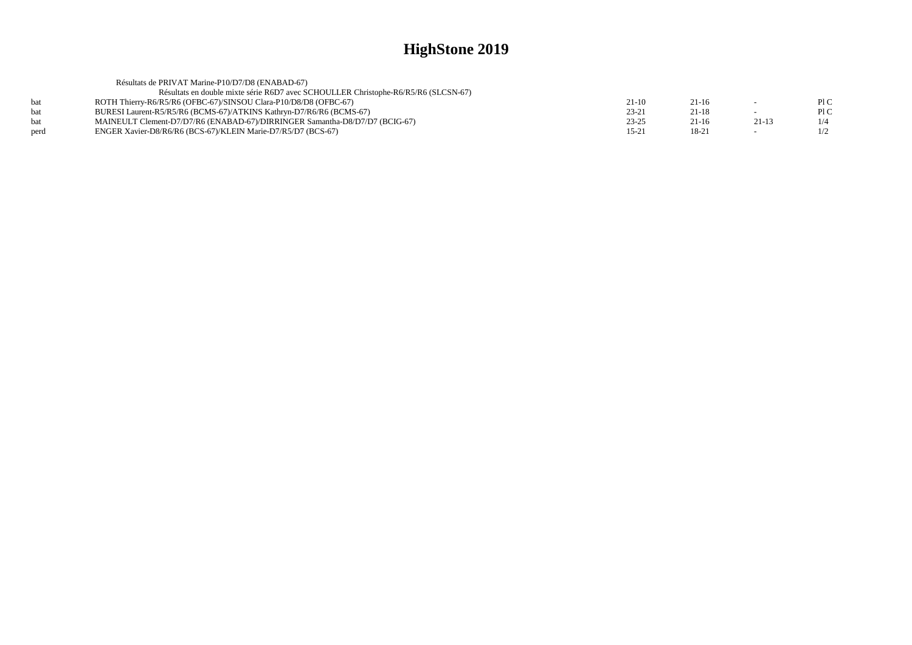|      | Résultats de PRIVAT Marine-P10/D7/D8 (ENABAD-67)                                   |           |           |                          |      |
|------|------------------------------------------------------------------------------------|-----------|-----------|--------------------------|------|
|      | Résultats en double mixte série R6D7 avec SCHOULLER Christophe-R6/R5/R6 (SLCSN-67) |           |           |                          |      |
|      | ROTH Thierry-R6/R5/R6 (OFBC-67)/SINSOU Clara-P10/D8/D8 (OFBC-67)                   | $21-10$   | $21-16$   | $\overline{\phantom{0}}$ | P1C  |
|      | BURESI Laurent-R5/R5/R6 (BCMS-67)/ATKINS Kathryn-D7/R6/R6 (BCMS-67)                | $23 - 21$ | $21 - 18$ |                          | Pl C |
|      | MAINEULT Clement-D7/D7/R6 (ENABAD-67)/DIRRINGER Samantha-D8/D7/D7 (BCIG-67)        | $23 - 25$ | $21-16$   | $21 - 13$                | 1/4  |
| perd | ENGER Xavier-D8/R6/R6 (BCS-67)/KLEIN Marie-D7/R5/D7 (BCS-67)                       | $15 - 21$ | 18-21     |                          | 1/2  |
|      |                                                                                    |           |           |                          |      |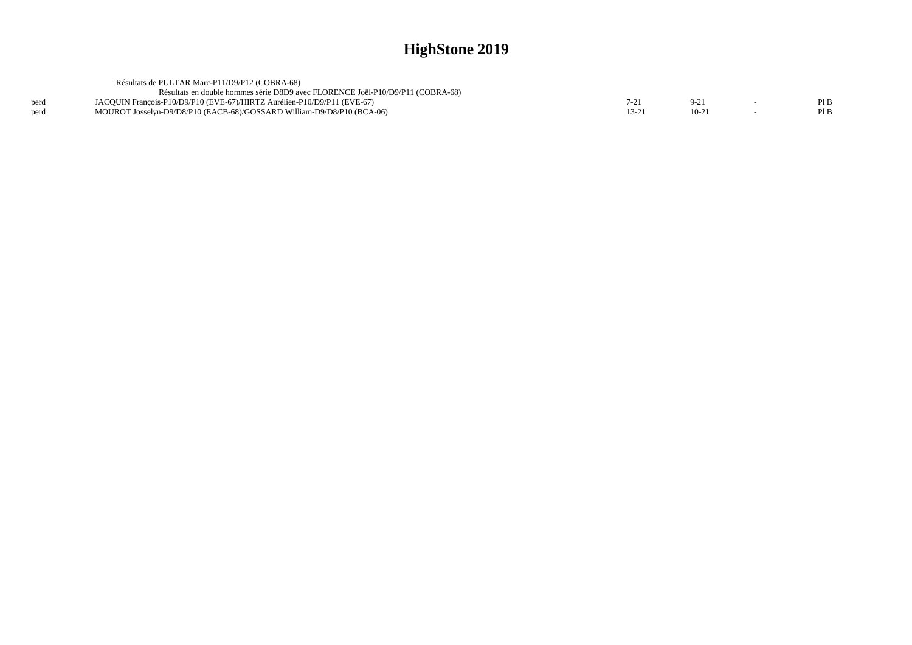|      | Résultats de PULTAR Marc-P11/D9/P12 (COBRA-68)                                 |       |        |  |
|------|--------------------------------------------------------------------------------|-------|--------|--|
|      | Résultats en double hommes série D8D9 avec FLORENCE Joël-P10/D9/P11 (COBRA-68) |       |        |  |
|      | JACOUIN Francois-P10/D9/P10 (EVE-67)/HIRTZ Aurélien-P10/D9/P11 (EVE-67)        |       |        |  |
| perd | MOUROT Josselyn-D9/D8/P10 (EACB-68)/GOSSARD William-D9/D8/P10 (BCA-06)         | 13-21 | $10-2$ |  |
|      |                                                                                |       |        |  |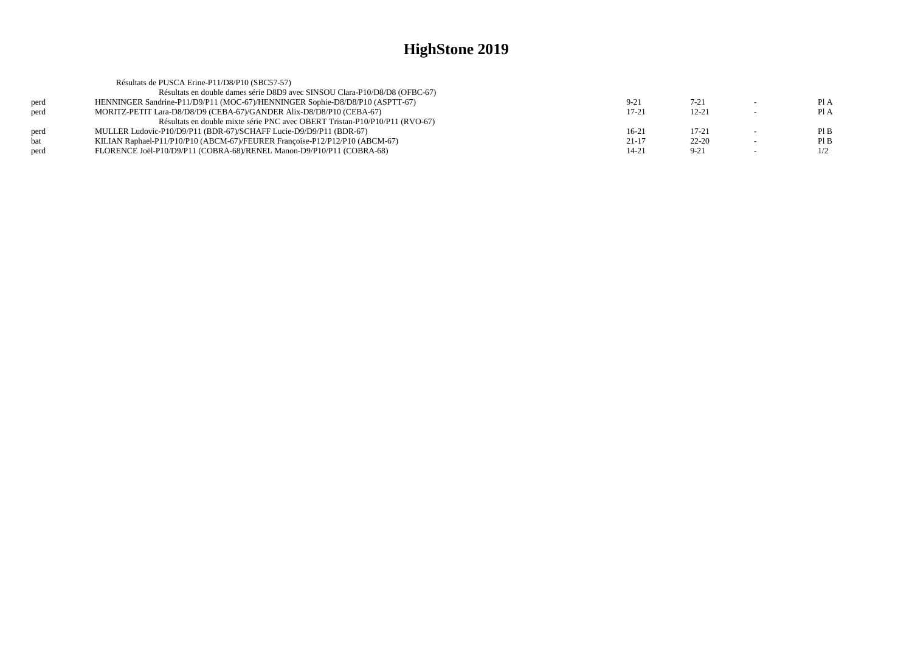|      | Résultats de PUSCA Erine-P11/D8/P10 (SBC57-57)                               |           |           |                          |      |
|------|------------------------------------------------------------------------------|-----------|-----------|--------------------------|------|
|      | Résultats en double dames série D8D9 avec SINSOU Clara-P10/D8/D8 (OFBC-67)   |           |           |                          |      |
| perd | HENNINGER Sandrine-P11/D9/P11 (MOC-67)/HENNINGER Sophie-D8/D8/P10 (ASPTT-67) | $9-21$    | $7 - 21$  |                          | PI A |
| perd | MORITZ-PETIT Lara-D8/D8/D9 (CEBA-67)/GANDER Alix-D8/D8/P10 (CEBA-67)         | $17 - 21$ | $12 - 21$ | $\overline{\phantom{a}}$ | Pl A |
|      | Résultats en double mixte série PNC avec OBERT Tristan-P10/P10/P11 (RVO-67)  |           |           |                          |      |
| perd | MULLER Ludovic-P10/D9/P11 (BDR-67)/SCHAFF Lucie-D9/D9/P11 (BDR-67)           | $16-21$   | $17 - 21$ | $\sim$                   | PIB  |
| bat  | KILIAN Raphael-P11/P10/P10 (ABCM-67)/FEURER Françoise-P12/P12/P10 (ABCM-67)  | $21-17$   | $22 - 20$ |                          | PIB  |
| perd | FLORENCE Joël-P10/D9/P11 (COBRA-68)/RENEL Manon-D9/P10/P11 (COBRA-68)        | 14-21     | $9 - 21$  | $\sim$                   | 1/2  |
|      |                                                                              |           |           |                          |      |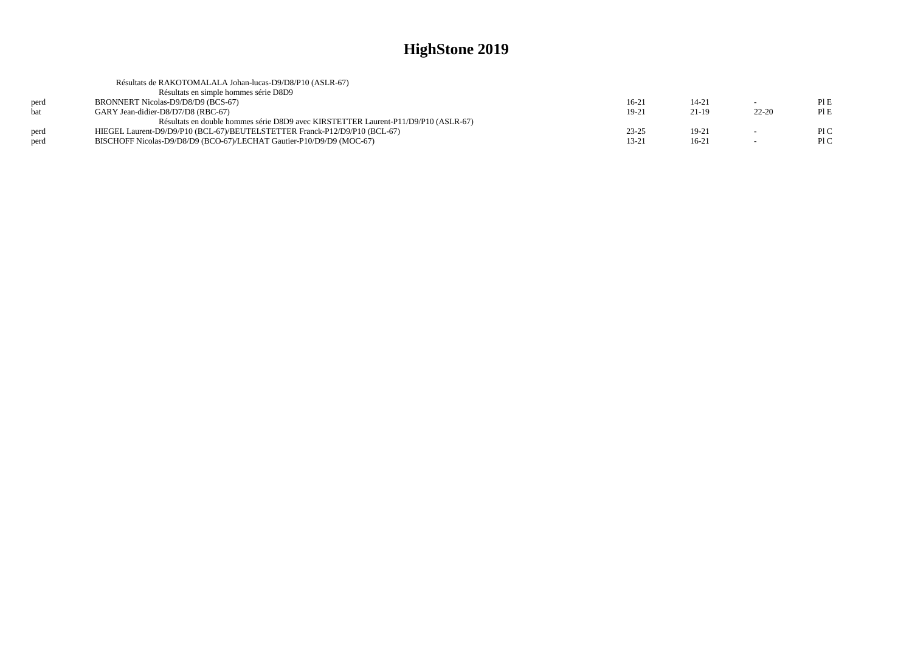|      | Résultats de RAKOTOMALALA Johan-lucas-D9/D8/P10 (ASLR-67)                          |           |           |           |      |
|------|------------------------------------------------------------------------------------|-----------|-----------|-----------|------|
|      | Résultats en simple hommes série D8D9                                              |           |           |           |      |
| perd | BRONNERT Nicolas-D9/D8/D9 (BCS-67)                                                 | $16-21$   | $14 - 21$ |           | PIE  |
| bat  | GARY Jean-didier-D8/D7/D8 (RBC-67)                                                 | 19-21     | $21-19$   | $22 - 20$ | PI E |
|      | Résultats en double hommes série D8D9 avec KIRSTETTER Laurent-P11/D9/P10 (ASLR-67) |           |           |           |      |
| perd | HIEGEL Laurent-D9/D9/P10 (BCL-67)/BEUTELSTETTER Franck-P12/D9/P10 (BCL-67)         | $23 - 25$ | $19-21$   |           | P1C  |
| perd | BISCHOFF Nicolas-D9/D8/D9 (BCO-67)/LECHAT Gautier-P10/D9/D9 (MOC-67)               | 13-21     | $16-2$    |           | P1C  |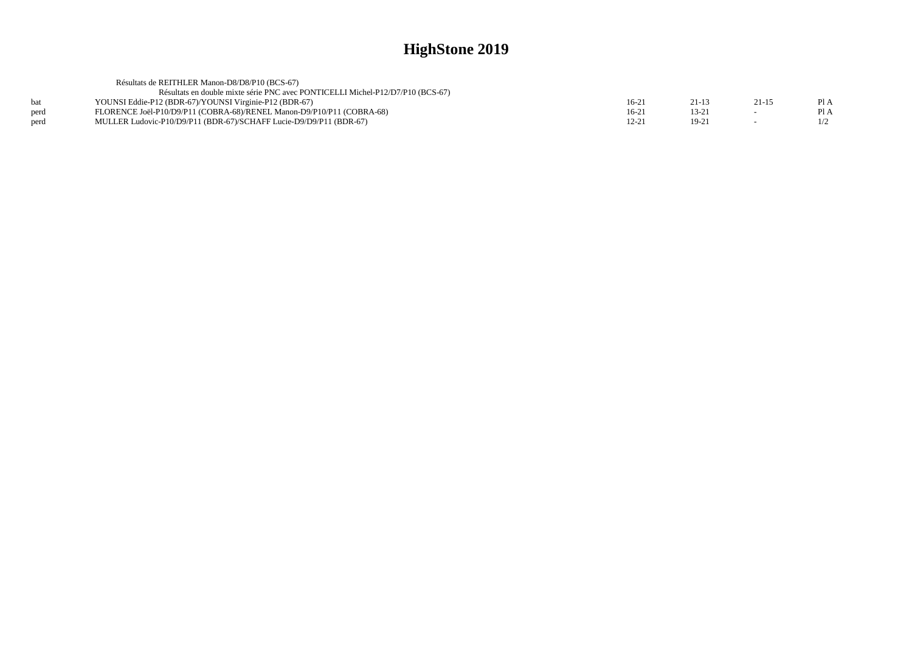|      | Résultats de REITHLER Manon-D8/D8/P10 (BCS-67)                                 |         |         |           |      |
|------|--------------------------------------------------------------------------------|---------|---------|-----------|------|
|      | Résultats en double mixte série PNC avec PONTICELLI Michel-P12/D7/P10 (BCS-67) |         |         |           |      |
| bat  | YOUNSI Eddie-P12 (BDR-67)/YOUNSI Virginie-P12 (BDR-67)                         | $16-21$ | 21-13   | $21 - 15$ | Pl A |
| perd | FLORENCE Joël-P10/D9/P11 (COBRA-68)/RENEL Manon-D9/P10/P11 (COBRA-68)          | $16-21$ | 13-21   |           | PI A |
| perd | MULLER Ludovic-P10/D9/P11 (BDR-67)/SCHAFF Lucie-D9/D9/P11 (BDR-67)             | 12-21   | $19-21$ |           |      |
|      |                                                                                |         |         |           |      |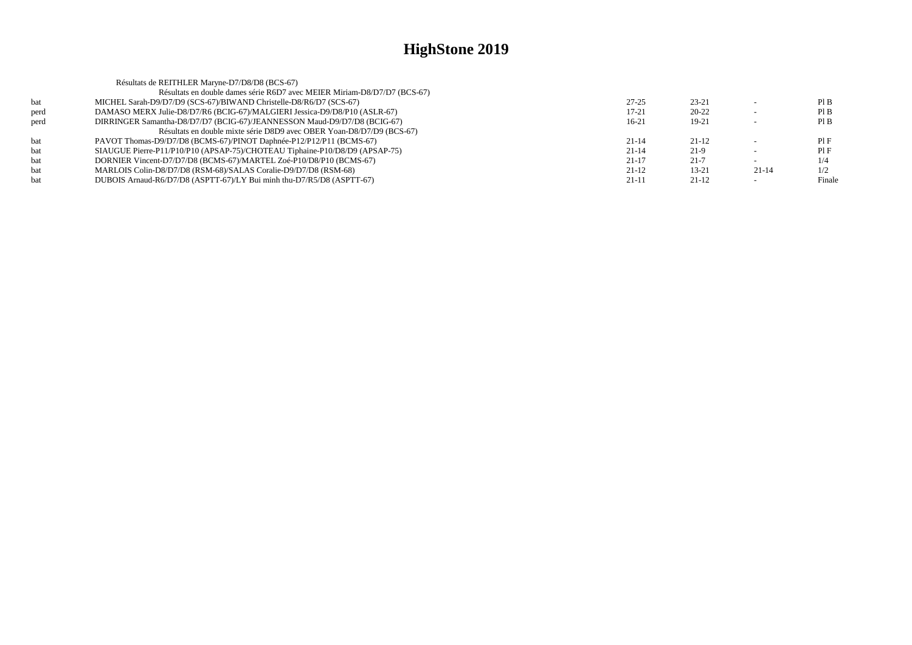|      | Résultats de REITHLER Maryne-D7/D8/D8 (BCS-67)                              |           |           |           |        |
|------|-----------------------------------------------------------------------------|-----------|-----------|-----------|--------|
|      | Résultats en double dames série R6D7 avec MEIER Miriam-D8/D7/D7 (BCS-67)    |           |           |           |        |
| bat  | MICHEL Sarah-D9/D7/D9 (SCS-67)/BIWAND Christelle-D8/R6/D7 (SCS-67)          | $27 - 25$ | $23 - 21$ |           | PIB    |
| perd | DAMASO MERX Julie-D8/D7/R6 (BCIG-67)/MALGIERI Jessica-D9/D8/P10 (ASLR-67)   | $17 - 21$ | $20 - 22$ |           | PIB    |
| perd | DIRRINGER Samantha-D8/D7/D7 (BCIG-67)/JEANNESSON Maud-D9/D7/D8 (BCIG-67)    | $16-21$   | $19-21$   |           | PIB    |
|      | Résultats en double mixte série D8D9 avec OBER Yoan-D8/D7/D9 (BCS-67)       |           |           |           |        |
| bat  | PAVOT Thomas-D9/D7/D8 (BCMS-67)/PINOT Daphnée-P12/P12/P11 (BCMS-67)         | $21 - 14$ | $21-12$   |           | PIF    |
| bat  | SIAUGUE Pierre-P11/P10/P10 (APSAP-75)/CHOTEAU Tiphaine-P10/D8/D9 (APSAP-75) | $21 - 14$ | $21-9$    |           | PIF    |
| bat  | DORNIER Vincent-D7/D7/D8 (BCMS-67)/MARTEL Zoé-P10/D8/P10 (BCMS-67)          | $21 - 17$ | $21 - 7$  |           | 1/4    |
| bat  | MARLOIS Colin-D8/D7/D8 (RSM-68)/SALAS Coralie-D9/D7/D8 (RSM-68)             | $21-12$   | $13 - 21$ | $21 - 14$ | 1/2    |
| bat  | DUBOIS Arnaud-R6/D7/D8 (ASPTT-67)/LY Bui minh thu-D7/R5/D8 (ASPTT-67)       | $21-11$   | $21-12$   |           | Finale |
|      |                                                                             |           |           |           |        |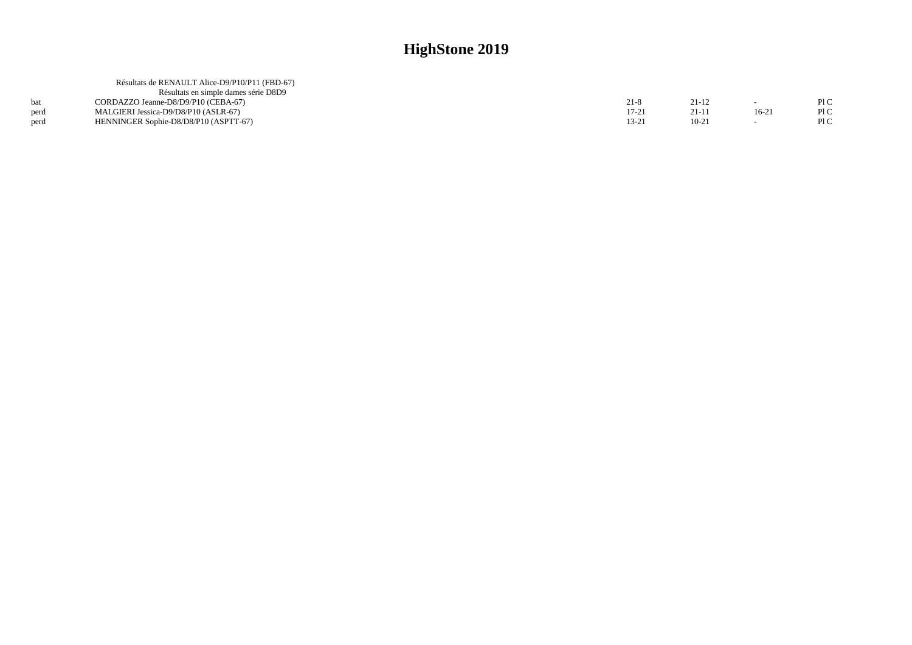|      | Résultats de RENAULT Alice-D9/P10/P11 (FBD-67) |           |         |         |     |
|------|------------------------------------------------|-----------|---------|---------|-----|
|      |                                                |           |         |         |     |
|      | Résultats en simple dames série D8D9           |           |         |         |     |
|      | CORDAZZO Jeanne-D8/D9/P10 (CEBA-67)            | 21-8      | 21-12   |         | P1C |
| perd | MALGIERI Jessica-D9/D8/P10 (ASLR-67)           | $17 - 21$ | 21-11   | $16-21$ | P1C |
| perd | HENNINGER Sophie-D8/D8/P10 (ASPTT-67)          | 13-21     | $10-21$ |         | P1C |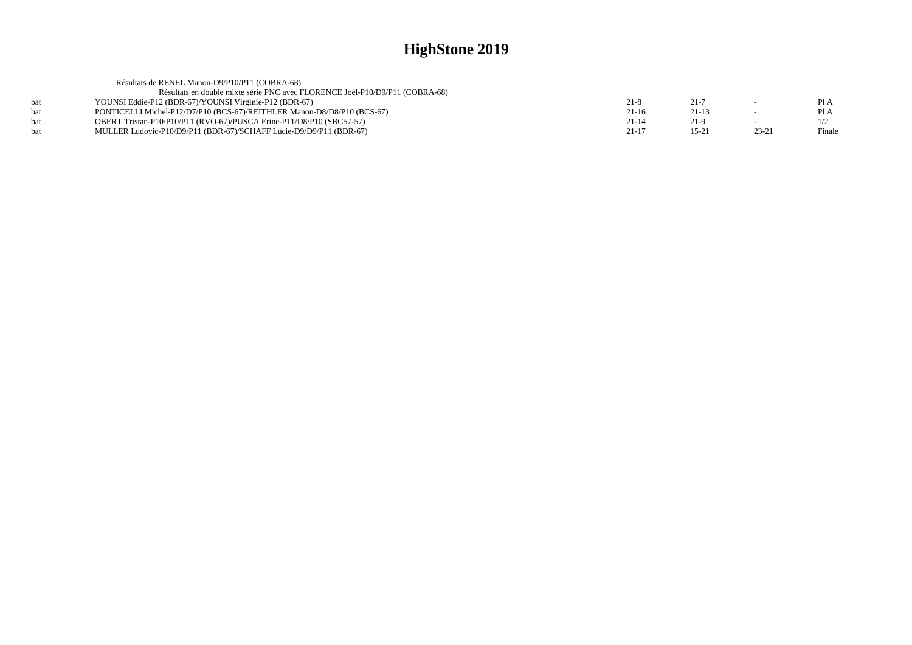|            | Résultats de RENEL Manon-D9/P10/P11 (COBRA-68)                               |           |           |         |        |
|------------|------------------------------------------------------------------------------|-----------|-----------|---------|--------|
|            | Résultats en double mixte série PNC avec FLORENCE Joël-P10/D9/P11 (COBRA-68) |           |           |         |        |
| hat        | YOUNSI Eddie-P12 (BDR-67)/YOUNSI Virginie-P12 (BDR-67)                       | $21-8$    | $21 - 7$  |         | P1A    |
| hat        | PONTICELLI Michel-P12/D7/P10 (BCS-67)/REITHLER Manon-D8/D8/P10 (BCS-67)      | $21-16$   | $21-13$   |         | Pl A   |
| <b>bat</b> | OBERT Tristan-P10/P10/P11 (RVO-67)/PUSCA Erine-P11/D8/P10 (SBC57-57)         | $21 - 14$ | $21-9$    |         | 1/2    |
| hat        | MULLER Ludovic-P10/D9/P11 (BDR-67)/SCHAFF Lucie-D9/D9/P11 (BDR-67)           | $21 - 17$ | $15 - 21$ | $23-21$ | Finale |
|            |                                                                              |           |           |         |        |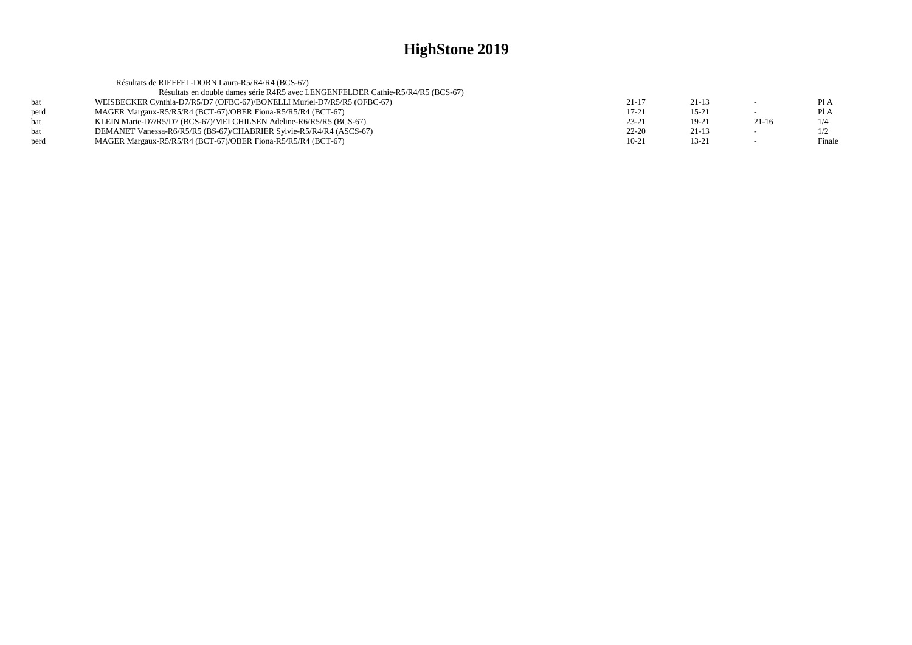|      | Résultats de RIEFFEL-DORN Laura-R5/R4/R4 (BCS-67)                               |           |           |         |        |
|------|---------------------------------------------------------------------------------|-----------|-----------|---------|--------|
|      | Résultats en double dames série R4R5 avec LENGENFELDER Cathie-R5/R4/R5 (BCS-67) |           |           |         |        |
| hat  | WEISBECKER Cynthia-D7/R5/D7 (OFBC-67)/BONELLI Muriel-D7/R5/R5 (OFBC-67)         | $21 - 17$ | $21-13$   |         | Pl A   |
| perd | MAGER Margaux-R5/R5/R4 (BCT-67)/OBER Fiona-R5/R5/R4 (BCT-67)                    | $17 - 21$ | $15 - 21$ |         | Pl A   |
| hat  | KLEIN Marie-D7/R5/D7 (BCS-67)/MELCHILSEN Adeline-R6/R5/R5 (BCS-67)              | $23 - 21$ | $19-21$   | $21-16$ | 1/4    |
| hat  | DEMANET Vanessa-R6/R5/R5 (BS-67)/CHABRIER Sylvie-R5/R4/R4 (ASCS-67)             | $22 - 20$ | $21-13$   |         | 1/2    |
| nerd | MAGER Margaux-R5/R5/R4 (BCT-67)/OBER Fiona-R5/R5/R4 (BCT-67)                    | $10-21$   | $13 - 21$ |         | Finale |
|      |                                                                                 |           |           |         |        |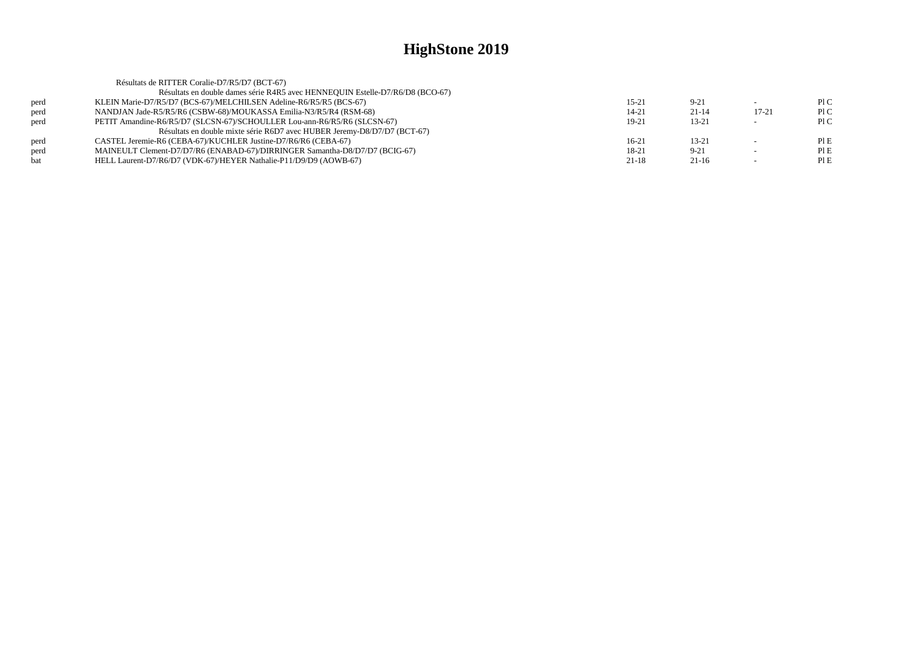|      | Résultats de RITTER Coralie-D7/R5/D7 (BCT-67)                                 |           |           |           |     |
|------|-------------------------------------------------------------------------------|-----------|-----------|-----------|-----|
|      | Résultats en double dames série R4R5 avec HENNEQUIN Estelle-D7/R6/D8 (BCO-67) |           |           |           |     |
| perd | KLEIN Marie-D7/R5/D7 (BCS-67)/MELCHILSEN Adeline-R6/R5/R5 (BCS-67)            | $15 - 21$ | $9 - 21$  |           | P1C |
| perd | NANDJAN Jade-R5/R5/R6 (CSBW-68)/MOUKASSA Emilia-N3/R5/R4 (RSM-68)             | $14 - 21$ | $21 - 14$ | $17 - 21$ | P1C |
| perd | PETIT Amandine-R6/R5/D7 (SLCSN-67)/SCHOULLER Lou-ann-R6/R5/R6 (SLCSN-67)      | 19-21     | $13 - 21$ |           | P1C |
|      | Résultats en double mixte série R6D7 avec HUBER Jeremy-D8/D7/D7 (BCT-67)      |           |           |           |     |
| perd | CASTEL Jeremie-R6 (CEBA-67)/KUCHLER Justine-D7/R6/R6 (CEBA-67)                | 16-21     | $13 - 21$ |           | PIE |
| perd | MAINEULT Clement-D7/D7/R6 (ENABAD-67)/DIRRINGER Samantha-D8/D7/D7 (BCIG-67)   | 18-21     | $9-21$    | $\sim$    | PIE |
| bat  | HELL Laurent-D7/R6/D7 (VDK-67)/HEYER Nathalie-P11/D9/D9 (AOWB-67)             | $21-18$   | $21-16$   |           | PIE |
|      |                                                                               |           |           |           |     |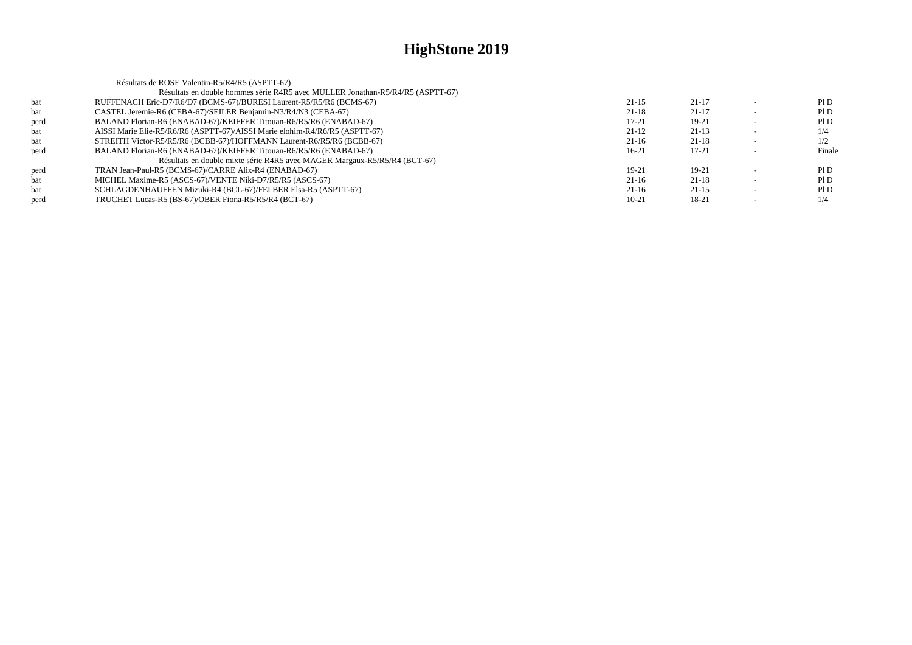|      | Résultats de ROSE Valentin-R5/R4/R5 (ASPTT-67)                                 |           |           |        |
|------|--------------------------------------------------------------------------------|-----------|-----------|--------|
|      | Résultats en double hommes série R4R5 avec MULLER Jonathan-R5/R4/R5 (ASPTT-67) |           |           |        |
| bat  | RUFFENACH Eric-D7/R6/D7 (BCMS-67)/BURESI Laurent-R5/R5/R6 (BCMS-67)            | $21 - 15$ | $21-17$   | PI D   |
| bat  | CASTEL Jeremie-R6 (CEBA-67)/SEILER Benjamin-N3/R4/N3 (CEBA-67)                 | 21-18     | $21-17$   | P1D    |
| perd | BALAND Florian-R6 (ENABAD-67)/KEIFFER Titouan-R6/R5/R6 (ENABAD-67)             | $17 - 21$ | 19-21     | P1D    |
| bat  | AISSI Marie Elie-R5/R6/R6 (ASPTT-67)/AISSI Marie elohim-R4/R6/R5 (ASPTT-67)    | 21-12     | $21-13$   | 1/4    |
| bat  | STREITH Victor-R5/R5/R6 (BCBB-67)/HOFFMANN Laurent-R6/R5/R6 (BCBB-67)          | $21-16$   | $21 - 18$ | 1/2    |
| perd | BALAND Florian-R6 (ENABAD-67)/KEIFFER Titouan-R6/R5/R6 (ENABAD-67)             | $16-21$   | $17 - 21$ | Finale |
|      | Résultats en double mixte série R4R5 avec MAGER Margaux-R5/R5/R4 (BCT-67)      |           |           |        |
| perd | TRAN Jean-Paul-R5 (BCMS-67)/CARRE Alix-R4 (ENABAD-67)                          | $19-21$   | $19-21$   | PI D   |
| bat  | MICHEL Maxime-R5 (ASCS-67)/VENTE Niki-D7/R5/R5 (ASCS-67)                       | $21-16$   | $21-18$   | P1D    |
| bat  | SCHLAGDENHAUFFEN Mizuki-R4 (BCL-67)/FELBER Elsa-R5 (ASPTT-67)                  | $21-16$   | $21-15$   | PID    |
| perd | TRUCHET Lucas-R5 (BS-67)/OBER Fiona-R5/R5/R4 (BCT-67)                          | $10-21$   | 18-21     | 1/4    |
|      |                                                                                |           |           |        |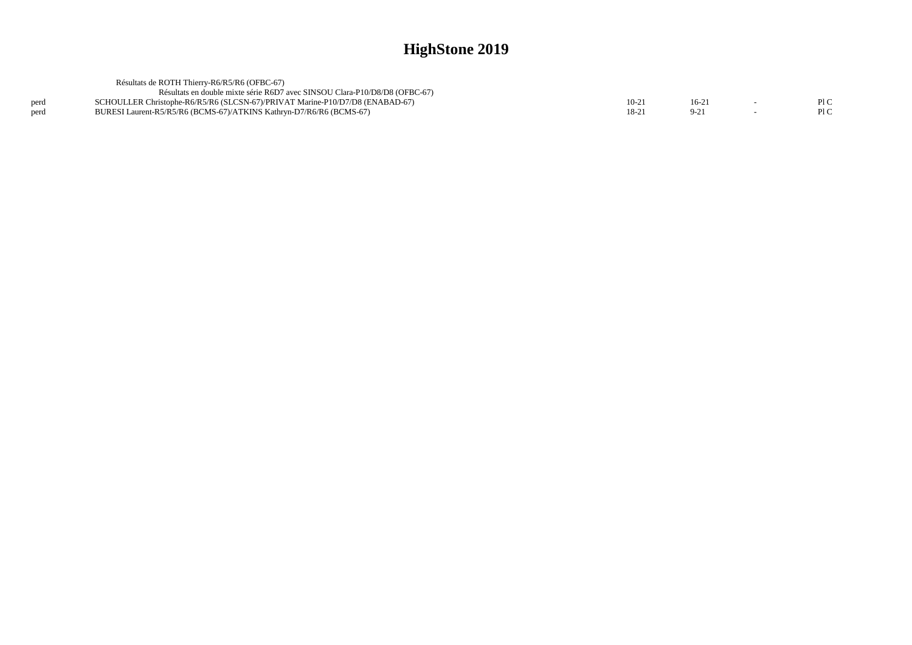|      | Résultats de ROTH Thierry-R6/R5/R6 (OFBC-67)                                 |         |         |     |
|------|------------------------------------------------------------------------------|---------|---------|-----|
|      | Résultats en double mixte série R6D7 avec SINSOU Clara-P10/D8/D8 (OFBC-67)   |         |         |     |
| nerd | SCHOULLER Christophe-R6/R5/R6 (SLCSN-67)/PRIVAT Marine-P10/D7/D8 (ENABAD-67) | $10-21$ | $16-2'$ | P1C |
| perd | BURESI Laurent-R5/R5/R6 (BCMS-67)/ATKINS Kathryn-D7/R6/R6 (BCMS-67)          | $18-21$ |         | P1C |
|      |                                                                              |         |         |     |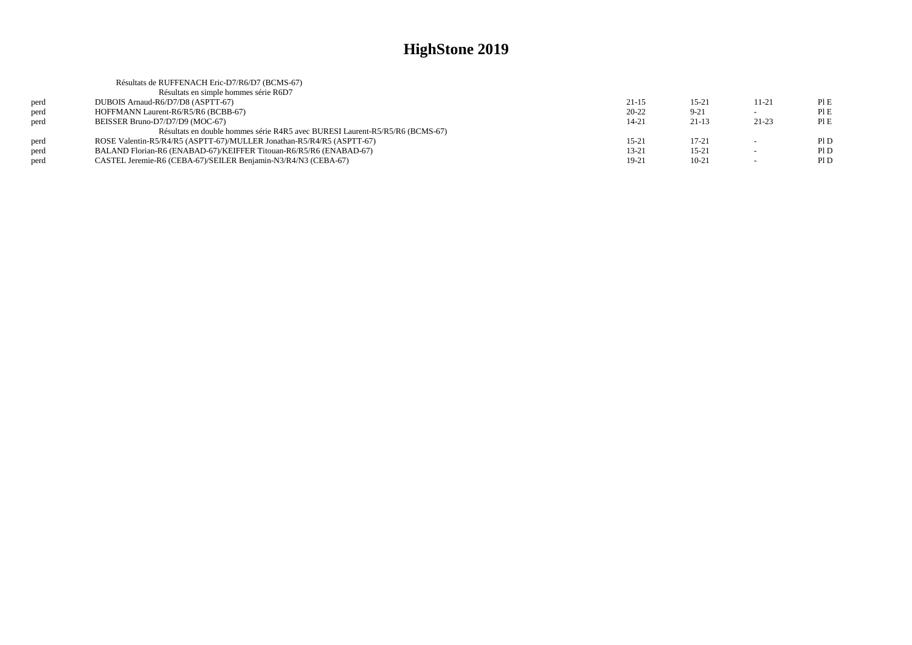|      | Résultats de RUFFENACH Eric-D7/R6/D7 (BCMS-67)                               |           |           |                          |     |
|------|------------------------------------------------------------------------------|-----------|-----------|--------------------------|-----|
|      | Résultats en simple hommes série R6D7                                        |           |           |                          |     |
| perd | DUBOIS Arnaud-R6/D7/D8 (ASPTT-67)                                            | $21 - 15$ | $15-21$   | $11 - 21$                | PIE |
| perd | HOFFMANN Laurent-R6/R5/R6 (BCBB-67)                                          | $20 - 22$ | $9 - 21$  |                          | PIE |
| perd | BEISSER Bruno-D7/D7/D9 (MOC-67)                                              | 14-21     | $21-13$   | $21 - 23$                | PLE |
|      | Résultats en double hommes série R4R5 avec BURESI Laurent-R5/R5/R6 (BCMS-67) |           |           |                          |     |
| perd | ROSE Valentin-R5/R4/R5 (ASPTT-67)/MULLER Jonathan-R5/R4/R5 (ASPTT-67)        | $15 - 21$ | $17 - 21$ | $\overline{\phantom{a}}$ | PID |
| perd | BALAND Florian-R6 (ENABAD-67)/KEIFFER Titouan-R6/R5/R6 (ENABAD-67)           | $13 - 21$ | $15 - 21$ | $\overline{\phantom{a}}$ | P1D |
| perd | CASTEL Jeremie-R6 (CEBA-67)/SEILER Benjamin-N3/R4/N3 (CEBA-67)               | 19-21     | $10-21$   | $\overline{\phantom{0}}$ | P1D |
|      |                                                                              |           |           |                          |     |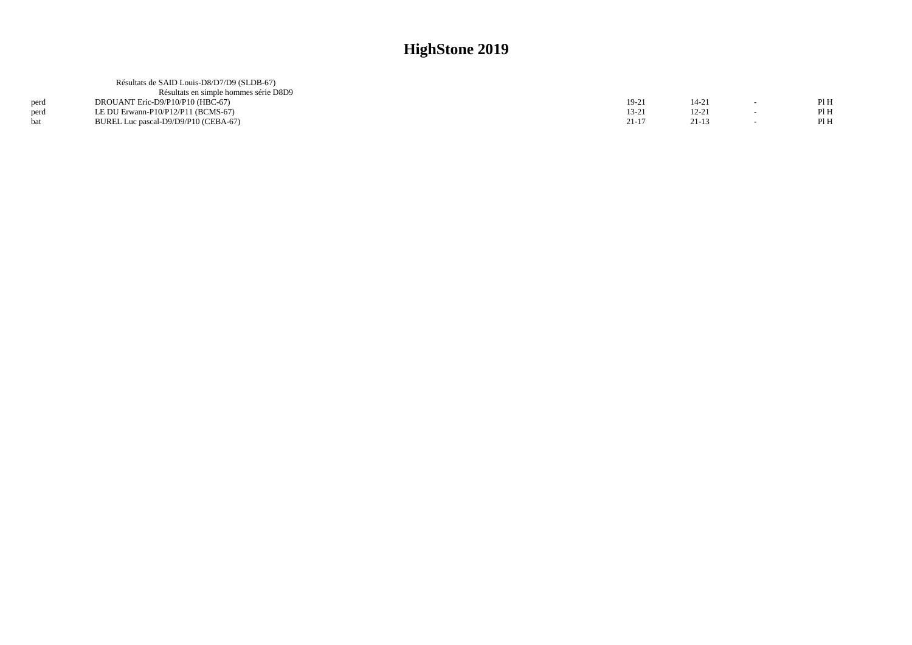| Résultats de SAID Louis-D8/D7/D9 (SLDB-67) |           |       |      |
|--------------------------------------------|-----------|-------|------|
| Résultats en simple hommes série D8D9      |           |       |      |
| DROUANT Eric-D9/P10/P10 (HBC-67)           | $19-21$   | 14-21 | Pl H |
| LE DU Erwann-P10/P12/P11 (BCMS-67)         | $13 - 21$ | 12-21 | Pl H |
| BUREL Luc pascal-D9/D9/P10 (CEBA-67)       | $21-17$   | 21-13 | Pl H |
|                                            |           |       |      |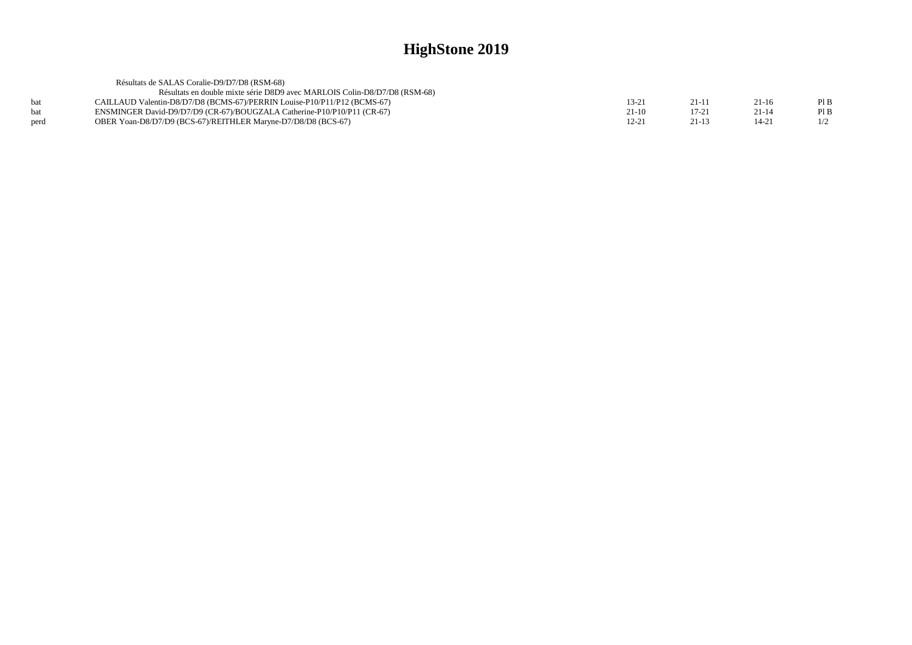|      | Résultats de SALAS Coralie-D9/D7/D8 (RSM-68)                              |       |           |         |      |
|------|---------------------------------------------------------------------------|-------|-----------|---------|------|
|      | Résultats en double mixte série D8D9 avec MARLOIS Colin-D8/D7/D8 (RSM-68) |       |           |         |      |
| bat  | CAILLAUD Valentin-D8/D7/D8 (BCMS-67)/PERRIN Louise-P10/P11/P12 (BCMS-67)  | 13-2  | $21-1$    | $21-16$ | PI B |
| bat  | ENSMINGER David-D9/D7/D9 (CR-67)/BOUGZALA Catherine-P10/P10/P11 (CR-67)   | 21-10 | $17 - 21$ | 21-14   | PI B |
| perd | OBER Yoan-D8/D7/D9 (BCS-67)/REITHLER Maryne-D7/D8/D8 (BCS-67)             | 12-21 | $21-13$   | 14-21   | 1/2  |
|      |                                                                           |       |           |         |      |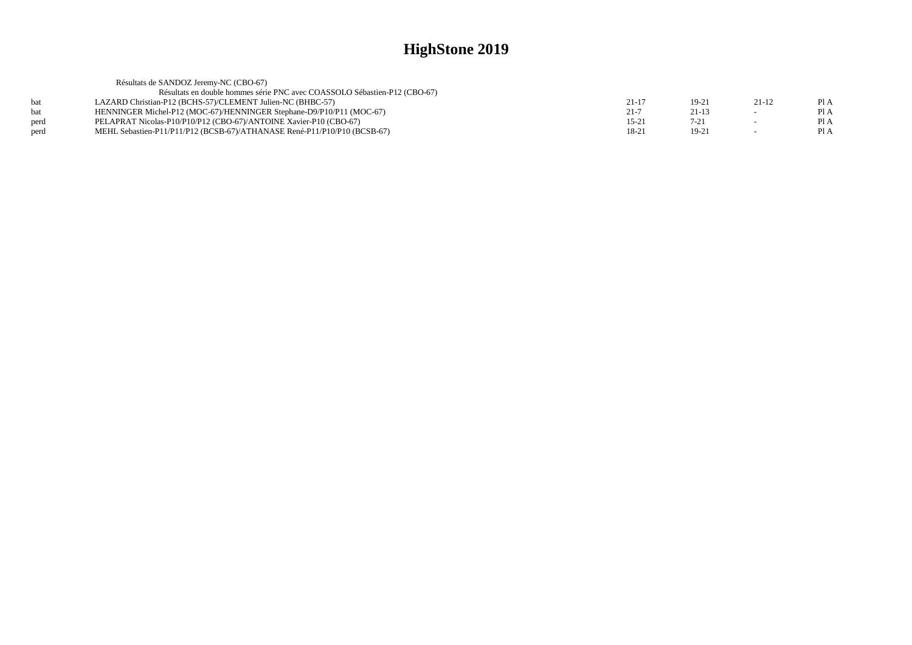|            | Résultats de SANDOZ Jeremy-NC (CBO-67)                                    |           |           |                          |      |
|------------|---------------------------------------------------------------------------|-----------|-----------|--------------------------|------|
|            | Résultats en double hommes série PNC avec COASSOLO Sébastien-P12 (CBO-67) |           |           |                          |      |
| <b>bat</b> | LAZARD Christian-P12 (BCHS-57)/CLEMENT Julien-NC (BHBC-57)                | $21 - 17$ | $19-21$   | $21-12$                  | Pl A |
| bat        | HENNINGER Michel-P12 (MOC-67)/HENNINGER Stephane-D9/P10/P11 (MOC-67)      | $21 - 7$  | $21 - 13$ | $\sim$                   | Pl A |
| perd       | PELAPRAT Nicolas-P10/P10/P12 (CBO-67)/ANTOINE Xavier-P10 (CBO-67)         | $15 - 21$ | $7 - 21$  | $\sim$                   | PI A |
| perd       | MEHL Sebastien-P11/P11/P12 (BCSB-67)/ATHANASE René-P11/P10/P10 (BCSB-67)  | 18-21     | $19-21$   | $\overline{\phantom{0}}$ | Pl A |
|            |                                                                           |           |           |                          |      |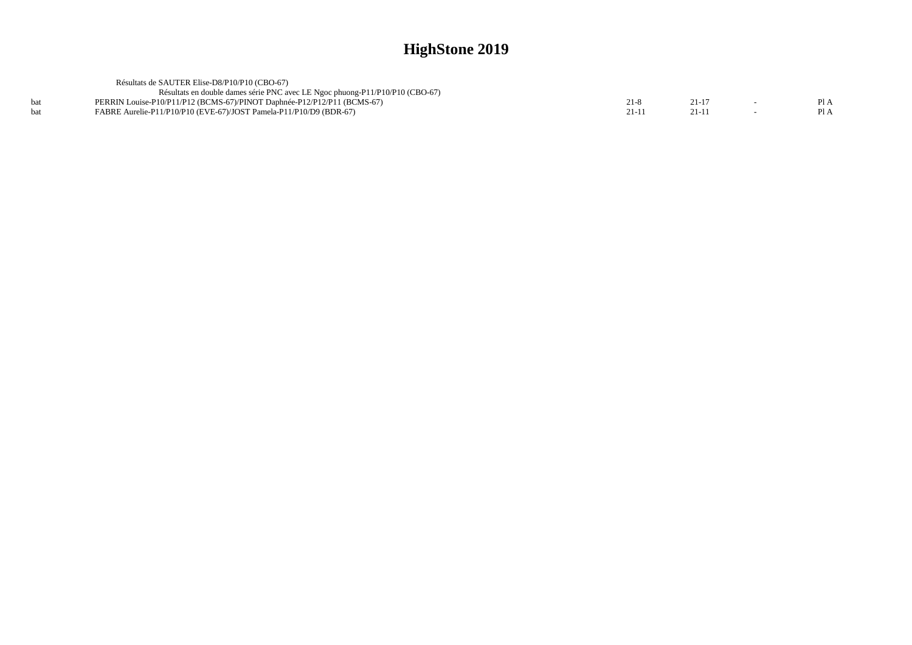| Résultats de SAUTER Elise-D8/P10/P10 (CBO-67)                                |      |           |      |
|------------------------------------------------------------------------------|------|-----------|------|
| Résultats en double dames série PNC avec LE Ngoc phuong-P11/P10/P10 (CBO-67) |      |           |      |
| PERRIN Louise-P10/P11/P12 (BCMS-67)/PINOT Daphnée-P12/P12/P11 (BCMS-67)      | 21-8 | 21-11     | Pl A |
| FABRE Aurelie-P11/P10/P10 (EVE-67)/JOST Pamela-P11/P10/D9 (BDR-67)           | 21-1 | $21 - 1.$ | PI A |
|                                                                              |      |           |      |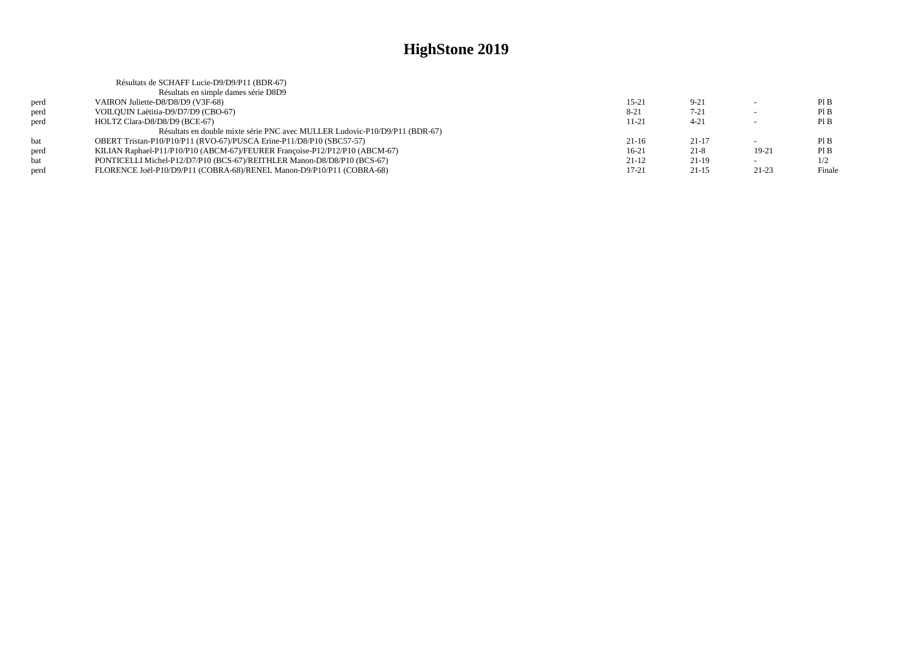|      | Résultats de SCHAFF Lucie-D9/D9/P11 (BDR-67)                                |           |           |       |        |
|------|-----------------------------------------------------------------------------|-----------|-----------|-------|--------|
|      | Résultats en simple dames série D8D9                                        |           |           |       |        |
| perd | VAIRON Juliette-D8/D8/D9 (V3F-68)                                           | $15 - 21$ | $9 - 21$  |       | PIB    |
| perd | VOILOUIN Laëtitia-D9/D7/D9 (CBO-67)                                         | $8 - 21$  | $7 - 21$  |       | PIB    |
| perd | HOLTZ Clara-D8/D8/D9 (BCE-67)                                               | $11 - 21$ | $4 - 21$  |       | PIB    |
|      | Résultats en double mixte série PNC avec MULLER Ludovic-P10/D9/P11 (BDR-67) |           |           |       |        |
| bat  | OBERT Tristan-P10/P10/P11 (RVO-67)/PUSCA Erine-P11/D8/P10 (SBC57-57)        | $21-16$   | $21 - 17$ |       | PIB    |
| perd | KILIAN Raphael-P11/P10/P10 (ABCM-67)/FEURER Francoise-P12/P12/P10 (ABCM-67) | $16-21$   | $21 - 8$  | 19-21 | PIB    |
| bat  | PONTICELLI Michel-P12/D7/P10 (BCS-67)/REITHLER Manon-D8/D8/P10 (BCS-67)     | $21 - 12$ | 21-19     |       | 1/2    |
| perd | FLORENCE Joël-P10/D9/P11 (COBRA-68)/RENEL Manon-D9/P10/P11 (COBRA-68)       | $17 - 21$ | $21 - 15$ | 21-23 | Finale |
|      |                                                                             |           |           |       |        |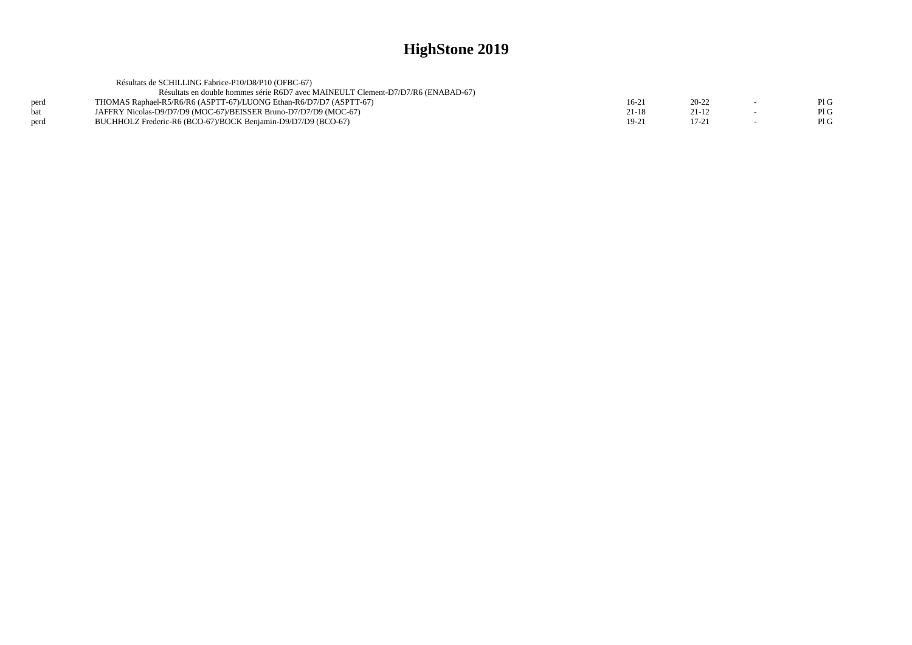|      | Résultats de SCHILLING Fabrice-P10/D8/P10 (OFBC-67)                              |       |           |      |
|------|----------------------------------------------------------------------------------|-------|-----------|------|
|      | Résultats en double hommes série R6D7 avec MAINEULT Clement-D7/D7/R6 (ENABAD-67) |       |           |      |
| perd | THOMAS Raphael-R5/R6/R6 (ASPTT-67)/LUONG Ethan-R6/D7/D7 (ASPTT-67)               | 16-21 | $20 - 22$ | PIG  |
| hat  | JAFFRY Nicolas-D9/D7/D9 (MOC-67)/BEISSER Bruno-D7/D7/D9 (MOC-67)                 | 21-18 | 21-12     | Pl G |
| perd | BUCHHOLZ Frederic-R6 (BCO-67)/BOCK Benjamin-D9/D7/D9 (BCO-67)                    | 19-21 | $17 - 21$ | Pl G |
|      |                                                                                  |       |           |      |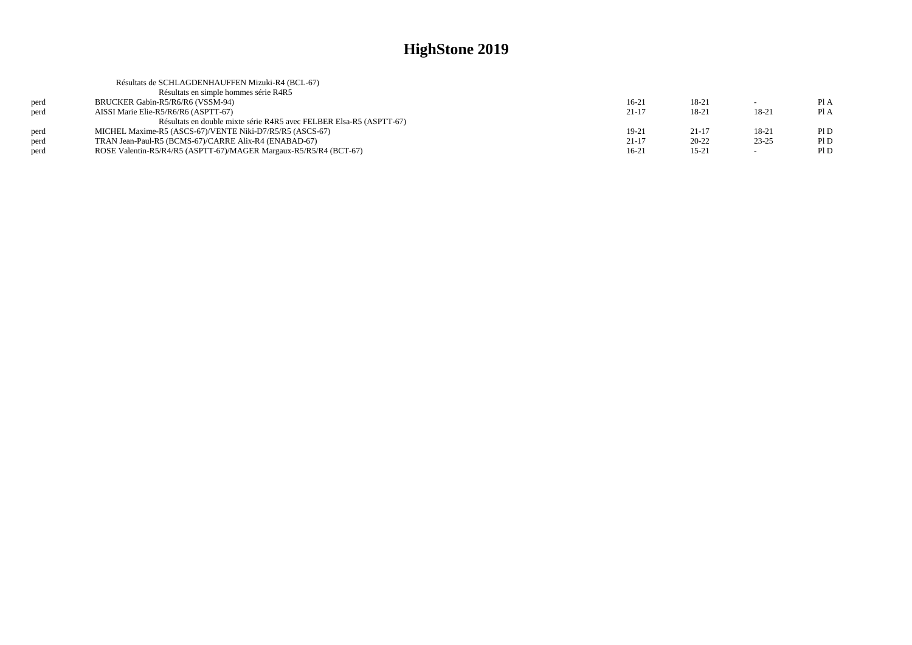|      | Résultats de SCHLAGDENHAUFFEN Mizuki-R4 (BCL-67)                    |           |           |           |      |
|------|---------------------------------------------------------------------|-----------|-----------|-----------|------|
|      | Résultats en simple hommes série R4R5                               |           |           |           |      |
| perd | BRUCKER Gabin-R5/R6/R6 (VSSM-94)                                    | $16-21$   | 18-21     |           | Pl A |
| perd | AISSI Marie Elie-R5/R6/R6 (ASPTT-67)                                | $21 - 17$ | 18-21     | 18-21     | Pl A |
|      | Résultats en double mixte série R4R5 avec FELBER Elsa-R5 (ASPTT-67) |           |           |           |      |
| perd | MICHEL Maxime-R5 (ASCS-67)/VENTE Niki-D7/R5/R5 (ASCS-67)            | 19-21     | $21-17$   | 18-21     | PID  |
| perd | TRAN Jean-Paul-R5 (BCMS-67)/CARRE Alix-R4 (ENABAD-67)               | $21 - 17$ | $20 - 22$ | $23 - 25$ | PID  |
| perd | ROSE Valentin-R5/R4/R5 (ASPTT-67)/MAGER Margaux-R5/R5/R4 (BCT-67)   | $16-21$   | $15-21$   | $\sim$    | PID  |
|      |                                                                     |           |           |           |      |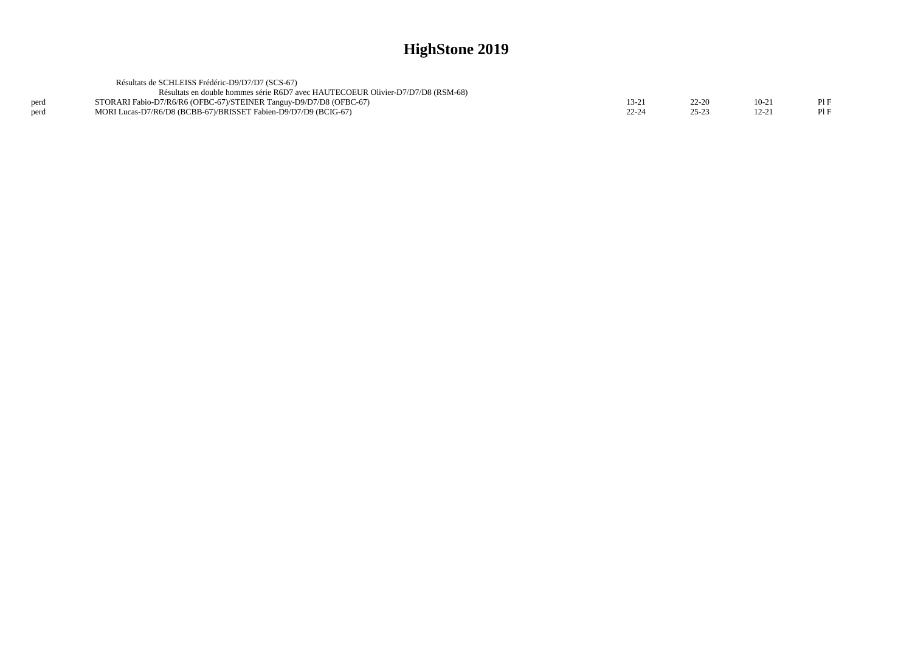|      | Résultats de SCHLEISS Frédéric-D9/D7/D7 (SCS-67)                                |       |           |           |  |
|------|---------------------------------------------------------------------------------|-------|-----------|-----------|--|
|      | Résultats en double hommes série R6D7 avec HAUTECOEUR Olivier-D7/D7/D8 (RSM-68) |       |           |           |  |
| perd | STORARI Fabio-D7/R6/R6 (OFBC-67)/STEINER Tanguy-D9/D7/D8 (OFBC-67)              | $3-2$ | $22 - 20$ | $10-2$    |  |
|      | MORI Lucas-D7/R6/D8 (BCBB-67)/BRISSET Fabien-D9/D7/D9 (BCIG-67)                 | 22-24 | 25-23     | $12 - 21$ |  |
|      |                                                                                 |       |           |           |  |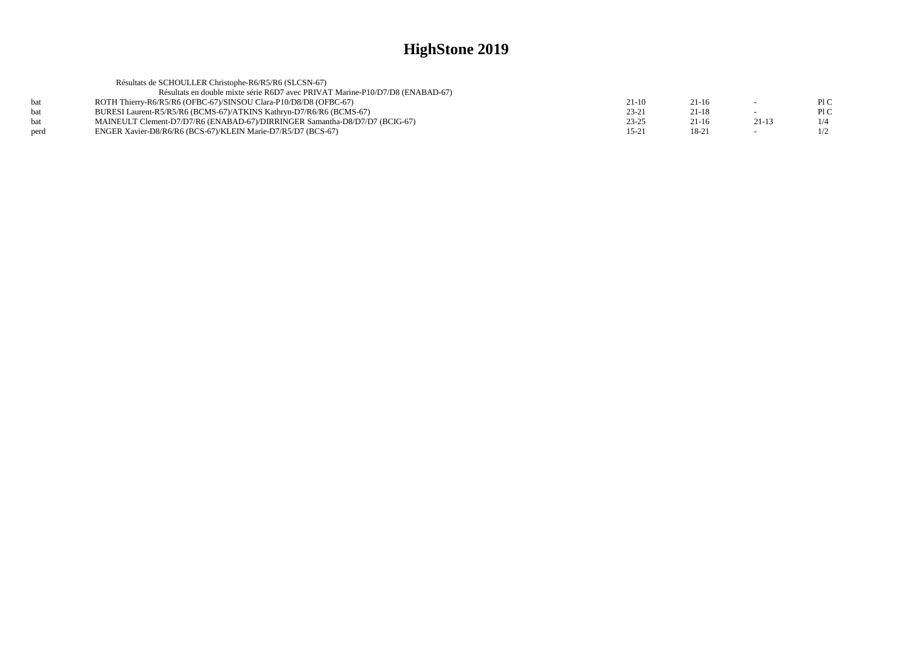|      | Résultats de SCHOULLER Christophe-R6/R5/R6 (SLCSN-67)                         |           |         |         |     |
|------|-------------------------------------------------------------------------------|-----------|---------|---------|-----|
|      | Résultats en double mixte série R6D7 avec PRIVAT Marine-P10/D7/D8 (ENABAD-67) |           |         |         |     |
| hat  | ROTH Thierry-R6/R5/R6 (OFBC-67)/SINSOU Clara-P10/D8/D8 (OFBC-67)              | $21-10$   | $21-16$ |         | PLC |
| hat  | BURESI Laurent-R5/R5/R6 (BCMS-67)/ATKINS Kathryn-D7/R6/R6 (BCMS-67)           | $23 - 21$ | $21-18$ |         | P1C |
| hat  | MAINEULT Clement-D7/D7/R6 (ENABAD-67)/DIRRINGER Samantha-D8/D7/D7 (BCIG-67)   | $23 - 25$ | $21-16$ | $21-13$ | 1/4 |
| perd | ENGER Xavier-D8/R6/R6 (BCS-67)/KLEIN Marie-D7/R5/D7 (BCS-67)                  | $15-21$   | 18-21   | $\sim$  | 1/2 |
|      |                                                                               |           |         |         |     |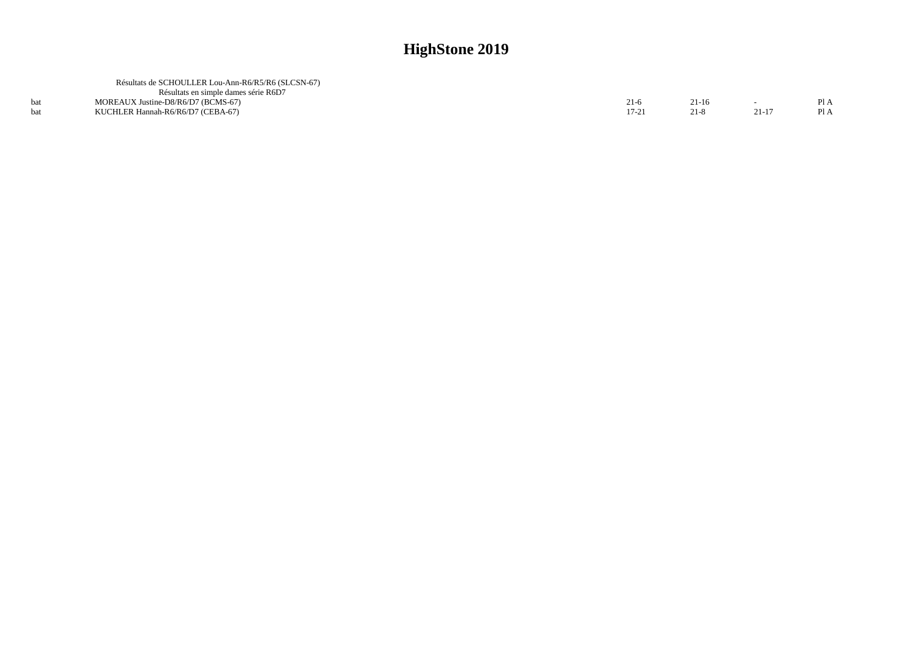| Résultats de SCHOULLER Lou-Ann-R6/R5/R6 (SLCSN-67) |                                    |       |       |     |
|----------------------------------------------------|------------------------------------|-------|-------|-----|
| Résultats en simple dames série R6D7               |                                    |       |       |     |
|                                                    | $21-6$                             | 21-16 |       | PIA |
| KUCHLER Hannah-R6/R6/D7 (CEBA-67)                  | $17 - 21$                          | 21-8  | 21-17 | P1A |
|                                                    | MOREAUX Justine-D8/R6/D7 (BCMS-67) |       |       |     |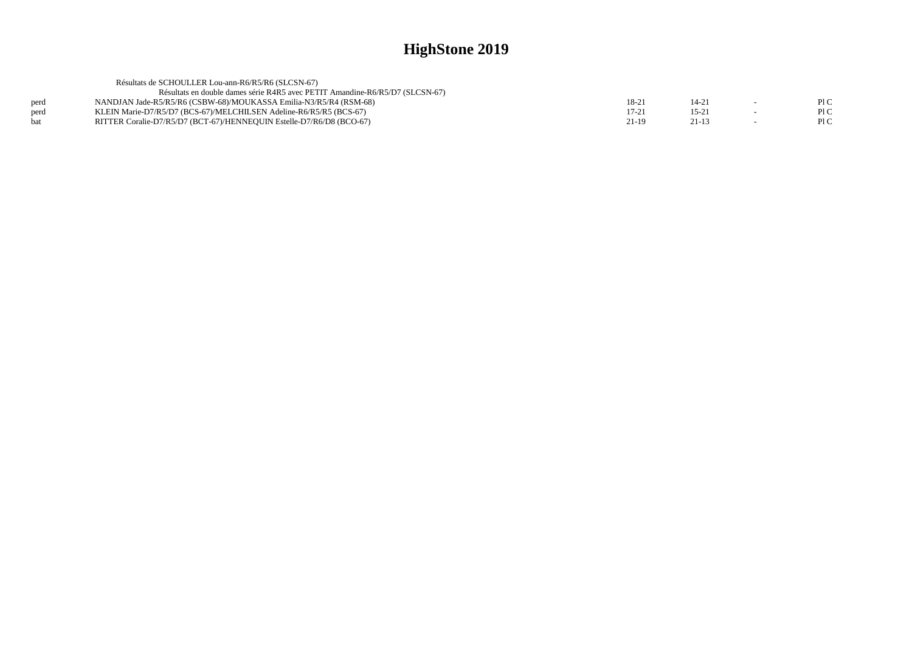|      | Résultats de SCHOULLER Lou-ann-R6/R5/R6 (SLCSN-67)                           |         |           |      |
|------|------------------------------------------------------------------------------|---------|-----------|------|
|      | Résultats en double dames série R4R5 avec PETIT Amandine-R6/R5/D7 (SLCSN-67) |         |           |      |
| perd | NANDJAN Jade-R5/R5/R6 (CSBW-68)/MOUKASSA Emilia-N3/R5/R4 (RSM-68)            | $18-21$ | 14-21     | P1C  |
| perd | KLEIN Marie-D7/R5/D7 (BCS-67)/MELCHILSEN Adeline-R6/R5/R5 (BCS-67)           | $17-21$ | $15 - 21$ | Pl C |
| bat  | RITTER Coralie-D7/R5/D7 (BCT-67)/HENNEQUIN Estelle-D7/R6/D8 (BCO-67)         | 21-19   | 21-13     | PLC  |
|      |                                                                              |         |           |      |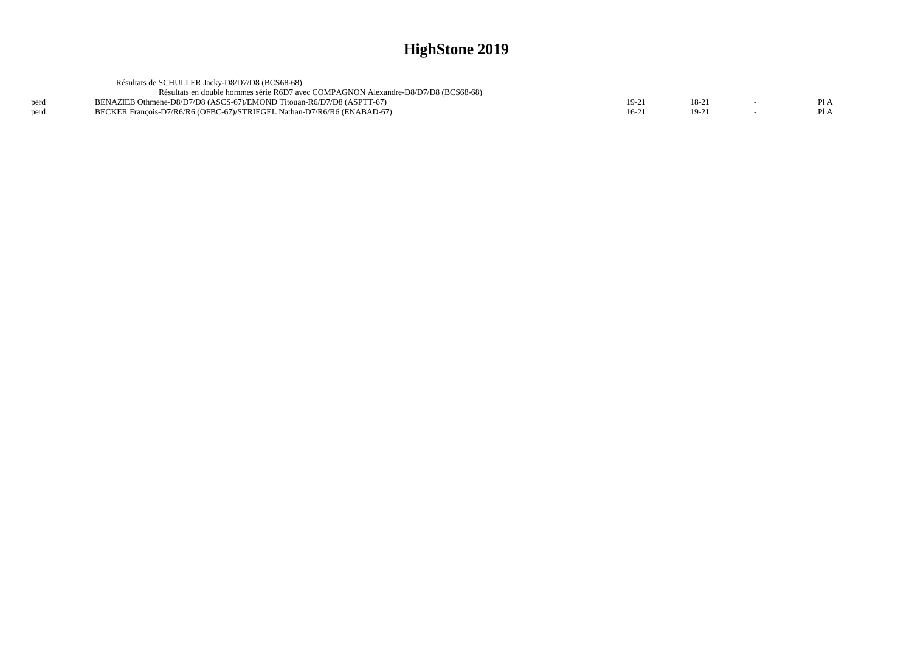|      | Résultats de SCHULLER Jacky-D8/D7/D8 (BCS68-68)                                    |       |       |      |
|------|------------------------------------------------------------------------------------|-------|-------|------|
|      | Résultats en double hommes série R6D7 avec COMPAGNON Alexandre-D8/D7/D8 (BCS68-68) |       |       |      |
| perd | BENAZIEB Othmene-D8/D7/D8 (ASCS-67)/EMOND Titouan-R6/D7/D8 (ASPTT-67)              | 19-21 | 18-2  | Pl A |
| perd | BECKER Francois-D7/R6/R6 (OFBC-67)/STRIEGEL Nathan-D7/R6/R6 (ENABAD-67)            | 16-21 | 19-21 | PI A |
|      |                                                                                    |       |       |      |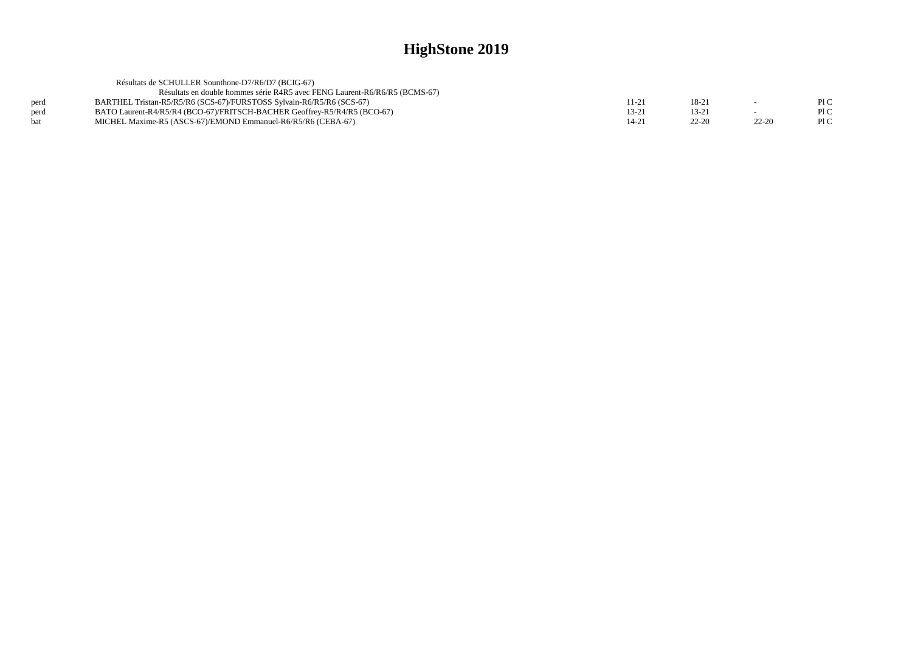|      | Résultats de SCHULLER Sounthone-D7/R6/D7 (BCIG-67)                         |       |           |           |     |
|------|----------------------------------------------------------------------------|-------|-----------|-----------|-----|
|      | Résultats en double hommes série R4R5 avec FENG Laurent-R6/R6/R5 (BCMS-67) |       |           |           |     |
| perd | BARTHEL Tristan-R5/R5/R6 (SCS-67)/FURSTOSS Sylvain-R6/R5/R6 (SCS-67)       | 11-21 | $18-2$    |           | P1C |
| perd | BATO Laurent-R4/R5/R4 (BCO-67)/FRITSCH-BACHER Geoffrey-R5/R4/R5 (BCO-67)   | 13-21 | 13-21     |           | P1C |
| hat  | MICHEL Maxime-R5 (ASCS-67)/EMOND Emmanuel-R6/R5/R6 (CEBA-67)               | 14-21 | $22 - 20$ | $22 - 20$ | P1C |
|      |                                                                            |       |           |           |     |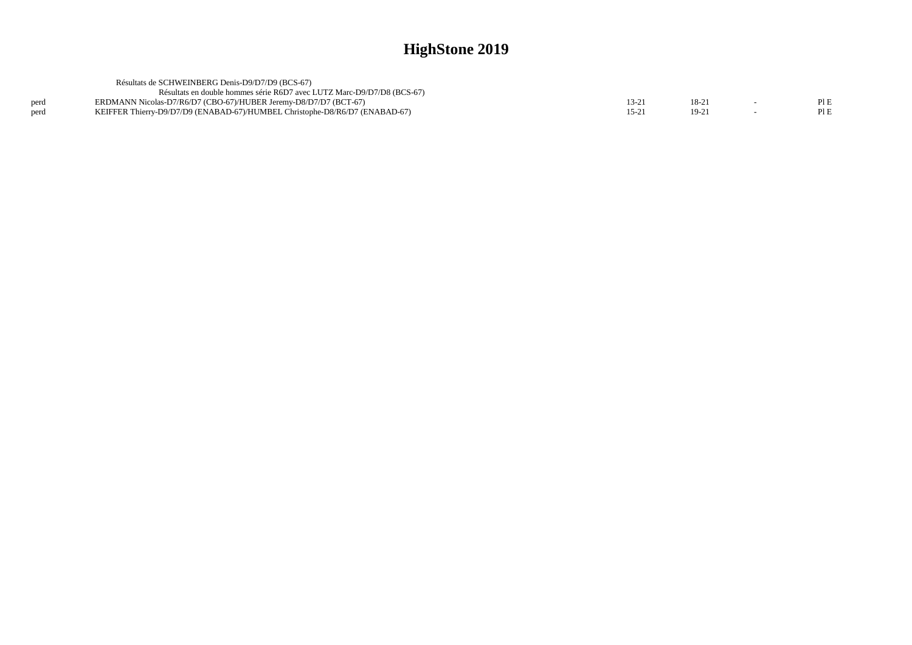|      | Résultats de SCHWEINBERG Denis-D9/D7/D9 (BCS-67)                            |  |      |
|------|-----------------------------------------------------------------------------|--|------|
|      | Résultats en double hommes série R6D7 avec LUTZ Marc-D9/D7/D8 (BCS-67)      |  |      |
| nerd | ERDMANN Nicolas-D7/R6/D7 (CBO-67)/HUBER Jeremy-D8/D7/D7 (BCT-67)            |  | PLE  |
| perd | KEIFFER Thierry-D9/D7/D9 (ENABAD-67)/HUMBEL Christophe-D8/R6/D7 (ENABAD-67) |  | Pl E |
|      |                                                                             |  |      |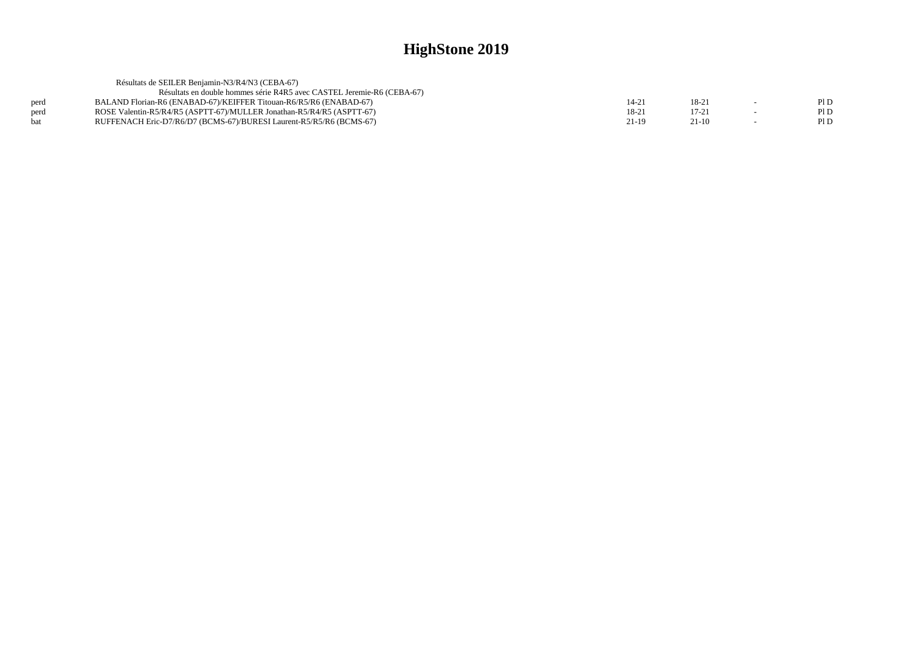|            | Résultats de SEILER Benjamin-N3/R4/N3 (CEBA-67)                        |         |                |     |
|------------|------------------------------------------------------------------------|---------|----------------|-----|
|            | Résultats en double hommes série R4R5 avec CASTEL Jeremie-R6 (CEBA-67) |         |                |     |
| perd       | BALAND Florian-R6 (ENABAD-67)/KEIFFER Titouan-R6/R5/R6 (ENABAD-67)     | 14-21   | $18-2^{\circ}$ | PID |
| perd       | ROSE Valentin-R5/R4/R5 (ASPTT-67)/MULLER Jonathan-R5/R4/R5 (ASPTT-67)  | 18-21   | $17 - 2^{-7}$  | P1D |
| <b>bat</b> | RUFFENACH Eric-D7/R6/D7 (BCMS-67)/BURESI Laurent-R5/R5/R6 (BCMS-67)    | $21-19$ | $21-10$        | PID |
|            |                                                                        |         |                |     |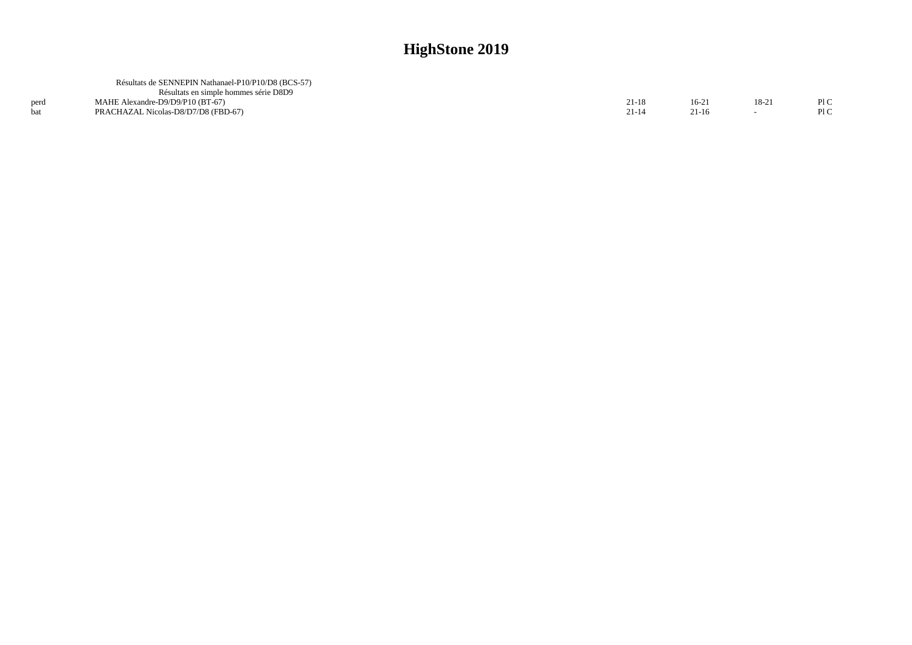|      | Résultats de SENNEPIN Nathanael-P10/P10/D8 (BCS-57) |           |         |         |     |
|------|-----------------------------------------------------|-----------|---------|---------|-----|
|      | Résultats en simple hommes série D8D9               |           |         |         |     |
| perd | MAHE Alexandre-D9/D9/P10 (BT-67)                    | 21-18     | $16-21$ | $18-21$ | P1C |
|      | PRACHAZAL Nicolas-D8/D7/D8 (FBD-67)                 | $21 - 14$ | $21-16$ |         | P1C |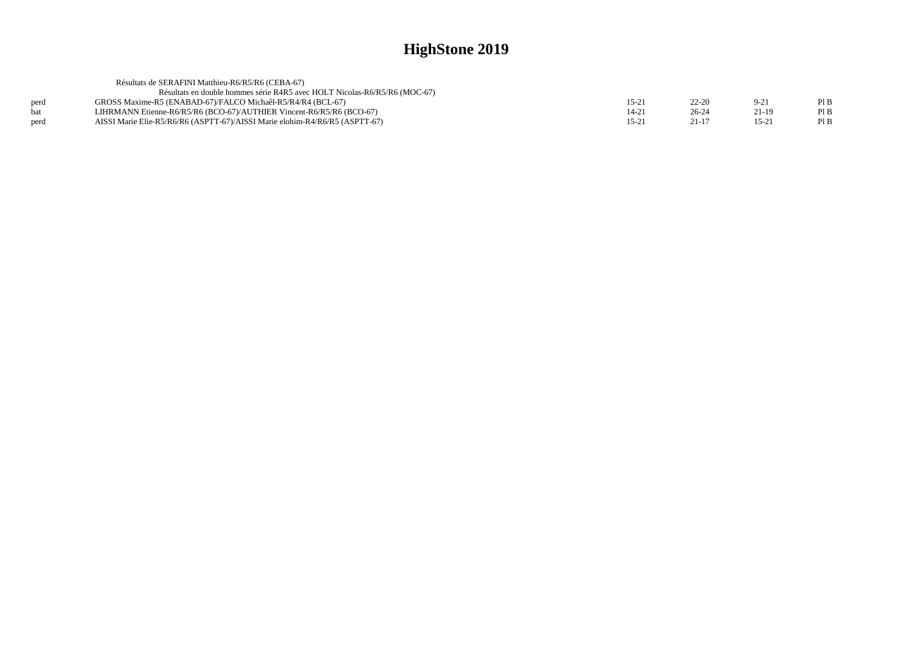|      | Résultats de SERAFINI Matthieu-R6/R5/R6 (CEBA-67)                           |                |           |           |      |
|------|-----------------------------------------------------------------------------|----------------|-----------|-----------|------|
|      | Résultats en double hommes série R4R5 avec HOLT Nicolas-R6/R5/R6 (MOC-67)   |                |           |           |      |
| perd | GROSS Maxime-R5 (ENABAD-67)/FALCO Michaêl-R5/R4/R4 (BCL-67)                 | $15-2^{\circ}$ | $22 - 20$ | $9 - 21$  | PI B |
| bat  | LIHRMANN Etienne-R6/R5/R6 (BCO-67)/AUTHIER Vincent-R6/R5/R6 (BCO-67)        | $14-2i$        | $26 - 24$ | 21-19     | PI B |
| perd | AISSI Marie Elie-R5/R6/R6 (ASPTT-67)/AISSI Marie elohim-R4/R6/R5 (ASPTT-67) | $15 - 2$       | $21 - 17$ | $15 - 21$ | Pl B |
|      |                                                                             |                |           |           |      |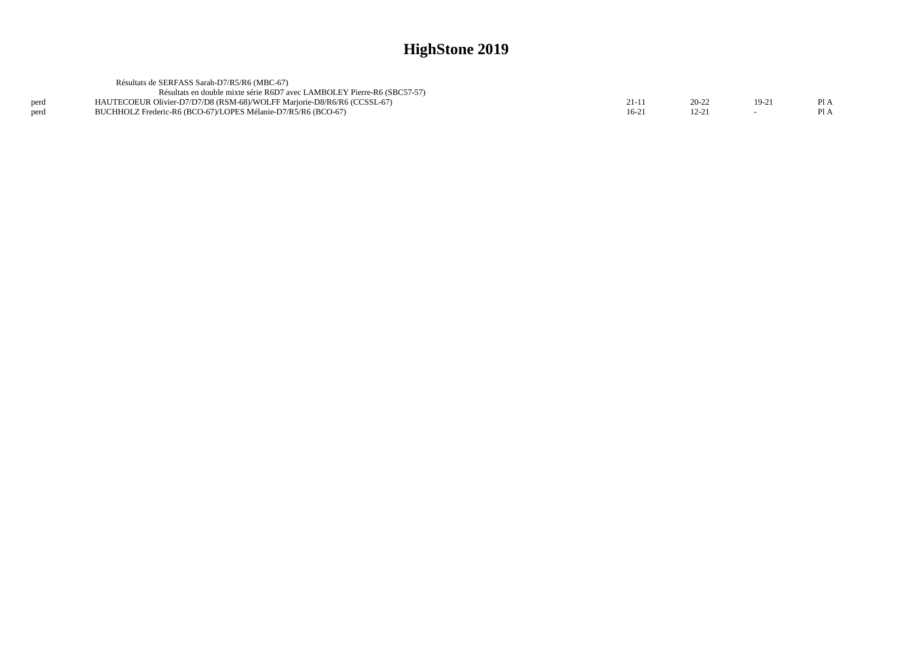|      | Résultats de SERFASS Sarah-D7/R5/R6 (MBC-67)                            |      |       |      |
|------|-------------------------------------------------------------------------|------|-------|------|
|      | Résultats en double mixte série R6D7 avec LAMBOLEY Pierre-R6 (SBC57-57) |      |       |      |
| perd | HAUTECOEUR Olivier-D7/D7/D8 (RSM-68)/WOLFF Marjorie-D8/R6/R6 (CCSSL-67) |      | 19-21 | Pl A |
| nerd | BUCHHOLZ Frederic-R6 (BCO-67)/LOPES Mélanie-D7/R5/R6 (BCO-67)           | 16-2 |       | PIA  |
|      |                                                                         |      |       |      |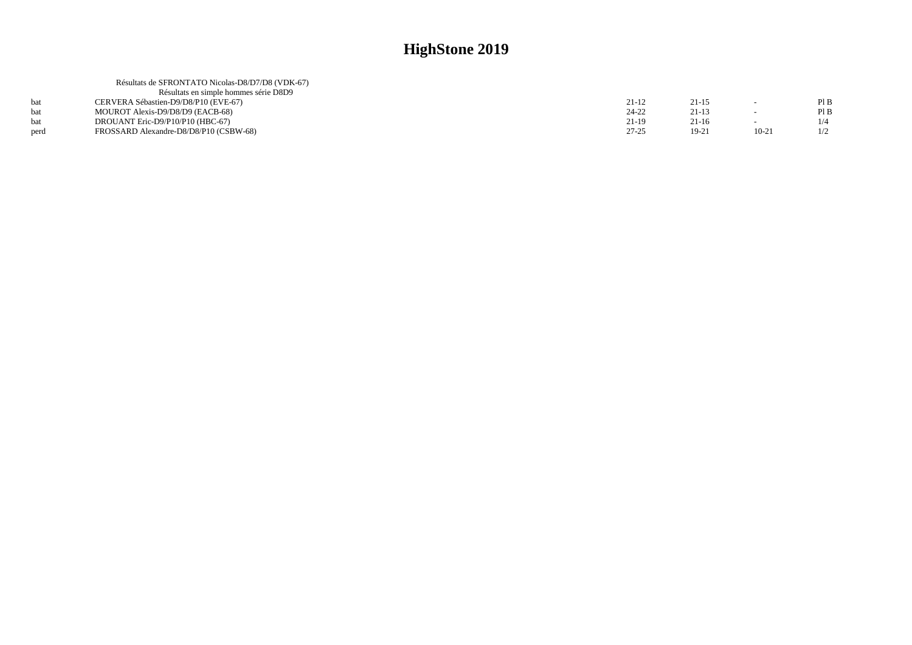|      | Résultats de SFRONTATO Nicolas-D8/D7/D8 (VDK-67) |           |           |                          |     |
|------|--------------------------------------------------|-----------|-----------|--------------------------|-----|
|      | Résultats en simple hommes série D8D9            |           |           |                          |     |
| bat  | CERVERA Sébastien-D9/D8/P10 (EVE-67)             | $21-12$   | $21 - 15$ |                          | PIB |
|      | MOUROT Alexis-D9/D8/D9 (EACB-68)                 | $24 - 22$ | $21-13$   |                          | PIB |
| hat  | DROUANT Eric-D9/P10/P10 (HBC-67)                 | $21-19$   | $21-16$   | $\overline{\phantom{0}}$ | 1/4 |
| perd | FROSSARD Alexandre-D8/D8/P10 (CSBW-68)           | $27 - 25$ | $19-21$   | $10-21$                  | 1/2 |
|      |                                                  |           |           |                          |     |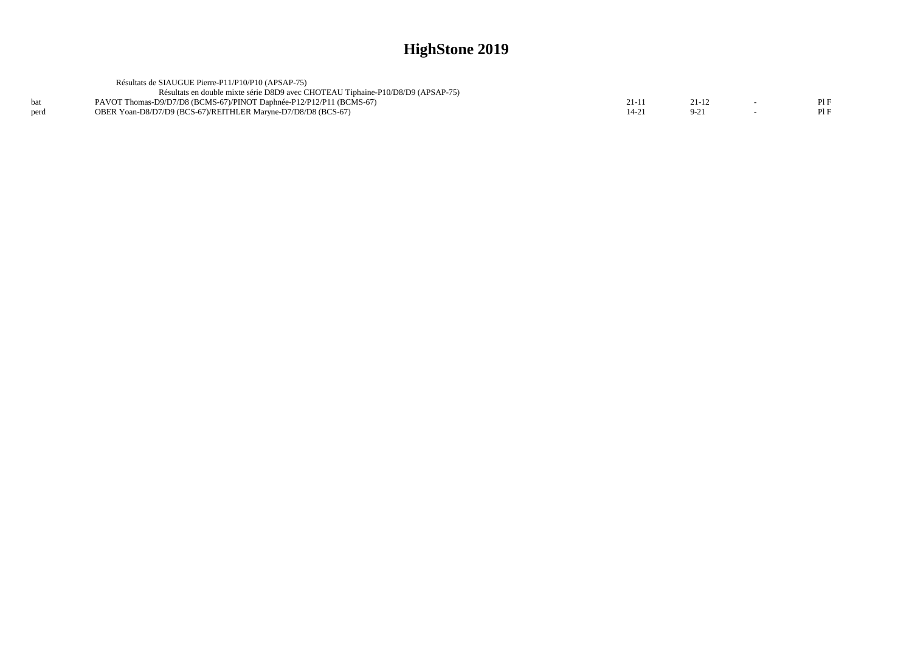|      | Résultats de SIAUGUE Pierre-P11/P10/P10 (APSAP-75)                              |          |           |  |
|------|---------------------------------------------------------------------------------|----------|-----------|--|
|      | Résultats en double mixte série D8D9 avec CHOTEAU Tiphaine-P10/D8/D9 (APSAP-75) |          |           |  |
| hat  | PAVOT Thomas-D9/D7/D8 (BCMS-67)/PINOT Daphnée-P12/P12/P11 (BCMS-67)             | $21 - 1$ | $21 - 12$ |  |
| perd | OBER Yoan-D8/D7/D9 (BCS-67)/REITHLER Marvne-D7/D8/D8 (BCS-67)                   | 14-21    |           |  |
|      |                                                                                 |          |           |  |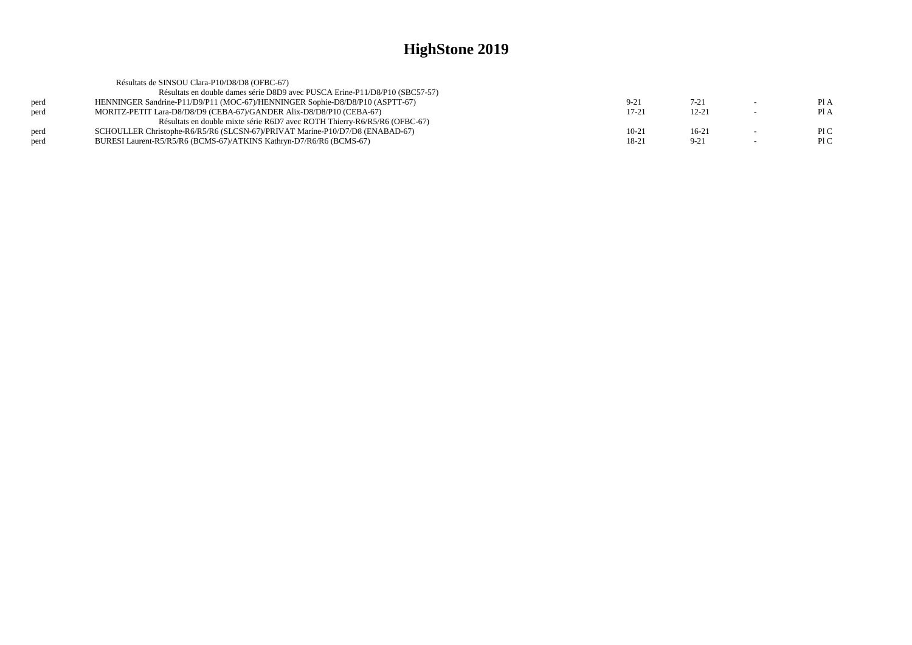|      | Résultats de SINSOU Clara-P10/D8/D8 (OFBC-67)                                |          |           |        |      |
|------|------------------------------------------------------------------------------|----------|-----------|--------|------|
|      | Résultats en double dames série D8D9 avec PUSCA Erine-P11/D8/P10 (SBC57-57)  |          |           |        |      |
| perd | HENNINGER Sandrine-P11/D9/P11 (MOC-67)/HENNINGER Sophie-D8/D8/P10 (ASPTT-67) | $9 - 21$ | $7 - 21$  | $\sim$ | Pl A |
| perd | MORITZ-PETIT Lara-D8/D8/D9 (CEBA-67)/GANDER Alix-D8/D8/P10 (CEBA-67)         | 17-21    | $12 - 21$ |        | Pl A |
|      | Résultats en double mixte série R6D7 avec ROTH Thierry-R6/R5/R6 (OFBC-67)    |          |           |        |      |
| perd | SCHOULLER Christophe-R6/R5/R6 (SLCSN-67)/PRIVAT Marine-P10/D7/D8 (ENABAD-67) | $10-21$  | $16-21$   |        | P1C  |
| perd | BURESI Laurent-R5/R5/R6 (BCMS-67)/ATKINS Kathryn-D7/R6/R6 (BCMS-67)          | 18-21    | $9-21$    | $\sim$ | P1C  |
|      |                                                                              |          |           |        |      |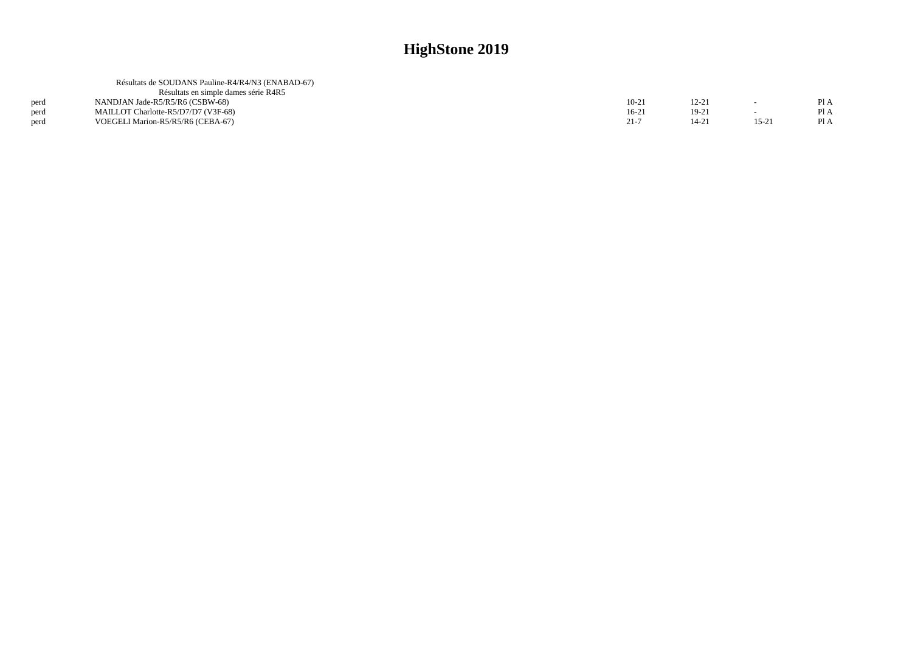|      | Résultats de SOUDANS Pauline-R4/R4/N3 (ENABAD-67) |          |           |           |      |
|------|---------------------------------------------------|----------|-----------|-----------|------|
|      | Résultats en simple dames série R4R5              |          |           |           |      |
| perd | NANDJAN Jade-R5/R5/R6 (CSBW-68)                   | $10-21$  | $12 - 21$ |           | Pl A |
| perd | MAILLOT Charlotte-R5/D7/D7 (V3F-68)               | $16-21$  | $19-2$    |           | Pl A |
| perd | VOEGELI Marion-R5/R5/R6 (CEBA-67)                 | $21 - 7$ | 14-21     | $15 - 21$ | Pl A |
|      |                                                   |          |           |           |      |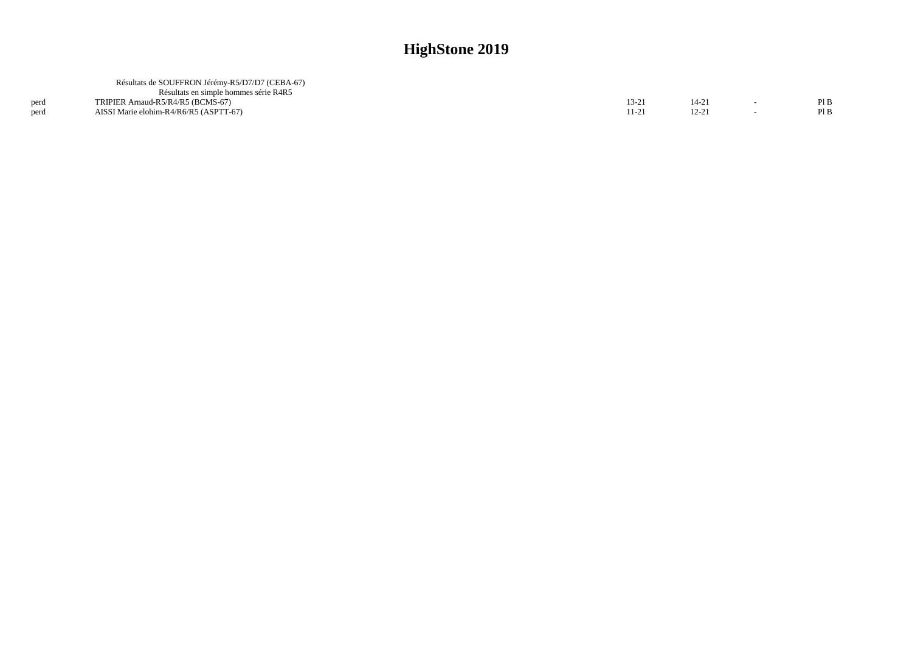|      | Résultats de SOUFFRON Jérémy-R5/D7/D7 (CEBA-67) |       |           |      |
|------|-------------------------------------------------|-------|-----------|------|
|      | Résultats en simple hommes série R4R5           |       |           |      |
| perd | TRIPIER Arnaud-R5/R4/R5 (BCMS-67)               | 13-21 | 14-21     | Pl B |
| perd | AISSI Marie elohim-R4/R6/R5 (ASPTT-67)          | 11-21 | $12 - 21$ | PIB  |
|      |                                                 |       |           |      |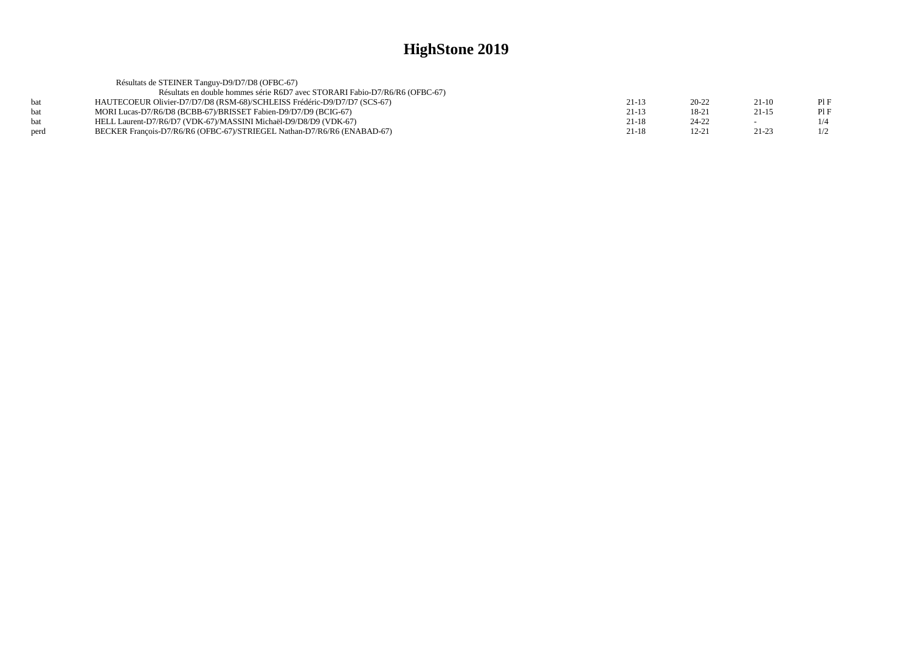|      | Résultats de STEINER Tanguy-D9/D7/D8 (OFBC-67)                              |           |           |           |     |
|------|-----------------------------------------------------------------------------|-----------|-----------|-----------|-----|
|      | Résultats en double hommes série R6D7 avec STORARI Fabio-D7/R6/R6 (OFBC-67) |           |           |           |     |
| hat  | HAUTECOEUR Olivier-D7/D7/D8 (RSM-68)/SCHLEISS Frédéric-D9/D7/D7 (SCS-67)    | $21-13$   | $20 - 22$ | $21-10$   | PIF |
| bat  | MORI Lucas-D7/R6/D8 (BCBB-67)/BRISSET Fabien-D9/D7/D9 (BCIG-67)             | $21-13$   | $18-21$   | $21 - 15$ | PIF |
| hat  | HELL Laurent-D7/R6/D7 (VDK-67)/MASSINI Michaël-D9/D8/D9 (VDK-67)            | $21 - 18$ | $24 - 22$ |           |     |
| perd | BECKER François-D7/R6/R6 (OFBC-67)/STRIEGEL Nathan-D7/R6/R6 (ENABAD-67)     | $21 - 18$ | $12 - 21$ | $21 - 23$ | 1/2 |
|      |                                                                             |           |           |           |     |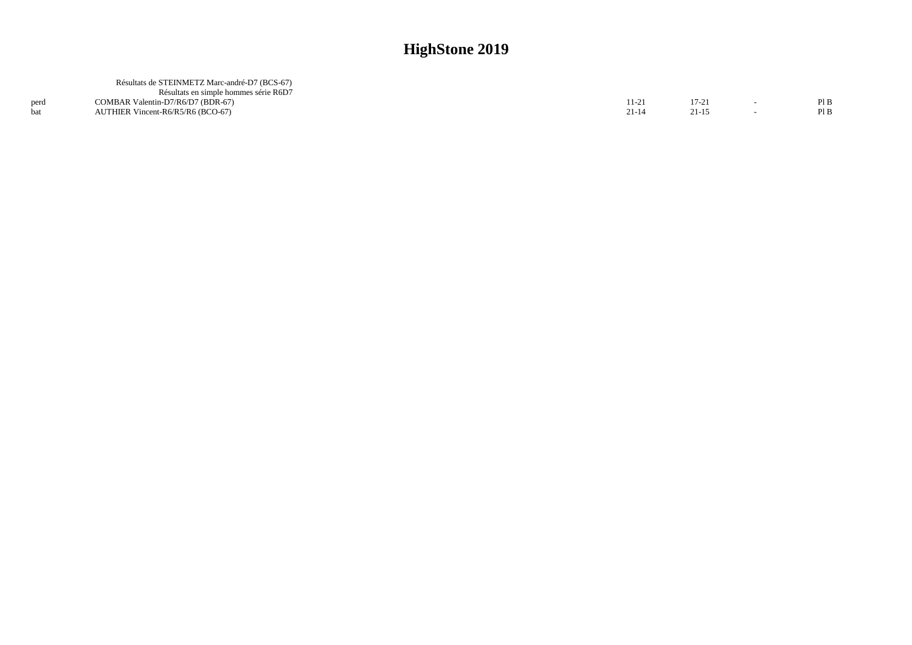|      | Résultats de STEINMETZ Marc-andré-D7 (BCS-67) |         |        |      |
|------|-----------------------------------------------|---------|--------|------|
|      | Résultats en simple hommes série R6D7         |         |        |      |
| perd | COMBAR Valentin-D7/R6/D7 (BDR-67)             | 11-21   | $17-2$ | PIB  |
|      | AUTHIER Vincent-R6/R5/R6 (BCO-67)             | $21-14$ | 21-15  | Pl B |
|      |                                               |         |        |      |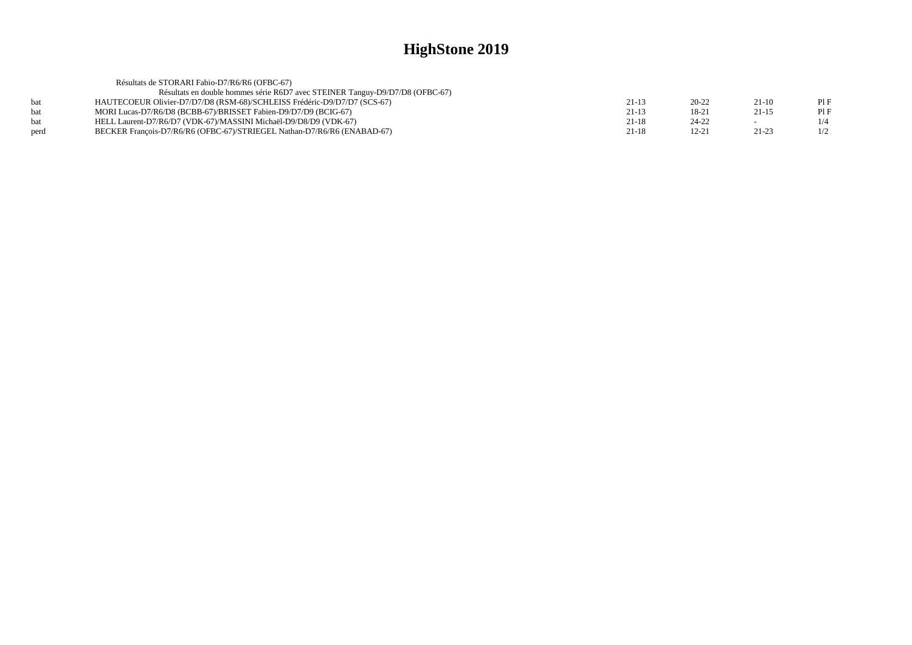|      | Résultats de STORARI Fabio-D7/R6/R6 (OFBC-67)                                |           |           |         |     |
|------|------------------------------------------------------------------------------|-----------|-----------|---------|-----|
|      | Résultats en double hommes série R6D7 avec STEINER Tanguy-D9/D7/D8 (OFBC-67) |           |           |         |     |
|      | HAUTECOEUR Olivier-D7/D7/D8 (RSM-68)/SCHLEISS Frédéric-D9/D7/D7 (SCS-67)     | 21-13     | $20 - 22$ | 21-10   | PIF |
| hat  | MORI Lucas-D7/R6/D8 (BCBB-67)/BRISSET Fabien-D9/D7/D9 (BCIG-67)              | $21-13$   | 18-21     | $21-15$ | PIF |
| hat  | HELL Laurent-D7/R6/D7 (VDK-67)/MASSINI Michaël-D9/D8/D9 (VDK-67)             | $21 - 18$ | $24 - 22$ |         | 1/4 |
| perd | BECKER François-D7/R6/R6 (OFBC-67)/STRIEGEL Nathan-D7/R6/R6 (ENABAD-67)      | $21 - 18$ | $12 - 21$ | 21-23   | 1/2 |
|      |                                                                              |           |           |         |     |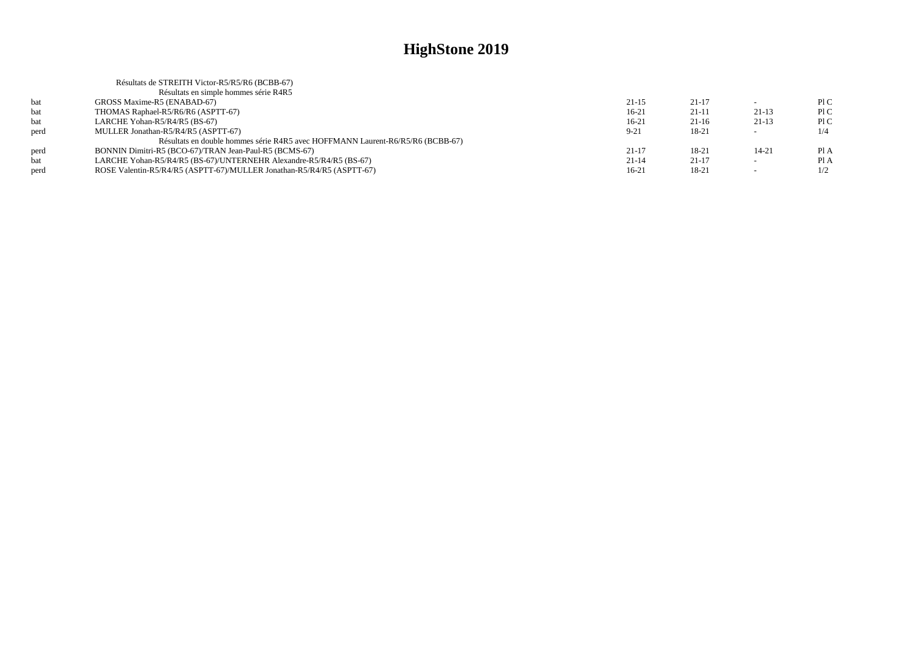|      | Résultats de STREITH Victor-R5/R5/R6 (BCBB-67)                                 |           |           |         |      |
|------|--------------------------------------------------------------------------------|-----------|-----------|---------|------|
|      | Résultats en simple hommes série R4R5                                          |           |           |         |      |
| bat  | GROSS Maxime-R5 (ENABAD-67)                                                    | $21 - 15$ | $21 - 17$ |         | PLC  |
| bat  | THOMAS Raphael-R5/R6/R6 (ASPTT-67)                                             | $16-21$   | $21-11$   | $21-13$ | P1C  |
| bat  | LARCHE Yohan-R5/R4/R5 (BS-67)                                                  | $16-21$   | $21-16$   | $21-13$ | P1C  |
| perd | MULLER Jonathan-R5/R4/R5 (ASPTT-67)                                            | $9 - 21$  | 18-21     |         | 1/4  |
|      | Résultats en double hommes série R4R5 avec HOFFMANN Laurent-R6/R5/R6 (BCBB-67) |           |           |         |      |
| perd | BONNIN Dimitri-R5 (BCO-67)/TRAN Jean-Paul-R5 (BCMS-67)                         | $21 - 17$ | 18-21     | 14-21   | Pl A |
| bat  | LARCHE Yohan-R5/R4/R5 (BS-67)/UNTERNEHR Alexandre-R5/R4/R5 (BS-67)             | $21 - 14$ | $21 - 17$ | $\sim$  | Pl A |
| perd | ROSE Valentin-R5/R4/R5 (ASPTT-67)/MULLER Jonathan-R5/R4/R5 (ASPTT-67)          | 16-21     | 18-21     |         | 1/2  |
|      |                                                                                |           |           |         |      |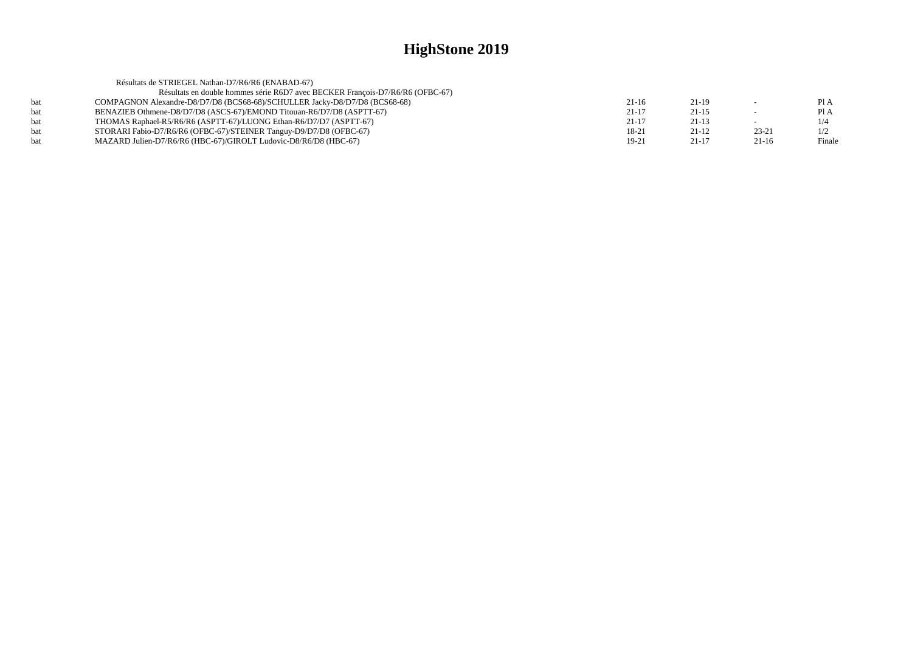|      | Résultats de STRIEGEL Nathan-D7/R6/R6 (ENABAD-67)                             |           |         |           |        |
|------|-------------------------------------------------------------------------------|-----------|---------|-----------|--------|
|      | Résultats en double hommes série R6D7 avec BECKER François-D7/R6/R6 (OFBC-67) |           |         |           |        |
| hat  | COMPAGNON Alexandre-D8/D7/D8 (BCS68-68)/SCHULLER Jacky-D8/D7/D8 (BCS68-68)    | $21-16$   | $21-19$ |           | Pl A   |
|      | BENAZIEB Othmene-D8/D7/D8 (ASCS-67)/EMOND Titouan-R6/D7/D8 (ASPTT-67)         | $21 - 17$ | $21-15$ |           | Pl A   |
| hat. | THOMAS Raphael-R5/R6/R6 (ASPTT-67)/LUONG Ethan-R6/D7/D7 (ASPTT-67)            | $21 - 17$ | $21-13$ |           | 1/4    |
|      | STORARI Fabio-D7/R6/R6 (OFBC-67)/STEINER Tanguy-D9/D7/D8 (OFBC-67)            | $18 - 21$ | $21-12$ | $23 - 21$ | 1/2    |
|      | MAZARD Julien-D7/R6/R6 (HBC-67)/GIROLT Ludovic-D8/R6/D8 (HBC-67)              | 19-21     | $21-17$ | $21-16$   | Finale |
|      |                                                                               |           |         |           |        |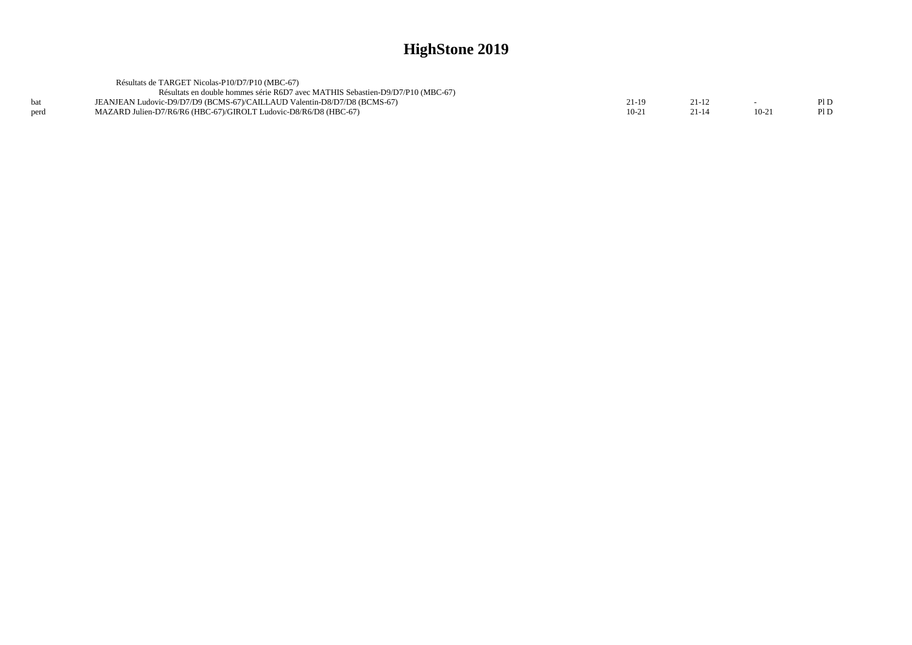|      | Résultats de TARGET Nicolas-P10/D7/P10 (MBC-67)                                |         |         |     |
|------|--------------------------------------------------------------------------------|---------|---------|-----|
|      | Résultats en double hommes série R6D7 avec MATHIS Sebastien-D9/D7/P10 (MBC-67) |         |         |     |
|      | JEANJEAN Ludovic-D9/D7/D9 (BCMS-67)/CAILLAUD Valentin-D8/D7/D8 (BCMS-67)       | ∠1-10-  |         | PID |
| nerd | MAZARD Julien-D7/R6/R6 (HBC-67)/GIROLT Ludovic-D8/R6/D8 (HBC-67)               | $10-21$ | $10-21$ | PID |
|      |                                                                                |         |         |     |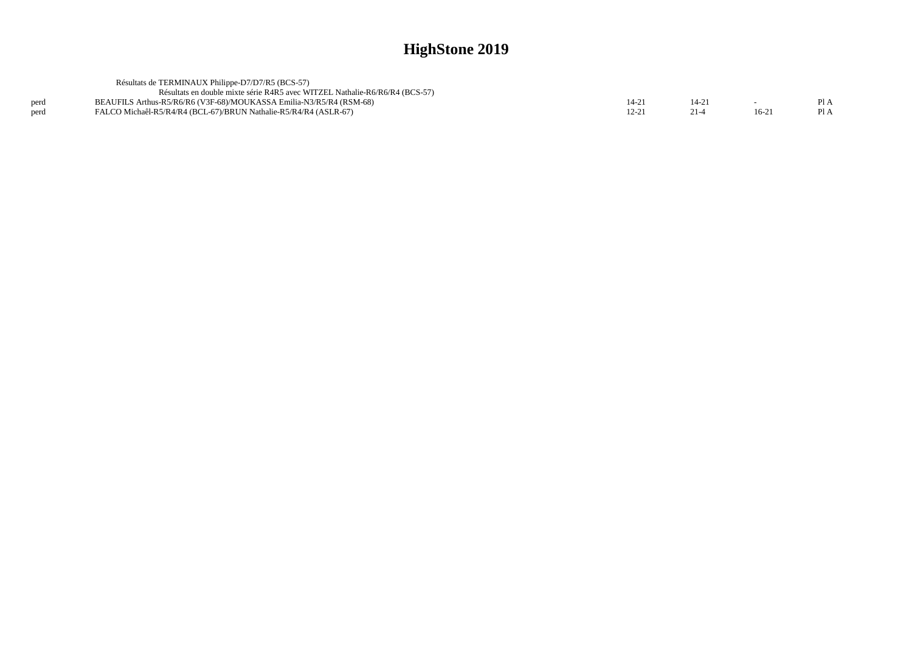|      | Résultats de TERMINAUX Philippe-D7/D7/R5 (BCS-57)                           |           |  |                  |
|------|-----------------------------------------------------------------------------|-----------|--|------------------|
|      | Résultats en double mixte série R4R5 avec WITZEL Nathalie-R6/R6/R4 (BCS-57) |           |  |                  |
| perd | BEAUFILS Arthus-R5/R6/R6 (V3F-68)/MOUKASSA Emilia-N3/R5/R4 (RSM-68)         | $14 - 2'$ |  | P <sub>1</sub> A |
| perd | FALCO Michaêl-R5/R4/R4 (BCL-67)/BRUN Nathalie-R5/R4/R4 (ASLR-67)            | $2 - 2$   |  | PI A             |
|      |                                                                             |           |  |                  |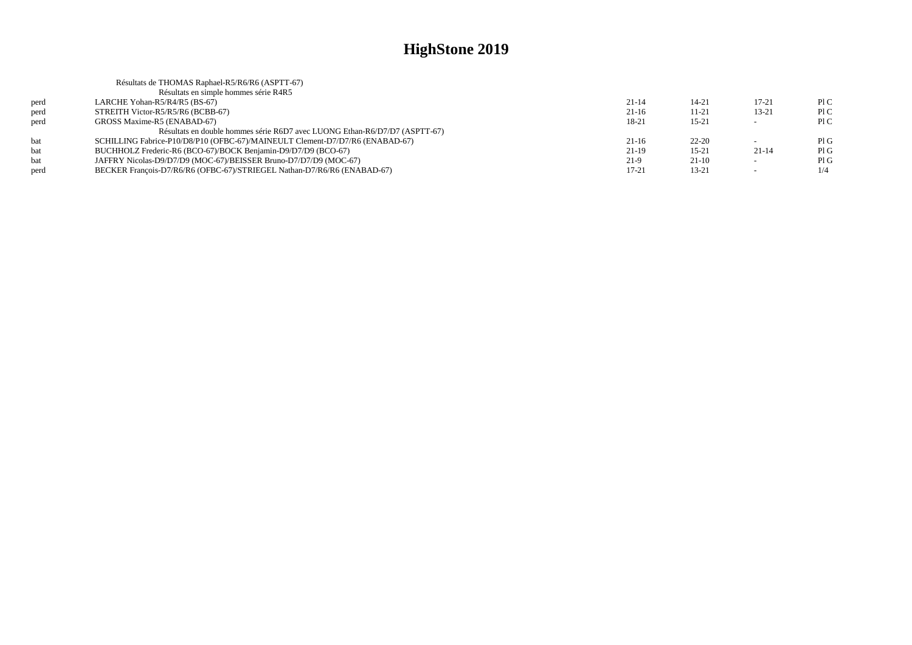|      | Résultats de THOMAS Raphael-R5/R6/R6 (ASPTT-67)                              |           |           |           |     |
|------|------------------------------------------------------------------------------|-----------|-----------|-----------|-----|
|      | Résultats en simple hommes série R4R5                                        |           |           |           |     |
| perd | LARCHE Yohan-R5/R4/R5 (BS-67)                                                | $21 - 14$ | 14-21     | $17 - 21$ | P1C |
| perd | STREITH Victor-R5/R5/R6 (BCBB-67)                                            | $21-16$   | $11 - 21$ | $13 - 21$ | P1C |
| perd | GROSS Maxime-R5 (ENABAD-67)                                                  | 18-21     | $15-21$   |           | P1C |
|      | Résultats en double hommes série R6D7 avec LUONG Ethan-R6/D7/D7 (ASPTT-67)   |           |           |           |     |
| bat  | SCHILLING Fabrice-P10/D8/P10 (OFBC-67)/MAINEULT Clement-D7/D7/R6 (ENABAD-67) | $21-16$   | $22 - 20$ |           | PIG |
| bat  | BUCHHOLZ Frederic-R6 (BCO-67)/BOCK Benjamin-D9/D7/D9 (BCO-67)                | $21-19$   | $15 - 21$ | $21 - 14$ | PIG |
| bat  | JAFFRY Nicolas-D9/D7/D9 (MOC-67)/BEISSER Bruno-D7/D7/D9 (MOC-67)             | 21-9      | $21-10$   | $\sim$    | PIG |
| perd | BECKER Francois-D7/R6/R6 (OFBC-67)/STRIEGEL Nathan-D7/R6/R6 (ENABAD-67)      | $17 - 21$ | $13 - 21$ |           | 1/4 |
|      |                                                                              |           |           |           |     |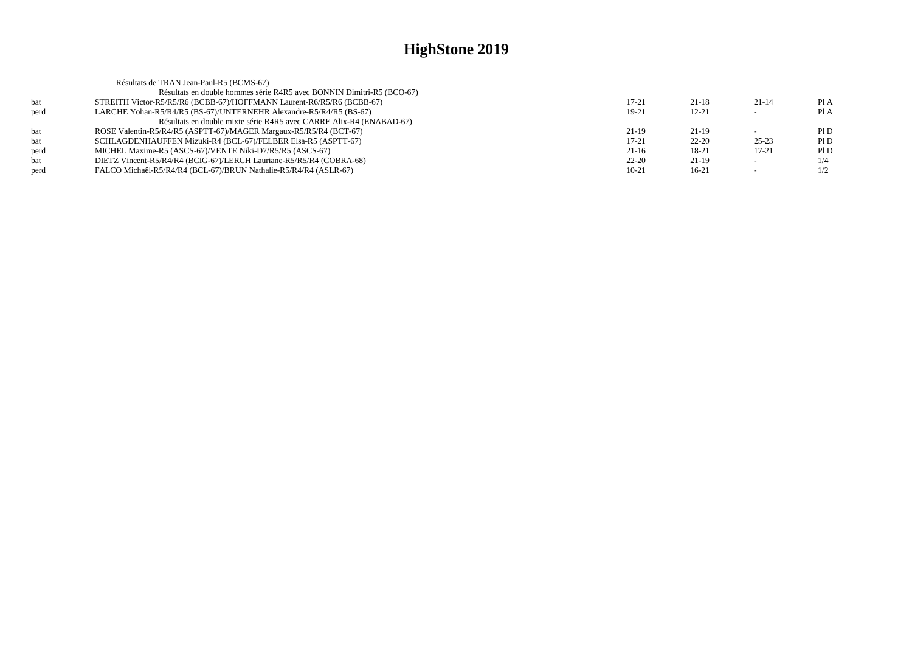|      | Résultats de TRAN Jean-Paul-R5 (BCMS-67)                              |           |           |           |      |
|------|-----------------------------------------------------------------------|-----------|-----------|-----------|------|
|      | Résultats en double hommes série R4R5 avec BONNIN Dimitri-R5 (BCO-67) |           |           |           |      |
| bat  | STREITH Victor-R5/R5/R6 (BCBB-67)/HOFFMANN Laurent-R6/R5/R6 (BCBB-67) | $17 - 21$ | $21-18$   | $21 - 14$ | Pl A |
| perd | LARCHE Yohan-R5/R4/R5 (BS-67)/UNTERNEHR Alexandre-R5/R4/R5 (BS-67)    | 19-21     | $12 - 21$ |           | Pl A |
|      | Résultats en double mixte série R4R5 avec CARRE Alix-R4 (ENABAD-67)   |           |           |           |      |
| bat  | ROSE Valentin-R5/R4/R5 (ASPTT-67)/MAGER Margaux-R5/R5/R4 (BCT-67)     | $21-19$   | $21-19$   |           | PID  |
| bat  | SCHLAGDENHAUFFEN Mizuki-R4 (BCL-67)/FELBER Elsa-R5 (ASPTT-67)         | $17 - 21$ | $22 - 20$ | $25 - 23$ | Pl D |
| perd | MICHEL Maxime-R5 (ASCS-67)/VENTE Niki-D7/R5/R5 (ASCS-67)              | $21-16$   | 18-21     | $17 - 21$ | Pl D |
| bat  | DIETZ Vincent-R5/R4/R4 (BCIG-67)/LERCH Lauriane-R5/R5/R4 (COBRA-68)   | $22 - 20$ | $21-19$   |           | 1/4  |
| perd | FALCO Michaêl-R5/R4/R4 (BCL-67)/BRUN Nathalie-R5/R4/R4 (ASLR-67)      | $10 - 21$ | $16-21$   |           | 1/2  |
|      |                                                                       |           |           |           |      |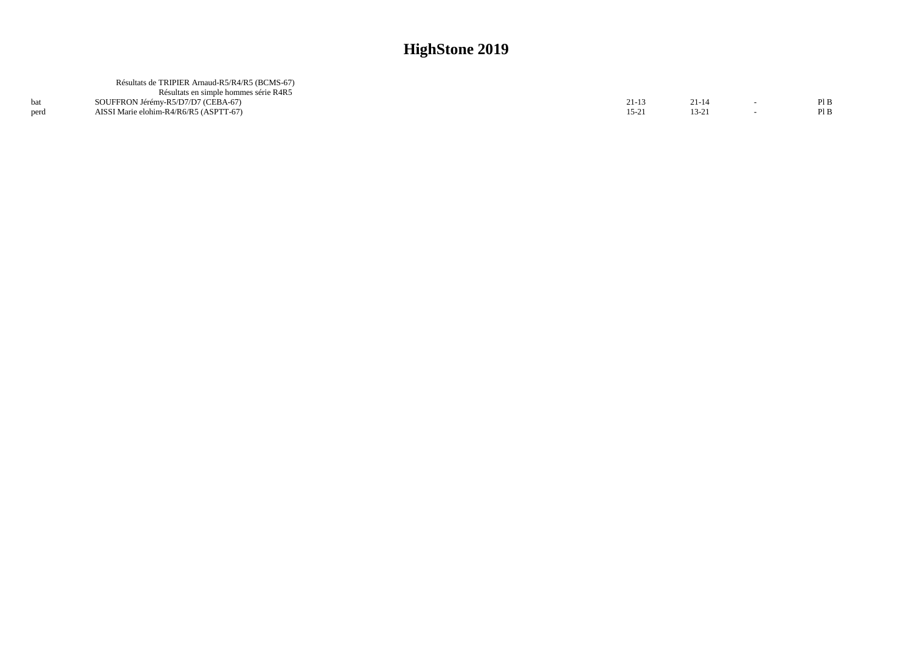|      | Résultats de TRIPIER Arnaud-R5/R4/R5 (BCMS-67) |         |           |     |
|------|------------------------------------------------|---------|-----------|-----|
|      | Résultats en simple hommes série R4R5          |         |           |     |
|      | SOUFFRON Jérémy-R5/D7/D7 (CEBA-67)             | $21-13$ | $21 - 14$ | PIB |
| perd | AISSI Marie elohim-R4/R6/R5 (ASPTT-67)         | 15-21   | 13-21     | PIB |
|      |                                                |         |           |     |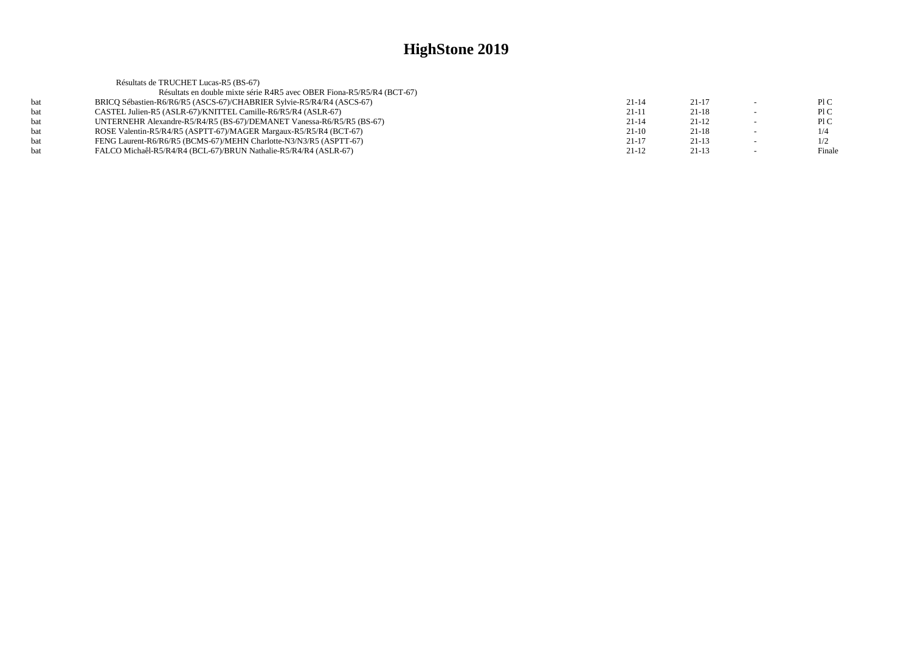|      | Résultats de TRUCHET Lucas-R5 (BS-67)                                  |           |           |                          |        |
|------|------------------------------------------------------------------------|-----------|-----------|--------------------------|--------|
|      | Résultats en double mixte série R4R5 avec OBER Fiona-R5/R5/R4 (BCT-67) |           |           |                          |        |
| hat. | BRICO Sébastien-R6/R6/R5 (ASCS-67)/CHABRIER Sylvie-R5/R4/R4 (ASCS-67)  | $21 - 14$ | $21 - 17$ |                          | P1C    |
| bat  | CASTEL Julien-R5 (ASLR-67)/KNITTEL Camille-R6/R5/R4 (ASLR-67)          | $21-11$   | $21-18$   | $\overline{\phantom{0}}$ | PIC    |
| hat. | UNTERNEHR Alexandre-R5/R4/R5 (BS-67)/DEMANET Vanessa-R6/R5/R5 (BS-67)  | $21 - 14$ | $21-12$   |                          | P1C    |
| bat  | ROSE Valentin-R5/R4/R5 (ASPTT-67)/MAGER Margaux-R5/R5/R4 (BCT-67)      | $21-10$   | $21-18$   | $\sim$                   | 1/4    |
| bat  | FENG Laurent-R6/R6/R5 (BCMS-67)/MEHN Charlotte-N3/N3/R5 (ASPTT-67)     | $21 - 17$ | $21-13$   |                          | 1/2    |
| hat  | FALCO Michaêl-R5/R4/R4 (BCL-67)/BRUN Nathalie-R5/R4/R4 (ASLR-67)       | $21-12$   | $21-13$   |                          | Finale |
|      |                                                                        |           |           |                          |        |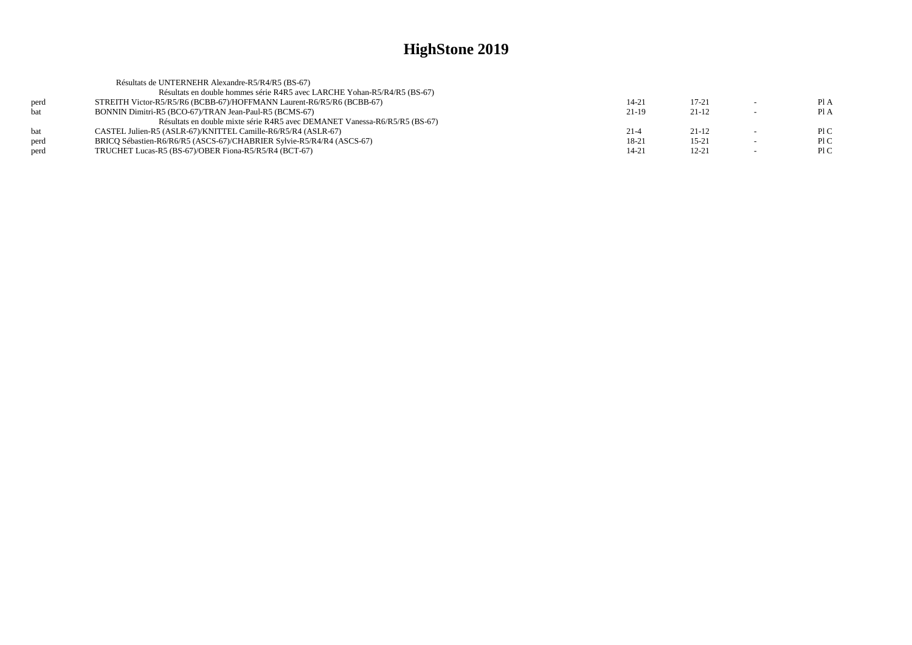|      | Résultats de UNTERNEHR Alexandre-R5/R4/R5 (BS-67)                          |          |           |      |
|------|----------------------------------------------------------------------------|----------|-----------|------|
|      | Résultats en double hommes série R4R5 avec LARCHE Yohan-R5/R4/R5 (BS-67)   |          |           |      |
| perd | STREITH Victor-R5/R5/R6 (BCBB-67)/HOFFMANN Laurent-R6/R5/R6 (BCBB-67)      | 14-21    | $17 - 21$ | Pl A |
| hat  | BONNIN Dimitri-R5 (BCO-67)/TRAN Jean-Paul-R5 (BCMS-67)                     | 21-19    | $21-12$   | Pl A |
|      | Résultats en double mixte série R4R5 avec DEMANET Vanessa-R6/R5/R5 (BS-67) |          |           |      |
| hat. | CASTEL Julien-R5 (ASLR-67)/KNITTEL Camille-R6/R5/R4 (ASLR-67)              | $21 - 4$ | $21-12$   | P1C  |
| perd | BRICO Sébastien-R6/R6/R5 (ASCS-67)/CHABRIER Sylvie-R5/R4/R4 (ASCS-67)      | 18-21    | $15 - 21$ | P1C  |
| perd | TRUCHET Lucas-R5 (BS-67)/OBER Fiona-R5/R5/R4 (BCT-67)                      | 14-21    | $12 - 21$ | P1C  |
|      |                                                                            |          |           |      |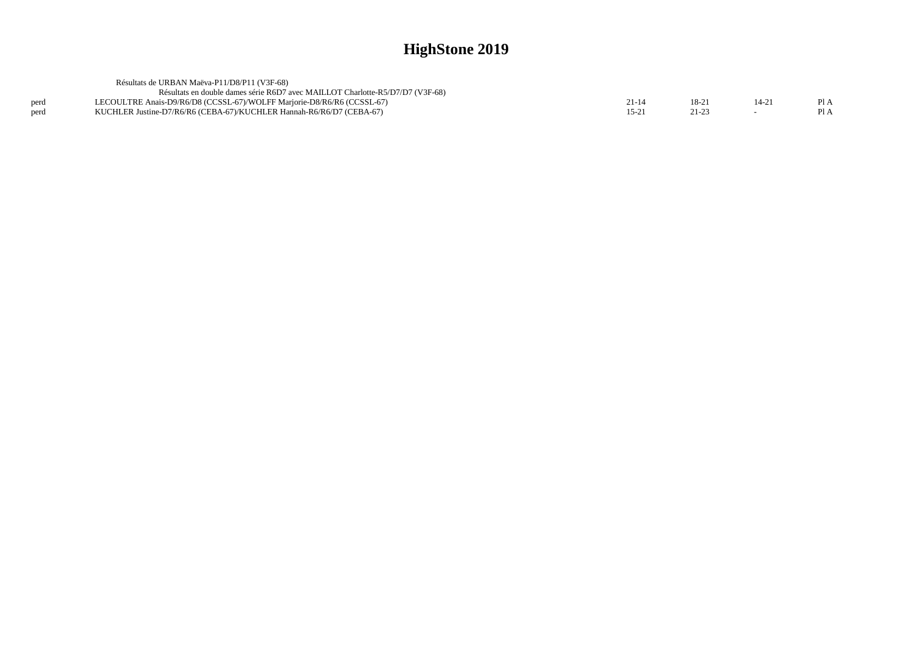|      | Résultats de URBAN Maëva-P11/D8/P11 (V3F-68)                                  |        |       |     |
|------|-------------------------------------------------------------------------------|--------|-------|-----|
|      | Résultats en double dames série R6D7 avec MAILLOT Charlotte-R5/D7/D7 (V3F-68) |        |       |     |
| perd | LECOULTRE Anais-D9/R6/D8 (CCSSL-67)/WOLFF Mariorie-D8/R6/R6 (CCSSL-67)        | 21-14  | 18-21 | P1A |
| nerd | KUCHLER Justine-D7/R6/R6 (CEBA-67)/KUCHLER Hannah-R6/R6/D7 (CEBA-67)          | $15-2$ |       | P1A |
|      |                                                                               |        |       |     |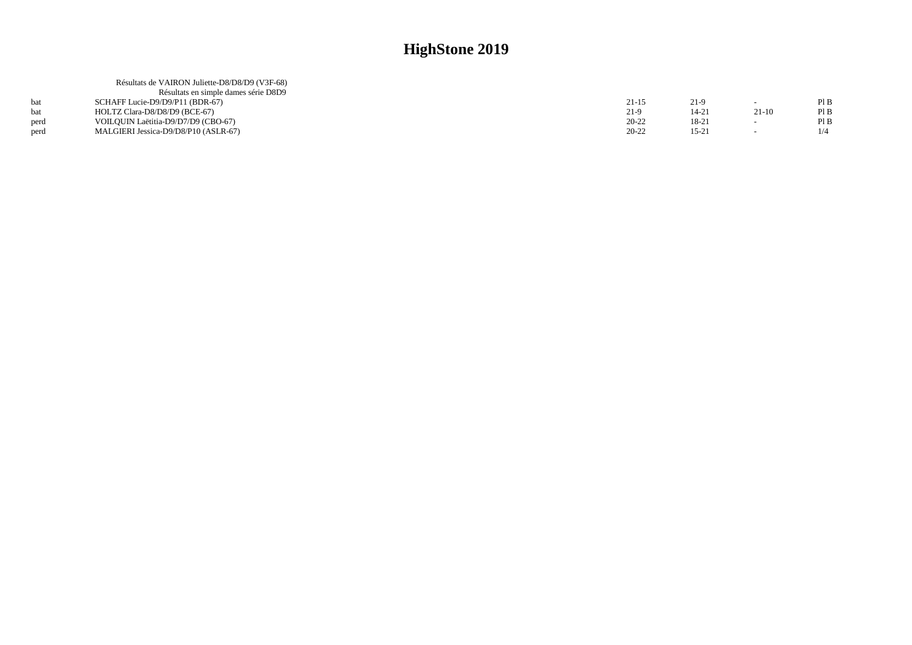|      | Résultats de VAIRON Juliette-D8/D8/D9 (V3F-68) |           |           |       |      |
|------|------------------------------------------------|-----------|-----------|-------|------|
|      | Résultats en simple dames série D8D9           |           |           |       |      |
|      | SCHAFF Lucie-D9/D9/P11 (BDR-67)                | $21 - 15$ | $21-9$    |       | PIB  |
|      | HOLTZ Clara-D8/D8/D9 (BCE-67)                  | $21-9$    | 14-21     | 21-10 | Pl B |
| perd | VOILQUIN Laëtitia-D9/D7/D9 (CBO-67)            | $20 - 22$ | 18-21     |       | Pl B |
| perd | MALGIERI Jessica-D9/D8/P10 (ASLR-67)           | $20 - 22$ | $15 - 21$ |       | 1/4  |
|      |                                                |           |           |       |      |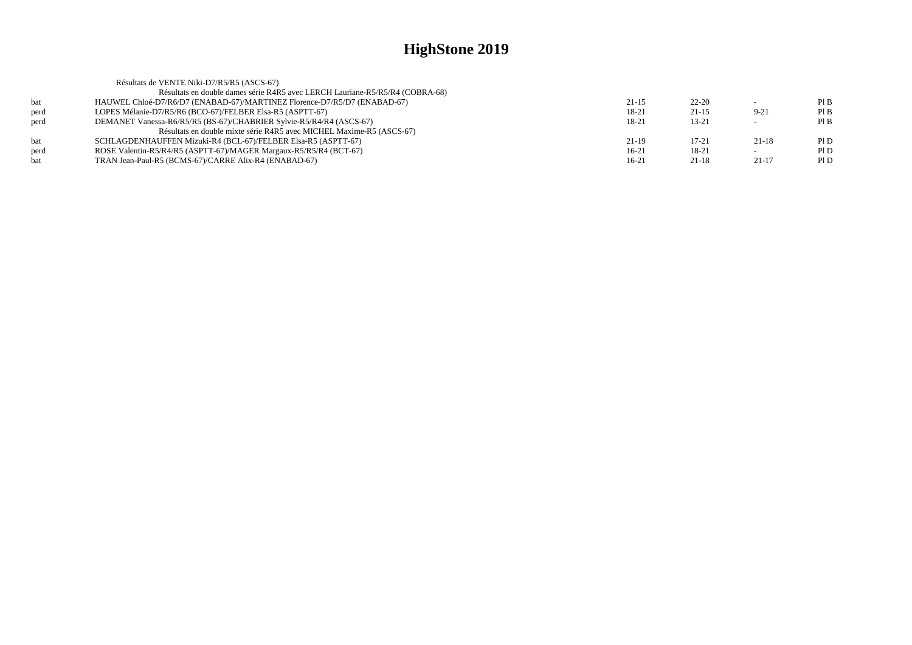|      | Résultats de VENTE Niki-D7/R5/R5 (ASCS-67)                                   |         |           |          |     |
|------|------------------------------------------------------------------------------|---------|-----------|----------|-----|
|      | Résultats en double dames série R4R5 avec LERCH Lauriane-R5/R5/R4 (COBRA-68) |         |           |          |     |
| hat  | HAUWEL Chloé-D7/R6/D7 (ENABAD-67)/MARTINEZ Florence-D7/R5/D7 (ENABAD-67)     | $21-15$ | $22 - 20$ |          | PIB |
| perd | LOPES Mélanie-D7/R5/R6 (BCO-67)/FELBER Elsa-R5 (ASPTT-67)                    | 18-21   | $21-15$   | $9 - 21$ | PIB |
| perd | DEMANET Vanessa-R6/R5/R5 (BS-67)/CHABRIER Sylvie-R5/R4/R4 (ASCS-67)          | 18-21   | $13 - 21$ | $\sim$   | PIB |
|      | Résultats en double mixte série R4R5 avec MICHEL Maxime-R5 (ASCS-67)         |         |           |          |     |
| hat  | SCHLAGDENHAUFFEN Mizuki-R4 (BCL-67)/FELBER Elsa-R5 (ASPTT-67)                | $21-19$ | $17 - 21$ | $21-18$  | PID |
| perd | ROSE Valentin-R5/R4/R5 (ASPTT-67)/MAGER Margaux-R5/R5/R4 (BCT-67)            | $16-21$ | 18-21     |          | PID |
| hat  | TRAN Jean-Paul-R5 (BCMS-67)/CARRE Alix-R4 (ENABAD-67)                        | $16-21$ | $21-18$   | $21-17$  | PID |
|      |                                                                              |         |           |          |     |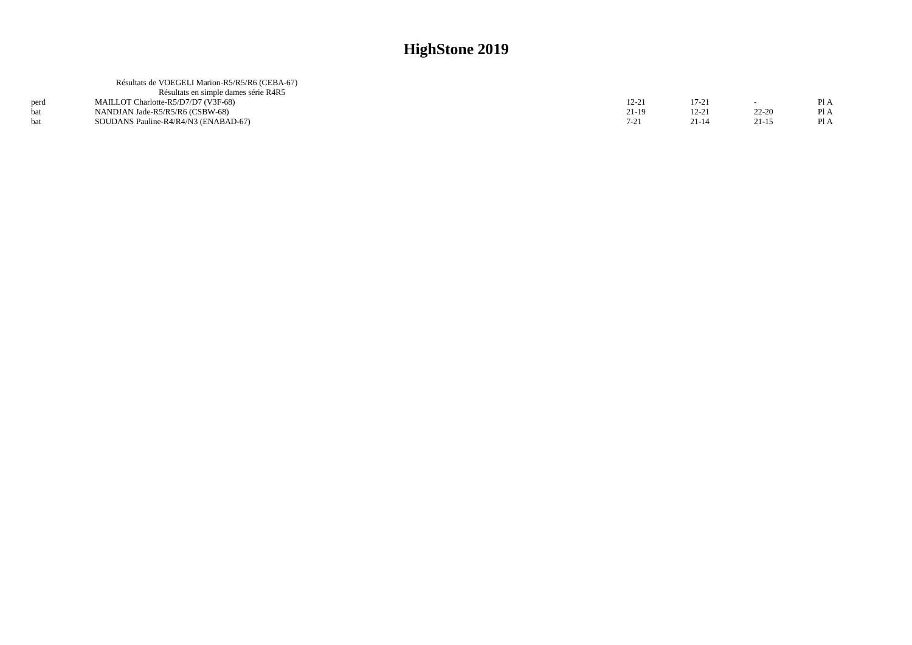| Résultats de VOEGELI Marion-R5/R5/R6 (CEBA-67) |                                      |           |           |      |
|------------------------------------------------|--------------------------------------|-----------|-----------|------|
|                                                |                                      |           |           |      |
| MAILLOT Charlotte-R5/D7/D7 (V3F-68)            | $12 - 21$                            | 17-21     |           | Pl A |
| NANDJAN Jade-R5/R5/R6 (CSBW-68)                | 21-19                                | 12-21     | $22 - 20$ | Pl A |
| SOUDANS Pauline-R4/R4/N3 (ENABAD-67)           | $7 - 21$                             | $21 - 14$ | $21 - 15$ | Pl A |
|                                                | Résultats en simple dames série R4R5 |           |           |      |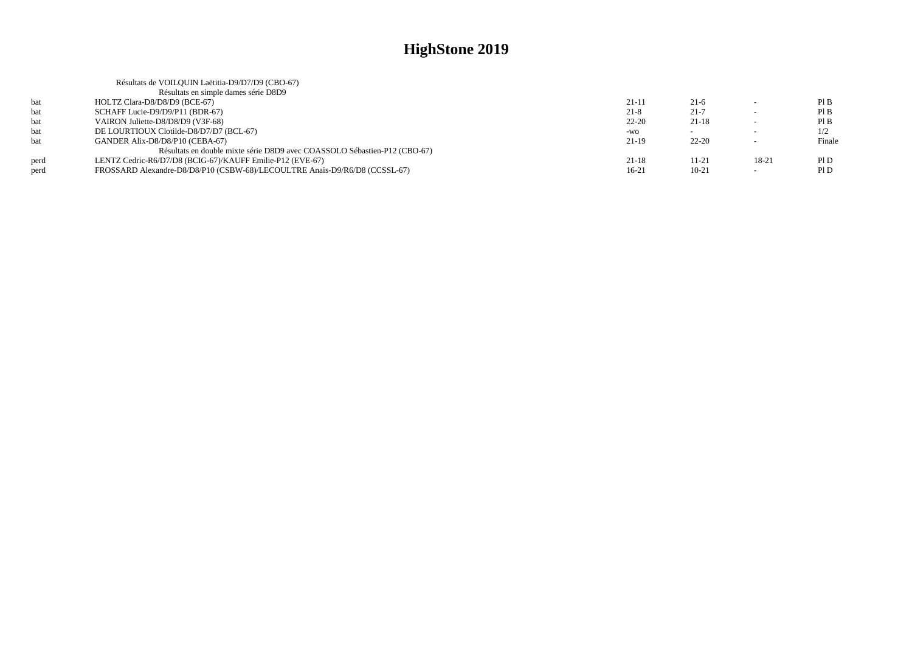|      | Résultats de VOILQUIN Laëtitia-D9/D7/D9 (CBO-67)                           |           |           |                          |        |
|------|----------------------------------------------------------------------------|-----------|-----------|--------------------------|--------|
|      | Résultats en simple dames série D8D9                                       |           |           |                          |        |
| bat  | HOLTZ Clara-D8/D8/D9 (BCE-67)                                              | $21 - 11$ | $21-6$    |                          | PIB    |
| bat  | SCHAFF Lucie-D9/D9/P11 (BDR-67)                                            | $21 - 8$  | $21 - 7$  |                          | PIB    |
| bat  | VAIRON Juliette-D8/D8/D9 (V3F-68)                                          | $22 - 20$ | $21-18$   | $\overline{\phantom{0}}$ | PIB    |
| bat  | DE LOURTIOUX Clotilde-D8/D7/D7 (BCL-67)                                    | $-WO$     |           | $\overline{\phantom{0}}$ | 1/2    |
| bat  | GANDER Alix-D8/D8/P10 (CEBA-67)                                            | $21-19$   | $22 - 20$ | $\overline{\phantom{0}}$ | Finale |
|      | Résultats en double mixte série D8D9 avec COASSOLO Sébastien-P12 (CBO-67)  |           |           |                          |        |
| perd | LENTZ Cedric-R6/D7/D8 (BCIG-67)/KAUFF Emilie-P12 (EVE-67)                  | $21 - 18$ | $11 - 21$ | 18-21                    | P1D    |
| perd | FROSSARD Alexandre-D8/D8/P10 (CSBW-68)/LECOULTRE Anais-D9/R6/D8 (CCSSL-67) | $16-21$   | $10 - 21$ |                          | P1D    |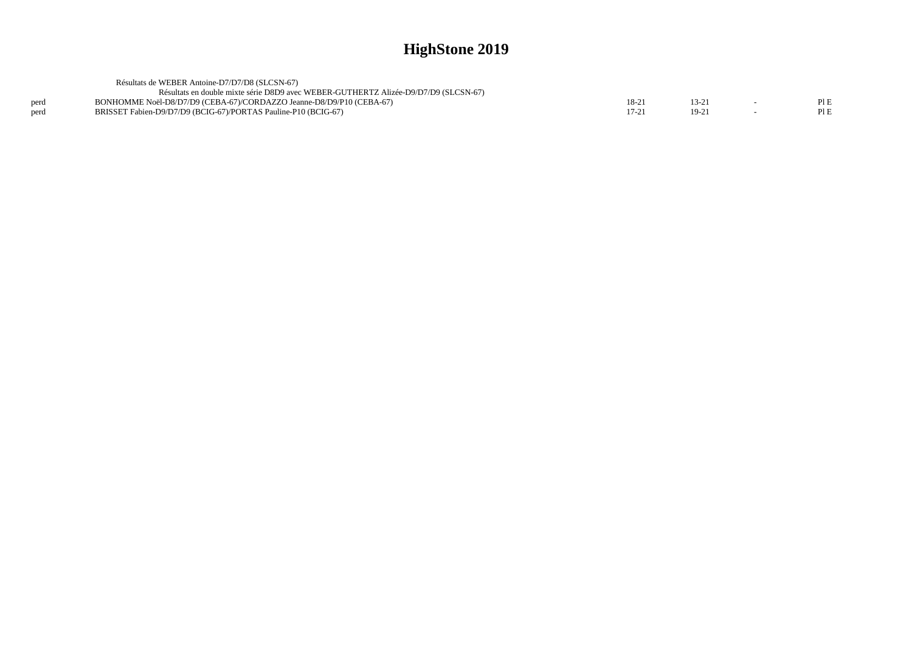|      | Résultats de WEBER Antoine-D7/D7/D8 (SLCSN-67)                                      |      |         |      |
|------|-------------------------------------------------------------------------------------|------|---------|------|
|      | Résultats en double mixte série D8D9 avec WEBER-GUTHERTZ Alizée-D9/D7/D9 (SLCSN-67) |      |         |      |
| perd | BONHOMME Noël-D8/D7/D9 (CEBA-67)/CORDAZZO Jeanne-D8/D9/P10 (CEBA-67)                | 18-2 |         | PIE  |
| nerd | BRISSET Fabien-D9/D7/D9 (BCIG-67)/PORTAS Pauline-P10 (BCIG-67)                      |      | $19-21$ | Pl E |
|      |                                                                                     |      |         |      |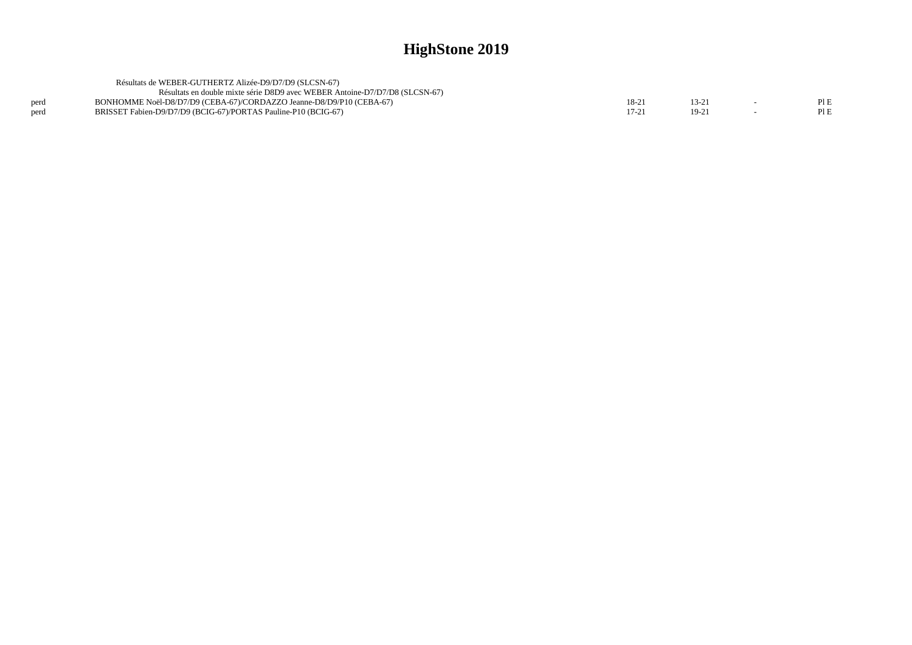|      | Résultats de WEBER-GUTHERTZ Alizée-D9/D7/D9 (SLCSN-67)                      |      |        |      |
|------|-----------------------------------------------------------------------------|------|--------|------|
|      | Résultats en double mixte série D8D9 avec WEBER Antoine-D7/D7/D8 (SLCSN-67) |      |        |      |
|      | BONHOMME Noël-D8/D7/D9 (CEBA-67)/CORDAZZO Jeanne-D8/D9/P10 (CEBA-67)        | 18-2 |        | PIE  |
| perd | BRISSET Fabien-D9/D7/D9 (BCIG-67)/PORTAS Pauline-P10 (BCIG-67)              |      | $19-2$ | Pl E |
|      |                                                                             |      |        |      |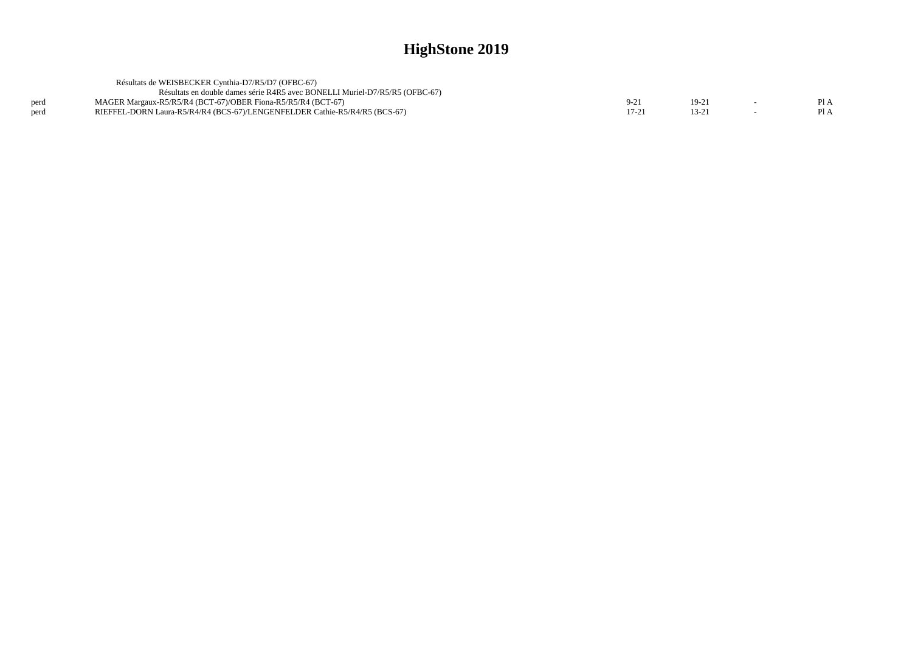|      | Résultats de WEISBECKER Cynthia-D7/R5/D7 (OFBC-67)                          |      |  |
|------|-----------------------------------------------------------------------------|------|--|
|      | Résultats en double dames série R4R5 avec BONELLI Muriel-D7/R5/R5 (OFBC-67) |      |  |
| perd | MAGER Margaux-R5/R5/R4 (BCT-67)/OBER Fiona-R5/R5/R4 (BCT-67)                | 19-2 |  |
| perd | RIEFFEL-DORN Laura-R5/R4/R4 (BCS-67)/LENGENFELDER Cathie-R5/R4/R5 (BCS-67)  |      |  |
|      |                                                                             |      |  |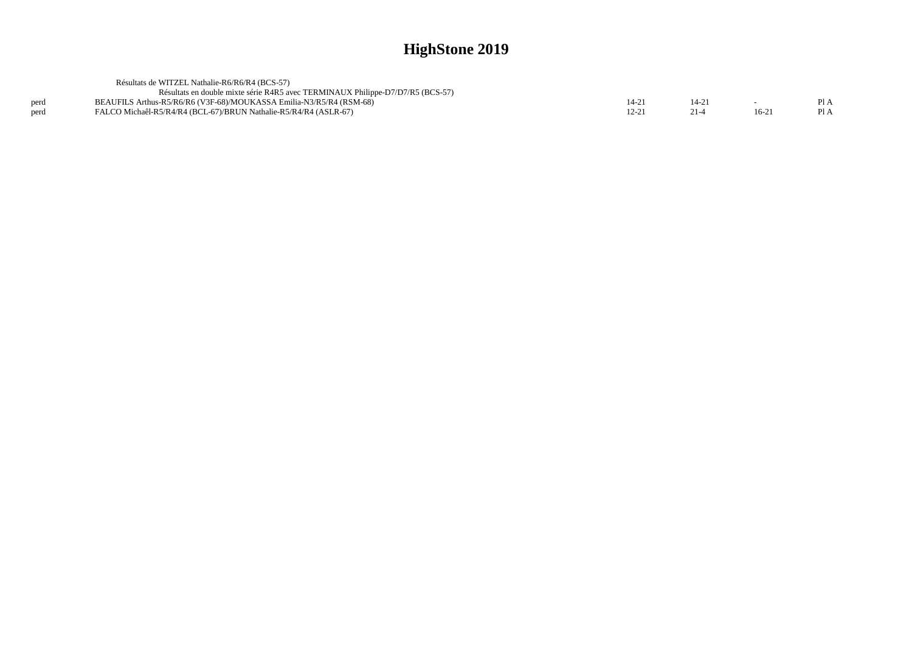|      | Résultats de WITZEL Nathalie-R6/R6/R4 (BCS-57)                                 |           |         |      |
|------|--------------------------------------------------------------------------------|-----------|---------|------|
|      | Résultats en double mixte série R4R5 avec TERMINAUX Philippe-D7/D7/R5 (BCS-57) |           |         |      |
| perd | BEAUFILS Arthus-R5/R6/R6 (V3F-68)/MOUKASSA Emilia-N3/R5/R4 (RSM-68)            |           |         | P1A  |
| perd | FALCO Michaêl-R5/R4/R4 (BCL-67)/BRUN Nathalie-R5/R4/R4 (ASLR-67)               | $12 - 21$ | $16-21$ | PI A |
|      |                                                                                |           |         |      |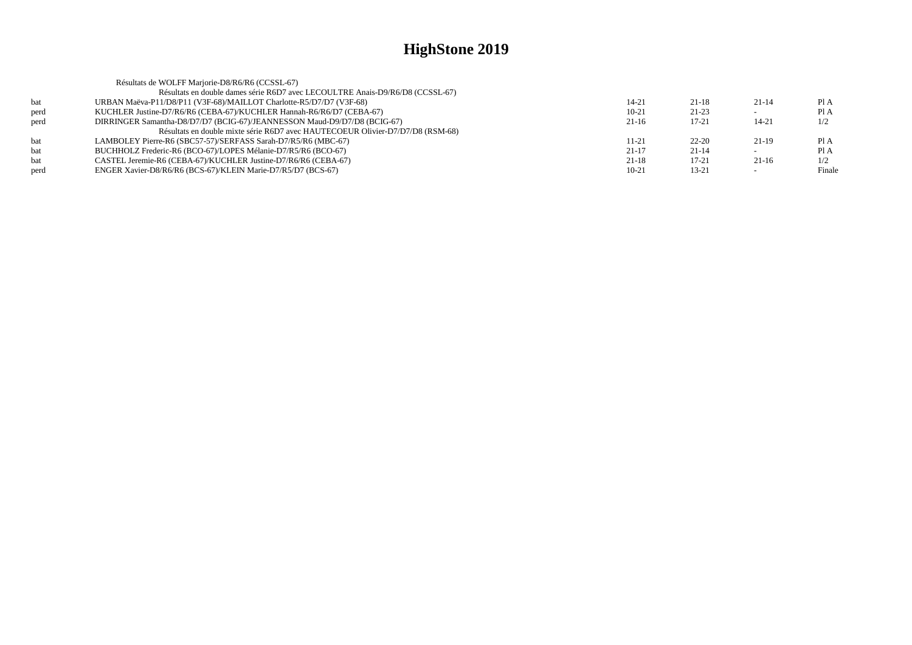|      | Résultats de WOLFF Marjorie-D8/R6/R6 (CCSSL-67)                                |           |           |           |        |
|------|--------------------------------------------------------------------------------|-----------|-----------|-----------|--------|
|      | Résultats en double dames série R6D7 avec LECOULTRE Anais-D9/R6/D8 (CCSSL-67)  |           |           |           |        |
| bat  | URBAN Maëva-P11/D8/P11 (V3F-68)/MAILLOT Charlotte-R5/D7/D7 (V3F-68)            | 14-21     | $21 - 18$ | $21 - 14$ | Pl A   |
| perd | KUCHLER Justine-D7/R6/R6 (CEBA-67)/KUCHLER Hannah-R6/R6/D7 (CEBA-67)           | $10-21$   | $21-23$   |           | Pl A   |
| perd | DIRRINGER Samantha-D8/D7/D7 (BCIG-67)/JEANNESSON Maud-D9/D7/D8 (BCIG-67)       | $21-16$   | $17 - 21$ | 14-21     | 1/2    |
|      | Résultats en double mixte série R6D7 avec HAUTECOEUR Olivier-D7/D7/D8 (RSM-68) |           |           |           |        |
| bat  | LAMBOLEY Pierre-R6 (SBC57-57)/SERFASS Sarah-D7/R5/R6 (MBC-67)                  | 11-21     | $22 - 20$ | $21-19$   | Pl A   |
| bat  | BUCHHOLZ Frederic-R6 (BCO-67)/LOPES Mélanie-D7/R5/R6 (BCO-67)                  | $21-17$   | $21 - 14$ |           | Pl A   |
| bat  | CASTEL Jeremie-R6 (CEBA-67)/KUCHLER Justine-D7/R6/R6 (CEBA-67)                 | $21-18$   | $17 - 21$ | $21-16$   | 1/2    |
| perd | ENGER Xavier-D8/R6/R6 (BCS-67)/KLEIN Marie-D7/R5/D7 (BCS-67)                   | $10 - 21$ | $13 - 21$ |           | Finale |
|      |                                                                                |           |           |           |        |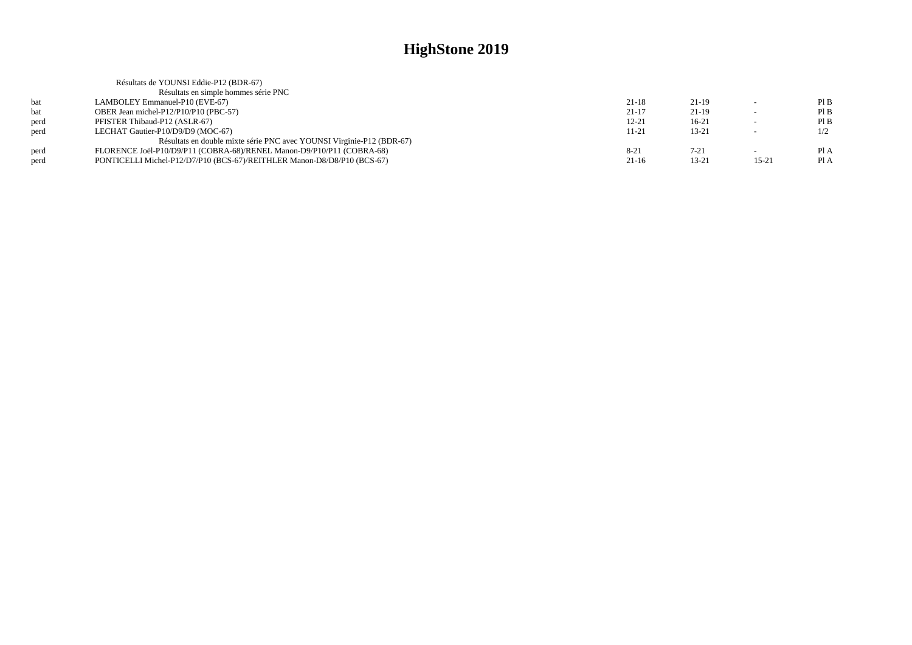|      | Résultats de YOUNSI Eddie-P12 (BDR-67)                                  |           |           |       |      |
|------|-------------------------------------------------------------------------|-----------|-----------|-------|------|
|      | Résultats en simple hommes série PNC                                    |           |           |       |      |
| bat  | LAMBOLEY Emmanuel-P10 (EVE-67)                                          | $21 - 18$ | $21-19$   |       | PIB  |
| bat  | OBER Jean michel-P12/P10/P10 (PBC-57)                                   | $21-17$   | $21-19$   |       | PIB  |
| perd | PFISTER Thibaud-P12 (ASLR-67)                                           | $12 - 21$ | $16-21$   |       | PIB  |
| perd | LECHAT Gautier-P10/D9/D9 (MOC-67)                                       | 11-21     | $13 - 21$ |       | 1/2  |
|      | Résultats en double mixte série PNC avec YOUNSI Virginie-P12 (BDR-67)   |           |           |       |      |
| perd | FLORENCE Joël-P10/D9/P11 (COBRA-68)/RENEL Manon-D9/P10/P11 (COBRA-68)   | $8 - 21$  | $7 - 21$  |       | Pl A |
| perd | PONTICELLI Michel-P12/D7/P10 (BCS-67)/REITHLER Manon-D8/D8/P10 (BCS-67) | $21-16$   | $13 - 21$ | 15-21 | Pl A |
|      |                                                                         |           |           |       |      |